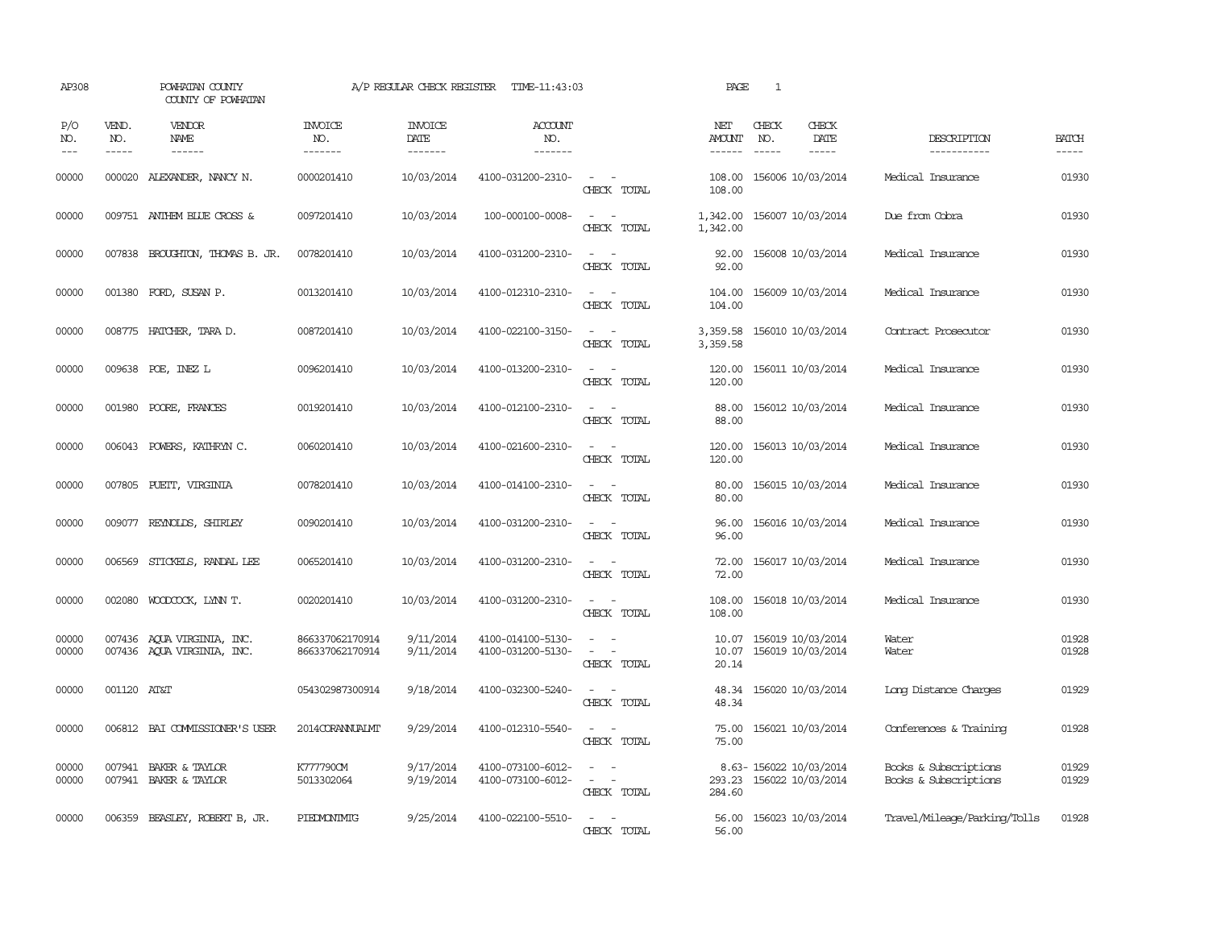| AP308               |                             | POWHATAN COUNTY<br>COUNTY OF POWHATAN                    |                                    | A/P REGULAR CHECK REGISTER        | TIME-11:43:03                          |                                                                                                                             | PAGE                           | $\mathbf{1}$                                                |                                                |                             |
|---------------------|-----------------------------|----------------------------------------------------------|------------------------------------|-----------------------------------|----------------------------------------|-----------------------------------------------------------------------------------------------------------------------------|--------------------------------|-------------------------------------------------------------|------------------------------------------------|-----------------------------|
| P/O<br>NO.<br>$---$ | VEND.<br>NO.<br>$- - - - -$ | <b>VENDOR</b><br>NAME<br>$- - - - - -$                   | <b>INVOICE</b><br>NO.<br>-------   | <b>INVOICE</b><br>DATE<br>------- | ACCOUNT<br>NO.<br>-------              |                                                                                                                             | NET<br><b>AMOUNT</b><br>------ | CHECK<br>CHECK<br>NO.<br>DATE<br>$- - - - -$<br>$- - - - -$ | DESCRIPTION<br>-----------                     | <b>BATCH</b><br>$- - - - -$ |
| 00000               |                             | 000020 ALEXANDER, NANCY N.                               | 0000201410                         | 10/03/2014                        | 4100-031200-2310-                      | $\sim$ $ \sim$<br>CHECK TOTAL                                                                                               | 108.00<br>108.00               | 156006 10/03/2014                                           | Medical Insurance                              | 01930                       |
| 00000               |                             | 009751 ANTHEM BLUE CROSS &                               | 0097201410                         | 10/03/2014                        | 100-000100-0008-                       | $\sim$ 10 $\sim$ 10 $\sim$<br>CHECK TOTAL                                                                                   | 1,342.00<br>1,342.00           | 156007 10/03/2014                                           | Due from Cobra                                 | 01930                       |
| 00000               |                             | 007838 BROUGHTON, THOMAS B. JR.                          | 0078201410                         | 10/03/2014                        | 4100-031200-2310-                      | $\sim$ 100 $\sim$<br>CHECK TOTAL                                                                                            | 92.00<br>92.00                 | 156008 10/03/2014                                           | Medical Insurance                              | 01930                       |
| 00000               |                             | 001380 FORD, SUSAN P.                                    | 0013201410                         | 10/03/2014                        | 4100-012310-2310-                      | $\equiv$<br>CHECK TOTAL                                                                                                     | 104.00<br>104.00               | 156009 10/03/2014                                           | Medical Insurance                              | 01930                       |
| 00000               |                             | 008775 HATCHER, TARA D.                                  | 0087201410                         | 10/03/2014                        | 4100-022100-3150-                      | $\sim$<br>$\sim$<br>CHECK TOTAL                                                                                             | 3,359.58<br>3,359.58           | 156010 10/03/2014                                           | Contract Prosecutor                            | 01930                       |
| 00000               |                             | 009638 POE, INEZ L                                       | 0096201410                         | 10/03/2014                        | 4100-013200-2310-                      | $\sim$ 100 $\sim$ 100 $\sim$<br>CHECK TOTAL                                                                                 | 120.00<br>120.00               | 156011 10/03/2014                                           | Medical Insurance                              | 01930                       |
| 00000               |                             | 001980 POORE, FRANCES                                    | 0019201410                         | 10/03/2014                        | 4100-012100-2310-                      | $\overline{\phantom{a}}$<br>$\sim$<br>CHECK TOTAL                                                                           | 88.00<br>88.00                 | 156012 10/03/2014                                           | Medical Insurance                              | 01930                       |
| 00000               |                             | 006043 POWERS, KATHRYN C.                                | 0060201410                         | 10/03/2014                        | 4100-021600-2310-                      | CHECK TOTAL                                                                                                                 | 120.00<br>120.00               | 156013 10/03/2014                                           | Medical Insurance                              | 01930                       |
| 00000               |                             | 007805 PUETT, VIRGINIA                                   | 0078201410                         | 10/03/2014                        | 4100-014100-2310-                      | $\sim$<br>CHECK TOTAL                                                                                                       | 80.00<br>80.00                 | 156015 10/03/2014                                           | Medical Insurance                              | 01930                       |
| 00000               | 009077                      | REYNOLDS, SHIRLEY                                        | 0090201410                         | 10/03/2014                        | 4100-031200-2310-                      | CHECK TOTAL                                                                                                                 | 96.00<br>96.00                 | 156016 10/03/2014                                           | Medical Insurance                              | 01930                       |
| 00000               |                             | 006569 STICKELS, RANDAL LEE                              | 0065201410                         | 10/03/2014                        | 4100-031200-2310-                      | $\equiv$<br>CHECK TOTAL                                                                                                     | 72.00<br>72.00                 | 156017 10/03/2014                                           | Medical Insurance                              | 01930                       |
| 00000               |                             | 002080 WOODCOCK, LYNN T.                                 | 0020201410                         | 10/03/2014                        | 4100-031200-2310-                      | $\frac{1}{2} \left( \frac{1}{2} \right) \left( \frac{1}{2} \right) = \frac{1}{2} \left( \frac{1}{2} \right)$<br>CHECK TOTAL | 108.00<br>108.00               | 156018 10/03/2014                                           | Medical Insurance                              | 01930                       |
| 00000<br>00000      |                             | 007436 AQUA VIRGINIA, INC.<br>007436 AOUA VIRGINIA, INC. | 866337062170914<br>866337062170914 | 9/11/2014<br>9/11/2014            | 4100-014100-5130-<br>4100-031200-5130- | $\sim$<br>$\equiv$<br>$\overline{\phantom{a}}$<br>$\overline{\phantom{a}}$<br>CHECK TOTAL                                   | 10.07<br>10.07<br>20.14        | 156019 10/03/2014<br>156019 10/03/2014                      | Water<br>Water                                 | 01928<br>01928              |
| 00000               | 001120 AT&T                 |                                                          | 054302987300914                    | 9/18/2014                         | 4100-032300-5240-                      | $\frac{1}{2} \left( \frac{1}{2} \right) \left( \frac{1}{2} \right) = \frac{1}{2} \left( \frac{1}{2} \right)$<br>CHECK TOTAL | 48.34<br>48.34                 | 156020 10/03/2014                                           | Long Distance Charges                          | 01929                       |
| 00000               |                             | 006812 BAI COMMISSIONER'S USER                           | 2014CORANNUALMT                    | 9/29/2014                         | 4100-012310-5540-                      | $\frac{1}{2} \left( \frac{1}{2} \right) \left( \frac{1}{2} \right) = \frac{1}{2} \left( \frac{1}{2} \right)$<br>CHECK TOTAL | 75.00<br>75.00                 | 156021 10/03/2014                                           | Conferences & Training                         | 01928                       |
| 00000<br>00000      |                             | 007941 BAKER & TAYLOR<br>007941 BAKER & TAYLOR           | K777790CM<br>5013302064            | 9/17/2014<br>9/19/2014            | 4100-073100-6012-<br>4100-073100-6012- | $\sim$ 100 $\sim$ 100 $\sim$<br>CHECK TOTAL                                                                                 | 293.23<br>284.60               | 8.63-156022 10/03/2014<br>156022 10/03/2014                 | Books & Subscriptions<br>Books & Subscriptions | 01929<br>01929              |
| 00000               |                             | 006359 BEASLEY, ROBERT B, JR.                            | PIEDMONIMIG                        | 9/25/2014                         | 4100-022100-5510-                      | $\sim$<br>$\sim$<br>CHECK TOTAL                                                                                             | 56.00<br>56.00                 | 156023 10/03/2014                                           | Travel/Mileage/Parking/Tolls                   | 01928                       |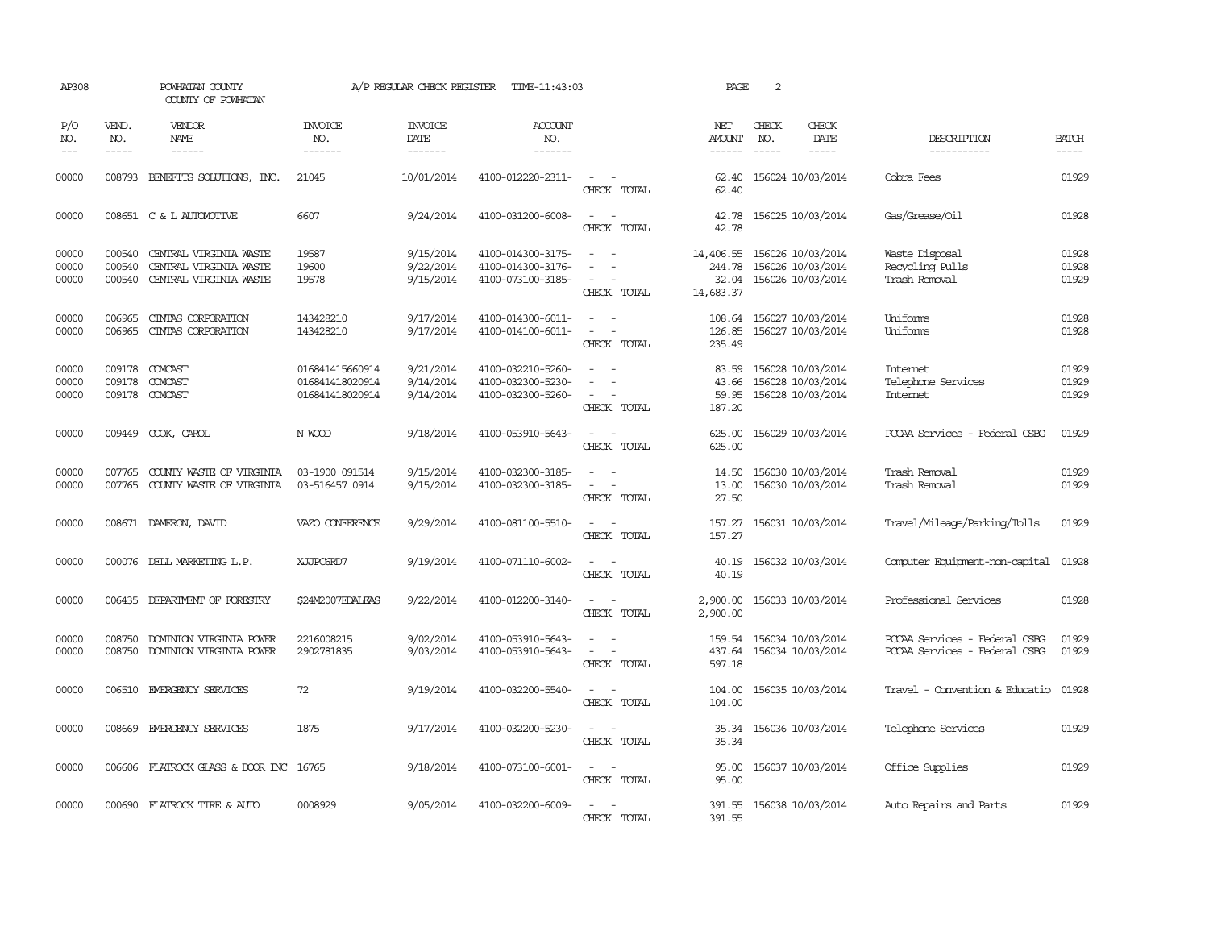| AP308                   |                             | POWHATAN COUNTY<br>COUNTY OF POWHATAN                                      |                                                       | A/P REGULAR CHECK REGISTER                                                                                                                                                                                                                                                                                                                                                                                                                                                                                       | TIME-11:43:03                                               |                                                                                                           | PAGE                                      | 2                             |                                                             |                                                                |                             |
|-------------------------|-----------------------------|----------------------------------------------------------------------------|-------------------------------------------------------|------------------------------------------------------------------------------------------------------------------------------------------------------------------------------------------------------------------------------------------------------------------------------------------------------------------------------------------------------------------------------------------------------------------------------------------------------------------------------------------------------------------|-------------------------------------------------------------|-----------------------------------------------------------------------------------------------------------|-------------------------------------------|-------------------------------|-------------------------------------------------------------|----------------------------------------------------------------|-----------------------------|
| P/O<br>NO.<br>$---$     | VEND.<br>NO.<br>$- - - - -$ | <b>VENDOR</b><br>NAME                                                      | <b>INVOICE</b><br>NO.<br>-------                      | <b>INVOICE</b><br>DATE<br>$\begin{array}{cccccccccc} \multicolumn{2}{c}{} & \multicolumn{2}{c}{} & \multicolumn{2}{c}{} & \multicolumn{2}{c}{} & \multicolumn{2}{c}{} & \multicolumn{2}{c}{} & \multicolumn{2}{c}{} & \multicolumn{2}{c}{} & \multicolumn{2}{c}{} & \multicolumn{2}{c}{} & \multicolumn{2}{c}{} & \multicolumn{2}{c}{} & \multicolumn{2}{c}{} & \multicolumn{2}{c}{} & \multicolumn{2}{c}{} & \multicolumn{2}{c}{} & \multicolumn{2}{c}{} & \multicolumn{2}{c}{} & \multicolumn{2}{c}{} & \mult$ | ACCOUNT<br>NO.<br>-------                                   |                                                                                                           | NET<br>AMOUNT<br>$- - - - - -$            | CHECK<br>NO.<br>$\frac{1}{2}$ | CHECK<br>DATE<br>-----                                      | DESCRIPTION<br>-----------                                     | <b>BATCH</b><br>$- - - - -$ |
| 00000                   |                             | 008793 BENEFITS SOLUTIONS, INC.                                            | 21045                                                 | 10/01/2014                                                                                                                                                                                                                                                                                                                                                                                                                                                                                                       | 4100-012220-2311-                                           | $\sim$<br>$\sim$<br>CHECK TOTAL                                                                           | 62.40<br>62.40                            |                               | 156024 10/03/2014                                           | Cobra Fees                                                     | 01929                       |
| 00000                   |                             | 008651 C & L AUTOMOTIVE                                                    | 6607                                                  | 9/24/2014                                                                                                                                                                                                                                                                                                                                                                                                                                                                                                        | 4100-031200-6008-                                           | $\sim$<br>$\sim$<br>CHECK TOTAL                                                                           | 42.78<br>42.78                            |                               | 156025 10/03/2014                                           | Gas/Grease/Oil                                                 | 01928                       |
| 00000<br>00000<br>00000 | 000540<br>000540<br>000540  | CENTRAL VIRGINIA WASTE<br>CENTRAL VIRGINIA WASTE<br>CENTRAL VIRGINIA WASTE | 19587<br>19600<br>19578                               | 9/15/2014<br>9/22/2014<br>9/15/2014                                                                                                                                                                                                                                                                                                                                                                                                                                                                              | 4100-014300-3175-<br>4100-014300-3176-<br>4100-073100-3185- | $\sim$<br>$\sim$<br>$\equiv$<br>$\sim$<br>$\sim$<br>CHECK TOTAL                                           | 14,406.55<br>244.78<br>32.04<br>14,683.37 |                               | 156026 10/03/2014<br>156026 10/03/2014<br>156026 10/03/2014 | Waste Disposal<br>Recycling Pulls<br>Trash Removal             | 01928<br>01928<br>01929     |
| 00000<br>00000          | 006965<br>006965            | CINIAS CORPORATION<br>CINIAS CORPORATION                                   | 143428210<br>143428210                                | 9/17/2014<br>9/17/2014                                                                                                                                                                                                                                                                                                                                                                                                                                                                                           | 4100-014300-6011-<br>4100-014100-6011-                      | $\omega_{\rm{max}}$ and $\omega_{\rm{max}}$<br>$\omega_{\rm{max}}$ and $\omega_{\rm{max}}$<br>CHECK TOTAL | 108.64<br>126.85<br>235.49                |                               | 156027 10/03/2014<br>156027 10/03/2014                      | Uniforms<br>Uniforms                                           | 01928<br>01928              |
| 00000<br>00000<br>00000 | 009178                      | 009178 COMCAST<br>COMCAST<br>009178 COMCAST                                | 016841415660914<br>016841418020914<br>016841418020914 | 9/21/2014<br>9/14/2014<br>9/14/2014                                                                                                                                                                                                                                                                                                                                                                                                                                                                              | 4100-032210-5260-<br>4100-032300-5230-<br>4100-032300-5260- | $\equiv$<br>$\sim$<br>$\sim$<br>CHECK TOTAL                                                               | 83.59<br>43.66<br>59.95<br>187.20         |                               | 156028 10/03/2014<br>156028 10/03/2014<br>156028 10/03/2014 | <b>Internet</b><br>Telephone Services<br>Internet              | 01929<br>01929<br>01929     |
| 00000                   |                             | 009449 COOK, CAROL                                                         | N WOOD                                                | 9/18/2014                                                                                                                                                                                                                                                                                                                                                                                                                                                                                                        | 4100-053910-5643-                                           | $\sim$ $ \sim$<br>CHECK TOTAL                                                                             | 625.00<br>625.00                          |                               | 156029 10/03/2014                                           | PCCAA Services - Federal CSBG                                  | 01929                       |
| 00000<br>00000          | 007765<br>007765            | COUNTY WASTE OF VIRGINIA<br>COUNTY WASTE OF VIRGINIA                       | 03-1900 091514<br>03-516457 0914                      | 9/15/2014<br>9/15/2014                                                                                                                                                                                                                                                                                                                                                                                                                                                                                           | 4100-032300-3185-<br>4100-032300-3185-                      | $\sim$<br>$\overline{\phantom{a}}$<br>$\overline{\phantom{a}}$<br>$\sim$<br>CHECK TOTAL                   | 14.50<br>13.00<br>27.50                   |                               | 156030 10/03/2014<br>156030 10/03/2014                      | Trash Removal<br>Trash Removal                                 | 01929<br>01929              |
| 00000                   |                             | 008671 DAMERON, DAVID                                                      | VAZO CONFERENCE                                       | 9/29/2014                                                                                                                                                                                                                                                                                                                                                                                                                                                                                                        | 4100-081100-5510-                                           | $\sim$ $ \sim$<br>CHECK TOTAL                                                                             | 157.27<br>157.27                          |                               | 156031 10/03/2014                                           | Travel/Mileage/Parking/Tolls                                   | 01929                       |
| 00000                   |                             | 000076 DELL MARKETING L.P.                                                 | XJJPC6RD7                                             | 9/19/2014                                                                                                                                                                                                                                                                                                                                                                                                                                                                                                        | 4100-071110-6002-                                           | $\sim$ $ -$<br>CHECK TOTAL                                                                                | 40.19<br>40.19                            |                               | 156032 10/03/2014                                           | Computer Equipment-non-capital                                 | 01928                       |
| 00000                   |                             | 006435 DEPARIMENT OF FORESTRY                                              | \$24M2007EDALEAS                                      | 9/22/2014                                                                                                                                                                                                                                                                                                                                                                                                                                                                                                        | 4100-012200-3140-                                           | $\sim$<br>CHECK TOTAL                                                                                     | 2,900.00<br>2,900.00                      |                               | 156033 10/03/2014                                           | Professional Services                                          | 01928                       |
| 00000<br>00000          |                             | 008750 DOMINION VIRGINIA POWER<br>008750 DOMINION VIRGINIA POWER           | 2216008215<br>2902781835                              | 9/02/2014<br>9/03/2014                                                                                                                                                                                                                                                                                                                                                                                                                                                                                           | 4100-053910-5643-<br>4100-053910-5643-                      | $\omega_{\rm{max}}$ and $\omega_{\rm{max}}$<br>$\sim$ $ \sim$<br>CHECK TOTAL                              | 159.54<br>597.18                          |                               | 156034 10/03/2014<br>437.64 156034 10/03/2014               | PCCAA Services - Federal CSBG<br>PCCAA Services - Federal CSBG | 01929<br>01929              |
| 00000                   |                             | 006510 EMERGENCY SERVICES                                                  | 72                                                    | 9/19/2014                                                                                                                                                                                                                                                                                                                                                                                                                                                                                                        | 4100-032200-5540-                                           | $\overline{\phantom{a}}$<br>$\sim$<br>CHECK TOTAL                                                         | 104.00<br>104.00                          |                               | 156035 10/03/2014                                           | Travel - Convention & Educatio                                 | 01928                       |
| 00000                   |                             | 008669 EMERGENCY SERVICES                                                  | 1875                                                  | 9/17/2014                                                                                                                                                                                                                                                                                                                                                                                                                                                                                                        | 4100-032200-5230-                                           | $\sim$<br>$\sim$<br>CHECK TOTAL                                                                           | 35.34<br>35.34                            |                               | 156036 10/03/2014                                           | Telephone Services                                             | 01929                       |
| 00000                   |                             | 006606 FLATROCK GLASS & DOOR INC 16765                                     |                                                       | 9/18/2014                                                                                                                                                                                                                                                                                                                                                                                                                                                                                                        | 4100-073100-6001-                                           | $\sim$ $ -$<br>CHECK TOTAL                                                                                | 95.00<br>95.00                            |                               | 156037 10/03/2014                                           | Office Supplies                                                | 01929                       |
| 00000                   |                             | 000690 FLATROCK TIRE & AUTO                                                | 0008929                                               | 9/05/2014                                                                                                                                                                                                                                                                                                                                                                                                                                                                                                        | 4100-032200-6009-                                           | $\sim$<br>$\sim$<br>CHECK TOTAL                                                                           | 391.55<br>391.55                          |                               | 156038 10/03/2014                                           | Auto Repairs and Parts                                         | 01929                       |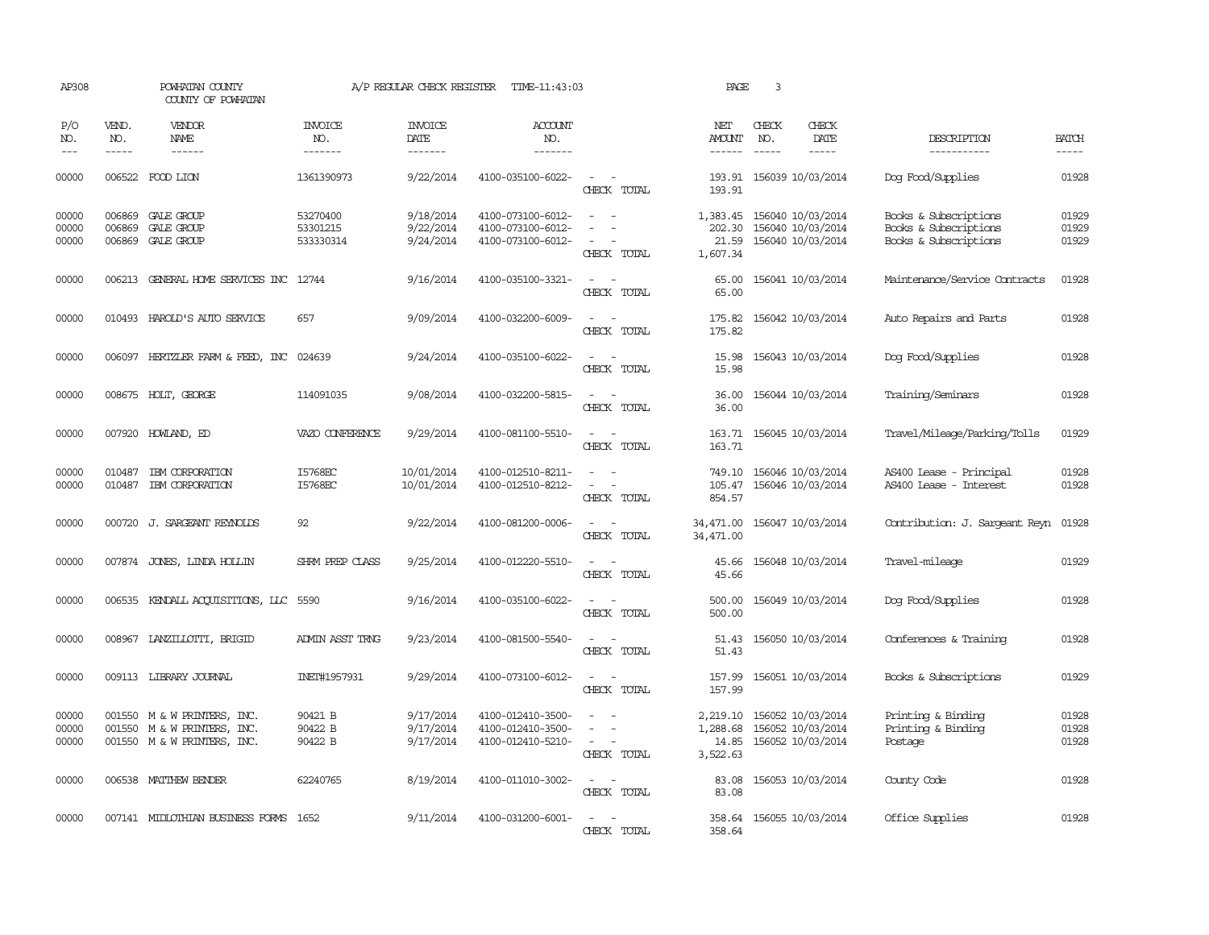| AP308                   |                             | POWHATAN COUNTY<br>COUNTY OF POWHATAN                                       |                                   | A/P REGULAR CHECK REGISTER               | TIME-11:43:03                                               |                                                                                                                             | PAGE                                      | 3                           |                                                             |                                                                         |                         |
|-------------------------|-----------------------------|-----------------------------------------------------------------------------|-----------------------------------|------------------------------------------|-------------------------------------------------------------|-----------------------------------------------------------------------------------------------------------------------------|-------------------------------------------|-----------------------------|-------------------------------------------------------------|-------------------------------------------------------------------------|-------------------------|
| P/O<br>NO.<br>$- - -$   | VEND.<br>NO.<br>$- - - - -$ | <b>VENDOR</b><br><b>NAME</b><br>------                                      | <b>INVOICE</b><br>NO.<br>-------  | <b>INVOICE</b><br><b>DATE</b><br>------- | <b>ACCOUNT</b><br>NO.<br>-------                            |                                                                                                                             | NET<br>AMOUNT<br>$- - - - - -$            | CHECK<br>NO.<br>$- - - - -$ | CHECK<br><b>DATE</b><br>-----                               | DESCRIPTION<br>-----------                                              | <b>BATCH</b><br>-----   |
| 00000                   |                             | 006522 FOOD LION                                                            | 1361390973                        | 9/22/2014                                | 4100-035100-6022-                                           | $\sim$<br>$\sim$<br>CHECK TOTAL                                                                                             | 193.91                                    |                             | 193.91 156039 10/03/2014                                    | Dog Food/Supplies                                                       | 01928                   |
| 00000<br>00000<br>00000 | 006869<br>006869<br>006869  | GALE GROUP<br>GALE GROUP<br>GALE GROUP                                      | 53270400<br>53301215<br>533330314 | 9/18/2014<br>9/22/2014<br>9/24/2014      | 4100-073100-6012-<br>4100-073100-6012-<br>4100-073100-6012- | $\sim$<br>$\equiv$<br>$\overline{\phantom{a}}$<br>CHECK TOTAL                                                               | 1,383.45<br>202.30<br>21.59<br>1,607.34   |                             | 156040 10/03/2014<br>156040 10/03/2014<br>156040 10/03/2014 | Books & Subscriptions<br>Books & Subscriptions<br>Books & Subscriptions | 01929<br>01929<br>01929 |
| 00000                   | 006213                      | GENERAL HOME SERVICES INC 12744                                             |                                   | 9/16/2014                                | 4100-035100-3321-                                           | $\overline{\phantom{a}}$<br>$\sim$<br>CHECK TOTAL                                                                           | 65.00<br>65.00                            |                             | 156041 10/03/2014                                           | Maintenance/Service Contracts                                           | 01928                   |
| 00000                   |                             | 010493 HAROLD'S AUTO SERVICE                                                | 657                               | 9/09/2014                                | 4100-032200-6009-                                           | CHECK TOTAL                                                                                                                 | 175.82<br>175.82                          |                             | 156042 10/03/2014                                           | Auto Repairs and Parts                                                  | 01928                   |
| 00000                   |                             | 006097 HERTZLER FARM & FEED, INC                                            | 024639                            | 9/24/2014                                | 4100-035100-6022-                                           | $ -$<br>CHECK TOTAL                                                                                                         | 15.98<br>15.98                            |                             | 156043 10/03/2014                                           | Dog Food/Supplies                                                       | 01928                   |
| 00000                   |                             | 008675 HOLT, GEORGE                                                         | 114091035                         | 9/08/2014                                | 4100-032200-5815-                                           | $\sim$<br>$\overline{\phantom{a}}$<br>CHECK TOTAL                                                                           | 36.00<br>36.00                            |                             | 156044 10/03/2014                                           | Training/Seminars                                                       | 01928                   |
| 00000                   |                             | 007920 HOWLAND, ED                                                          | VAZO CONFERENCE                   | 9/29/2014                                | 4100-081100-5510-                                           | CHECK TOTAL                                                                                                                 | 163.71<br>163.71                          |                             | 156045 10/03/2014                                           | Travel/Mileage/Parking/Tolls                                            | 01929                   |
| 00000<br>00000          | 010487<br>010487            | IBM CORPORATION<br>IBM CORPORATION                                          | I5768EC<br>I5768EC                | 10/01/2014<br>10/01/2014                 | 4100-012510-8211-<br>4100-012510-8212-                      | CHECK TOTAL                                                                                                                 | 749.10<br>105.47<br>854.57                |                             | 156046 10/03/2014<br>156046 10/03/2014                      | AS400 Lease - Principal<br>AS400 Lease - Interest                       | 01928<br>01928          |
| 00000                   |                             | 000720 J. SARGEANT REYNOLDS                                                 | 92                                | 9/22/2014                                | 4100-081200-0006-                                           | CHECK TOTAL                                                                                                                 | 34,471.00<br>34,471.00                    |                             | 156047 10/03/2014                                           | Contribution: J. Sargeant Reyn                                          | 01928                   |
| 00000                   |                             | 007874 JONES, LINDA HOLLIN                                                  | SHRM PREP CLASS                   | 9/25/2014                                | 4100-012220-5510-                                           | $\overline{\phantom{a}}$<br>$\sim$<br>CHECK TOTAL                                                                           | 45.66<br>45.66                            |                             | 156048 10/03/2014                                           | Travel-mileage                                                          | 01929                   |
| 00000                   |                             | 006535 KENDALL ACQUISITIONS, LLC 5590                                       |                                   | 9/16/2014                                | 4100-035100-6022-                                           | $\sim$<br>CHECK TOTAL                                                                                                       | 500.00<br>500.00                          |                             | 156049 10/03/2014                                           | Dog Food/Supplies                                                       | 01928                   |
| 00000                   |                             | 008967 LANZILLOTTI, BRIGID                                                  | <b>ADMIN ASST TRNG</b>            | 9/23/2014                                | 4100-081500-5540-                                           | $\frac{1}{2} \left( \frac{1}{2} \right) \left( \frac{1}{2} \right) = \frac{1}{2} \left( \frac{1}{2} \right)$<br>CHECK TOTAL | 51.43<br>51.43                            |                             | 156050 10/03/2014                                           | Conferences & Training                                                  | 01928                   |
| 00000                   |                             | 009113 LIBRARY JOURNAL                                                      | INET#1957931                      | 9/29/2014                                | 4100-073100-6012-                                           | $\sim$<br>$\sim$<br>CHECK TOTAL                                                                                             | 157.99<br>157.99                          |                             | 156051 10/03/2014                                           | Books & Subscriptions                                                   | 01929                   |
| 00000<br>00000<br>00000 | 001550<br>001550            | M & W PRINIERS, INC.<br>M & W PRINTERS, INC.<br>001550 M & W PRINTERS, INC. | 90421 B<br>90422 B<br>90422 B     | 9/17/2014<br>9/17/2014<br>9/17/2014      | 4100-012410-3500-<br>4100-012410-3500-<br>4100-012410-5210- | $\equiv$<br>CHECK TOTAL                                                                                                     | 2,219.10<br>1,288.68<br>14.85<br>3,522.63 |                             | 156052 10/03/2014<br>156052 10/03/2014<br>156052 10/03/2014 | Printing & Binding<br>Printing & Binding<br>Postage                     | 01928<br>01928<br>01928 |
| 00000                   |                             | 006538 MATTHEW BENDER                                                       | 62240765                          | 8/19/2014                                | 4100-011010-3002-                                           | CHECK TOTAL                                                                                                                 | 83.08<br>83.08                            |                             | 156053 10/03/2014                                           | County Code                                                             | 01928                   |
| 00000                   |                             | 007141 MIDIOTHIAN BUSINESS FORMS 1652                                       |                                   | 9/11/2014                                | 4100-031200-6001-                                           | CHECK TOTAL                                                                                                                 | 358.64                                    |                             | 358.64 156055 10/03/2014                                    | Office Supplies                                                         | 01928                   |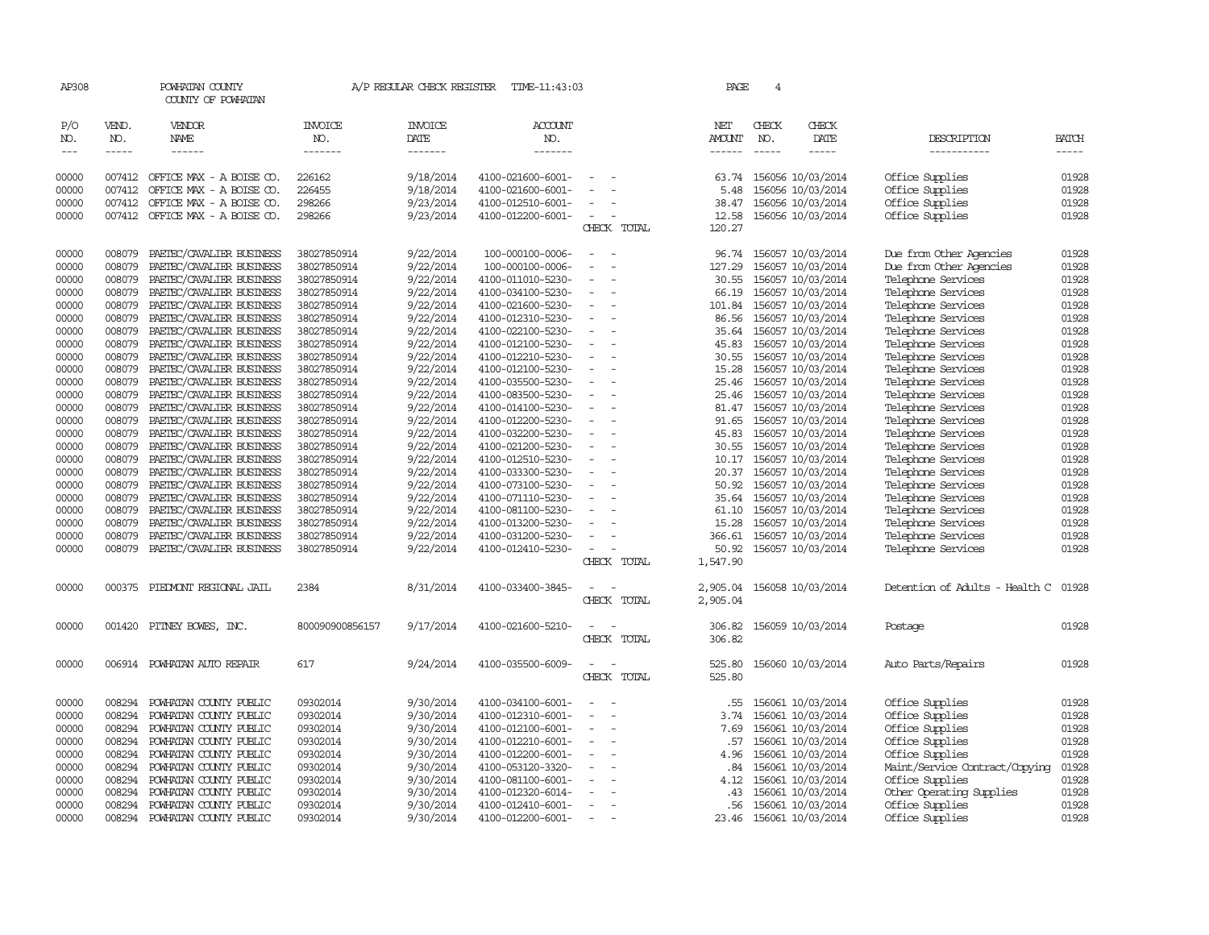| AP308                             |                             | POWHATAN COUNTY<br>COUNTY OF POWHATAN                |                                  | A/P REGULAR CHECK REGISTER        | TIME-11:43:03                          |                                                      |                          | PAGE                    | $\overline{4}$                |                                              |                                          |                             |
|-----------------------------------|-----------------------------|------------------------------------------------------|----------------------------------|-----------------------------------|----------------------------------------|------------------------------------------------------|--------------------------|-------------------------|-------------------------------|----------------------------------------------|------------------------------------------|-----------------------------|
| P/O<br>NO.<br>$\qquad \qquad - -$ | VEND.<br>NO.<br>$- - - - -$ | VENDOR<br>NAME<br>------                             | <b>INVOICE</b><br>NO.<br>------- | <b>INVOICE</b><br>DATE<br>------- | <b>ACCOUNT</b><br>NO.<br>-------       |                                                      |                          | NET<br>AMOUNT<br>------ | CHECK<br>NO.<br>$\frac{1}{2}$ | CHECK<br>DATE<br>-----                       | DESCRIPTION<br>-----------               | <b>BATCH</b><br>$- - - - -$ |
| 00000                             | 007412                      | OFFICE MAX - A BOISE CO.                             | 226162                           | 9/18/2014                         | 4100-021600-6001-                      |                                                      |                          | 63.74                   |                               | 156056 10/03/2014                            | Office Supplies                          | 01928                       |
| 00000                             | 007412                      | OFFICE MAX - A BOISE CO.                             | 226455                           | 9/18/2014                         | 4100-021600-6001-                      |                                                      |                          | 5.48                    |                               | 156056 10/03/2014                            | Office Supplies                          | 01928                       |
| 00000                             |                             | 007412 OFFICE MAX - A BOISE CO.                      | 298266                           | 9/23/2014                         | 4100-012510-6001-                      | $\overline{\phantom{a}}$<br>$\sim$                   |                          | 38.47                   |                               | 156056 10/03/2014                            | Office Supplies                          | 01928                       |
| 00000                             |                             | 007412 OFFICE MAX - A BOISE CO.                      | 298266                           | 9/23/2014                         | 4100-012200-6001-                      |                                                      | CHECK TOTAL              | 12.58<br>120.27         |                               | 156056 10/03/2014                            | Office Supplies                          | 01928                       |
| 00000                             | 008079                      | PAETEC/CAVALIER BUSINESS                             | 38027850914                      | 9/22/2014                         | 100-000100-0006-                       | $\sim$<br>$\overline{\phantom{a}}$                   |                          |                         |                               | 96.74 156057 10/03/2014                      | Due from Other Agencies                  | 01928                       |
| 00000                             | 008079                      | PAETEC/CAVALIER BUSINESS                             | 38027850914                      | 9/22/2014                         | 100-000100-0006-                       |                                                      | $\overline{\phantom{a}}$ | 127.29                  |                               | 156057 10/03/2014                            | Due from Other Agencies                  | 01928                       |
| 00000                             | 008079                      | PAETEC/CAVALIER BUSINESS                             | 38027850914                      | 9/22/2014                         | 4100-011010-5230-                      |                                                      |                          | 30.55                   |                               | 156057 10/03/2014                            | Telephone Services                       | 01928                       |
| 00000                             | 008079                      | PAETEC/CAVALIER BUSINESS                             | 38027850914                      | 9/22/2014                         | 4100-034100-5230-                      |                                                      |                          | 66.19                   |                               | 156057 10/03/2014                            | Telephone Services                       | 01928                       |
| 00000                             | 008079                      | PAETEC/CAVALIER BUSINESS                             | 38027850914                      | 9/22/2014                         | 4100-021600-5230-                      | $\overline{\phantom{a}}$                             |                          | 101.84                  |                               | 156057 10/03/2014                            | Telephone Services                       | 01928                       |
| 00000                             | 008079                      | PAETEC/CAVALIER BUSINESS                             | 38027850914                      | 9/22/2014                         | 4100-012310-5230-                      | $\overline{\phantom{a}}$                             |                          | 86.56                   |                               | 156057 10/03/2014                            | Telephone Services                       | 01928                       |
| 00000                             | 008079                      | PAETEC/CAVALIER BUSINESS                             | 38027850914                      | 9/22/2014                         | 4100-022100-5230-                      |                                                      |                          | 35.64                   |                               | 156057 10/03/2014                            | Telephone Services                       | 01928                       |
| 00000                             | 008079                      | PAETEC/CAVALIER BUSINESS                             | 38027850914                      | 9/22/2014                         | 4100-012100-5230-                      | $\overline{\phantom{a}}$<br>$\overline{\phantom{a}}$ |                          | 45.83                   |                               | 156057 10/03/2014                            | Telephone Services                       | 01928                       |
| 00000                             | 008079<br>008079            | PAETEC/CAVALIER BUSINESS                             | 38027850914                      | 9/22/2014                         | 4100-012210-5230-                      |                                                      |                          | 30.55                   |                               | 156057 10/03/2014                            | Telephone Services                       | 01928<br>01928              |
| 00000<br>00000                    | 008079                      | PAETEC/CAVALIER BUSINESS<br>PAETEC/CAVALIER BUSINESS | 38027850914<br>38027850914       | 9/22/2014                         | 4100-012100-5230-<br>4100-035500-5230- |                                                      |                          | 15.28<br>25.46          |                               | 156057 10/03/2014                            | Telephone Services                       | 01928                       |
| 00000                             | 008079                      | PAETEC/CAVALIER BUSINESS                             | 38027850914                      | 9/22/2014<br>9/22/2014            | 4100-083500-5230-                      | $\equiv$<br>$\overline{\phantom{a}}$                 |                          |                         |                               | 156057 10/03/2014<br>25.46 156057 10/03/2014 | Telephone Services<br>Telephone Services | 01928                       |
| 00000                             | 008079                      | PAETEC/CAVALIER BUSINESS                             | 38027850914                      | 9/22/2014                         | 4100-014100-5230-                      |                                                      |                          | 81.47                   |                               | 156057 10/03/2014                            | Telephone Services                       | 01928                       |
| 00000                             | 008079                      | PAETEC/CAVALIER BUSINESS                             | 38027850914                      | 9/22/2014                         | 4100-012200-5230-                      |                                                      |                          | 91.65                   |                               | 156057 10/03/2014                            | Telephone Services                       | 01928                       |
| 00000                             | 008079                      | PAETEC/CAVALIER BUSINESS                             | 38027850914                      | 9/22/2014                         | 4100-032200-5230-                      |                                                      |                          | 45.83                   |                               | 156057 10/03/2014                            | Telephone Services                       | 01928                       |
| 00000                             | 008079                      | PAETEC/CAVALIER BUSINESS                             | 38027850914                      | 9/22/2014                         | 4100-021200-5230-                      | $\overline{\phantom{a}}$                             | $\sim$                   | 30.55                   |                               | 156057 10/03/2014                            | Telephone Services                       | 01928                       |
| 00000                             | 008079                      | PAETEC/CAVALIER BUSINESS                             | 38027850914                      | 9/22/2014                         | 4100-012510-5230-                      | $\overline{\phantom{a}}$                             |                          | 10.17                   |                               | 156057 10/03/2014                            | Telephone Services                       | 01928                       |
| 00000                             | 008079                      | PAETEC/CAVALIER BUSINESS                             | 38027850914                      | 9/22/2014                         | 4100-033300-5230-                      |                                                      |                          | 20.37                   |                               | 156057 10/03/2014                            | Telephone Services                       | 01928                       |
| 00000                             | 008079                      | PAETEC/CAVALIER BUSINESS                             | 38027850914                      | 9/22/2014                         | 4100-073100-5230-                      | $\equiv$                                             |                          | 50.92                   |                               | 156057 10/03/2014                            | Telephone Services                       | 01928                       |
| 00000                             | 008079                      | PAETEC/CAVALIER BUSINESS                             | 38027850914                      | 9/22/2014                         | 4100-071110-5230-                      |                                                      |                          | 35.64                   |                               | 156057 10/03/2014                            | Telephone Services                       | 01928                       |
| 00000                             | 008079                      | PAETEC/CAVALIER BUSINESS                             | 38027850914                      | 9/22/2014                         | 4100-081100-5230-                      |                                                      |                          | 61.10                   |                               | 156057 10/03/2014                            | Telephone Services                       | 01928                       |
| 00000                             | 008079                      | PAETEC/CAVALIER BUSINESS                             | 38027850914                      | 9/22/2014                         | 4100-013200-5230-                      |                                                      |                          | 15.28                   |                               | 156057 10/03/2014                            | Telephone Services                       | 01928                       |
| 00000                             | 008079                      | PAETEC/CAVALIER BUSINESS                             | 38027850914                      | 9/22/2014                         | 4100-031200-5230-                      | $\overline{\phantom{a}}$                             |                          | 366.61                  |                               | 156057 10/03/2014                            | Telephone Services                       | 01928                       |
| 00000                             | 008079                      | PAETEC/CAVALIER BUSINESS                             | 38027850914                      | 9/22/2014                         | 4100-012410-5230-                      | $\overline{\phantom{a}}$                             |                          | 50.92                   |                               | 156057 10/03/2014                            | Telephone Services                       | 01928                       |
|                                   |                             |                                                      |                                  |                                   |                                        |                                                      | CHECK TOTAL              | 1,547.90                |                               |                                              |                                          |                             |
| 00000                             | 000375                      | PIEDMONT REGIONAL JAIL                               | 2384                             | 8/31/2014                         | 4100-033400-3845-                      |                                                      | CHECK TOTAL              | 2,905.04<br>2,905.04    |                               | 156058 10/03/2014                            | Detention of Adults - Health C           | 01928                       |
| 00000                             |                             | 001420 PITNEY BOWES, INC.                            | 800090900856157                  | 9/17/2014                         | 4100-021600-5210-                      |                                                      | CHECK TOTAL              | 306.82<br>306.82        |                               | 156059 10/03/2014                            | Postage                                  | 01928                       |
| 00000                             |                             | 006914 POWHATAN AUTO REPAIR                          | 617                              | 9/24/2014                         | 4100-035500-6009-                      |                                                      | CHECK TOTAL              | 525.80<br>525.80        |                               | 156060 10/03/2014                            | Auto Parts/Repairs                       | 01928                       |
| 00000                             | 008294                      | POWHATAN COUNTY PUBLIC                               | 09302014                         | 9/30/2014                         | 4100-034100-6001-                      |                                                      |                          | .55                     |                               | 156061 10/03/2014                            | Office Supplies                          | 01928                       |
| 00000                             | 008294                      | POWHATAN COUNTY PUBLIC                               | 09302014                         | 9/30/2014                         | 4100-012310-6001-                      |                                                      |                          | 3.74                    |                               | 156061 10/03/2014                            | Office Supplies                          | 01928                       |
| 00000                             | 008294                      | POWHATAN COUNTY PUBLIC                               | 09302014                         | 9/30/2014                         | 4100-012100-6001-                      | $\overline{\phantom{a}}$                             |                          | 7.69                    |                               | 156061 10/03/2014                            | Office Supplies                          | 01928                       |
| 00000                             | 008294                      | POWHATAN COUNTY PUBLIC                               | 09302014                         | 9/30/2014                         | 4100-012210-6001-                      | $\overline{\phantom{a}}$                             |                          | .57                     |                               | 156061 10/03/2014                            | Office Supplies                          | 01928                       |
| 00000                             | 008294                      | POWHATAN COUNTY PUBLIC                               | 09302014                         | 9/30/2014                         | 4100-012200-6001-                      |                                                      |                          | 4.96                    |                               | 156061 10/03/2014                            | Office Supplies                          | 01928                       |
| 00000                             | 008294                      | POWHATAN COUNTY PUBLIC                               | 09302014                         | 9/30/2014                         | 4100-053120-3320-                      | $\overline{\phantom{a}}$                             |                          | .84                     |                               | 156061 10/03/2014                            | Maint/Service Contract/Copying           | 01928                       |
| 00000                             | 008294                      | POWHATAN COUNTY PUBLIC                               | 09302014                         | 9/30/2014                         | 4100-081100-6001-                      | $\overline{\phantom{a}}$                             |                          | 4.12                    |                               | 156061 10/03/2014                            | Office Supplies                          | 01928                       |
| 00000                             | 008294                      | POWHATAN COUNTY PUBLIC                               | 09302014                         | 9/30/2014                         | 4100-012320-6014-                      | $\equiv$                                             |                          | .43                     |                               | 156061 10/03/2014                            | Other Operating Supplies                 | 01928                       |
| 00000                             | 008294                      | POWHATAN COUNTY PUBLIC                               | 09302014                         | 9/30/2014                         | 4100-012410-6001-                      | $\overline{\phantom{a}}$<br>$\overline{\phantom{a}}$ |                          | . 56                    |                               | 156061 10/03/2014                            | Office Supplies                          | 01928<br>01928              |
| 00000                             |                             | 008294 POWHATAN COUNTY PUBLIC                        | 09302014                         | 9/30/2014                         | 4100-012200-6001-                      | $\sim$                                               |                          |                         |                               | 23.46 156061 10/03/2014                      | Office Supplies                          |                             |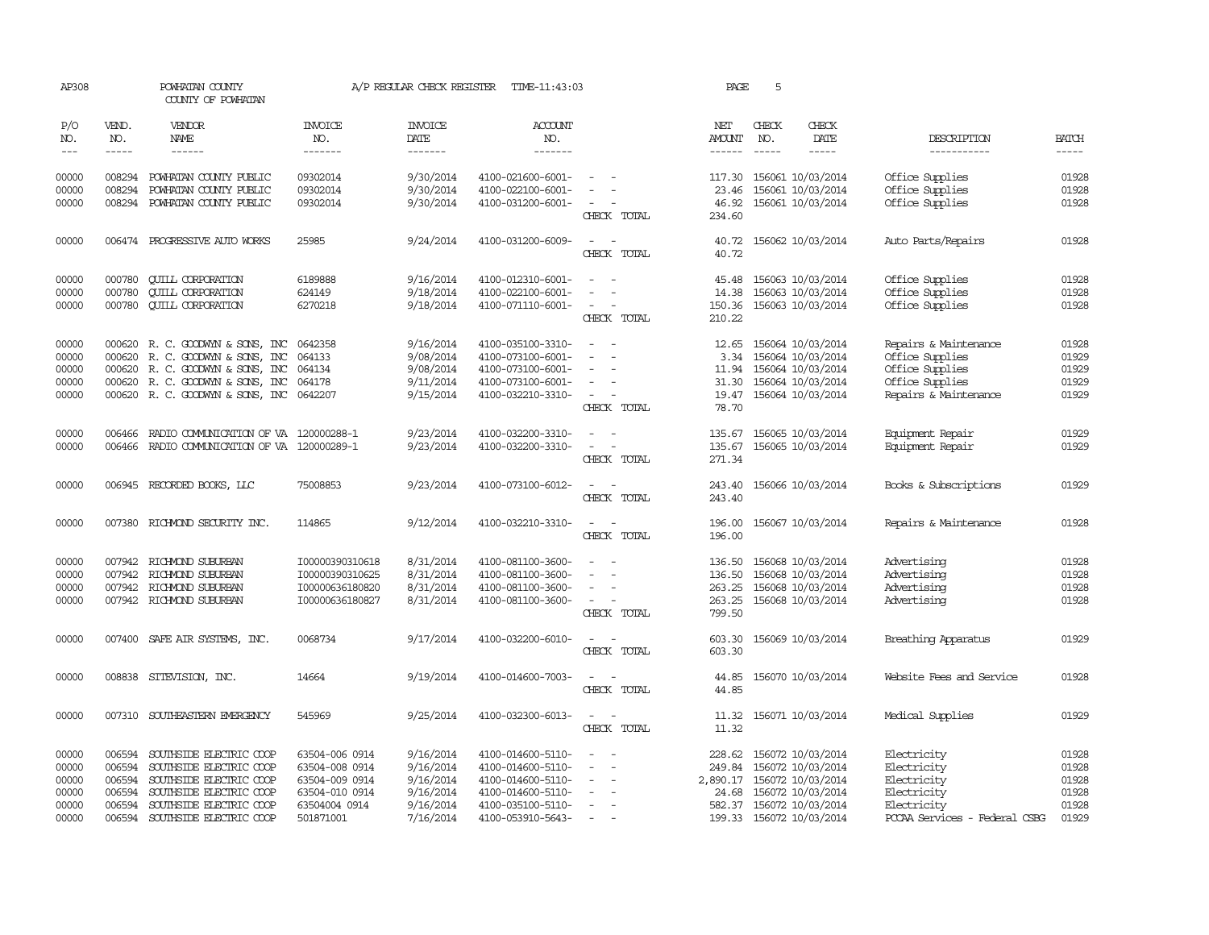| AP308      |              | POWHATAN COUNTY<br>COUNTY OF POWHATAN        |                       | A/P REGULAR CHECK REGISTER | TIME-11:43:03         |                                                                                                              | PAGE          | 5             |                            |                               |              |
|------------|--------------|----------------------------------------------|-----------------------|----------------------------|-----------------------|--------------------------------------------------------------------------------------------------------------|---------------|---------------|----------------------------|-------------------------------|--------------|
| P/O<br>NO. | VEND.<br>NO. | <b>VENDOR</b><br><b>NAME</b>                 | <b>INVOICE</b><br>NO. | <b>INVOICE</b><br>DATE     | <b>ACCOUNT</b><br>NO. |                                                                                                              | NET<br>AMOUNT | CHECK<br>NO.  | CHECK<br>DATE              | DESCRIPTION                   | <b>BATCH</b> |
| $---$      | $- - - - -$  | $- - - - - -$                                | -------               | -------                    | -------               |                                                                                                              | $- - - - - -$ | $\frac{1}{2}$ | $- - - - -$                | -----------                   | $- - - - -$  |
| 00000      |              | 008294 POWHATAN COUNTY PUBLIC                | 09302014              | 9/30/2014                  | 4100-021600-6001-     | $\sim$ 100 $\sim$ 100 $\sim$                                                                                 |               |               | 117.30 156061 10/03/2014   | Office Supplies               | 01928        |
| 00000      | 008294       | POWHATAN COUNTY PUBLIC                       | 09302014              | 9/30/2014                  | 4100-022100-6001-     |                                                                                                              | 23.46         |               | 156061 10/03/2014          | Office Supplies               | 01928        |
| 00000      |              | 008294 POWHATAN COUNTY PUBLIC                | 09302014              | 9/30/2014                  | 4100-031200-6001-     |                                                                                                              |               |               | 46.92 156061 10/03/2014    | Office Supplies               | 01928        |
|            |              |                                              |                       |                            |                       | CHECK TOTAL                                                                                                  | 234.60        |               |                            |                               |              |
| 00000      |              | 006474 PROGRESSIVE AUTO WORKS                | 25985                 | 9/24/2014                  | 4100-031200-6009-     | CHECK TOTAL                                                                                                  | 40.72         |               | 40.72 156062 10/03/2014    | Auto Parts/Repairs            | 01928        |
| 00000      | 000780       | <b>CUILL CORPORATION</b>                     | 6189888               | 9/16/2014                  | 4100-012310-6001-     |                                                                                                              | 45.48         |               | 156063 10/03/2014          | Office Supplies               | 01928        |
| 00000      | 000780       | <b>QUILL CORPORATION</b>                     | 624149                | 9/18/2014                  | 4100-022100-6001-     |                                                                                                              | 14.38         |               | 156063 10/03/2014          | Office Supplies               | 01928        |
| 00000      |              | 000780 CUILL CORPORATION                     | 6270218               | 9/18/2014                  | 4100-071110-6001-     | $\sim$                                                                                                       |               |               | 150.36 156063 10/03/2014   | Office Supplies               | 01928        |
|            |              |                                              |                       |                            |                       | CHECK TOTAL                                                                                                  | 210.22        |               |                            |                               |              |
| 00000      |              | 000620 R. C. GOODWYN & SONS, INC             | 0642358               | 9/16/2014                  | 4100-035100-3310-     | $\sim$<br>$\overline{\phantom{a}}$                                                                           | 12.65         |               | 156064 10/03/2014          | Repairs & Maintenance         | 01928        |
| 00000      | 000620       | R. C. GOODWYN & SONS, INC                    | 064133                | 9/08/2014                  | 4100-073100-6001-     | $\sim$<br>$\overline{\phantom{a}}$                                                                           |               |               | 3.34 156064 10/03/2014     | Office Supplies               | 01929        |
| 00000      |              | 000620 R. C. GOODWYN & SONS, INC             | 064134                | 9/08/2014                  | 4100-073100-6001-     | $\sim$                                                                                                       |               |               | 11.94 156064 10/03/2014    | Office Supplies               | 01929        |
| 00000      |              | 000620 R. C. GOODWYN & SONS, INC             | 064178                | 9/11/2014                  | 4100-073100-6001-     | $\sim$                                                                                                       |               |               | 31.30 156064 10/03/2014    | Office Supplies               | 01929        |
| 00000      |              | 000620 R. C. GOODWYN & SONS, INC 0642207     |                       | 9/15/2014                  | 4100-032210-3310-     | $\sim$<br>$\equiv$                                                                                           |               |               | 19.47 156064 10/03/2014    | Repairs & Maintenance         | 01929        |
|            |              |                                              |                       |                            |                       | CHECK TOTAL                                                                                                  | 78.70         |               |                            |                               |              |
| 00000      | 006466       | RADIO COMMUNICATION OF VA 120000288-1        |                       | 9/23/2014                  | 4100-032200-3310-     | $\sim$<br>$\sim$                                                                                             |               |               | 135.67 156065 10/03/2014   | Equipment Repair              | 01929        |
| 00000      |              | 006466 RADIO COMMUNICATION OF VA 120000289-1 |                       | 9/23/2014                  | 4100-032200-3310-     | $\sim$<br>$\sim$                                                                                             | 135.67        |               | 156065 10/03/2014          | Equipment Repair              | 01929        |
|            |              |                                              |                       |                            |                       | CHECK TOTAL                                                                                                  | 271.34        |               |                            |                               |              |
| 00000      |              | 006945 RECORDED BOOKS, LLC                   | 75008853              | 9/23/2014                  | 4100-073100-6012-     | $\frac{1}{2} \left( \frac{1}{2} \right) \left( \frac{1}{2} \right) = \frac{1}{2} \left( \frac{1}{2} \right)$ | 243.40        |               | 156066 10/03/2014          | Books & Subscriptions         | 01929        |
|            |              |                                              |                       |                            |                       | CHECK TOTAL                                                                                                  | 243.40        |               |                            |                               |              |
| 00000      |              | 007380 RICHMOND SECURITY INC.                | 114865                | 9/12/2014                  | 4100-032210-3310-     | $\sim$ 10 $\sim$ 10 $\sim$                                                                                   |               |               | 196.00 156067 10/03/2014   | Repairs & Maintenance         | 01928        |
|            |              |                                              |                       |                            |                       | CHECK TOTAL                                                                                                  | 196.00        |               |                            |                               |              |
| 00000      |              | 007942 RICHMOND SUBURBAN                     | 100000390310618       | 8/31/2014                  | 4100-081100-3600-     | $\sim$<br>$\overline{\phantom{a}}$                                                                           | 136.50        |               | 156068 10/03/2014          | Advertising                   | 01928        |
| 00000      |              | 007942 RICHMOND SUBURBAN                     | I00000390310625       | 8/31/2014                  | 4100-081100-3600-     | $\sim$<br>$\overline{\phantom{a}}$                                                                           |               |               | 136.50 156068 10/03/2014   | Advertising                   | 01928        |
| 00000      |              | 007942 RICHMOND SUBURBAN                     | I00000636180820       | 8/31/2014                  | 4100-081100-3600-     | $\sim$                                                                                                       |               |               | 263.25 156068 10/03/2014   | Advertising                   | 01928        |
| 00000      |              | 007942 RICHMOND SUBURBAN                     | I00000636180827       | 8/31/2014                  | 4100-081100-3600-     | $\sim$ $ \sim$                                                                                               | 263.25        |               | 156068 10/03/2014          | Advertising                   | 01928        |
|            |              |                                              |                       |                            |                       | CHECK TOTAL                                                                                                  | 799.50        |               |                            |                               |              |
| 00000      |              | 007400 SAFE AIR SYSTEMS, INC.                | 0068734               | 9/17/2014                  | 4100-032200-6010-     | $\overline{\phantom{a}}$<br>$\overline{\phantom{a}}$                                                         | 603.30        |               | 156069 10/03/2014          | Breathing Apparatus           | 01929        |
|            |              |                                              |                       |                            |                       | CHECK TOTAL                                                                                                  | 603.30        |               |                            |                               |              |
| 00000      |              | 008838 SITEVISION, INC.                      | 14664                 | 9/19/2014                  | 4100-014600-7003-     |                                                                                                              | 44.85         |               | 156070 10/03/2014          | Website Fees and Service      | 01928        |
|            |              |                                              |                       |                            |                       | CHECK TOTAL                                                                                                  | 44.85         |               |                            |                               |              |
| 00000      | 007310       | SOUTHEASTERN EMERGENCY                       | 545969                | 9/25/2014                  | 4100-032300-6013-     |                                                                                                              | 11.32         |               | 156071 10/03/2014          | Medical Supplies              | 01929        |
|            |              |                                              |                       |                            |                       | CHECK TOTAL                                                                                                  | 11.32         |               |                            |                               |              |
| 00000      | 006594       | SOUTHSIDE ELECTRIC COOP                      | 63504-006 0914        | 9/16/2014                  | 4100-014600-5110-     | $\sim$                                                                                                       | 228.62        |               | 156072 10/03/2014          | Electricity                   | 01928        |
| 00000      | 006594       | SOUTHSIDE ELECTRIC COOP                      | 63504-008 0914        | 9/16/2014                  | 4100-014600-5110-     | $\sim$                                                                                                       |               |               | 249.84 156072 10/03/2014   | Electricity                   | 01928        |
| 00000      | 006594       | SOUTHSIDE ELECTRIC COOP                      | 63504-009 0914        | 9/16/2014                  | 4100-014600-5110-     | $\sim$                                                                                                       |               |               | 2,890.17 156072 10/03/2014 | Electricity                   | 01928        |
| 00000      | 006594       | SOUTHSIDE ELECTRIC COOP                      | 63504-010 0914        | 9/16/2014                  | 4100-014600-5110-     | $\hspace{0.1mm}-\hspace{0.1mm}$                                                                              |               |               | 24.68 156072 10/03/2014    | Electricity                   | 01928        |
| 00000      |              | 006594 SOUTHSIDE ELECTRIC COOP               | 63504004 0914         | 9/16/2014                  | 4100-035100-5110-     | $\sim$                                                                                                       |               |               | 582.37 156072 10/03/2014   | Electricity                   | 01928        |
| 00000      |              | 006594 SOUTHSIDE ELECTRIC COOP               | 501871001             | 7/16/2014                  | 4100-053910-5643-     |                                                                                                              |               |               | 199.33 156072 10/03/2014   | PCCAA Services - Federal CSBG | 01929        |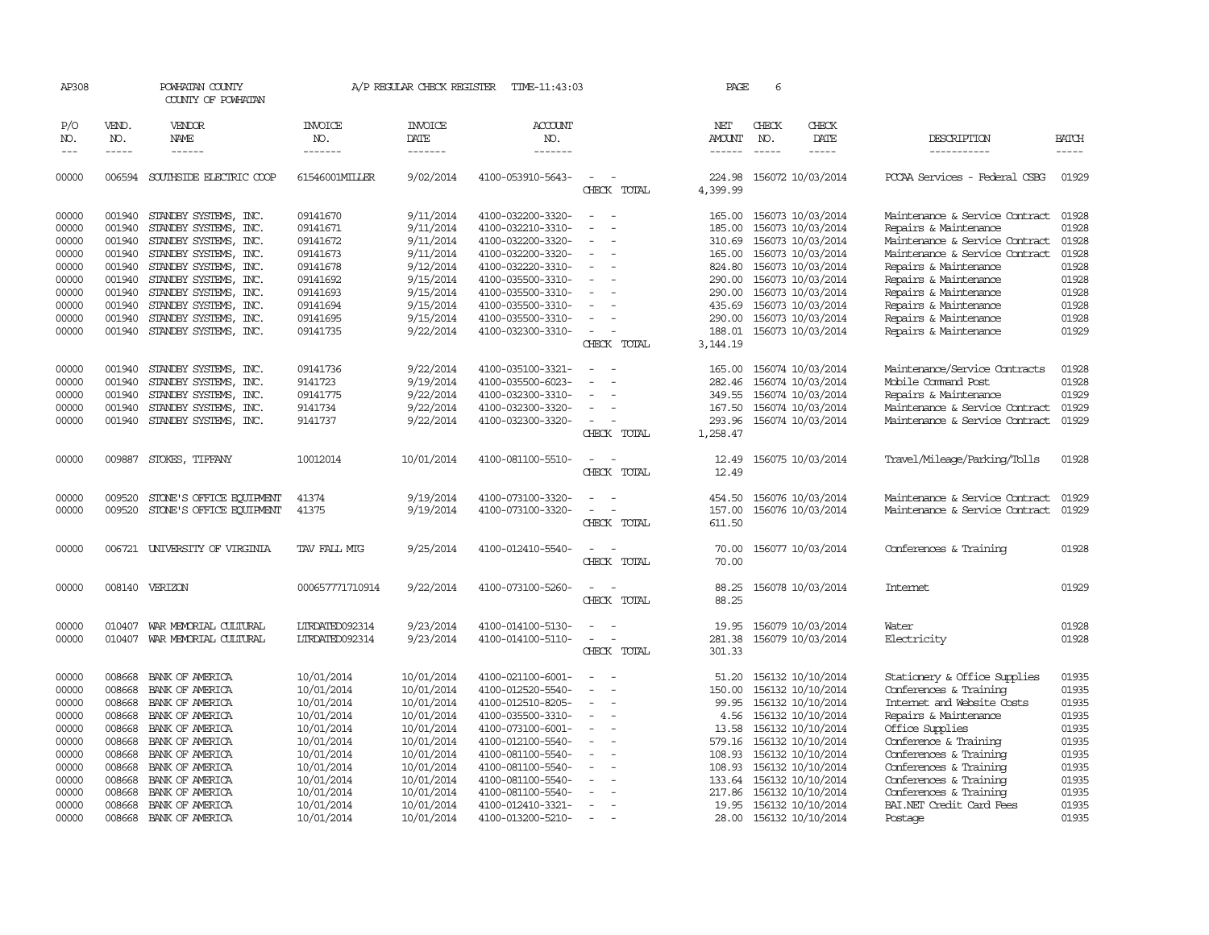| AP308      |               | POWHATAN COUNTY<br>COUNTY OF POWHATAN                                                                                                                                                                                                                                                                                                                                                                                                                                      |                       | A/P REGULAR CHECK REGISTER | TIME-11:43:03     |                                            | PAGE                 | 6             |                          |                                |              |
|------------|---------------|----------------------------------------------------------------------------------------------------------------------------------------------------------------------------------------------------------------------------------------------------------------------------------------------------------------------------------------------------------------------------------------------------------------------------------------------------------------------------|-----------------------|----------------------------|-------------------|--------------------------------------------|----------------------|---------------|--------------------------|--------------------------------|--------------|
| P/O<br>NO. | VEND.<br>NO.  | <b>VENDOR</b><br>NAME                                                                                                                                                                                                                                                                                                                                                                                                                                                      | <b>INVOICE</b><br>NO. | <b>INVOICE</b><br>DATE     | ACCOUNT<br>NO.    |                                            | NET<br><b>AMOUNT</b> | CHECK<br>NO.  | CHECK<br>DATE            | DESCRIPTION                    | <b>BATCH</b> |
| $---$      | $\frac{1}{2}$ | $\frac{1}{2} \left( \frac{1}{2} \right) \left( \frac{1}{2} \right) \left( \frac{1}{2} \right) \left( \frac{1}{2} \right) \left( \frac{1}{2} \right) \left( \frac{1}{2} \right) \left( \frac{1}{2} \right) \left( \frac{1}{2} \right) \left( \frac{1}{2} \right) \left( \frac{1}{2} \right) \left( \frac{1}{2} \right) \left( \frac{1}{2} \right) \left( \frac{1}{2} \right) \left( \frac{1}{2} \right) \left( \frac{1}{2} \right) \left( \frac{1}{2} \right) \left( \frac$ | --------              | -------                    | -------           |                                            | $- - - - - -$        | $\frac{1}{2}$ | -----                    | -----------                    | $- - - - -$  |
| 00000      |               | 006594 SOUTHSIDE ELECTRIC COOP                                                                                                                                                                                                                                                                                                                                                                                                                                             | 61546001MILLER        | 9/02/2014                  | 4100-053910-5643- | $\overline{\phantom{a}}$<br>CHECK TOTAL    | 224.98<br>4,399.99   |               | 156072 10/03/2014        | PCCAA Services - Federal CSBG  | 01929        |
| 00000      |               | 001940 STANDBY SYSTEMS, INC.                                                                                                                                                                                                                                                                                                                                                                                                                                               | 09141670              | 9/11/2014                  | 4100-032200-3320- | $\sim$<br>$\sim$                           | 165.00               |               | 156073 10/03/2014        | Maintenance & Service Contract | 01928        |
| 00000      | 001940        | STANDBY SYSTEMS, INC.                                                                                                                                                                                                                                                                                                                                                                                                                                                      | 09141671              | 9/11/2014                  | 4100-032210-3310- |                                            | 185.00               |               | 156073 10/03/2014        | Repairs & Maintenance          | 01928        |
| 00000      | 001940        | STANDBY SYSTEMS, INC.                                                                                                                                                                                                                                                                                                                                                                                                                                                      | 09141672              | 9/11/2014                  | 4100-032200-3320- |                                            | 310.69               |               | 156073 10/03/2014        | Maintenance & Service Contract | 01928        |
| 00000      |               | 001940 STANDBY SYSTEMS, INC.                                                                                                                                                                                                                                                                                                                                                                                                                                               | 09141673              | 9/11/2014                  | 4100-032200-3320- | $\overline{\phantom{a}}$                   | 165.00               |               | 156073 10/03/2014        | Maintenance & Service Contract | 01928        |
| 00000      |               | 001940 STANDBY SYSTEMS, INC.                                                                                                                                                                                                                                                                                                                                                                                                                                               | 09141678              | 9/12/2014                  | 4100-032220-3310- |                                            | 824.80               |               | 156073 10/03/2014        | Repairs & Maintenance          | 01928        |
| 00000      |               | 001940 STANDBY SYSTEMS, INC.                                                                                                                                                                                                                                                                                                                                                                                                                                               | 09141692              | 9/15/2014                  | 4100-035500-3310- | $\sim$                                     | 290.00               |               | 156073 10/03/2014        | Repairs & Maintenance          | 01928        |
| 00000      | 001940        | STANDBY SYSTEMS, INC.                                                                                                                                                                                                                                                                                                                                                                                                                                                      | 09141693              | 9/15/2014                  | 4100-035500-3310- |                                            | 290.00               |               | 156073 10/03/2014        | Repairs & Maintenance          | 01928        |
| 00000      | 001940        | STANDBY SYSTEMS, INC.                                                                                                                                                                                                                                                                                                                                                                                                                                                      | 09141694              | 9/15/2014                  | 4100-035500-3310- |                                            | 435.69               |               | 156073 10/03/2014        | Repairs & Maintenance          | 01928        |
| 00000      | 001940        | STANDBY SYSTEMS, INC.                                                                                                                                                                                                                                                                                                                                                                                                                                                      | 09141695              | 9/15/2014                  | 4100-035500-3310- |                                            | 290.00               |               | 156073 10/03/2014        | Repairs & Maintenance          | 01928        |
| 00000      |               | 001940 STANDBY SYSTEMS, INC.                                                                                                                                                                                                                                                                                                                                                                                                                                               | 09141735              | 9/22/2014                  | 4100-032300-3310- |                                            | 188.01               |               | 156073 10/03/2014        | Repairs & Maintenance          | 01929        |
|            |               |                                                                                                                                                                                                                                                                                                                                                                                                                                                                            |                       |                            |                   | CHECK TOTAL                                | 3, 144. 19           |               |                          |                                |              |
| 00000      | 001940        | STANDBY SYSTEMS, INC.                                                                                                                                                                                                                                                                                                                                                                                                                                                      | 09141736              | 9/22/2014                  | 4100-035100-3321- |                                            | 165.00               |               | 156074 10/03/2014        | Maintenance/Service Contracts  | 01928        |
| 00000      | 001940        | STANDBY SYSTEMS, INC.                                                                                                                                                                                                                                                                                                                                                                                                                                                      | 9141723               | 9/19/2014                  | 4100-035500-6023- |                                            | 282.46               |               | 156074 10/03/2014        | Mobile Command Post            | 01928        |
| 00000      | 001940        | STANDBY SYSTEMS, INC.                                                                                                                                                                                                                                                                                                                                                                                                                                                      | 09141775              | 9/22/2014                  | 4100-032300-3310- |                                            |                      |               | 349.55 156074 10/03/2014 | Repairs & Maintenance          | 01929        |
| 00000      | 001940        | STANDBY SYSTEMS, INC.                                                                                                                                                                                                                                                                                                                                                                                                                                                      | 9141734               | 9/22/2014                  | 4100-032300-3320- |                                            | 167.50               |               | 156074 10/03/2014        | Maintenance & Service Contract | 01929        |
| 00000      | 001940        | STANDBY SYSTEMS, INC.                                                                                                                                                                                                                                                                                                                                                                                                                                                      | 9141737               | 9/22/2014                  | 4100-032300-3320- |                                            | 293.96               |               | 156074 10/03/2014        | Maintenance & Service Contract | 01929        |
|            |               |                                                                                                                                                                                                                                                                                                                                                                                                                                                                            |                       |                            |                   | CHECK TOTAL                                | 1,258.47             |               |                          |                                |              |
| 00000      | 009887        | STOKES, TIFFANY                                                                                                                                                                                                                                                                                                                                                                                                                                                            | 10012014              | 10/01/2014                 | 4100-081100-5510- | $\sim$<br>CHECK TOTAL                      | 12.49<br>12.49       |               | 156075 10/03/2014        | Travel/Mileage/Parking/Tolls   | 01928        |
| 00000      | 009520        | STONE'S OFFICE EQUIPMENT                                                                                                                                                                                                                                                                                                                                                                                                                                                   | 41374                 | 9/19/2014                  | 4100-073100-3320- |                                            | 454.50               |               | 156076 10/03/2014        | Maintenance & Service Contract | 01929        |
| 00000      | 009520        | STONE'S OFFICE EQUIPMENT                                                                                                                                                                                                                                                                                                                                                                                                                                                   | 41375                 | 9/19/2014                  | 4100-073100-3320- | $\sim$ $-$<br>$\overline{\phantom{a}}$     | 157.00               |               | 156076 10/03/2014        | Maintenance & Service Contract | 01929        |
|            |               |                                                                                                                                                                                                                                                                                                                                                                                                                                                                            |                       |                            |                   | CHECK TOTAL                                | 611.50               |               |                          |                                |              |
| 00000      |               | 006721 UNIVERSITY OF VIRGINIA                                                                                                                                                                                                                                                                                                                                                                                                                                              | TAV FALL MTG          | 9/25/2014                  | 4100-012410-5540- | $\sim$<br>$\sim$ $\sim$                    | 70.00                |               | 156077 10/03/2014        | Conferences & Training         | 01928        |
|            |               |                                                                                                                                                                                                                                                                                                                                                                                                                                                                            |                       |                            |                   | CHECK TOTAL                                | 70.00                |               |                          |                                |              |
| 00000      |               | 008140 VERIZON                                                                                                                                                                                                                                                                                                                                                                                                                                                             | 000657771710914       | 9/22/2014                  | 4100-073100-5260- | $\overline{\phantom{a}}$<br>CHECK TOTAL    | 88.25<br>88.25       |               | 156078 10/03/2014        | Internet                       | 01929        |
|            |               |                                                                                                                                                                                                                                                                                                                                                                                                                                                                            |                       |                            |                   |                                            |                      |               |                          |                                |              |
| 00000      | 010407        | WAR MEMORIAL CULTURAL                                                                                                                                                                                                                                                                                                                                                                                                                                                      | LTRDATED092314        | 9/23/2014                  | 4100-014100-5130- |                                            | 19.95                |               | 156079 10/03/2014        | Water                          | 01928        |
| 00000      |               | 010407 WAR MEMORIAL CULTURAL                                                                                                                                                                                                                                                                                                                                                                                                                                               | LTRDATED092314        | 9/23/2014                  | 4100-014100-5110- |                                            | 281.38               |               | 156079 10/03/2014        | Electricity                    | 01928        |
|            |               |                                                                                                                                                                                                                                                                                                                                                                                                                                                                            |                       |                            |                   | CHECK TOTAL                                | 301.33               |               |                          |                                |              |
| 00000      | 008668        | BANK OF AMERICA                                                                                                                                                                                                                                                                                                                                                                                                                                                            | 10/01/2014            | 10/01/2014                 | 4100-021100-6001- |                                            | 51.20                |               | 156132 10/10/2014        | Stationery & Office Supplies   | 01935        |
| 00000      | 008668        | BANK OF AMERICA                                                                                                                                                                                                                                                                                                                                                                                                                                                            | 10/01/2014            | 10/01/2014                 | 4100-012520-5540- | $\overline{\phantom{a}}$                   | 150.00               |               | 156132 10/10/2014        | Conferences & Training         | 01935        |
| 00000      | 008668        | BANK OF AMERICA                                                                                                                                                                                                                                                                                                                                                                                                                                                            | 10/01/2014            | 10/01/2014                 | 4100-012510-8205- | $\equiv$                                   | 99.95                |               | 156132 10/10/2014        | Internet and Website Costs     | 01935        |
| 00000      |               | 008668 BANK OF AMERICA                                                                                                                                                                                                                                                                                                                                                                                                                                                     | 10/01/2014            | 10/01/2014                 | 4100-035500-3310- | $\sim$                                     |                      |               | 4.56 156132 10/10/2014   | Repairs & Maintenance          | 01935        |
| 00000      | 008668        | BANK OF AMERICA                                                                                                                                                                                                                                                                                                                                                                                                                                                            | 10/01/2014            | 10/01/2014                 | 4100-073100-6001- |                                            | 13.58                |               | 156132 10/10/2014        | Office Supplies                | 01935        |
| 00000      |               | 008668 BANK OF AMERICA                                                                                                                                                                                                                                                                                                                                                                                                                                                     | 10/01/2014            | 10/01/2014                 | 4100-012100-5540- | $\overline{\phantom{a}}$                   |                      |               | 579.16 156132 10/10/2014 | Conference & Training          | 01935        |
| 00000      | 008668        | BANK OF AMERICA                                                                                                                                                                                                                                                                                                                                                                                                                                                            | 10/01/2014            | 10/01/2014                 | 4100-081100-5540- | $\overline{\phantom{a}}$                   | 108.93               |               | 156132 10/10/2014        | Conferences & Training         | 01935        |
| 00000      | 008668        | BANK OF AMERICA                                                                                                                                                                                                                                                                                                                                                                                                                                                            | 10/01/2014            | 10/01/2014                 | 4100-081100-5540- |                                            |                      |               | 108.93 156132 10/10/2014 | Conferences & Training         | 01935        |
| 00000      |               | 008668 BANK OF AMERICA                                                                                                                                                                                                                                                                                                                                                                                                                                                     | 10/01/2014            | 10/01/2014                 | 4100-081100-5540- | $\overline{\phantom{a}}$                   | 133.64               |               | 156132 10/10/2014        | Conferences & Training         | 01935        |
| 00000      | 008668        | BANK OF AMERICA                                                                                                                                                                                                                                                                                                                                                                                                                                                            | 10/01/2014            | 10/01/2014                 | 4100-081100-5540- |                                            | 217.86               |               | 156132 10/10/2014        | Conferences & Training         | 01935        |
| 00000      |               | 008668 BANK OF AMERICA                                                                                                                                                                                                                                                                                                                                                                                                                                                     | 10/01/2014            | 10/01/2014                 | 4100-012410-3321- | $\overline{\phantom{a}}$<br>$\overline{a}$ |                      |               | 19.95 156132 10/10/2014  | BAI.NET Credit Card Fees       | 01935        |
| 00000      | 008668        | BANK OF AMERICA                                                                                                                                                                                                                                                                                                                                                                                                                                                            | 10/01/2014            | 10/01/2014                 | 4100-013200-5210- |                                            |                      |               | 28.00 156132 10/10/2014  | Postage                        | 01935        |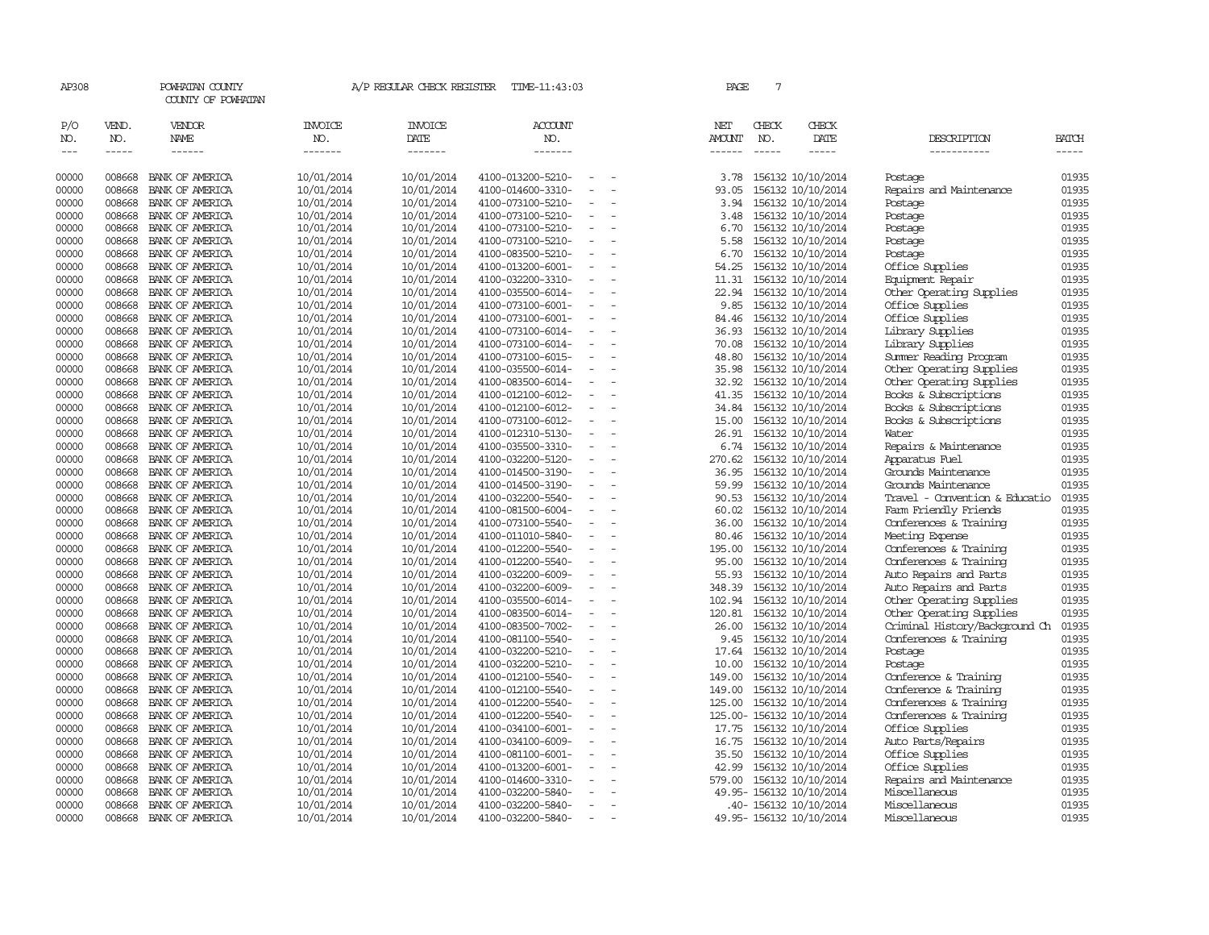| AP308                       |                             | POWHATAN COUNTY<br>COUNTY OF POWHATAN |                                  | A/P REGULAR CHECK REGISTER               | TIME-11:43:03                          |                          | PAGE                                  | $7\overline{ }$ |                                        |                                                |                       |
|-----------------------------|-----------------------------|---------------------------------------|----------------------------------|------------------------------------------|----------------------------------------|--------------------------|---------------------------------------|-----------------|----------------------------------------|------------------------------------------------|-----------------------|
| P/O<br>NO.<br>$\frac{1}{2}$ | VEND.<br>NO.<br>$- - - - -$ | VENDOR<br>NAME<br>$- - - - - -$       | <b>INVOICE</b><br>NO.<br>------- | <b>INVOICE</b><br><b>DATE</b><br>------- | <b>ACCOUNT</b><br>NO.<br>-------       |                          | NET<br><b>AMOUNT</b><br>$- - - - - -$ | CHECK<br>NO.    | CHECK<br>DATE<br>-----                 | DESCRIPTION<br>-----------                     | <b>BATCH</b><br>----- |
|                             |                             |                                       |                                  |                                          |                                        |                          |                                       |                 |                                        |                                                |                       |
| 00000                       | 008668                      | BANK OF AMERICA                       | 10/01/2014                       | 10/01/2014                               | 4100-013200-5210-                      | $\sim$                   | 3.78                                  |                 | 156132 10/10/2014                      | Postage                                        | 01935                 |
| 00000                       | 008668                      | BANK OF AMERICA                       | 10/01/2014                       | 10/01/2014                               | 4100-014600-3310-                      |                          | 93.05                                 |                 | 156132 10/10/2014                      | Repairs and Maintenance                        | 01935                 |
| 00000                       | 008668                      | BANK OF AMERICA                       | 10/01/2014                       | 10/01/2014                               | 4100-073100-5210-                      | $\overline{\phantom{a}}$ | 3.94                                  |                 | 156132 10/10/2014                      | Postage                                        | 01935                 |
| 00000                       | 008668                      | BANK OF AMERICA                       | 10/01/2014                       | 10/01/2014                               | 4100-073100-5210-                      | $\equiv$                 | 3.48                                  |                 | 156132 10/10/2014                      | Postage                                        | 01935                 |
| 00000                       | 008668                      | BANK OF AMERICA                       | 10/01/2014                       | 10/01/2014                               | 4100-073100-5210-                      |                          | 6.70                                  |                 | 156132 10/10/2014                      | Postage                                        | 01935                 |
| 00000                       | 008668                      | BANK OF AMERICA                       | 10/01/2014                       | 10/01/2014                               | 4100-073100-5210-                      |                          | 5.58                                  |                 | 156132 10/10/2014                      | Postage                                        | 01935                 |
| 00000                       | 008668                      | BANK OF AMERICA                       | 10/01/2014                       | 10/01/2014                               | 4100-083500-5210-                      | $\equiv$                 | 6.70                                  |                 | 156132 10/10/2014                      | Postage                                        | 01935                 |
| 00000                       | 008668                      | BANK OF AMERICA                       | 10/01/2014                       | 10/01/2014                               | 4100-013200-6001-                      |                          | 54.25                                 |                 | 156132 10/10/2014                      | Office Supplies                                | 01935                 |
| 00000                       | 008668                      | BANK OF AMERICA                       | 10/01/2014                       | 10/01/2014                               | 4100-032200-3310-                      | $\equiv$                 | 11.31                                 |                 | 156132 10/10/2014                      | Equipment Repair                               | 01935                 |
| 00000                       | 008668                      | BANK OF AMERICA                       | 10/01/2014                       | 10/01/2014                               | 4100-035500-6014-                      | $\equiv$                 | 22.94                                 |                 | 156132 10/10/2014                      | Other Operating Supplies                       | 01935                 |
| 00000                       | 008668                      | BANK OF AMERICA                       | 10/01/2014                       | 10/01/2014                               | 4100-073100-6001-                      | $\equiv$                 | 9.85                                  |                 | 156132 10/10/2014                      | Office Supplies                                | 01935                 |
| 00000                       | 008668                      | BANK OF AMERICA                       | 10/01/2014                       | 10/01/2014                               | 4100-073100-6001-                      |                          | 84.46                                 |                 | 156132 10/10/2014                      | Office Supplies                                | 01935                 |
| 00000                       | 008668                      | BANK OF AMERICA                       | 10/01/2014                       | 10/01/2014                               | 4100-073100-6014-                      |                          | 36.93                                 |                 | 156132 10/10/2014                      | Library Supplies                               | 01935                 |
| 00000                       | 008668                      | BANK OF AMERICA                       | 10/01/2014                       | 10/01/2014                               | 4100-073100-6014-                      | $\sim$                   | 70.08                                 |                 | 156132 10/10/2014                      | Library Supplies                               | 01935                 |
| 00000                       | 008668                      | BANK OF AMERICA                       | 10/01/2014                       | 10/01/2014                               | 4100-073100-6015-                      | $\equiv$                 | 48.80                                 |                 | 156132 10/10/2014                      | Summer Reading Program                         | 01935                 |
| 00000                       | 008668                      | BANK OF AMERICA                       | 10/01/2014                       | 10/01/2014                               | 4100-035500-6014-                      |                          | 35.98                                 |                 | 156132 10/10/2014                      | Other Operating Supplies                       | 01935                 |
| 00000                       | 008668                      | BANK OF AMERICA                       | 10/01/2014                       | 10/01/2014                               | 4100-083500-6014-                      | $\equiv$                 | 32.92                                 |                 | 156132 10/10/2014                      | Other Operating Supplies                       | 01935                 |
| 00000                       | 008668                      | BANK OF AMERICA                       | 10/01/2014                       | 10/01/2014                               | 4100-012100-6012-                      |                          | 41.35                                 |                 | 156132 10/10/2014                      | Books & Subscriptions                          | 01935<br>01935        |
| 00000<br>00000              | 008668<br>008668            | BANK OF AMERICA                       | 10/01/2014                       | 10/01/2014                               | 4100-012100-6012-                      |                          | 34.84                                 |                 | 156132 10/10/2014                      | Books & Subscriptions<br>Books & Subscriptions | 01935                 |
| 00000                       | 008668                      | BANK OF AMERICA<br>BANK OF AMERICA    | 10/01/2014                       | 10/01/2014<br>10/01/2014                 | 4100-073100-6012-<br>4100-012310-5130- | $\sim$                   | 15.00<br>26.91                        |                 | 156132 10/10/2014                      | Water                                          | 01935                 |
| 00000                       | 008668                      | BANK OF AMERICA                       | 10/01/2014<br>10/01/2014         | 10/01/2014                               | 4100-035500-3310-                      | $\equiv$                 | 6.74                                  |                 | 156132 10/10/2014<br>156132 10/10/2014 | Repairs & Maintenance                          | 01935                 |
| 00000                       | 008668                      | BANK OF AMERICA                       | 10/01/2014                       | 10/01/2014                               | 4100-032200-5120-                      |                          | 270.62                                |                 | 156132 10/10/2014                      | Apparatus Fuel                                 | 01935                 |
| 00000                       | 008668                      | BANK OF AMERICA                       | 10/01/2014                       | 10/01/2014                               | 4100-014500-3190-                      | $\equiv$                 | 36.95                                 |                 | 156132 10/10/2014                      | Grounds Maintenance                            | 01935                 |
| 00000                       | 008668                      | BANK OF AMERICA                       | 10/01/2014                       | 10/01/2014                               | 4100-014500-3190-                      | $\overline{\phantom{a}}$ | 59.99                                 |                 | 156132 10/10/2014                      | Grounds Maintenance                            | 01935                 |
| 00000                       | 008668                      | BANK OF AMERICA                       | 10/01/2014                       | 10/01/2014                               | 4100-032200-5540-                      | $\equiv$                 | 90.53                                 |                 | 156132 10/10/2014                      | Travel - Convention & Educatio                 | 01935                 |
| 00000                       | 008668                      | BANK OF AMERICA                       | 10/01/2014                       | 10/01/2014                               | 4100-081500-6004-                      |                          | 60.02                                 |                 | 156132 10/10/2014                      | Farm Friendly Friends                          | 01935                 |
| 00000                       | 008668                      | BANK OF AMERICA                       | 10/01/2014                       | 10/01/2014                               | 4100-073100-5540-                      | $\equiv$                 | 36.00                                 |                 | 156132 10/10/2014                      | Conferences & Training                         | 01935                 |
| 00000                       | 008668                      | BANK OF AMERICA                       | 10/01/2014                       | 10/01/2014                               | 4100-011010-5840-                      |                          | 80.46                                 |                 | 156132 10/10/2014                      | Meeting Expense                                | 01935                 |
| 00000                       | 008668                      | BANK OF AMERICA                       | 10/01/2014                       | 10/01/2014                               | 4100-012200-5540-                      |                          | 195.00                                |                 | 156132 10/10/2014                      | Conferences & Training                         | 01935                 |
| 00000                       | 008668                      | BANK OF AMERICA                       | 10/01/2014                       | 10/01/2014                               | 4100-012200-5540-                      | $\overline{\phantom{a}}$ | 95.00                                 |                 | 156132 10/10/2014                      | Conferences & Training                         | 01935                 |
| 00000                       | 008668                      | BANK OF AMERICA                       | 10/01/2014                       | 10/01/2014                               | 4100-032200-6009-                      | $\overline{\phantom{a}}$ | 55.93                                 |                 | 156132 10/10/2014                      | Auto Repairs and Parts                         | 01935                 |
| 00000                       | 008668                      | BANK OF AMERICA                       | 10/01/2014                       | 10/01/2014                               | 4100-032200-6009-                      | $\overline{\phantom{a}}$ | 348.39                                |                 | 156132 10/10/2014                      | Auto Repairs and Parts                         | 01935                 |
| 00000                       | 008668                      | BANK OF AMERICA                       | 10/01/2014                       | 10/01/2014                               | 4100-035500-6014-                      |                          | 102.94                                |                 | 156132 10/10/2014                      | Other Operating Supplies                       | 01935                 |
| 00000                       | 008668                      | BANK OF AMERICA                       | 10/01/2014                       | 10/01/2014                               | 4100-083500-6014-                      | $\overline{\phantom{a}}$ | 120.81                                |                 | 156132 10/10/2014                      | Other Operating Supplies                       | 01935                 |
| 00000                       | 008668                      | BANK OF AMERICA                       | 10/01/2014                       | 10/01/2014                               | 4100-083500-7002-                      | $\overline{\phantom{a}}$ | 26.00                                 |                 | 156132 10/10/2014                      | Criminal History/Background Ch                 | 01935                 |
| 00000                       | 008668                      | BANK OF AMERICA                       | 10/01/2014                       | 10/01/2014                               | 4100-081100-5540-                      | $\equiv$                 | 9.45                                  |                 | 156132 10/10/2014                      | Conferences & Training                         | 01935                 |
| 00000                       | 008668                      | BANK OF AMERICA                       | 10/01/2014                       | 10/01/2014                               | 4100-032200-5210-                      | $\overline{\phantom{a}}$ | 17.64                                 |                 | 156132 10/10/2014                      | Postage                                        | 01935                 |
| 00000                       | 008668                      | BANK OF AMERICA                       | 10/01/2014                       | 10/01/2014                               | 4100-032200-5210-                      | $\sim$                   | 10.00                                 |                 | 156132 10/10/2014                      | Postage                                        | 01935                 |
| 00000                       | 008668                      | BANK OF AMERICA                       | 10/01/2014                       | 10/01/2014                               | 4100-012100-5540-                      | $\equiv$                 | 149.00                                |                 | 156132 10/10/2014                      | Conference & Training                          | 01935                 |
| 00000                       | 008668                      | BANK OF AMERICA                       | 10/01/2014                       | 10/01/2014                               | 4100-012100-5540-                      |                          | 149.00                                |                 | 156132 10/10/2014                      | Conference & Training                          | 01935                 |
| 00000                       | 008668                      | BANK OF AMERICA                       | 10/01/2014                       | 10/01/2014                               | 4100-012200-5540-                      | $\equiv$                 | 125.00                                |                 | 156132 10/10/2014                      | Conferences & Training                         | 01935                 |
| 00000                       | 008668                      | BANK OF AMERICA                       | 10/01/2014                       | 10/01/2014                               | 4100-012200-5540-                      | $\equiv$                 |                                       |                 | 125.00- 156132 10/10/2014              | Conferences & Training                         | 01935                 |
| 00000                       | 008668                      | BANK OF AMERICA                       | 10/01/2014                       | 10/01/2014                               | 4100-034100-6001-                      |                          |                                       |                 | 17.75 156132 10/10/2014                | Office Supplies                                | 01935                 |
| 00000                       | 008668                      | BANK OF AMERICA                       | 10/01/2014                       | 10/01/2014                               | 4100-034100-6009-                      | $\overline{\phantom{a}}$ | 16.75                                 |                 | 156132 10/10/2014                      | Auto Parts/Repairs                             | 01935                 |
| 00000                       | 008668                      | BANK OF AMERICA                       | 10/01/2014                       | 10/01/2014                               | 4100-081100-6001-                      |                          | 35.50                                 |                 | 156132 10/10/2014                      | Office Supplies                                | 01935                 |
| 00000                       | 008668                      | BANK OF AMERICA                       | 10/01/2014                       | 10/01/2014                               | 4100-013200-6001-                      | $\overline{\phantom{a}}$ | 42.99                                 |                 | 156132 10/10/2014                      | Office Supplies                                | 01935                 |
| 00000                       | 008668                      | BANK OF AMERICA                       | 10/01/2014                       | 10/01/2014                               | 4100-014600-3310-                      |                          | 579.00                                |                 | 156132 10/10/2014                      | Repairs and Maintenance                        | 01935                 |
| 00000                       | 008668                      | BANK OF AMERICA                       | 10/01/2014                       | 10/01/2014                               | 4100-032200-5840-                      | $\equiv$                 |                                       |                 | 49.95-156132 10/10/2014                | Miscellaneous                                  | 01935                 |
| 00000                       | 008668                      | BANK OF AMERICA                       | 10/01/2014                       | 10/01/2014                               | 4100-032200-5840-                      | $\overline{\phantom{a}}$ |                                       |                 | .40- 156132 10/10/2014                 | Miscellaneous                                  | 01935                 |
| 00000                       | 008668                      | BANK OF AMERICA                       | 10/01/2014                       | 10/01/2014                               | 4100-032200-5840-                      | $\sim$                   |                                       |                 | 49.95-156132 10/10/2014                | Miscellaneous                                  | 01935                 |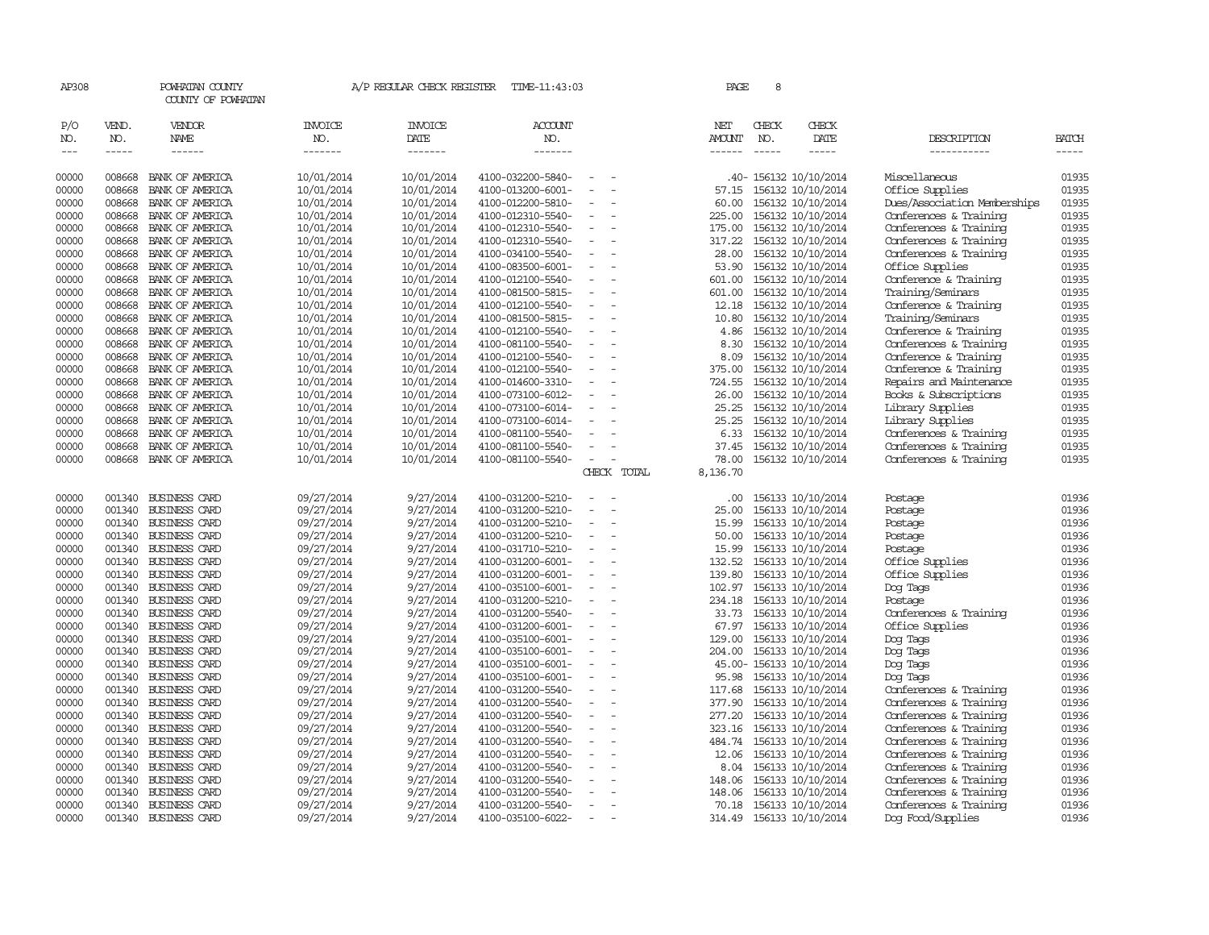| AP308                |                                                                                                                                                                                                                                                                                                                                                                                                                                                                         | POWHATAN COUNTY<br>COUNTY OF POWHATAN        |                                  | A/P REGULAR CHECK REGISTER        | TIME-11:43:03                          |                          |             | PAGE                    | 8                             |                                                                                                                                                                                                                                                                                    |                              |                                                                                                                                                                                                                                                                                                                                                                                                                                                                         |
|----------------------|-------------------------------------------------------------------------------------------------------------------------------------------------------------------------------------------------------------------------------------------------------------------------------------------------------------------------------------------------------------------------------------------------------------------------------------------------------------------------|----------------------------------------------|----------------------------------|-----------------------------------|----------------------------------------|--------------------------|-------------|-------------------------|-------------------------------|------------------------------------------------------------------------------------------------------------------------------------------------------------------------------------------------------------------------------------------------------------------------------------|------------------------------|-------------------------------------------------------------------------------------------------------------------------------------------------------------------------------------------------------------------------------------------------------------------------------------------------------------------------------------------------------------------------------------------------------------------------------------------------------------------------|
| P/O<br>NO.<br>$--\,$ | VEND.<br>NO.<br>$\begin{tabular}{ccccc} \multicolumn{2}{c }{\multicolumn{2}{c }{\multicolumn{2}{c }{\multicolumn{2}{c}}{\hspace{-2.2cm}}}} \multicolumn{2}{c }{\multicolumn{2}{c }{\hspace{-2.2cm}}\hline} \multicolumn{2}{c }{\hspace{-2.2cm}}\hline \multicolumn{2}{c }{\hspace{-2.2cm}}\hline \multicolumn{2}{c }{\hspace{-2.2cm}}\hline \multicolumn{2}{c }{\hspace{-2.2cm}}\hline \multicolumn{2}{c }{\hspace{-2.2cm}}\hline \multicolumn{2}{c }{\hspace{-2.2cm}}$ | VENDOR<br>NAME<br>------                     | <b>INVOICE</b><br>NO.<br>------- | <b>INVOICE</b><br>DATE<br>------- | <b>ACCOUNT</b><br>NO.<br>-------       |                          |             | NET<br>AMOUNT<br>------ | CHECK<br>NO.<br>$\frac{1}{2}$ | CHECK<br>DATE<br>$\begin{tabular}{ccccc} \multicolumn{2}{c }{\multicolumn{2}{c }{\multicolumn{2}{c }{\multicolumn{2}{c}}}{\multicolumn{2}{c }{\multicolumn{2}{c}}}{\multicolumn{2}{c }{\multicolumn{2}{c}}}{\multicolumn{2}{c }{\multicolumn{2}{c}}}{\end{tabular}} \end{tabular}$ | DESCRIPTION<br>-----------   | <b>BATCH</b><br>$\begin{tabular}{ccccc} \multicolumn{2}{c }{\multicolumn{2}{c }{\multicolumn{2}{c }{\multicolumn{2}{c}}{\hspace{-2.2cm}}}} \multicolumn{2}{c }{\multicolumn{2}{c }{\hspace{-2.2cm}}\hline} \multicolumn{2}{c }{\hspace{-2.2cm}}\hline \multicolumn{2}{c }{\hspace{-2.2cm}}\hline \multicolumn{2}{c }{\hspace{-2.2cm}}\hline \multicolumn{2}{c }{\hspace{-2.2cm}}\hline \multicolumn{2}{c }{\hspace{-2.2cm}}\hline \multicolumn{2}{c }{\hspace{-2.2cm}}$ |
| 00000                | 008668                                                                                                                                                                                                                                                                                                                                                                                                                                                                  | BANK OF AMERICA                              | 10/01/2014                       | 10/01/2014                        | 4100-032200-5840-                      |                          |             |                         |                               | .40- 156132 10/10/2014                                                                                                                                                                                                                                                             | Miscellaneous                | 01935                                                                                                                                                                                                                                                                                                                                                                                                                                                                   |
| 00000                | 008668                                                                                                                                                                                                                                                                                                                                                                                                                                                                  | BANK OF AMERICA                              | 10/01/2014                       | 10/01/2014                        | 4100-013200-6001-                      |                          |             | 57.15                   |                               | 156132 10/10/2014                                                                                                                                                                                                                                                                  | Office Supplies              | 01935                                                                                                                                                                                                                                                                                                                                                                                                                                                                   |
| 00000                | 008668                                                                                                                                                                                                                                                                                                                                                                                                                                                                  | BANK OF AMERICA                              | 10/01/2014                       | 10/01/2014                        | 4100-012200-5810-                      | $\equiv$                 |             | 60.00                   |                               | 156132 10/10/2014                                                                                                                                                                                                                                                                  | Dues/Association Memberships | 01935                                                                                                                                                                                                                                                                                                                                                                                                                                                                   |
| 00000                | 008668                                                                                                                                                                                                                                                                                                                                                                                                                                                                  | BANK OF AMERICA                              | 10/01/2014                       | 10/01/2014                        | 4100-012310-5540-                      | $\overline{\phantom{a}}$ |             | 225.00                  |                               | 156132 10/10/2014                                                                                                                                                                                                                                                                  | Conferences & Training       | 01935                                                                                                                                                                                                                                                                                                                                                                                                                                                                   |
| 00000                | 008668                                                                                                                                                                                                                                                                                                                                                                                                                                                                  | BANK OF AMERICA                              | 10/01/2014                       | 10/01/2014                        | 4100-012310-5540-                      |                          |             | 175.00                  |                               | 156132 10/10/2014                                                                                                                                                                                                                                                                  | Conferences & Training       | 01935                                                                                                                                                                                                                                                                                                                                                                                                                                                                   |
| 00000                | 008668                                                                                                                                                                                                                                                                                                                                                                                                                                                                  | BANK OF AMERICA                              | 10/01/2014                       | 10/01/2014                        | 4100-012310-5540-                      |                          |             | 317.22                  |                               | 156132 10/10/2014                                                                                                                                                                                                                                                                  | Conferences & Training       | 01935                                                                                                                                                                                                                                                                                                                                                                                                                                                                   |
| 00000                | 008668                                                                                                                                                                                                                                                                                                                                                                                                                                                                  | BANK OF AMERICA                              | 10/01/2014                       | 10/01/2014                        | 4100-034100-5540-                      | $\equiv$                 |             | 28.00                   |                               | 156132 10/10/2014                                                                                                                                                                                                                                                                  | Conferences & Training       | 01935                                                                                                                                                                                                                                                                                                                                                                                                                                                                   |
| 00000                | 008668                                                                                                                                                                                                                                                                                                                                                                                                                                                                  | BANK OF AMERICA                              | 10/01/2014                       | 10/01/2014                        | 4100-083500-6001-                      |                          |             | 53.90                   |                               | 156132 10/10/2014                                                                                                                                                                                                                                                                  | Office Supplies              | 01935                                                                                                                                                                                                                                                                                                                                                                                                                                                                   |
| 00000                | 008668                                                                                                                                                                                                                                                                                                                                                                                                                                                                  | BANK OF AMERICA                              | 10/01/2014                       | 10/01/2014                        | 4100-012100-5540-                      |                          |             | 601.00                  |                               | 156132 10/10/2014                                                                                                                                                                                                                                                                  | Conference & Training        | 01935                                                                                                                                                                                                                                                                                                                                                                                                                                                                   |
| 00000                | 008668                                                                                                                                                                                                                                                                                                                                                                                                                                                                  | BANK OF AMERICA                              | 10/01/2014                       | 10/01/2014                        | 4100-081500-5815-                      | $\equiv$                 |             | 601.00                  |                               | 156132 10/10/2014                                                                                                                                                                                                                                                                  | Training/Seminars            | 01935                                                                                                                                                                                                                                                                                                                                                                                                                                                                   |
| 00000                | 008668                                                                                                                                                                                                                                                                                                                                                                                                                                                                  | BANK OF AMERICA                              | 10/01/2014                       | 10/01/2014                        | 4100-012100-5540-                      |                          |             | 12.18                   |                               | 156132 10/10/2014                                                                                                                                                                                                                                                                  | Conference & Training        | 01935                                                                                                                                                                                                                                                                                                                                                                                                                                                                   |
| 00000                | 008668                                                                                                                                                                                                                                                                                                                                                                                                                                                                  | BANK OF AMERICA                              | 10/01/2014                       | 10/01/2014                        | 4100-081500-5815-                      |                          |             | 10.80                   |                               | 156132 10/10/2014                                                                                                                                                                                                                                                                  | Training/Seminars            | 01935                                                                                                                                                                                                                                                                                                                                                                                                                                                                   |
| 00000                | 008668                                                                                                                                                                                                                                                                                                                                                                                                                                                                  | BANK OF AMERICA                              | 10/01/2014                       | 10/01/2014                        | 4100-012100-5540-                      |                          |             | 4.86                    |                               | 156132 10/10/2014                                                                                                                                                                                                                                                                  | Conference & Training        | 01935                                                                                                                                                                                                                                                                                                                                                                                                                                                                   |
| 00000                | 008668                                                                                                                                                                                                                                                                                                                                                                                                                                                                  | BANK OF AMERICA                              | 10/01/2014                       | 10/01/2014                        | 4100-081100-5540-                      | $\equiv$                 |             | 8.30                    |                               | 156132 10/10/2014                                                                                                                                                                                                                                                                  | Conferences & Training       | 01935                                                                                                                                                                                                                                                                                                                                                                                                                                                                   |
| 00000                | 008668                                                                                                                                                                                                                                                                                                                                                                                                                                                                  | BANK OF AMERICA                              | 10/01/2014                       | 10/01/2014                        | 4100-012100-5540-                      |                          |             | 8.09                    |                               | 156132 10/10/2014                                                                                                                                                                                                                                                                  | Conference & Training        | 01935                                                                                                                                                                                                                                                                                                                                                                                                                                                                   |
| 00000                | 008668                                                                                                                                                                                                                                                                                                                                                                                                                                                                  | BANK OF AMERICA                              | 10/01/2014                       | 10/01/2014                        | 4100-012100-5540-                      |                          |             | 375.00                  |                               | 156132 10/10/2014                                                                                                                                                                                                                                                                  | Conference & Training        | 01935                                                                                                                                                                                                                                                                                                                                                                                                                                                                   |
| 00000                | 008668                                                                                                                                                                                                                                                                                                                                                                                                                                                                  | BANK OF AMERICA                              | 10/01/2014                       | 10/01/2014                        | 4100-014600-3310-                      |                          |             | 724.55                  |                               | 156132 10/10/2014                                                                                                                                                                                                                                                                  | Repairs and Maintenance      | 01935                                                                                                                                                                                                                                                                                                                                                                                                                                                                   |
| 00000                | 008668                                                                                                                                                                                                                                                                                                                                                                                                                                                                  | BANK OF AMERICA                              | 10/01/2014                       | 10/01/2014                        | 4100-073100-6012-                      | $\equiv$                 |             | 26.00                   |                               | 156132 10/10/2014                                                                                                                                                                                                                                                                  | Books & Subscriptions        | 01935                                                                                                                                                                                                                                                                                                                                                                                                                                                                   |
| 00000                | 008668                                                                                                                                                                                                                                                                                                                                                                                                                                                                  | BANK OF AMERICA                              | 10/01/2014                       | 10/01/2014                        | 4100-073100-6014-                      |                          |             | 25.25                   |                               | 156132 10/10/2014                                                                                                                                                                                                                                                                  | Library Supplies             | 01935                                                                                                                                                                                                                                                                                                                                                                                                                                                                   |
| 00000                | 008668                                                                                                                                                                                                                                                                                                                                                                                                                                                                  | BANK OF AMERICA                              | 10/01/2014                       | 10/01/2014                        | 4100-073100-6014-                      |                          |             | 25.25                   |                               | 156132 10/10/2014                                                                                                                                                                                                                                                                  | Library Supplies             | 01935                                                                                                                                                                                                                                                                                                                                                                                                                                                                   |
| 00000                | 008668                                                                                                                                                                                                                                                                                                                                                                                                                                                                  | BANK OF AMERICA                              | 10/01/2014                       | 10/01/2014                        | 4100-081100-5540-                      |                          |             | 6.33                    |                               | 156132 10/10/2014                                                                                                                                                                                                                                                                  | Conferences & Training       | 01935                                                                                                                                                                                                                                                                                                                                                                                                                                                                   |
| 00000                | 008668                                                                                                                                                                                                                                                                                                                                                                                                                                                                  | BANK OF AMERICA                              | 10/01/2014                       | 10/01/2014                        | 4100-081100-5540-                      |                          |             | 37.45                   |                               | 156132 10/10/2014                                                                                                                                                                                                                                                                  | Conferences & Training       | 01935                                                                                                                                                                                                                                                                                                                                                                                                                                                                   |
| 00000                | 008668                                                                                                                                                                                                                                                                                                                                                                                                                                                                  | BANK OF AMERICA                              | 10/01/2014                       | 10/01/2014                        | 4100-081100-5540-                      | $\equiv$                 |             | 78.00                   |                               | 156132 10/10/2014                                                                                                                                                                                                                                                                  | Conferences & Training       | 01935                                                                                                                                                                                                                                                                                                                                                                                                                                                                   |
|                      |                                                                                                                                                                                                                                                                                                                                                                                                                                                                         |                                              |                                  |                                   |                                        |                          | CHECK TOTAL | 8,136.70                |                               |                                                                                                                                                                                                                                                                                    |                              |                                                                                                                                                                                                                                                                                                                                                                                                                                                                         |
|                      |                                                                                                                                                                                                                                                                                                                                                                                                                                                                         |                                              |                                  |                                   |                                        |                          |             |                         |                               |                                                                                                                                                                                                                                                                                    |                              |                                                                                                                                                                                                                                                                                                                                                                                                                                                                         |
| 00000                |                                                                                                                                                                                                                                                                                                                                                                                                                                                                         | 001340 BUSINESS CARD                         | 09/27/2014                       | 9/27/2014                         | 4100-031200-5210-                      |                          |             | .00.                    |                               | 156133 10/10/2014                                                                                                                                                                                                                                                                  | Postage                      | 01936                                                                                                                                                                                                                                                                                                                                                                                                                                                                   |
| 00000                | 001340                                                                                                                                                                                                                                                                                                                                                                                                                                                                  | <b>BUSINESS CARD</b>                         | 09/27/2014                       | 9/27/2014                         | 4100-031200-5210-                      |                          |             | 25.00                   |                               | 156133 10/10/2014                                                                                                                                                                                                                                                                  | Postage                      | 01936                                                                                                                                                                                                                                                                                                                                                                                                                                                                   |
| 00000                | 001340                                                                                                                                                                                                                                                                                                                                                                                                                                                                  | <b>BUSINESS CARD</b>                         | 09/27/2014                       | 9/27/2014                         | 4100-031200-5210-                      |                          |             | 15.99                   |                               | 156133 10/10/2014                                                                                                                                                                                                                                                                  | Postage                      | 01936                                                                                                                                                                                                                                                                                                                                                                                                                                                                   |
| 00000                |                                                                                                                                                                                                                                                                                                                                                                                                                                                                         | 001340 BUSINESS CARD                         | 09/27/2014                       | 9/27/2014                         | 4100-031200-5210-                      | $\overline{\phantom{a}}$ |             | 50.00                   |                               | 156133 10/10/2014                                                                                                                                                                                                                                                                  | Postage                      | 01936                                                                                                                                                                                                                                                                                                                                                                                                                                                                   |
| 00000                | 001340                                                                                                                                                                                                                                                                                                                                                                                                                                                                  | <b>BUSINESS CARD</b>                         | 09/27/2014                       | 9/27/2014                         | 4100-031710-5210-                      |                          |             | 15.99                   |                               | 156133 10/10/2014                                                                                                                                                                                                                                                                  | Postage                      | 01936                                                                                                                                                                                                                                                                                                                                                                                                                                                                   |
| 00000                |                                                                                                                                                                                                                                                                                                                                                                                                                                                                         | 001340 BUSINESS CARD                         | 09/27/2014                       | 9/27/2014                         | 4100-031200-6001-                      |                          |             | 132.52                  |                               | 156133 10/10/2014                                                                                                                                                                                                                                                                  | Office Supplies              | 01936                                                                                                                                                                                                                                                                                                                                                                                                                                                                   |
| 00000                |                                                                                                                                                                                                                                                                                                                                                                                                                                                                         | 001340 BUSINESS CARD                         | 09/27/2014                       | 9/27/2014                         | 4100-031200-6001-                      | $\overline{\phantom{a}}$ |             | 139.80                  |                               | 156133 10/10/2014                                                                                                                                                                                                                                                                  | Office Supplies              | 01936                                                                                                                                                                                                                                                                                                                                                                                                                                                                   |
| 00000                |                                                                                                                                                                                                                                                                                                                                                                                                                                                                         | 001340 BUSINESS CARD                         | 09/27/2014                       | 9/27/2014                         | 4100-035100-6001-                      |                          |             | 102.97                  |                               | 156133 10/10/2014                                                                                                                                                                                                                                                                  | Dog Tags                     | 01936                                                                                                                                                                                                                                                                                                                                                                                                                                                                   |
| 00000                |                                                                                                                                                                                                                                                                                                                                                                                                                                                                         | 001340 BUSINESS CARD                         | 09/27/2014                       | 9/27/2014                         | 4100-031200-5210-                      |                          |             | 234.18                  |                               | 156133 10/10/2014                                                                                                                                                                                                                                                                  | Postage                      | 01936                                                                                                                                                                                                                                                                                                                                                                                                                                                                   |
| 00000                |                                                                                                                                                                                                                                                                                                                                                                                                                                                                         | 001340 BUSINESS CARD                         | 09/27/2014                       | 9/27/2014                         | 4100-031200-5540-                      | $\equiv$                 |             | 33.73                   |                               | 156133 10/10/2014                                                                                                                                                                                                                                                                  | Conferences & Training       | 01936<br>01936                                                                                                                                                                                                                                                                                                                                                                                                                                                          |
| 00000<br>00000       | 001340                                                                                                                                                                                                                                                                                                                                                                                                                                                                  | 001340 BUSINESS CARD<br><b>BUSINESS CARD</b> | 09/27/2014                       | 9/27/2014                         | 4100-031200-6001-<br>4100-035100-6001- |                          |             | 67.97<br>129.00         |                               | 156133 10/10/2014                                                                                                                                                                                                                                                                  | Office Supplies              | 01936                                                                                                                                                                                                                                                                                                                                                                                                                                                                   |
|                      |                                                                                                                                                                                                                                                                                                                                                                                                                                                                         |                                              | 09/27/2014                       | 9/27/2014<br>9/27/2014            |                                        |                          |             |                         |                               | 156133 10/10/2014                                                                                                                                                                                                                                                                  | Dog Tags                     | 01936                                                                                                                                                                                                                                                                                                                                                                                                                                                                   |
| 00000<br>00000       | 001340                                                                                                                                                                                                                                                                                                                                                                                                                                                                  | 001340 BUSINESS CARD<br><b>BUSINESS CARD</b> | 09/27/2014                       | 9/27/2014                         | 4100-035100-6001-<br>4100-035100-6001- | $\overline{\phantom{a}}$ |             | 204.00                  |                               | 156133 10/10/2014                                                                                                                                                                                                                                                                  | Dog Tags<br>Dog Tags         | 01936                                                                                                                                                                                                                                                                                                                                                                                                                                                                   |
| 00000                |                                                                                                                                                                                                                                                                                                                                                                                                                                                                         | 001340 BUSINESS CARD                         | 09/27/2014<br>09/27/2014         | 9/27/2014                         | 4100-035100-6001-                      | $\overline{\phantom{a}}$ |             | 95.98                   |                               | 45.00- 156133 10/10/2014<br>156133 10/10/2014                                                                                                                                                                                                                                      | Dog Tags                     | 01936                                                                                                                                                                                                                                                                                                                                                                                                                                                                   |
| 00000                | 001340                                                                                                                                                                                                                                                                                                                                                                                                                                                                  | <b>BUSINESS CARD</b>                         | 09/27/2014                       | 9/27/2014                         | 4100-031200-5540-                      |                          |             | 117.68                  |                               | 156133 10/10/2014                                                                                                                                                                                                                                                                  | Conferences & Training       | 01936                                                                                                                                                                                                                                                                                                                                                                                                                                                                   |
| 00000                |                                                                                                                                                                                                                                                                                                                                                                                                                                                                         | 001340 BUSINESS CARD                         | 09/27/2014                       | 9/27/2014                         | 4100-031200-5540-                      |                          |             | 377.90                  |                               | 156133 10/10/2014                                                                                                                                                                                                                                                                  | Conferences & Training       | 01936                                                                                                                                                                                                                                                                                                                                                                                                                                                                   |
| 00000                |                                                                                                                                                                                                                                                                                                                                                                                                                                                                         | 001340 BUSINESS CARD                         | 09/27/2014                       | 9/27/2014                         | 4100-031200-5540-                      | $\equiv$                 |             | 277.20                  |                               | 156133 10/10/2014                                                                                                                                                                                                                                                                  | Conferences & Training       | 01936                                                                                                                                                                                                                                                                                                                                                                                                                                                                   |
| 00000                |                                                                                                                                                                                                                                                                                                                                                                                                                                                                         | 001340 BUSINESS CARD                         | 09/27/2014                       | 9/27/2014                         | 4100-031200-5540-                      |                          |             | 323.16                  |                               | 156133 10/10/2014                                                                                                                                                                                                                                                                  | Conferences & Training       | 01936                                                                                                                                                                                                                                                                                                                                                                                                                                                                   |
| 00000                |                                                                                                                                                                                                                                                                                                                                                                                                                                                                         | 001340 BUSINESS CARD                         | 09/27/2014                       | 9/27/2014                         | 4100-031200-5540-                      |                          |             | 484.74                  |                               | 156133 10/10/2014                                                                                                                                                                                                                                                                  | Conferences & Training       | 01936                                                                                                                                                                                                                                                                                                                                                                                                                                                                   |
| 00000                | 001340                                                                                                                                                                                                                                                                                                                                                                                                                                                                  | <b>BUSINESS CARD</b>                         | 09/27/2014                       | 9/27/2014                         | 4100-031200-5540-                      |                          |             | 12.06                   |                               | 156133 10/10/2014                                                                                                                                                                                                                                                                  | Conferences & Training       | 01936                                                                                                                                                                                                                                                                                                                                                                                                                                                                   |
| 00000                |                                                                                                                                                                                                                                                                                                                                                                                                                                                                         | 001340 BUSINESS CARD                         | 09/27/2014                       | 9/27/2014                         | 4100-031200-5540-                      | $\equiv$                 |             | 8.04                    |                               | 156133 10/10/2014                                                                                                                                                                                                                                                                  | Conferences & Training       | 01936                                                                                                                                                                                                                                                                                                                                                                                                                                                                   |
| 00000                |                                                                                                                                                                                                                                                                                                                                                                                                                                                                         | 001340 BUSINESS CARD                         | 09/27/2014                       | 9/27/2014                         | 4100-031200-5540-                      |                          |             | 148.06                  |                               | 156133 10/10/2014                                                                                                                                                                                                                                                                  | Conferences & Training       | 01936                                                                                                                                                                                                                                                                                                                                                                                                                                                                   |
| 00000                | 001340                                                                                                                                                                                                                                                                                                                                                                                                                                                                  | <b>BUSINESS CARD</b>                         | 09/27/2014                       | 9/27/2014                         | 4100-031200-5540-                      |                          |             | 148.06                  |                               | 156133 10/10/2014                                                                                                                                                                                                                                                                  | Conferences & Training       | 01936                                                                                                                                                                                                                                                                                                                                                                                                                                                                   |
| 00000                | 001340                                                                                                                                                                                                                                                                                                                                                                                                                                                                  | <b>BUSINESS CARD</b>                         | 09/27/2014                       | 9/27/2014                         | 4100-031200-5540-                      | $\equiv$                 |             | 70.18                   |                               | 156133 10/10/2014                                                                                                                                                                                                                                                                  | Conferences & Training       | 01936                                                                                                                                                                                                                                                                                                                                                                                                                                                                   |
| 00000                |                                                                                                                                                                                                                                                                                                                                                                                                                                                                         | 001340 BUSINESS CARD                         | 09/27/2014                       | 9/27/2014                         | 4100-035100-6022-                      | $\overline{\phantom{a}}$ |             | 314.49                  |                               | 156133 10/10/2014                                                                                                                                                                                                                                                                  | Dog Food/Supplies            | 01936                                                                                                                                                                                                                                                                                                                                                                                                                                                                   |
|                      |                                                                                                                                                                                                                                                                                                                                                                                                                                                                         |                                              |                                  |                                   |                                        |                          |             |                         |                               |                                                                                                                                                                                                                                                                                    |                              |                                                                                                                                                                                                                                                                                                                                                                                                                                                                         |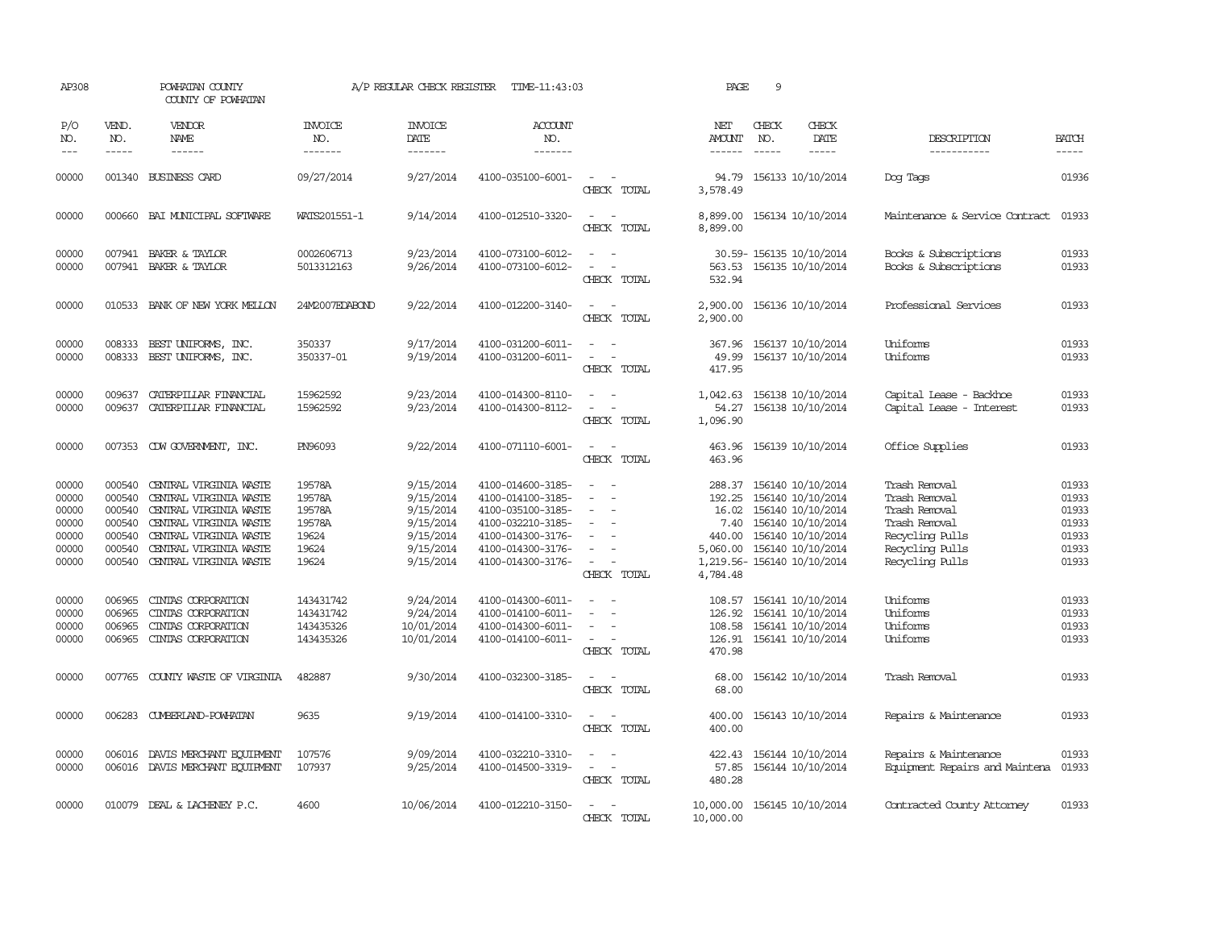| AP308                                                       |                                                                    | POWHATAN COUNTY<br>COUNTY OF POWHATAN                                                                                                                                              |                                                                 | A/P REGULAR CHECK REGISTER                                                              | TIME-11:43:03                                                                                                                                   |                                                                                           | PAGE                                                                                              | 9                             |                                                                                                                            |                                                                                                                           |                                                             |
|-------------------------------------------------------------|--------------------------------------------------------------------|------------------------------------------------------------------------------------------------------------------------------------------------------------------------------------|-----------------------------------------------------------------|-----------------------------------------------------------------------------------------|-------------------------------------------------------------------------------------------------------------------------------------------------|-------------------------------------------------------------------------------------------|---------------------------------------------------------------------------------------------------|-------------------------------|----------------------------------------------------------------------------------------------------------------------------|---------------------------------------------------------------------------------------------------------------------------|-------------------------------------------------------------|
| P/O<br>NO.<br>$\frac{1}{2}$                                 | VEND.<br>NO.<br>$- - - - -$                                        | VENDOR<br>NAME                                                                                                                                                                     | <b>INVOICE</b><br>NO.<br>-------                                | <b>INVOICE</b><br>DATE<br>-------                                                       | <b>ACCOUNT</b><br>NO.<br>-------                                                                                                                |                                                                                           | NET<br><b>AMOUNT</b><br>$- - - - - -$                                                             | CHECK<br>NO.<br>$\frac{1}{2}$ | CHECK<br>DATE                                                                                                              | DESCRIPTION<br>-----------                                                                                                | <b>BATCH</b><br>-----                                       |
| 00000                                                       |                                                                    | 001340 BUSINESS CARD                                                                                                                                                               | 09/27/2014                                                      | 9/27/2014                                                                               | 4100-035100-6001-                                                                                                                               | $\equiv$<br>CHECK TOTAL                                                                   | 94.79<br>3,578.49                                                                                 |                               | 156133 10/10/2014                                                                                                          | Dog Tags                                                                                                                  | 01936                                                       |
| 00000                                                       |                                                                    | 000660 BAI MUNICIPAL SOFTWARE                                                                                                                                                      | WATS201551-1                                                    | 9/14/2014                                                                               | 4100-012510-3320-                                                                                                                               | $\overline{\phantom{a}}$<br>$\sim$<br>CHECK TOTAL                                         | 8,899.00                                                                                          |                               | 8,899.00 156134 10/10/2014                                                                                                 | Maintenance & Service Contract                                                                                            | 01933                                                       |
| 00000<br>00000                                              |                                                                    | 007941 BAKER & TAYLOR<br>007941 BAKER & TAYLOR                                                                                                                                     | 0002606713<br>5013312163                                        | 9/23/2014<br>9/26/2014                                                                  | 4100-073100-6012-<br>4100-073100-6012-                                                                                                          | $\sim$<br>CHECK TOTAL                                                                     | 532.94                                                                                            |                               | 30.59-156135 10/10/2014<br>563.53 156135 10/10/2014                                                                        | Books & Subscriptions<br>Books & Subscriptions                                                                            | 01933<br>01933                                              |
| 00000                                                       |                                                                    | 010533 BANK OF NEW YORK MELLON                                                                                                                                                     | 24M2007EDABOND                                                  | 9/22/2014                                                                               | 4100-012200-3140-                                                                                                                               | $\sim$ $-$<br>CHECK TOTAL                                                                 | 2,900.00<br>2,900.00                                                                              |                               | 156136 10/10/2014                                                                                                          | Professional Services                                                                                                     | 01933                                                       |
| 00000<br>00000                                              | 008333<br>008333                                                   | BEST UNIFORMS, INC.<br>BEST UNIFORMS, INC.                                                                                                                                         | 350337<br>350337-01                                             | 9/17/2014<br>9/19/2014                                                                  | 4100-031200-6011-<br>4100-031200-6011-                                                                                                          | $\equiv$<br>$\equiv$<br>CHECK TOTAL                                                       | 367.96<br>49.99<br>417.95                                                                         |                               | 156137 10/10/2014<br>156137 10/10/2014                                                                                     | Uniforms<br>Uniforms                                                                                                      | 01933<br>01933                                              |
| 00000<br>00000                                              | 009637<br>009637                                                   | CATERPILLAR FINANCIAL<br>CATERPILLAR FINANCIAL                                                                                                                                     | 15962592<br>15962592                                            | 9/23/2014<br>9/23/2014                                                                  | 4100-014300-8110-<br>4100-014300-8112-                                                                                                          | $\sim$<br>$\sim$<br>$\equiv$<br>CHECK TOTAL                                               | 1,042.63<br>54.27<br>1,096.90                                                                     |                               | 156138 10/10/2014<br>156138 10/10/2014                                                                                     | Capital Lease - Backhoe<br>Capital Lease - Interest                                                                       | 01933<br>01933                                              |
| 00000                                                       |                                                                    | 007353 CDW GOVERNMENT, INC.                                                                                                                                                        | PN96093                                                         | 9/22/2014                                                                               | 4100-071110-6001-                                                                                                                               | $\overline{\phantom{a}}$<br>CHECK TOTAL                                                   | 463.96<br>463.96                                                                                  |                               | 156139 10/10/2014                                                                                                          | Office Supplies                                                                                                           | 01933                                                       |
| 00000<br>00000<br>00000<br>00000<br>00000<br>00000<br>00000 | 000540<br>000540<br>000540<br>000540<br>000540<br>000540<br>000540 | CENTRAL VIRGINIA WASTE<br>CENTRAL VIRGINIA WASTE<br>CENTRAL VIRGINIA WASTE<br>CENTRAL VIRGINIA WASTE<br>CENIRAL VIRGINIA WASTE<br>CENIRAL VIRGINIA WASTE<br>CENTRAL VIRGINIA WASTE | 19578A<br>19578A<br>19578A<br>19578A<br>19624<br>19624<br>19624 | 9/15/2014<br>9/15/2014<br>9/15/2014<br>9/15/2014<br>9/15/2014<br>9/15/2014<br>9/15/2014 | 4100-014600-3185-<br>4100-014100-3185-<br>4100-035100-3185-<br>4100-032210-3185-<br>4100-014300-3176-<br>4100-014300-3176-<br>4100-014300-3176- | $\overline{\phantom{a}}$<br>$\equiv$<br>$\sim$<br>$\equiv$<br>CHECK TOTAL                 | 288.37<br>192.25<br>16.02<br>7.40<br>440.00<br>5,060.00<br>1,219.56-156140 10/10/2014<br>4,784.48 |                               | 156140 10/10/2014<br>156140 10/10/2014<br>156140 10/10/2014<br>156140 10/10/2014<br>156140 10/10/2014<br>156140 10/10/2014 | Trash Removal<br>Trash Removal<br>Trash Removal<br>Trash Removal<br>Recycling Pulls<br>Recycling Pulls<br>Recycling Pulls | 01933<br>01933<br>01933<br>01933<br>01933<br>01933<br>01933 |
| 00000<br>00000<br>00000<br>00000                            | 006965<br>006965<br>006965<br>006965                               | CINIAS CORPORATION<br>CINIAS CORPORATION<br>CINIAS CORPORATION<br>CINIAS CORPORATION                                                                                               | 143431742<br>143431742<br>143435326<br>143435326                | 9/24/2014<br>9/24/2014<br>10/01/2014<br>10/01/2014                                      | 4100-014300-6011-<br>4100-014100-6011-<br>4100-014300-6011-<br>4100-014100-6011-                                                                | $\overline{\phantom{a}}$<br>$\overline{\phantom{a}}$<br>CHECK TOTAL                       | 108.57<br>126.92<br>126.91<br>470.98                                                              |                               | 156141 10/10/2014<br>156141 10/10/2014<br>108.58 156141 10/10/2014<br>156141 10/10/2014                                    | Uniforms<br>Uniforms<br>Uniforms<br>Uniforms                                                                              | 01933<br>01933<br>01933<br>01933                            |
| 00000                                                       | 007765                                                             | COUNTY WASTE OF VIRGINIA                                                                                                                                                           | 482887                                                          | 9/30/2014                                                                               | 4100-032300-3185-                                                                                                                               | $\overline{\phantom{a}}$<br>CHECK TOTAL                                                   | 68.00<br>68.00                                                                                    |                               | 156142 10/10/2014                                                                                                          | Trash Removal                                                                                                             | 01933                                                       |
| 00000                                                       |                                                                    | 006283 CUMBERLAND-POWHATAN                                                                                                                                                         | 9635                                                            | 9/19/2014                                                                               | 4100-014100-3310-                                                                                                                               | $\omega_{\rm{max}}$ , $\omega_{\rm{max}}$<br>CHECK TOTAL                                  | 400.00<br>400.00                                                                                  |                               | 156143 10/10/2014                                                                                                          | Repairs & Maintenance                                                                                                     | 01933                                                       |
| 00000<br>00000                                              | 006016                                                             | DAVIS MERCHANT EQUIPMENT<br>006016 DAVIS MERCHANT EQUIPMENT                                                                                                                        | 107576<br>107937                                                | 9/09/2014<br>9/25/2014                                                                  | 4100-032210-3310-<br>4100-014500-3319-                                                                                                          | $\equiv$<br>$\sim$<br>$\overline{\phantom{a}}$<br>$\overline{\phantom{a}}$<br>CHECK TOTAL | 422.43<br>57.85<br>480.28                                                                         |                               | 156144 10/10/2014<br>156144 10/10/2014                                                                                     | Repairs & Maintenance<br>Equipment Repairs and Maintena                                                                   | 01933<br>01933                                              |
| 00000                                                       |                                                                    | 010079 DEAL & LACHENEY P.C.                                                                                                                                                        | 4600                                                            | 10/06/2014                                                                              | 4100-012210-3150-                                                                                                                               | CHECK TOTAL                                                                               | 10,000.00 156145 10/10/2014<br>10,000.00                                                          |                               |                                                                                                                            | Contracted County Attomey                                                                                                 | 01933                                                       |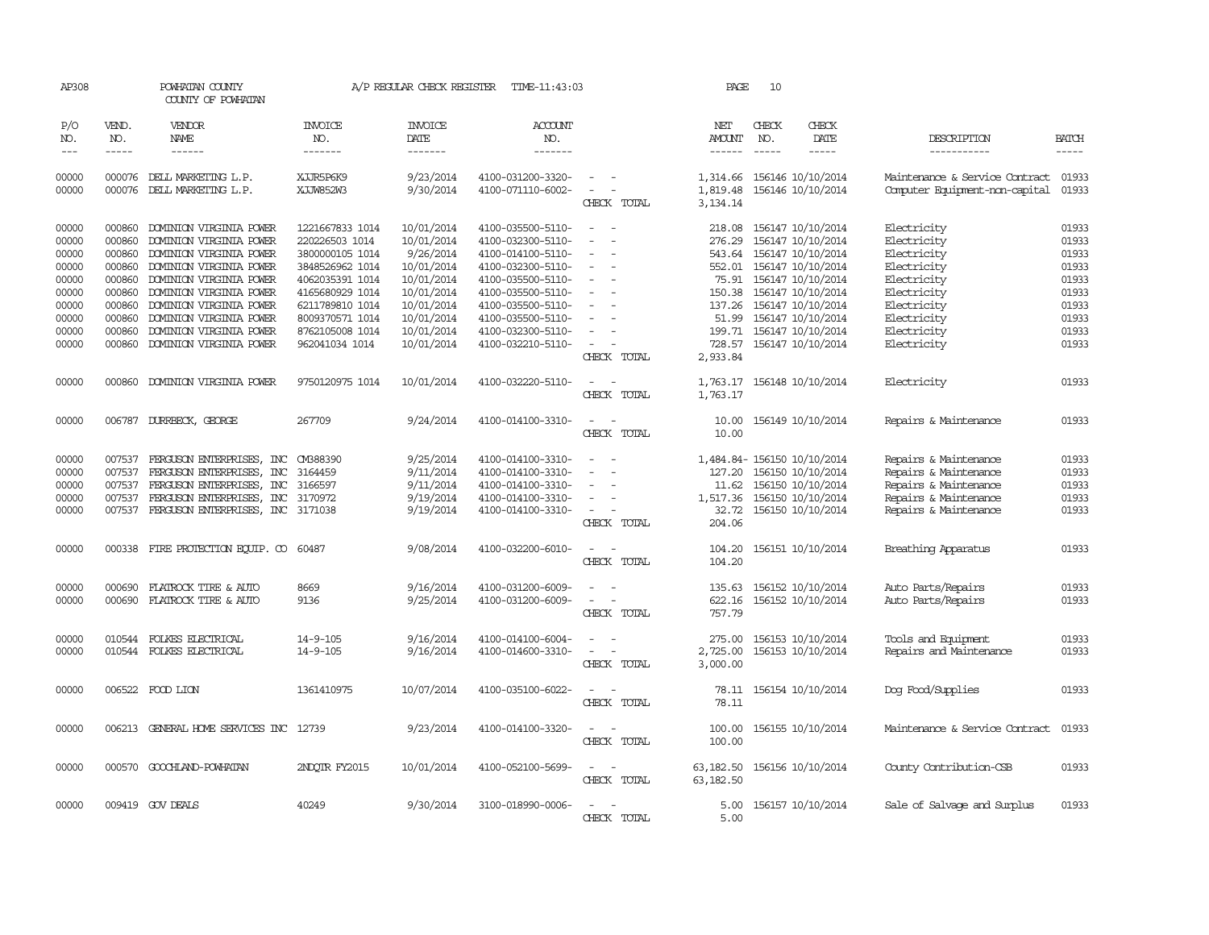| AP308               |                             | POWHATAN COUNTY<br>COUNTY OF POWHATAN              |                                   | A/P REGULAR CHECK REGISTER        | TIME-11:43:03                          |                                    | PAGE                             | 10                            |                                        |                                                                  |                             |
|---------------------|-----------------------------|----------------------------------------------------|-----------------------------------|-----------------------------------|----------------------------------------|------------------------------------|----------------------------------|-------------------------------|----------------------------------------|------------------------------------------------------------------|-----------------------------|
| P/O<br>NO.<br>$---$ | VEND.<br>NO.<br>$- - - - -$ | <b>VENDOR</b><br>NAME<br>$- - - - - -$             | <b>INVOICE</b><br>NO.<br>-------  | <b>INVOICE</b><br>DATE<br>------- | ACCOUNT<br>NO.<br>-------              |                                    | NET<br><b>AMOUNT</b><br>------   | CHECK<br>NO.<br>$\frac{1}{2}$ | CHECK<br>DATE<br>-----                 | DESCRIPTION<br>-----------                                       | <b>BATCH</b><br>$- - - - -$ |
|                     |                             |                                                    |                                   |                                   |                                        |                                    |                                  |                               |                                        |                                                                  |                             |
| 00000<br>00000      | 000076                      | DELL MARKETING L.P.<br>000076 DELL MARKETING L.P.  | XJJR5P6K9<br>XJJW852W3            | 9/23/2014<br>9/30/2014            | 4100-031200-3320-<br>4100-071110-6002- | $\equiv$<br>CHECK TOTAL            | 1,314.66<br>1,819.48<br>3,134.14 |                               | 156146 10/10/2014<br>156146 10/10/2014 | Maintenance & Service Contract<br>Computer Equipment-non-capital | 01933<br>01933              |
|                     |                             |                                                    |                                   |                                   |                                        |                                    |                                  |                               |                                        |                                                                  |                             |
| 00000               | 000860                      | DOMINION VIRGINIA POWER                            | 1221667833 1014                   | 10/01/2014                        | 4100-035500-5110-                      | $\equiv$                           | 218.08                           |                               | 156147 10/10/2014                      | Electricity                                                      | 01933                       |
| 00000               | 000860                      | DOMINION VIRGINIA POWER                            | 220226503 1014                    | 10/01/2014                        | 4100-032300-5110-                      |                                    | 276.29                           |                               | 156147 10/10/2014                      | Electricity                                                      | 01933                       |
| 00000               | 000860                      | DOMINION VIRGINIA POWER                            | 3800000105 1014                   | 9/26/2014                         | 4100-014100-5110-                      |                                    |                                  |                               | 543.64 156147 10/10/2014               | Electricity                                                      | 01933                       |
| 00000               | 000860                      | DOMINION VIRGINIA POWER                            | 3848526962 1014                   | 10/01/2014                        | 4100-032300-5110-                      |                                    |                                  |                               | 552.01 156147 10/10/2014               | Electricity                                                      | 01933                       |
| 00000               | 000860                      | DOMINION VIRGINIA POWER                            | 4062035391 1014                   | 10/01/2014                        | 4100-035500-5110-                      |                                    | 75.91                            |                               | 156147 10/10/2014                      | Electricity                                                      | 01933                       |
| 00000               | 000860                      | DOMINION VIRGINIA POWER                            | 4165680929 1014                   | 10/01/2014                        | 4100-035500-5110-                      | $\equiv$                           | 150.38                           |                               | 156147 10/10/2014                      | Electricity                                                      | 01933                       |
| 00000<br>00000      | 000860<br>000860            | DOMINION VIRGINIA POWER<br>DOMINION VIRGINIA POWER | 6211789810 1014                   | 10/01/2014<br>10/01/2014          | 4100-035500-5110-                      |                                    | 137.26                           |                               | 156147 10/10/2014                      | Electricity                                                      | 01933<br>01933              |
|                     |                             |                                                    | 8009370571 1014                   | 10/01/2014                        | 4100-035500-5110-                      |                                    | 51.99                            |                               | 156147 10/10/2014                      | Electricity                                                      | 01933                       |
| 00000<br>00000      | 000860<br>000860            | DOMINION VIRGINIA POWER<br>DOMINION VIRGINIA POWER | 8762105008 1014<br>962041034 1014 | 10/01/2014                        | 4100-032300-5110-<br>4100-032210-5110- | $\overline{\phantom{a}}$           | 199.71<br>728.57                 |                               | 156147 10/10/2014<br>156147 10/10/2014 | Electricity<br>Electricity                                       | 01933                       |
|                     |                             |                                                    |                                   |                                   |                                        | CHECK TOTAL                        | 2,933.84                         |                               |                                        |                                                                  |                             |
| 00000               | 000860                      | DOMINION VIRGINIA POWER                            | 9750120975 1014                   | 10/01/2014                        | 4100-032220-5110-                      |                                    | 1,763.17                         |                               | 156148 10/10/2014                      | Electricity                                                      | 01933                       |
|                     |                             |                                                    |                                   |                                   |                                        | CHECK TOTAL                        | 1,763.17                         |                               |                                        |                                                                  |                             |
| 00000               |                             | 006787 DURRBECK, GEORGE                            | 267709                            | 9/24/2014                         | 4100-014100-3310-                      | $\equiv$<br>$\sim$                 | 10.00                            |                               | 156149 10/10/2014                      | Repairs & Maintenance                                            | 01933                       |
|                     |                             |                                                    |                                   |                                   |                                        | CHECK TOTAL                        | 10.00                            |                               |                                        |                                                                  |                             |
| 00000               | 007537                      | FERGUSON ENTERPRISES, INC                          | CMB88390                          | 9/25/2014                         | 4100-014100-3310-                      |                                    |                                  |                               | 1,484.84-156150 10/10/2014             | Repairs & Maintenance                                            | 01933                       |
| 00000               | 007537                      | FERGUSON ENTERPRISES, INC                          | 3164459                           | 9/11/2014                         | 4100-014100-3310-                      |                                    | 127.20                           |                               | 156150 10/10/2014                      | Repairs & Maintenance                                            | 01933                       |
| 00000               | 007537                      | FERGUSON ENTERPRISES, INC                          | 3166597                           | 9/11/2014                         | 4100-014100-3310-                      | $\sim$                             |                                  |                               | 11.62 156150 10/10/2014                | Repairs & Maintenance                                            | 01933                       |
| 00000               | 007537                      | FERGUSON ENTERPRISES,<br>INC                       | 3170972                           | 9/19/2014                         | 4100-014100-3310-                      |                                    | 1,517.36                         |                               | 156150 10/10/2014                      | Repairs & Maintenance                                            | 01933                       |
| 00000               |                             | 007537 FERGUSON ENTERPRISES, INC 3171038           |                                   | 9/19/2014                         | 4100-014100-3310-                      | $\equiv$<br>CHECK TOTAL            | 32.72<br>204.06                  |                               | 156150 10/10/2014                      | Repairs & Maintenance                                            | 01933                       |
|                     |                             |                                                    |                                   |                                   |                                        |                                    |                                  |                               |                                        |                                                                  |                             |
| 00000               |                             | 000338 FIRE PROTECTION EQUIP. CO                   | 60487                             | 9/08/2014                         | 4100-032200-6010-                      | $\sim$<br>CHECK TOTAL              | 104.20                           |                               | 104.20 156151 10/10/2014               | Breathing Apparatus                                              | 01933                       |
|                     |                             |                                                    |                                   |                                   |                                        |                                    |                                  |                               |                                        |                                                                  |                             |
| 00000               | 000690                      | FLATROCK TIRE & AUTO                               | 8669                              | 9/16/2014                         | 4100-031200-6009-                      |                                    | 135.63                           |                               | 156152 10/10/2014                      | Auto Parts/Repairs                                               | 01933                       |
| 00000               | 000690                      | FLATROCK TIRE & AUTO                               | 9136                              | 9/25/2014                         | 4100-031200-6009-                      |                                    | 622.16                           |                               | 156152 10/10/2014                      | Auto Parts/Repairs                                               | 01933                       |
|                     |                             |                                                    |                                   |                                   |                                        | CHECK TOTAL                        | 757.79                           |                               |                                        |                                                                  |                             |
| 00000               | 010544                      | FOLKES ELECTRICAL                                  | 14-9-105                          | 9/16/2014                         | 4100-014100-6004-                      |                                    | 275.00                           |                               | 156153 10/10/2014                      | Tools and Equipment                                              | 01933                       |
| 00000               |                             | 010544 FOLKES ELECTRICAL                           | 14-9-105                          | 9/16/2014                         | 4100-014600-3310-                      | $\sim$<br>$\overline{\phantom{a}}$ | 2,725.00                         |                               | 156153 10/10/2014                      | Repairs and Maintenance                                          | 01933                       |
|                     |                             |                                                    |                                   |                                   |                                        | CHECK TOTAL                        | 3,000.00                         |                               |                                        |                                                                  |                             |
| 00000               |                             | 006522 FOOD LION                                   | 1361410975                        | 10/07/2014                        | 4100-035100-6022-                      |                                    |                                  |                               | 78.11 156154 10/10/2014                | Dog Food/Supplies                                                | 01933                       |
|                     |                             |                                                    |                                   |                                   |                                        | CHECK TOTAL                        | 78.11                            |                               |                                        |                                                                  |                             |
| 00000               |                             | 006213 GENERAL HOME SERVICES INC 12739             |                                   | 9/23/2014                         | 4100-014100-3320-                      | $\overline{\phantom{a}}$           | 100.00                           |                               | 156155 10/10/2014                      | Maintenance & Service Contract                                   | 01933                       |
|                     |                             |                                                    |                                   |                                   |                                        | CHECK TOTAL                        | 100.00                           |                               |                                        |                                                                  |                             |
| 00000               |                             | 000570 GOOCHLAND-POWHATAN                          | 2NDOTR FY2015                     | 10/01/2014                        | 4100-052100-5699-                      |                                    | 63,182.50                        |                               | 156156 10/10/2014                      | County Contribution-CSB                                          | 01933                       |
|                     |                             |                                                    |                                   |                                   |                                        | CHECK TOTAL                        | 63, 182.50                       |                               |                                        |                                                                  |                             |
| 00000               |                             | 009419 GOV DEALS                                   | 40249                             | 9/30/2014                         | 3100-018990-0006-                      |                                    | 5.00                             |                               | 156157 10/10/2014                      | Sale of Salvage and Surplus                                      | 01933                       |
|                     |                             |                                                    |                                   |                                   |                                        | CHECK TOTAL                        | 5.00                             |                               |                                        |                                                                  |                             |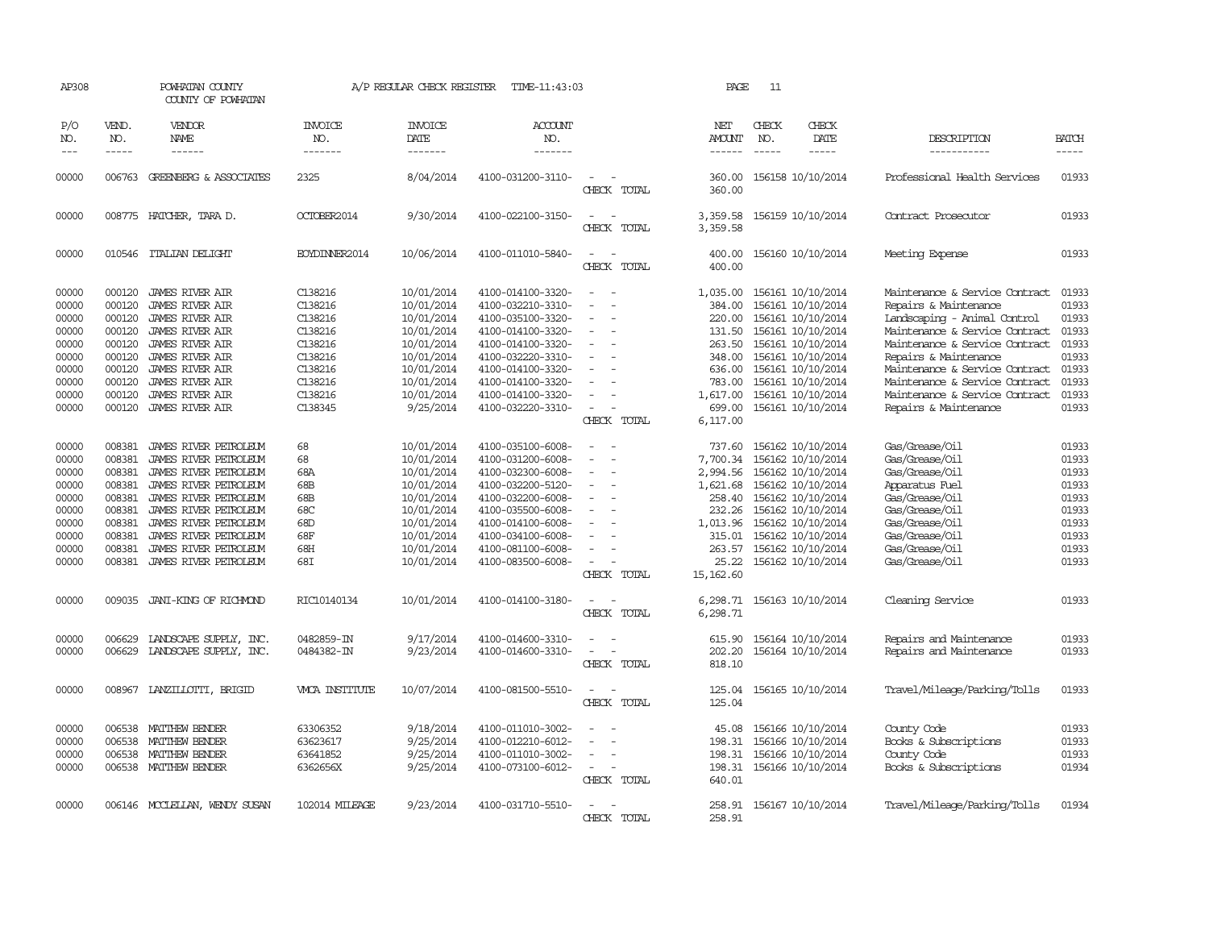| AP308                                                                                  |                                                                                                  | POWHATAN COUNTY<br>COUNTY OF POWHATAN                                                                                                                                                                                                              |                                                                                                            | A/P REGULAR CHECK REGISTER                                                                                                              | TIME-11:43:03                                                                                                                                                                                                  |                                                                                   | PAGE                                                                                                             | 11            |                                                                                                                                                                                                                |                                                                                                                                                                                                                                                                                                                     |                                                                                        |
|----------------------------------------------------------------------------------------|--------------------------------------------------------------------------------------------------|----------------------------------------------------------------------------------------------------------------------------------------------------------------------------------------------------------------------------------------------------|------------------------------------------------------------------------------------------------------------|-----------------------------------------------------------------------------------------------------------------------------------------|----------------------------------------------------------------------------------------------------------------------------------------------------------------------------------------------------------------|-----------------------------------------------------------------------------------|------------------------------------------------------------------------------------------------------------------|---------------|----------------------------------------------------------------------------------------------------------------------------------------------------------------------------------------------------------------|---------------------------------------------------------------------------------------------------------------------------------------------------------------------------------------------------------------------------------------------------------------------------------------------------------------------|----------------------------------------------------------------------------------------|
| P/O<br>NO.                                                                             | VEND.<br>NO.<br>$- - - - -$                                                                      | VENDOR<br>NAME<br>------                                                                                                                                                                                                                           | INVOICE<br>NO.<br>-------                                                                                  | <b>INVOICE</b><br>DATE                                                                                                                  | ACCOUNT<br>NO.<br>-------                                                                                                                                                                                      |                                                                                   | NET<br>AMOUNT                                                                                                    | CHECK<br>NO.  | CHECK<br>DATE                                                                                                                                                                                                  | DESCRIPTION                                                                                                                                                                                                                                                                                                         | <b>BATCH</b>                                                                           |
| $\frac{1}{2}$                                                                          |                                                                                                  |                                                                                                                                                                                                                                                    |                                                                                                            | -------                                                                                                                                 |                                                                                                                                                                                                                |                                                                                   | $- - - - - -$                                                                                                    | $\frac{1}{2}$ | -----                                                                                                                                                                                                          | -----------                                                                                                                                                                                                                                                                                                         | -----                                                                                  |
| 00000                                                                                  |                                                                                                  | 006763 GREENBERG & ASSOCIATES                                                                                                                                                                                                                      | 2325                                                                                                       | 8/04/2014                                                                                                                               | 4100-031200-3110-                                                                                                                                                                                              | $\equiv$<br>CHECK TOTAL                                                           | 360.00<br>360.00                                                                                                 |               | 156158 10/10/2014                                                                                                                                                                                              | Professional Health Services                                                                                                                                                                                                                                                                                        | 01933                                                                                  |
| 00000                                                                                  |                                                                                                  | 008775 HATCHER, TARA D.                                                                                                                                                                                                                            | OCTOBER2014                                                                                                | 9/30/2014                                                                                                                               | 4100-022100-3150-                                                                                                                                                                                              | CHECK TOTAL                                                                       | 3,359.58<br>3,359.58                                                                                             |               | 156159 10/10/2014                                                                                                                                                                                              | Contract Prosecutor                                                                                                                                                                                                                                                                                                 | 01933                                                                                  |
| 00000                                                                                  |                                                                                                  | 010546 ITALIAN DELIGHT                                                                                                                                                                                                                             | EOYDINNER2014                                                                                              | 10/06/2014                                                                                                                              | 4100-011010-5840-                                                                                                                                                                                              | $\sim$<br>CHECK TOTAL                                                             | 400.00<br>400.00                                                                                                 |               | 156160 10/10/2014                                                                                                                                                                                              | Meeting Expense                                                                                                                                                                                                                                                                                                     | 01933                                                                                  |
| 00000<br>00000<br>00000<br>00000<br>00000<br>00000<br>00000<br>00000<br>00000<br>00000 | 000120<br>000120<br>000120<br>000120<br>000120<br>000120<br>000120<br>000120<br>000120<br>000120 | JAMES RIVER AIR<br><b>JAMES RIVER AIR</b><br><b>JAMES RIVER AIR</b><br><b>JAMES RIVER AIR</b><br><b>JAMES RIVER AIR</b><br><b>JAMES RIVER AIR</b><br><b>JAMES RIVER AIR</b><br>JAMES RIVER AIR<br><b>JAMES RIVER AIR</b><br><b>JAMES RIVER AIR</b> | C138216<br>C138216<br>C138216<br>C138216<br>C138216<br>C138216<br>C138216<br>C138216<br>C138216<br>C138345 | 10/01/2014<br>10/01/2014<br>10/01/2014<br>10/01/2014<br>10/01/2014<br>10/01/2014<br>10/01/2014<br>10/01/2014<br>10/01/2014<br>9/25/2014 | 4100-014100-3320-<br>4100-032210-3310-<br>4100-035100-3320-<br>4100-014100-3320-<br>4100-014100-3320-<br>4100-032220-3310-<br>4100-014100-3320-<br>4100-014100-3320-<br>4100-014100-3320-<br>4100-032220-3310- | $\equiv$<br>$\overline{\phantom{a}}$<br>$\equiv$<br>$\overline{a}$<br>CHECK TOTAL | 1,035.00<br>384.00<br>220.00<br>131.50<br>263.50<br>348.00<br>636.00<br>783.00<br>1,617.00<br>699.00<br>6,117.00 |               | 156161 10/10/2014<br>156161 10/10/2014<br>156161 10/10/2014<br>156161 10/10/2014<br>156161 10/10/2014<br>156161 10/10/2014<br>156161 10/10/2014<br>156161 10/10/2014<br>156161 10/10/2014<br>156161 10/10/2014 | Maintenance & Service Contract<br>Repairs & Maintenance<br>Landscaping - Animal Control<br>Maintenance & Service Contract<br>Maintenance & Service Contract<br>Repairs & Maintenance<br>Maintenance & Service Contract<br>Maintenance & Service Contract<br>Maintenance & Service Contract<br>Repairs & Maintenance | 01933<br>01933<br>01933<br>01933<br>01933<br>01933<br>01933<br>01933<br>01933<br>01933 |
| 00000<br>00000<br>00000<br>00000<br>00000<br>00000<br>00000<br>00000<br>00000          | 008381<br>008381<br>008381<br>008381<br>008381<br>008381<br>008381<br>008381<br>008381           | JAMES RIVER PEIROLEUM<br>JAMES RIVER PETROLEUM<br>JAMES RIVER PETROLEUM<br>JAMES RIVER PETROLEUM<br>JAMES RIVER PETROLEUM<br>JAMES RIVER PETROLEUM<br>JAMES RIVER PETROLEUM<br>JAMES RIVER PETROLEUM<br>JAMES RIVER PETROLEUM                      | 68<br>68<br>68A<br>68B<br>68B<br>68C<br>68D<br>68F<br>68H                                                  | 10/01/2014<br>10/01/2014<br>10/01/2014<br>10/01/2014<br>10/01/2014<br>10/01/2014<br>10/01/2014<br>10/01/2014<br>10/01/2014              | 4100-035100-6008-<br>4100-031200-6008-<br>4100-032300-6008-<br>4100-032200-5120-<br>4100-032200-6008-<br>4100-035500-6008-<br>4100-014100-6008-<br>4100-034100-6008-<br>4100-081100-6008-                      | $\equiv$<br>$\equiv$                                                              | 737.60<br>7,700.34<br>2,994.56<br>1,621.68<br>258.40<br>232.26<br>1,013.96<br>315.01<br>263.57                   |               | 156162 10/10/2014<br>156162 10/10/2014<br>156162 10/10/2014<br>156162 10/10/2014<br>156162 10/10/2014<br>156162 10/10/2014<br>156162 10/10/2014<br>156162 10/10/2014<br>156162 10/10/2014                      | Gas/Grease/Oil<br>Gas/Grease/Oil<br>Gas/Grease/Oil<br>Apparatus Fuel<br>Gas/Grease/Oil<br>Gas/Grease/Oil<br>Gas/Grease/Oil<br>Gas/Grease/Oil<br>Gas/Grease/Oil                                                                                                                                                      | 01933<br>01933<br>01933<br>01933<br>01933<br>01933<br>01933<br>01933<br>01933          |
| 00000                                                                                  | 008381                                                                                           | JAMES RIVER PETROLEUM                                                                                                                                                                                                                              | 68I                                                                                                        | 10/01/2014                                                                                                                              | 4100-083500-6008-                                                                                                                                                                                              | CHECK TOTAL                                                                       | 25.22<br>15, 162, 60                                                                                             |               | 156162 10/10/2014                                                                                                                                                                                              | Gas/Grease/Oil                                                                                                                                                                                                                                                                                                      | 01933                                                                                  |
| 00000                                                                                  | 009035                                                                                           | JANI-KING OF RICHMOND                                                                                                                                                                                                                              | RIC10140134                                                                                                | 10/01/2014                                                                                                                              | 4100-014100-3180-                                                                                                                                                                                              | CHECK TOTAL                                                                       | 6,298.71<br>6,298.71                                                                                             |               | 156163 10/10/2014                                                                                                                                                                                              | Cleaning Service                                                                                                                                                                                                                                                                                                    | 01933                                                                                  |
| 00000<br>00000                                                                         | 006629                                                                                           | LANDSCAPE SUPPLY, INC.<br>006629 LANDSCAPE SUPPLY, INC.                                                                                                                                                                                            | 0482859-IN<br>0484382-IN                                                                                   | 9/17/2014<br>9/23/2014                                                                                                                  | 4100-014600-3310-<br>4100-014600-3310-                                                                                                                                                                         | $\equiv$<br>$\overline{\phantom{a}}$<br>CHECK TOTAL                               | 615.90<br>202.20<br>818.10                                                                                       |               | 156164 10/10/2014<br>156164 10/10/2014                                                                                                                                                                         | Repairs and Maintenance<br>Repairs and Maintenance                                                                                                                                                                                                                                                                  | 01933<br>01933                                                                         |
| 00000                                                                                  |                                                                                                  | 008967 LANZILLOTTI, BRIGID                                                                                                                                                                                                                         | WCA INSTITUTE                                                                                              | 10/07/2014                                                                                                                              | 4100-081500-5510-                                                                                                                                                                                              | $\equiv$<br>$\overline{\phantom{a}}$<br>CHECK TOTAL                               | 125.04<br>125.04                                                                                                 |               | 156165 10/10/2014                                                                                                                                                                                              | Travel/Mileage/Parking/Tolls                                                                                                                                                                                                                                                                                        | 01933                                                                                  |
| 00000<br>00000<br>00000<br>00000                                                       | 006538<br>006538<br>006538                                                                       | MATTHEW BENDER<br>MATTHEW BENDER<br>MATTHEW BENDER<br>006538 MATTHEW BENDER                                                                                                                                                                        | 63306352<br>63623617<br>63641852<br>6362656X                                                               | 9/18/2014<br>9/25/2014<br>9/25/2014<br>9/25/2014                                                                                        | 4100-011010-3002-<br>4100-012210-6012-<br>4100-011010-3002-<br>4100-073100-6012-                                                                                                                               | $\sim$<br>CHECK TOTAL                                                             | 45.08<br>198.31<br>198.31<br>640.01                                                                              |               | 156166 10/10/2014<br>156166 10/10/2014<br>156166 10/10/2014<br>198.31 156166 10/10/2014                                                                                                                        | County Code<br>Books & Subscriptions<br>County Code<br>Books & Subscriptions                                                                                                                                                                                                                                        | 01933<br>01933<br>01933<br>01934                                                       |
| 00000                                                                                  |                                                                                                  | 006146 MCCLELLAN, WENDY SUSAN                                                                                                                                                                                                                      | 102014 MILEAGE                                                                                             | 9/23/2014                                                                                                                               | 4100-031710-5510-                                                                                                                                                                                              | $\overline{\phantom{a}}$<br>CHECK TOTAL                                           | 258.91<br>258.91                                                                                                 |               | 156167 10/10/2014                                                                                                                                                                                              | Travel/Mileage/Parking/Tolls                                                                                                                                                                                                                                                                                        | 01934                                                                                  |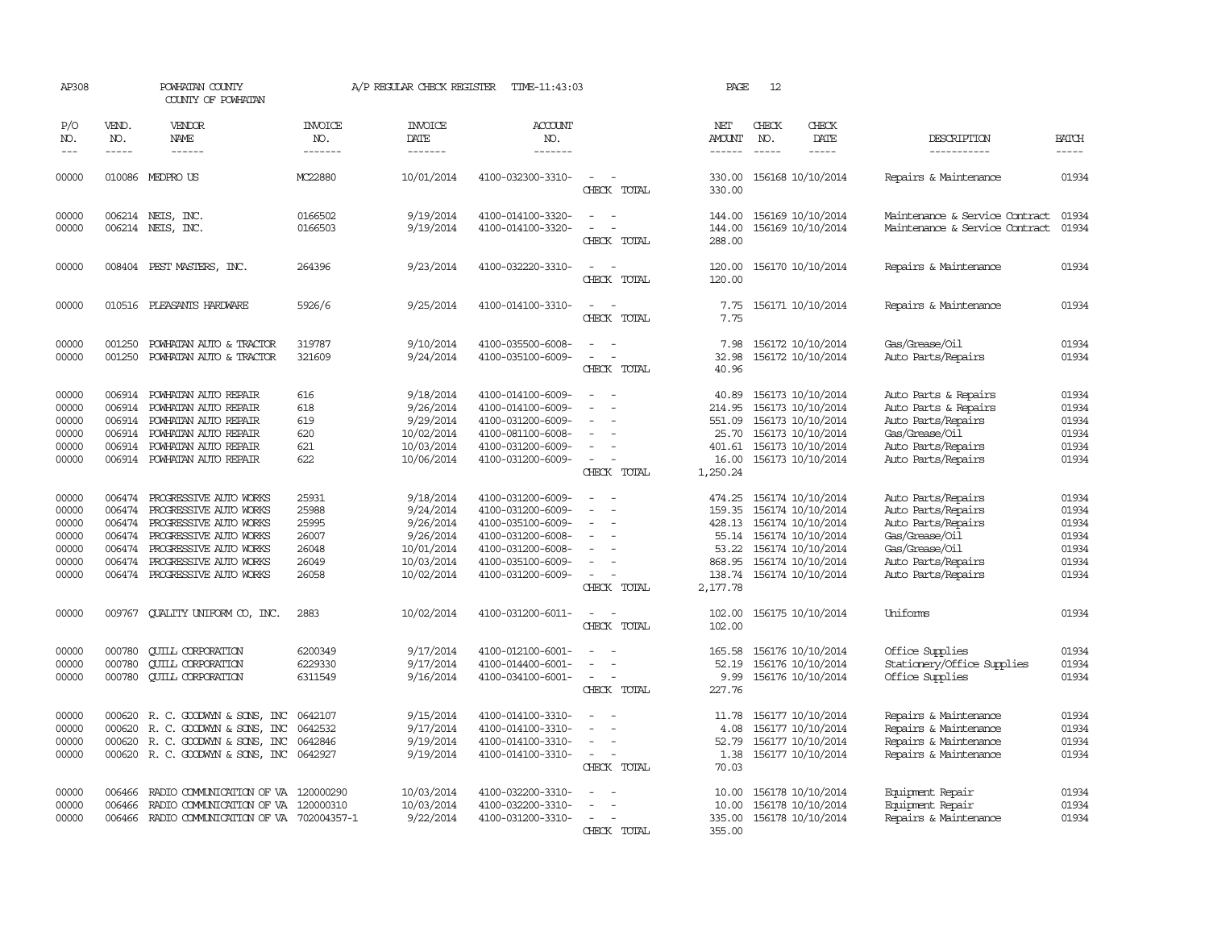| AP308                                                       |                                      | POWHATAN COUNTY<br>COUNTY OF POWHATAN                                                                                                                                                                   |                                                             | A/P REGULAR CHECK REGISTER                                                                 | TIME-11:43:03                                                                                                                                   |                                                     | PAGE                                                              | 12                          |                                                                                                                                                              |                                                                                                                                                |                                                             |
|-------------------------------------------------------------|--------------------------------------|---------------------------------------------------------------------------------------------------------------------------------------------------------------------------------------------------------|-------------------------------------------------------------|--------------------------------------------------------------------------------------------|-------------------------------------------------------------------------------------------------------------------------------------------------|-----------------------------------------------------|-------------------------------------------------------------------|-----------------------------|--------------------------------------------------------------------------------------------------------------------------------------------------------------|------------------------------------------------------------------------------------------------------------------------------------------------|-------------------------------------------------------------|
| P/O<br>NO.<br>$---$                                         | VEND.<br>NO.<br>$- - - - -$          | <b>VENDOR</b><br><b>NAME</b><br>$- - - - - -$                                                                                                                                                           | <b>INVOICE</b><br>NO.<br>-------                            | <b>INVOICE</b><br>DATE<br>-------                                                          | ACCOUNT<br>NO.<br>-------                                                                                                                       |                                                     | NET<br><b>AMOUNT</b><br>$- - - - - -$                             | CHECK<br>NO.<br>$- - - - -$ | CHECK<br>DATE<br>-----                                                                                                                                       | DESCRIPTION<br>-----------                                                                                                                     | <b>BATCH</b><br>-----                                       |
| 00000                                                       |                                      | 010086 MEDPRO US                                                                                                                                                                                        | MC22880                                                     | 10/01/2014                                                                                 | 4100-032300-3310-                                                                                                                               | $\sim$<br>CHECK TOTAL                               | 330.00<br>330.00                                                  |                             | 156168 10/10/2014                                                                                                                                            | Repairs & Maintenance                                                                                                                          | 01934                                                       |
| 00000<br>00000                                              |                                      | 006214 NEIS, INC.<br>006214 NEIS, INC.                                                                                                                                                                  | 0166502<br>0166503                                          | 9/19/2014<br>9/19/2014                                                                     | 4100-014100-3320-<br>4100-014100-3320-                                                                                                          | CHECK TOTAL                                         | 144.00<br>144.00<br>288.00                                        |                             | 156169 10/10/2014<br>156169 10/10/2014                                                                                                                       | Maintenance & Service Contract<br>Maintenance & Service Contract                                                                               | 01934<br>01934                                              |
| 00000                                                       |                                      | 008404 PEST MASTERS, INC.                                                                                                                                                                               | 264396                                                      | 9/23/2014                                                                                  | 4100-032220-3310-                                                                                                                               | CHECK TOTAL                                         | 120.00<br>120.00                                                  |                             | 156170 10/10/2014                                                                                                                                            | Repairs & Maintenance                                                                                                                          | 01934                                                       |
| 00000                                                       |                                      | 010516 PLEASANTS HARDWARE                                                                                                                                                                               | 5926/6                                                      | 9/25/2014                                                                                  | 4100-014100-3310-                                                                                                                               | CHECK TOTAL                                         | 7.75<br>7.75                                                      |                             | 156171 10/10/2014                                                                                                                                            | Repairs & Maintenance                                                                                                                          | 01934                                                       |
| 00000<br>00000                                              | 001250<br>001250                     | POWHATAN AUTO & TRACTOR<br>POWHATAN AUTO & TRACTOR                                                                                                                                                      | 319787<br>321609                                            | 9/10/2014<br>9/24/2014                                                                     | 4100-035500-6008-<br>4100-035100-6009-                                                                                                          | $\overline{\phantom{a}}$<br>CHECK TOTAL             | 7.98<br>32.98<br>40.96                                            |                             | 156172 10/10/2014<br>156172 10/10/2014                                                                                                                       | Gas/Grease/Oil<br>Auto Parts/Repairs                                                                                                           | 01934<br>01934                                              |
| 00000<br>00000<br>00000<br>00000<br>00000<br>00000          | 006914                               | 006914 POWHATAN AUTO REPAIR<br>POWHATAN AUTO REPAIR<br>006914 POWHATAN AUTO REPAIR<br>006914 POWHATAN AUTO REPAIR<br>006914 POWHATAN AUTO REPAIR<br>006914 POWHATAN AUTO REPAIR                         | 616<br>618<br>619<br>620<br>621<br>622                      | 9/18/2014<br>9/26/2014<br>9/29/2014<br>10/02/2014<br>10/03/2014<br>10/06/2014              | 4100-014100-6009-<br>4100-014100-6009-<br>4100-031200-6009-<br>4100-081100-6008-<br>4100-031200-6009-<br>4100-031200-6009-                      | $\equiv$<br>CHECK TOTAL                             | 40.89<br>214.95<br>551.09<br>25.70<br>401.61<br>16.00<br>1,250.24 |                             | 156173 10/10/2014<br>156173 10/10/2014<br>156173 10/10/2014<br>156173 10/10/2014<br>156173 10/10/2014<br>156173 10/10/2014                                   | Auto Parts & Repairs<br>Auto Parts & Repairs<br>Auto Parts/Repairs<br>Gas/Grease/Oil<br>Auto Parts/Repairs<br>Auto Parts/Repairs               | 01934<br>01934<br>01934<br>01934<br>01934<br>01934          |
| 00000<br>00000<br>00000<br>00000<br>00000<br>00000<br>00000 | 006474<br>006474<br>006474<br>006474 | PROGRESSIVE AUTO WORKS<br>PROGRESSIVE AUTO WORKS<br>PROGRESSIVE AUTO WORKS<br>006474 PROGRESSIVE AUTO WORKS<br>PROGRESSIVE AUTO WORKS<br>006474 PROGRESSIVE AUTO WORKS<br>006474 PROGRESSIVE AUTO WORKS | 25931<br>25988<br>25995<br>26007<br>26048<br>26049<br>26058 | 9/18/2014<br>9/24/2014<br>9/26/2014<br>9/26/2014<br>10/01/2014<br>10/03/2014<br>10/02/2014 | 4100-031200-6009-<br>4100-031200-6009-<br>4100-035100-6009-<br>4100-031200-6008-<br>4100-031200-6008-<br>4100-035100-6009-<br>4100-031200-6009- | $\overline{\phantom{a}}$<br>CHECK TOTAL             | 474.25<br>159.35<br>428.13<br>53.22<br>868.95<br>2,177.78         |                             | 156174 10/10/2014<br>156174 10/10/2014<br>156174 10/10/2014<br>55.14 156174 10/10/2014<br>156174 10/10/2014<br>156174 10/10/2014<br>138.74 156174 10/10/2014 | Auto Parts/Repairs<br>Auto Parts/Repairs<br>Auto Parts/Repairs<br>Gas/Grease/Oil<br>Gas/Grease/Oil<br>Auto Parts/Repairs<br>Auto Parts/Repairs | 01934<br>01934<br>01934<br>01934<br>01934<br>01934<br>01934 |
| 00000                                                       | 009767                               | QUALITY UNIFORM CO, INC.                                                                                                                                                                                | 2883                                                        | 10/02/2014                                                                                 | 4100-031200-6011-                                                                                                                               | $\overline{\phantom{a}}$<br>CHECK TOTAL             | 102.00<br>102.00                                                  |                             | 156175 10/10/2014                                                                                                                                            | Uniforms                                                                                                                                       | 01934                                                       |
| 00000<br>00000<br>00000                                     | 000780<br>000780                     | <b>CUILL CORPORATION</b><br><b>QUILL CORPORATION</b><br>000780 CUILL CORPORATION                                                                                                                        | 6200349<br>6229330<br>6311549                               | 9/17/2014<br>9/17/2014<br>9/16/2014                                                        | 4100-012100-6001-<br>4100-014400-6001-<br>4100-034100-6001-                                                                                     | $\overline{\phantom{a}}$<br>CHECK TOTAL             | 165.58<br>52.19<br>9.99<br>227.76                                 |                             | 156176 10/10/2014<br>156176 10/10/2014<br>156176 10/10/2014                                                                                                  | Office Supplies<br>Stationery/Office Supplies<br>Office Supplies                                                                               | 01934<br>01934<br>01934                                     |
| 00000<br>00000<br>00000<br>00000                            | 000620<br>000620                     | 000620 R. C. GOODWYN & SONS, INC<br>R. C. GOODWIN & SONS, INC<br>R. C. GOODWYN & SONS, INC<br>000620 R. C. GOODWYN & SONS, INC                                                                          | 0642107<br>0642532<br>0642846<br>0642927                    | 9/15/2014<br>9/17/2014<br>9/19/2014<br>9/19/2014                                           | 4100-014100-3310-<br>4100-014100-3310-<br>4100-014100-3310-<br>4100-014100-3310-                                                                | $\equiv$<br>$\overline{\phantom{a}}$<br>CHECK TOTAL | 11.78<br>4.08<br>52.79<br>1.38<br>70.03                           |                             | 156177 10/10/2014<br>156177 10/10/2014<br>156177 10/10/2014<br>156177 10/10/2014                                                                             | Repairs & Maintenance<br>Repairs & Maintenance<br>Repairs & Maintenance<br>Repairs & Maintenance                                               | 01934<br>01934<br>01934<br>01934                            |
| 00000<br>00000<br>00000                                     | 006466<br>006466                     | RADIO COMMUNICATION OF VA 120000290<br>RADIO COMMUNICATION OF VA<br>006466 RADIO COMMUNICATION OF VA 702004357-1                                                                                        | 120000310                                                   | 10/03/2014<br>10/03/2014<br>9/22/2014                                                      | 4100-032200-3310-<br>4100-032200-3310-<br>4100-031200-3310-                                                                                     | CHECK TOTAL                                         | 10.00<br>10.00<br>335.00<br>355.00                                |                             | 156178 10/10/2014<br>156178 10/10/2014<br>156178 10/10/2014                                                                                                  | Equipment Repair<br>Equipment Repair<br>Repairs & Maintenance                                                                                  | 01934<br>01934<br>01934                                     |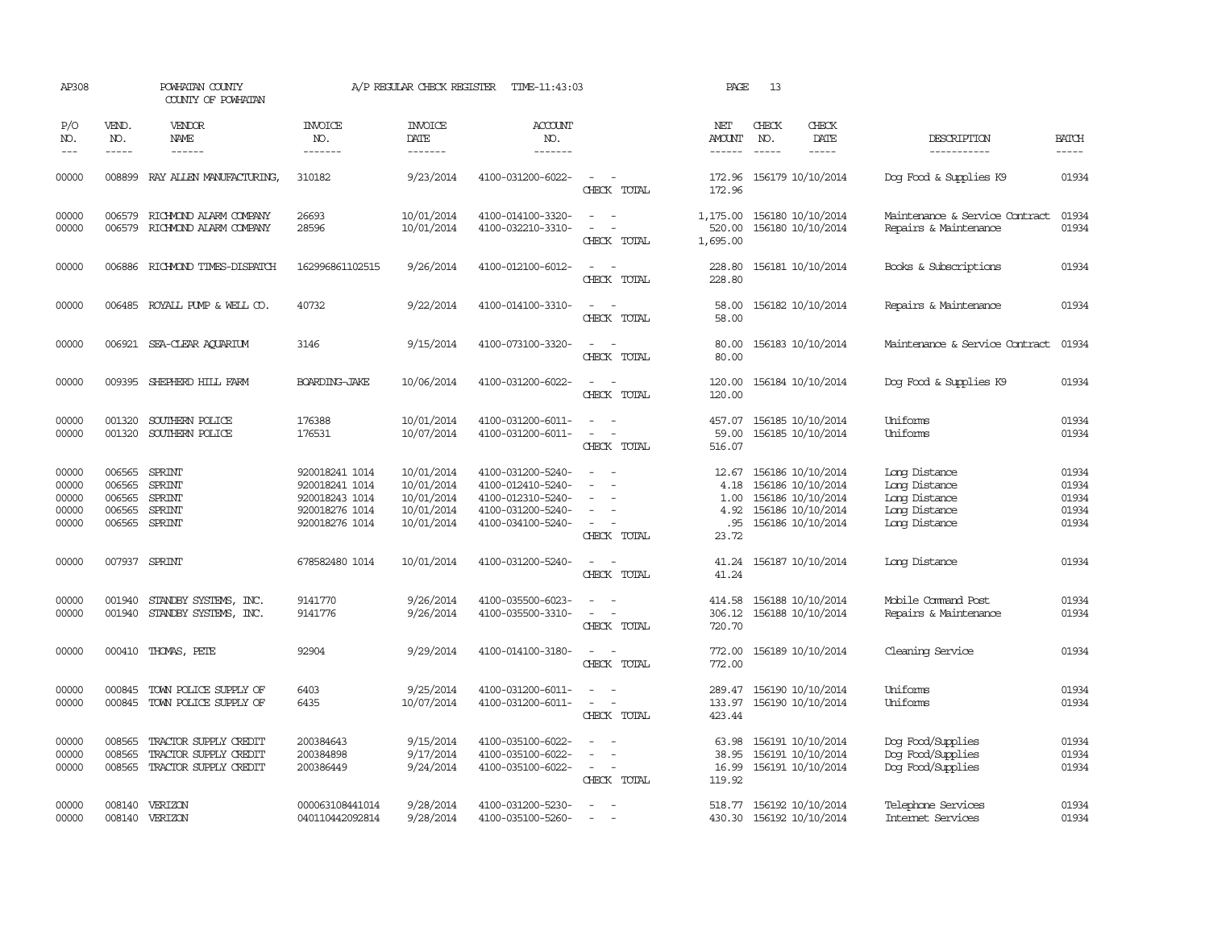| AP308                                     |                                      | POWHATAN COUNTY<br>COUNTY OF POWHATAN                                          |                                                                                        | A/P REGULAR CHECK REGISTER                                         | TIME-11:43:03                                                                                         |                                                             | PAGE                                          | 13                            |                                                                                                       |                                                                                   |                                           |
|-------------------------------------------|--------------------------------------|--------------------------------------------------------------------------------|----------------------------------------------------------------------------------------|--------------------------------------------------------------------|-------------------------------------------------------------------------------------------------------|-------------------------------------------------------------|-----------------------------------------------|-------------------------------|-------------------------------------------------------------------------------------------------------|-----------------------------------------------------------------------------------|-------------------------------------------|
| P/O<br>NO.<br>$---$                       | VEND.<br>NO.<br>$\frac{1}{2}$        | VENDOR<br>NAME                                                                 | <b>INVOICE</b><br>NO.<br>-------                                                       | <b>INVOICE</b><br>DATE<br>-------                                  | <b>ACCOUNT</b><br>NO.<br>-------                                                                      |                                                             | NET<br><b>AMOUNT</b><br>$- - - - - -$         | CHECK<br>NO.<br>$\frac{1}{2}$ | CHECK<br>DATE<br>$\frac{1}{2}$                                                                        | DESCRIPTION<br>-----------                                                        | <b>BATCH</b><br>-----                     |
| 00000                                     | 008899                               | RAY ALLEN MANUFACTURING,                                                       | 310182                                                                                 | 9/23/2014                                                          | 4100-031200-6022-                                                                                     | $\overline{\phantom{a}}$<br>CHECK TOTAL                     | 172.96<br>172.96                              |                               | 156179 10/10/2014                                                                                     | Dog Food & Supplies K9                                                            | 01934                                     |
| 00000<br>00000                            | 006579<br>006579                     | RICHMOND ALARM COMPANY<br>RICHMOND ALARM COMPANY                               | 26693<br>28596                                                                         | 10/01/2014<br>10/01/2014                                           | 4100-014100-3320-<br>4100-032210-3310-                                                                | $\sim$ $\sim$<br>CHECK TOTAL                                | 1,175.00<br>520.00<br>1,695.00                |                               | 156180 10/10/2014<br>156180 10/10/2014                                                                | Maintenance & Service Contract<br>Repairs & Maintenance                           | 01934<br>01934                            |
| 00000                                     | 006886                               | RICHMOND TIMES-DISPATCH                                                        | 162996861102515                                                                        | 9/26/2014                                                          | 4100-012100-6012-                                                                                     | CHECK TOTAL                                                 | 228.80<br>228.80                              |                               | 156181 10/10/2014                                                                                     | Books & Subscriptions                                                             | 01934                                     |
| 00000                                     |                                      | 006485 ROYALL PUMP & WELL CO.                                                  | 40732                                                                                  | 9/22/2014                                                          | 4100-014100-3310-                                                                                     | $\equiv$<br>CHECK TOTAL                                     | 58.00<br>58.00                                |                               | 156182 10/10/2014                                                                                     | Repairs & Maintenance                                                             | 01934                                     |
| 00000                                     |                                      | 006921 SEA-CLEAR AQUARIUM                                                      | 3146                                                                                   | 9/15/2014                                                          | 4100-073100-3320-                                                                                     | CHECK TOTAL                                                 | 80.00<br>80.00                                |                               | 156183 10/10/2014                                                                                     | Maintenance & Service Contract                                                    | 01934                                     |
| 00000                                     |                                      | 009395 SHEPHERD HILL FARM                                                      | BOARDING-JAKE                                                                          | 10/06/2014                                                         | 4100-031200-6022-                                                                                     | CHECK TOTAL                                                 | 120.00<br>120.00                              |                               | 156184 10/10/2014                                                                                     | Dog Food & Supplies K9                                                            | 01934                                     |
| 00000<br>00000                            | 001320<br>001320                     | SOUTHERN POLICE<br>SOUTHERN POLICE                                             | 176388<br>176531                                                                       | 10/01/2014<br>10/07/2014                                           | 4100-031200-6011-<br>4100-031200-6011-                                                                | $\sim$<br>CHECK TOTAL                                       | 457.07<br>59.00<br>516.07                     |                               | 156185 10/10/2014<br>156185 10/10/2014                                                                | Uniforms<br>Uniforms                                                              | 01934<br>01934                            |
| 00000<br>00000<br>00000<br>00000<br>00000 | 006565<br>006565<br>006565<br>006565 | SPRINT<br>SPRINT<br><b>SPRINT</b><br>SPRINT<br>006565 SPRINT                   | 920018241 1014<br>920018241 1014<br>920018243 1014<br>920018276 1014<br>920018276 1014 | 10/01/2014<br>10/01/2014<br>10/01/2014<br>10/01/2014<br>10/01/2014 | 4100-031200-5240-<br>4100-012410-5240-<br>4100-012310-5240-<br>4100-031200-5240-<br>4100-034100-5240- | $\overline{\phantom{a}}$<br>$\equiv$<br>CHECK TOTAL         | 12.67<br>4.18<br>1.00<br>4.92<br>.95<br>23.72 |                               | 156186 10/10/2014<br>156186 10/10/2014<br>156186 10/10/2014<br>156186 10/10/2014<br>156186 10/10/2014 | Long Distance<br>Long Distance<br>Long Distance<br>Long Distance<br>Long Distance | 01934<br>01934<br>01934<br>01934<br>01934 |
| 00000                                     |                                      | 007937 SPRINT                                                                  | 678582480 1014                                                                         | 10/01/2014                                                         | 4100-031200-5240-                                                                                     | $\overline{\phantom{a}}$<br>CHECK TOTAL                     | 41.24<br>41.24                                |                               | 156187 10/10/2014                                                                                     | Long Distance                                                                     | 01934                                     |
| 00000<br>00000                            | 001940                               | STANDBY SYSTEMS, INC.<br>001940 STANDBY SYSTEMS, INC.                          | 9141770<br>9141776                                                                     | 9/26/2014<br>9/26/2014                                             | 4100-035500-6023-<br>4100-035500-3310-                                                                | $\sim$<br>CHECK TOTAL                                       | 414.58<br>306.12<br>720.70                    |                               | 156188 10/10/2014<br>156188 10/10/2014                                                                | Mobile Command Post<br>Repairs & Maintenance                                      | 01934<br>01934                            |
| 00000                                     |                                      | 000410 THOMAS, PETE                                                            | 92904                                                                                  | 9/29/2014                                                          | 4100-014100-3180-                                                                                     | $\sim$<br>CHECK TOTAL                                       | 772.00<br>772.00                              |                               | 156189 10/10/2014                                                                                     | Cleaning Service                                                                  | 01934                                     |
| 00000<br>00000                            | 000845                               | TOWN POLICE SUPPLY OF<br>000845 TOWN POLICE SUPPLY OF                          | 6403<br>6435                                                                           | 9/25/2014<br>10/07/2014                                            | 4100-031200-6011-<br>4100-031200-6011-                                                                | $\overline{\phantom{a}}$<br>CHECK TOTAL                     | 289.47<br>133.97<br>423.44                    |                               | 156190 10/10/2014<br>156190 10/10/2014                                                                | Uniforms<br>Uniforms                                                              | 01934<br>01934                            |
| 00000<br>00000<br>00000                   | 008565<br>008565                     | TRACTOR SUPPLY CREDIT<br>TRACTOR SUPPLY CREDIT<br>008565 TRACTOR SUPPLY CREDIT | 200384643<br>200384898<br>200386449                                                    | 9/15/2014<br>9/17/2014<br>9/24/2014                                | 4100-035100-6022-<br>4100-035100-6022-<br>4100-035100-6022-                                           | $\sim$<br>$\sim$<br>$\overline{\phantom{a}}$<br>CHECK TOTAL | 63.98<br>38.95<br>119.92                      |                               | 156191 10/10/2014<br>156191 10/10/2014<br>16.99 156191 10/10/2014                                     | Dog Food/Supplies<br>Dog Food/Supplies<br>Dog Food/Supplies                       | 01934<br>01934<br>01934                   |
| 00000<br>00000                            |                                      | 008140 VERIZON<br>008140 VERIZON                                               | 000063108441014<br>040110442092814                                                     | 9/28/2014<br>9/28/2014                                             | 4100-031200-5230-<br>4100-035100-5260-                                                                | $\overline{\phantom{a}}$                                    |                                               |                               | 518.77 156192 10/10/2014<br>430.30 156192 10/10/2014                                                  | Telephone Services<br>Internet Services                                           | 01934<br>01934                            |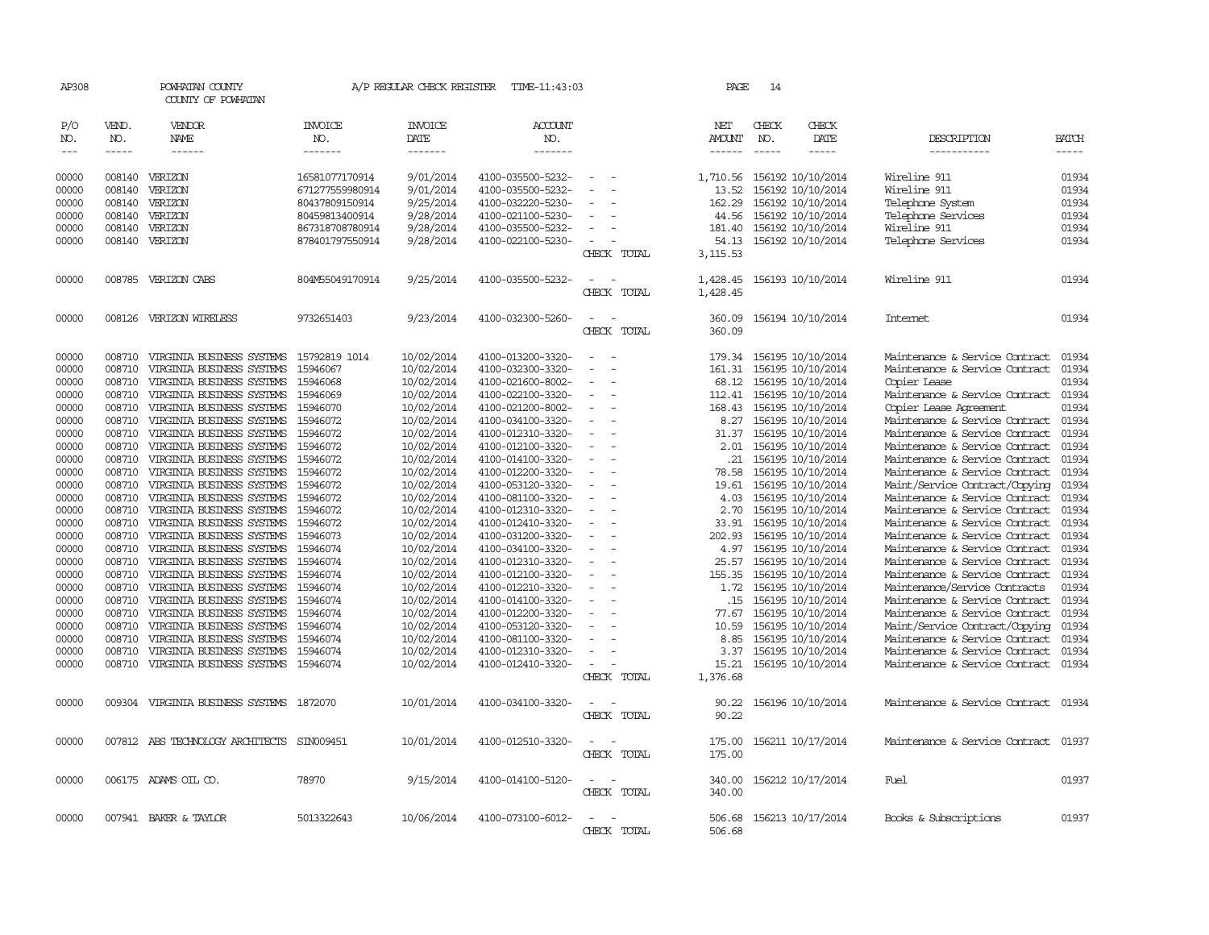| AP308         |             | POWHATAN COUNTY<br>COUNTY OF POWHATAN      |                 | A/P REGULAR CHECK REGISTER | TIME-11:43:03     |                          | PAGE           | 14                   |                         |                                      |              |
|---------------|-------------|--------------------------------------------|-----------------|----------------------------|-------------------|--------------------------|----------------|----------------------|-------------------------|--------------------------------------|--------------|
| P/O           | VEND.       | VENDOR                                     | <b>INVOICE</b>  | <b>INVOICE</b>             | ACCOUNT           |                          | NET            | CHECK                | CHECK                   |                                      |              |
| NO.           | NO.         | NAME                                       | NO.             | DATE                       | NO.<br>-------    |                          | <b>AMOUNT</b>  | NO.<br>$\frac{1}{2}$ | DATE                    | DESCRIPTION                          | <b>BATCH</b> |
| $\frac{1}{2}$ | $- - - - -$ | ------                                     | -------         | -------                    |                   |                          | ------         |                      | -----                   | -----------                          | -----        |
| 00000         |             | 008140 VERIZON                             | 16581077170914  | 9/01/2014                  | 4100-035500-5232- | $\overline{\phantom{a}}$ | 1,710.56       |                      | 156192 10/10/2014       | Wireline 911                         | 01934        |
| 00000         | 008140      | VERIZON                                    | 671277559980914 | 9/01/2014                  | 4100-035500-5232- | $\overline{\phantom{a}}$ | 13.52          |                      | 156192 10/10/2014       | Wireline 911                         | 01934        |
| 00000         | 008140      | VERIZON                                    | 80437809150914  | 9/25/2014                  | 4100-032220-5230- |                          | 162.29         |                      | 156192 10/10/2014       | Telephone System                     | 01934        |
| 00000         | 008140      | VERIZON                                    | 80459813400914  | 9/28/2014                  | 4100-021100-5230- |                          | 44.56          |                      | 156192 10/10/2014       | Telephone Services                   | 01934        |
| 00000         | 008140      | VERIZON                                    | 867318708780914 | 9/28/2014                  | 4100-035500-5232- | $\equiv$                 | 181.40         |                      | 156192 10/10/2014       | Wireline 911                         | 01934        |
|               |             |                                            |                 |                            |                   | $\equiv$                 |                |                      |                         |                                      |              |
| 00000         | 008140      | VERIZON                                    | 878401797550914 | 9/28/2014                  | 4100-022100-5230- |                          |                |                      | 54.13 156192 10/10/2014 | Telephone Services                   | 01934        |
|               |             |                                            |                 |                            |                   | CHECK TOTAL              | 3,115.53       |                      |                         |                                      |              |
| 00000         |             | 008785 VERIZON CABS                        | 804M55049170914 | 9/25/2014                  | 4100-035500-5232- |                          | 1,428.45       |                      | 156193 10/10/2014       | Wireline 911                         | 01934        |
|               |             |                                            |                 |                            |                   | CHECK TOTAL              | 1,428.45       |                      |                         |                                      |              |
|               |             |                                            |                 |                            |                   |                          |                |                      |                         |                                      |              |
| 00000         |             | 008126 VERIZON WIRELESS                    | 9732651403      | 9/23/2014                  | 4100-032300-5260- |                          | 360.09         |                      | 156194 10/10/2014       | Internet                             | 01934        |
|               |             |                                            |                 |                            |                   | CHECK TOTAL              | 360.09         |                      |                         |                                      |              |
| 00000         | 008710      | VIRGINIA BUSINESS SYSTEMS                  | 15792819 1014   | 10/02/2014                 | 4100-013200-3320- | $\overline{\phantom{a}}$ | 179.34         |                      | 156195 10/10/2014       | Maintenance & Service Contract       | 01934        |
| 00000         | 008710      | VIRGINIA BUSINESS SYSTEMS                  | 15946067        | 10/02/2014                 | 4100-032300-3320- |                          | 161.31         |                      | 156195 10/10/2014       | Maintenance & Service Contract       | 01934        |
| 00000         | 008710      | VIRGINIA BUSINESS SYSTEMS                  | 15946068        | 10/02/2014                 | 4100-021600-8002- | $\equiv$                 | 68.12          |                      | 156195 10/10/2014       | Copier Lease                         | 01934        |
| 00000         | 008710      | VIRGINIA BUSINESS SYSTEMS                  | 15946069        | 10/02/2014                 | 4100-022100-3320- |                          | 112.41         |                      | 156195 10/10/2014       | Maintenance & Service Contract       | 01934        |
| 00000         | 008710      | VIRGINIA BUSINESS SYSTEMS                  | 15946070        | 10/02/2014                 | 4100-021200-8002- | $\overline{\phantom{a}}$ | 168.43         |                      | 156195 10/10/2014       | Copier Lease Agreement               | 01934        |
| 00000         | 008710      | VIRGINIA BUSINESS SYSTEMS                  | 15946072        | 10/02/2014                 | 4100-034100-3320- | $\equiv$                 | 8.27           |                      | 156195 10/10/2014       | Maintenance & Service Contract       | 01934        |
| 00000         | 008710      | VIRGINIA BUSINESS SYSTEMS                  | 15946072        | 10/02/2014                 | 4100-012310-3320- | $\overline{\phantom{a}}$ | 31.37          |                      | 156195 10/10/2014       | Maintenance & Service Contract       | 01934        |
| 00000         | 008710      | VIRGINIA BUSINESS SYSTEMS                  | 15946072        | 10/02/2014                 | 4100-012100-3320- |                          | 2.01           |                      | 156195 10/10/2014       | Maintenance & Service Contract       | 01934        |
|               | 008710      |                                            |                 | 10/02/2014                 |                   | $\equiv$                 | .21            |                      |                         | Maintenance & Service Contract       | 01934        |
| 00000         | 008710      | VIRGINIA BUSINESS SYSTEMS                  | 15946072        | 10/02/2014                 | 4100-014100-3320- | $\sim$                   |                |                      | 156195 10/10/2014       |                                      | 01934        |
| 00000         | 008710      | VIRGINIA BUSINESS SYSTEMS                  | 15946072        |                            | 4100-012200-3320- |                          | 78.58<br>19.61 |                      | 156195 10/10/2014       | Maintenance & Service Contract       | 01934        |
| 00000         |             | VIRGINIA BUSINESS SYSTEMS                  | 15946072        | 10/02/2014                 | 4100-053120-3320- |                          |                |                      | 156195 10/10/2014       | Maint/Service Contract/Copying       |              |
| 00000         | 008710      | VIRGINIA BUSINESS SYSTEMS                  | 15946072        | 10/02/2014                 | 4100-081100-3320- | $\equiv$                 | 4.03           |                      | 156195 10/10/2014       | Maintenance & Service Contract       | 01934        |
| 00000         | 008710      | VIRGINIA BUSINESS SYSTEMS                  | 15946072        | 10/02/2014                 | 4100-012310-3320- | $\overline{\phantom{a}}$ | 2.70           |                      | 156195 10/10/2014       | Maintenance & Service Contract       | 01934        |
| 00000         | 008710      | VIRGINIA BUSINESS SYSTEMS                  | 15946072        | 10/02/2014                 | 4100-012410-3320- | $\equiv$                 | 33.91          |                      | 156195 10/10/2014       | Maintenance & Service Contract       | 01934        |
| 00000         | 008710      | VIRGINIA BUSINESS SYSTEMS                  | 15946073        | 10/02/2014                 | 4100-031200-3320- |                          | 202.93         |                      | 156195 10/10/2014       | Maintenance & Service Contract       | 01934        |
| 00000         | 008710      | VIRGINIA BUSINESS SYSTEMS                  | 15946074        | 10/02/2014                 | 4100-034100-3320- | $\overline{\phantom{a}}$ |                |                      | 4.97 156195 10/10/2014  | Maintenance & Service Contract       | 01934        |
| 00000         | 008710      | VIRGINIA BUSINESS SYSTEMS                  | 15946074        | 10/02/2014                 | 4100-012310-3320- | $\overline{\phantom{a}}$ | 25.57          |                      | 156195 10/10/2014       | Maintenance & Service Contract       | 01934        |
| 00000         | 008710      | VIRGINIA BUSINESS SYSTEMS                  | 15946074        | 10/02/2014                 | 4100-012100-3320- | $\overline{\phantom{a}}$ | 155.35         |                      | 156195 10/10/2014       | Maintenance & Service Contract       | 01934        |
| 00000         | 008710      | VIRGINIA BUSINESS SYSTEMS                  | 15946074        | 10/02/2014                 | 4100-012210-3320- |                          | 1.72           |                      | 156195 10/10/2014       | Maintenance/Service Contracts        | 01934        |
| 00000         | 008710      | VIRGINIA BUSINESS SYSTEMS                  | 15946074        | 10/02/2014                 | 4100-014100-3320- | $\sim$                   | .15            |                      | 156195 10/10/2014       | Maintenance & Service Contract       | 01934        |
| 00000         | 008710      | VIRGINIA BUSINESS SYSTEMS                  | 15946074        | 10/02/2014                 | 4100-012200-3320- |                          | 77.67          |                      | 156195 10/10/2014       | Maintenance & Service Contract       | 01934        |
| 00000         | 008710      | VIRGINIA BUSINESS SYSTEMS                  | 15946074        | 10/02/2014                 | 4100-053120-3320- |                          | 10.59          |                      | 156195 10/10/2014       | Maint/Service Contract/Copying       | 01934        |
| 00000         | 008710      | VIRGINIA BUSINESS SYSTEMS                  | 15946074        | 10/02/2014                 | 4100-081100-3320- |                          | 8.85           |                      | 156195 10/10/2014       | Maintenance & Service Contract       | 01934        |
| 00000         | 008710      | VIRGINIA BUSINESS SYSTEMS                  | 15946074        | 10/02/2014                 | 4100-012310-3320- |                          | 3.37           |                      | 156195 10/10/2014       | Maintenance & Service Contract       | 01934        |
| 00000         | 008710      | VIRGINIA BUSINESS SYSTEMS                  | 15946074        | 10/02/2014                 | 4100-012410-3320- |                          | 15.21          |                      | 156195 10/10/2014       | Maintenance & Service Contract       | 01934        |
|               |             |                                            |                 |                            |                   | CHECK TOTAL              | 1,376.68       |                      |                         |                                      |              |
| 00000         |             | 009304 VIRGINIA BUSINESS SYSTEMS 1872070   |                 | 10/01/2014                 | 4100-034100-3320- |                          | 90.22          |                      | 156196 10/10/2014       | Maintenance & Service Contract       | 01934        |
|               |             |                                            |                 |                            |                   | CHECK TOTAL              | 90.22          |                      |                         |                                      |              |
|               |             |                                            |                 |                            |                   |                          |                |                      |                         |                                      |              |
| 00000         |             | 007812 ABS TECHNOLOGY ARCHITECTS SIN009451 |                 | 10/01/2014                 | 4100-012510-3320- |                          | 175.00         |                      | 156211 10/17/2014       | Maintenance & Service Contract 01937 |              |
|               |             |                                            |                 |                            |                   | CHECK TOTAL              | 175.00         |                      |                         |                                      |              |
|               |             |                                            |                 |                            |                   |                          |                |                      |                         |                                      |              |
| 00000         |             | 006175 ADAMS OIL CO.                       | 78970           | 9/15/2014                  | 4100-014100-5120- |                          | 340.00         |                      | 156212 10/17/2014       | Fuel                                 | 01937        |
|               |             |                                            |                 |                            |                   | CHECK TOTAL              | 340.00         |                      |                         |                                      |              |
| 00000         |             | 007941 BAKER & TAYLOR                      | 5013322643      | 10/06/2014                 | 4100-073100-6012- |                          | 506.68         |                      | 156213 10/17/2014       | Books & Subscriptions                | 01937        |
|               |             |                                            |                 |                            |                   | CHECK TOTAL              | 506.68         |                      |                         |                                      |              |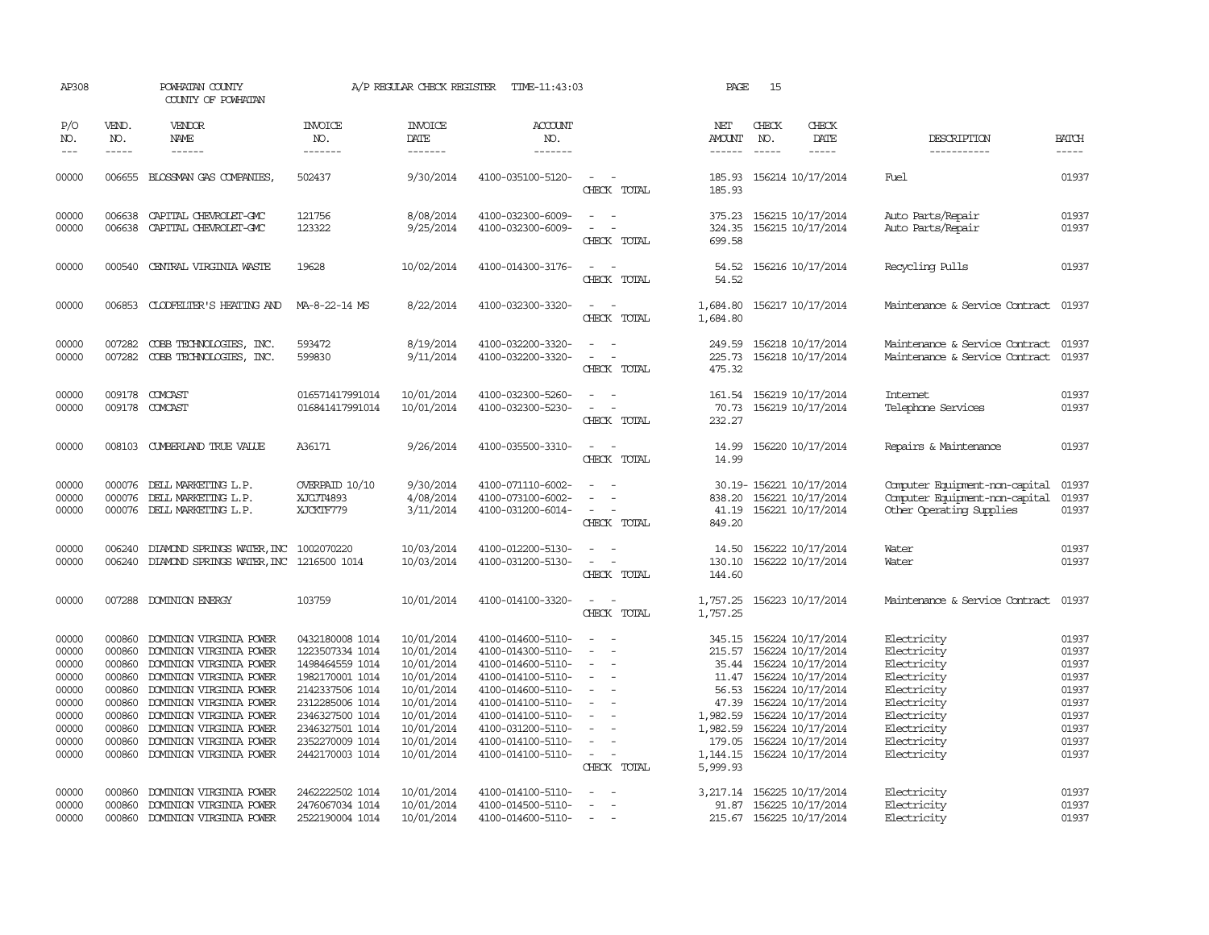| AP308                                                                                  |                                                                                                                                                                                                                                                                                                                                                                                                                                                                                                     | POWHATAN COUNTY<br>COUNTY OF POWHATAN                                                                                                                                                                                                                                      |                                                                                                                                                                                            | A/P REGULAR CHECK REGISTER                                                                                                               | TIME-11:43:03                                                                                                                                                                                                  |                                                                                                                 | PAGE                                                                                        | 15                          |                                                                                                                                                                                                                             |                                                                                                                                                    |                                                                                        |
|----------------------------------------------------------------------------------------|-----------------------------------------------------------------------------------------------------------------------------------------------------------------------------------------------------------------------------------------------------------------------------------------------------------------------------------------------------------------------------------------------------------------------------------------------------------------------------------------------------|----------------------------------------------------------------------------------------------------------------------------------------------------------------------------------------------------------------------------------------------------------------------------|--------------------------------------------------------------------------------------------------------------------------------------------------------------------------------------------|------------------------------------------------------------------------------------------------------------------------------------------|----------------------------------------------------------------------------------------------------------------------------------------------------------------------------------------------------------------|-----------------------------------------------------------------------------------------------------------------|---------------------------------------------------------------------------------------------|-----------------------------|-----------------------------------------------------------------------------------------------------------------------------------------------------------------------------------------------------------------------------|----------------------------------------------------------------------------------------------------------------------------------------------------|----------------------------------------------------------------------------------------|
| P/O<br>NO.<br>$---$                                                                    | VEND.<br>NO.<br>$\begin{tabular}{ccccc} \multicolumn{2}{c}{} & \multicolumn{2}{c}{} & \multicolumn{2}{c}{} & \multicolumn{2}{c}{} & \multicolumn{2}{c}{} & \multicolumn{2}{c}{} & \multicolumn{2}{c}{} & \multicolumn{2}{c}{} & \multicolumn{2}{c}{} & \multicolumn{2}{c}{} & \multicolumn{2}{c}{} & \multicolumn{2}{c}{} & \multicolumn{2}{c}{} & \multicolumn{2}{c}{} & \multicolumn{2}{c}{} & \multicolumn{2}{c}{} & \multicolumn{2}{c}{} & \multicolumn{2}{c}{} & \multicolumn{2}{c}{} & \mult$ | <b>VENDOR</b><br>NAME                                                                                                                                                                                                                                                      | <b>INVOICE</b><br>NO.<br>-------                                                                                                                                                           | <b>INVOICE</b><br><b>DATE</b><br>-------                                                                                                 | <b>ACCOUNT</b><br>NO.<br>-------                                                                                                                                                                               |                                                                                                                 | NET<br><b>AMOUNT</b><br>$- - - - - -$                                                       | CHECK<br>NO.<br>$- - - - -$ | CHECK<br>DATE<br>$- - - - -$                                                                                                                                                                                                | DESCRIPTION<br>-----------                                                                                                                         | <b>BATCH</b><br>$- - - - -$                                                            |
| 00000                                                                                  |                                                                                                                                                                                                                                                                                                                                                                                                                                                                                                     | 006655 BLOSSMAN GAS COMPANIES,                                                                                                                                                                                                                                             | 502437                                                                                                                                                                                     | 9/30/2014                                                                                                                                | 4100-035100-5120-                                                                                                                                                                                              | $\sim$<br>$\sim$<br>CHECK TOTAL                                                                                 | 185.93<br>185.93                                                                            |                             | 156214 10/17/2014                                                                                                                                                                                                           | <b>Fuel</b>                                                                                                                                        | 01937                                                                                  |
| 00000<br>00000                                                                         | 006638                                                                                                                                                                                                                                                                                                                                                                                                                                                                                              | 006638 CAPITAL CHEVROLET-GMC<br>CAPITAL CHEVROLET-GMC                                                                                                                                                                                                                      | 121756<br>123322                                                                                                                                                                           | 8/08/2014<br>9/25/2014                                                                                                                   | 4100-032300-6009-<br>4100-032300-6009-                                                                                                                                                                         | $\overline{\phantom{a}}$<br>$\sim$<br>$\equiv$<br>$\overline{\phantom{a}}$<br>CHECK TOTAL                       | 375.23<br>324.35<br>699.58                                                                  |                             | 156215 10/17/2014<br>156215 10/17/2014                                                                                                                                                                                      | Auto Parts/Repair<br>Auto Parts/Repair                                                                                                             | 01937<br>01937                                                                         |
| 00000                                                                                  | 000540                                                                                                                                                                                                                                                                                                                                                                                                                                                                                              | CENTRAL VIRGINIA WASTE                                                                                                                                                                                                                                                     | 19628                                                                                                                                                                                      | 10/02/2014                                                                                                                               | 4100-014300-3176-                                                                                                                                                                                              | $\sim$<br>$\sim$<br>CHECK TOTAL                                                                                 | 54.52<br>54.52                                                                              |                             | 156216 10/17/2014                                                                                                                                                                                                           | Recycling Pulls                                                                                                                                    | 01937                                                                                  |
| 00000                                                                                  |                                                                                                                                                                                                                                                                                                                                                                                                                                                                                                     | 006853 CLODFELTER'S HEATING AND                                                                                                                                                                                                                                            | MA-8-22-14 MS                                                                                                                                                                              | 8/22/2014                                                                                                                                | 4100-032300-3320-                                                                                                                                                                                              | $\equiv$<br>$\sim$<br>CHECK TOTAL                                                                               | 1,684.80<br>1,684.80                                                                        |                             | 156217 10/17/2014                                                                                                                                                                                                           | Maintenance & Service Contract                                                                                                                     | 01937                                                                                  |
| 00000<br>00000                                                                         | 007282<br>007282                                                                                                                                                                                                                                                                                                                                                                                                                                                                                    | COBB TECHNOLOGIES, INC.<br>COBB TECHNOLOGIES, INC.                                                                                                                                                                                                                         | 593472<br>599830                                                                                                                                                                           | 8/19/2014<br>9/11/2014                                                                                                                   | 4100-032200-3320-<br>4100-032200-3320-                                                                                                                                                                         | $\sim$<br>$\sim$<br>CHECK TOTAL                                                                                 | 249.59<br>225.73<br>475.32                                                                  |                             | 156218 10/17/2014<br>156218 10/17/2014                                                                                                                                                                                      | Maintenance & Service Contract<br>Maintenance & Service Contract                                                                                   | 01937<br>01937                                                                         |
| 00000<br>00000                                                                         |                                                                                                                                                                                                                                                                                                                                                                                                                                                                                                     | 009178 COMCAST<br>009178 COMCAST                                                                                                                                                                                                                                           | 016571417991014<br>016841417991014                                                                                                                                                         | 10/01/2014<br>10/01/2014                                                                                                                 | 4100-032300-5260-<br>4100-032300-5230-                                                                                                                                                                         | $\sim$<br>$\equiv$<br>CHECK TOTAL                                                                               | 161.54<br>70.73<br>232.27                                                                   |                             | 156219 10/17/2014<br>156219 10/17/2014                                                                                                                                                                                      | <b>Internet</b><br>Telephone Services                                                                                                              | 01937<br>01937                                                                         |
| 00000                                                                                  |                                                                                                                                                                                                                                                                                                                                                                                                                                                                                                     | 008103 CUMBERLAND TRUE VALUE                                                                                                                                                                                                                                               | A36171                                                                                                                                                                                     | 9/26/2014                                                                                                                                | 4100-035500-3310-                                                                                                                                                                                              | $\overline{a}$<br>$\overline{\phantom{a}}$<br>CHECK TOTAL                                                       | 14.99<br>14.99                                                                              |                             | 156220 10/17/2014                                                                                                                                                                                                           | Repairs & Maintenance                                                                                                                              | 01937                                                                                  |
| 00000<br>00000<br>00000                                                                | 000076<br>000076                                                                                                                                                                                                                                                                                                                                                                                                                                                                                    | DELL MARKETING L.P.<br>DELL MARKETING L.P.<br>000076 DELL MARKETING L.P.                                                                                                                                                                                                   | OVERPAID 10/10<br>XJCJT4893<br>XJCKTF779                                                                                                                                                   | 9/30/2014<br>4/08/2014<br>3/11/2014                                                                                                      | 4100-071110-6002-<br>4100-073100-6002-<br>4100-031200-6014-                                                                                                                                                    | $\equiv$<br>$\sim$<br>CHECK TOTAL                                                                               | 838.20<br>849.20                                                                            |                             | 30.19-156221 10/17/2014<br>156221 10/17/2014<br>41.19 156221 10/17/2014                                                                                                                                                     | Computer Equipment-non-capital<br>Computer Equipment-non-capital<br>Other Operating Supplies                                                       | 01937<br>01937<br>01937                                                                |
| 00000<br>00000                                                                         | 006240                                                                                                                                                                                                                                                                                                                                                                                                                                                                                              | DIAMOND SPRINGS WATER, INC 1002070220<br>006240 DIAMOND SPRINGS WATER, INC 1216500 1014                                                                                                                                                                                    |                                                                                                                                                                                            | 10/03/2014<br>10/03/2014                                                                                                                 | 4100-012200-5130-<br>4100-031200-5130-                                                                                                                                                                         | $\overline{\phantom{a}}$<br>CHECK TOTAL                                                                         | 14.50<br>130.10<br>144.60                                                                   |                             | 156222 10/17/2014<br>156222 10/17/2014                                                                                                                                                                                      | Water<br>Water                                                                                                                                     | 01937<br>01937                                                                         |
| 00000                                                                                  |                                                                                                                                                                                                                                                                                                                                                                                                                                                                                                     | 007288 DOMINION ENERGY                                                                                                                                                                                                                                                     | 103759                                                                                                                                                                                     | 10/01/2014                                                                                                                               | 4100-014100-3320-                                                                                                                                                                                              | $\sim$ $\sim$<br>CHECK TOTAL                                                                                    | 1,757.25<br>1,757.25                                                                        |                             | 156223 10/17/2014                                                                                                                                                                                                           | Maintenance & Service Contract                                                                                                                     | 01937                                                                                  |
| 00000<br>00000<br>00000<br>00000<br>00000<br>00000<br>00000<br>00000<br>00000<br>00000 | 000860<br>000860<br>000860<br>000860<br>000860<br>000860<br>000860<br>000860<br>000860<br>000860                                                                                                                                                                                                                                                                                                                                                                                                    | DOMINION VIRGINIA POWER<br>DOMINION VIRGINIA POWER<br>DOMINION VIRGINIA POWER<br>DOMINION VIRGINIA POWER<br>DOMINION VIRGINIA POWER<br>DOMINION VIRGINIA POWER<br>DOMINION VIRGINIA POWER<br>DOMINION VIRGINIA POWER<br>DOMINION VIRGINIA POWER<br>DOMINION VIRGINIA POWER | 0432180008 1014<br>1223507334 1014<br>1498464559 1014<br>1982170001 1014<br>2142337506 1014<br>2312285006 1014<br>2346327500 1014<br>2346327501 1014<br>2352270009 1014<br>2442170003 1014 | 10/01/2014<br>10/01/2014<br>10/01/2014<br>10/01/2014<br>10/01/2014<br>10/01/2014<br>10/01/2014<br>10/01/2014<br>10/01/2014<br>10/01/2014 | 4100-014600-5110-<br>4100-014300-5110-<br>4100-014600-5110-<br>4100-014100-5110-<br>4100-014600-5110-<br>4100-014100-5110-<br>4100-014100-5110-<br>4100-031200-5110-<br>4100-014100-5110-<br>4100-014100-5110- | $\sim$<br>$\overline{\phantom{a}}$<br>$\sim$<br>$\sim$<br>$\equiv$<br>$\sim$<br>$\sim$<br>$\sim$<br>CHECK TOTAL | 215.57<br>35.44<br>56.53<br>47.39<br>1,982.59<br>1,982.59<br>179.05<br>1,144.15<br>5,999.93 |                             | 345.15 156224 10/17/2014<br>156224 10/17/2014<br>156224 10/17/2014<br>11.47 156224 10/17/2014<br>156224 10/17/2014<br>156224 10/17/2014<br>156224 10/17/2014<br>156224 10/17/2014<br>156224 10/17/2014<br>156224 10/17/2014 | Electricity<br>Electricity<br>Electricity<br>Electricity<br>Electricity<br>Electricity<br>Electricity<br>Electricity<br>Electricity<br>Electricity | 01937<br>01937<br>01937<br>01937<br>01937<br>01937<br>01937<br>01937<br>01937<br>01937 |
| 00000<br>00000<br>00000                                                                | 000860<br>000860<br>000860                                                                                                                                                                                                                                                                                                                                                                                                                                                                          | DOMINION VIRGINIA POWER<br>DOMINION VIRGINIA POWER<br>DOMINION VIRGINIA POWER                                                                                                                                                                                              | 2462222502 1014<br>2476067034 1014<br>2522190004 1014                                                                                                                                      | 10/01/2014<br>10/01/2014<br>10/01/2014                                                                                                   | 4100-014100-5110-<br>4100-014500-5110-<br>4100-014600-5110-                                                                                                                                                    | $\overline{\phantom{a}}$<br>$\sim$                                                                              | 3,217.14<br>91.87                                                                           |                             | 156225 10/17/2014<br>156225 10/17/2014<br>215.67 156225 10/17/2014                                                                                                                                                          | Electricity<br>Electricity<br>Electricity                                                                                                          | 01937<br>01937<br>01937                                                                |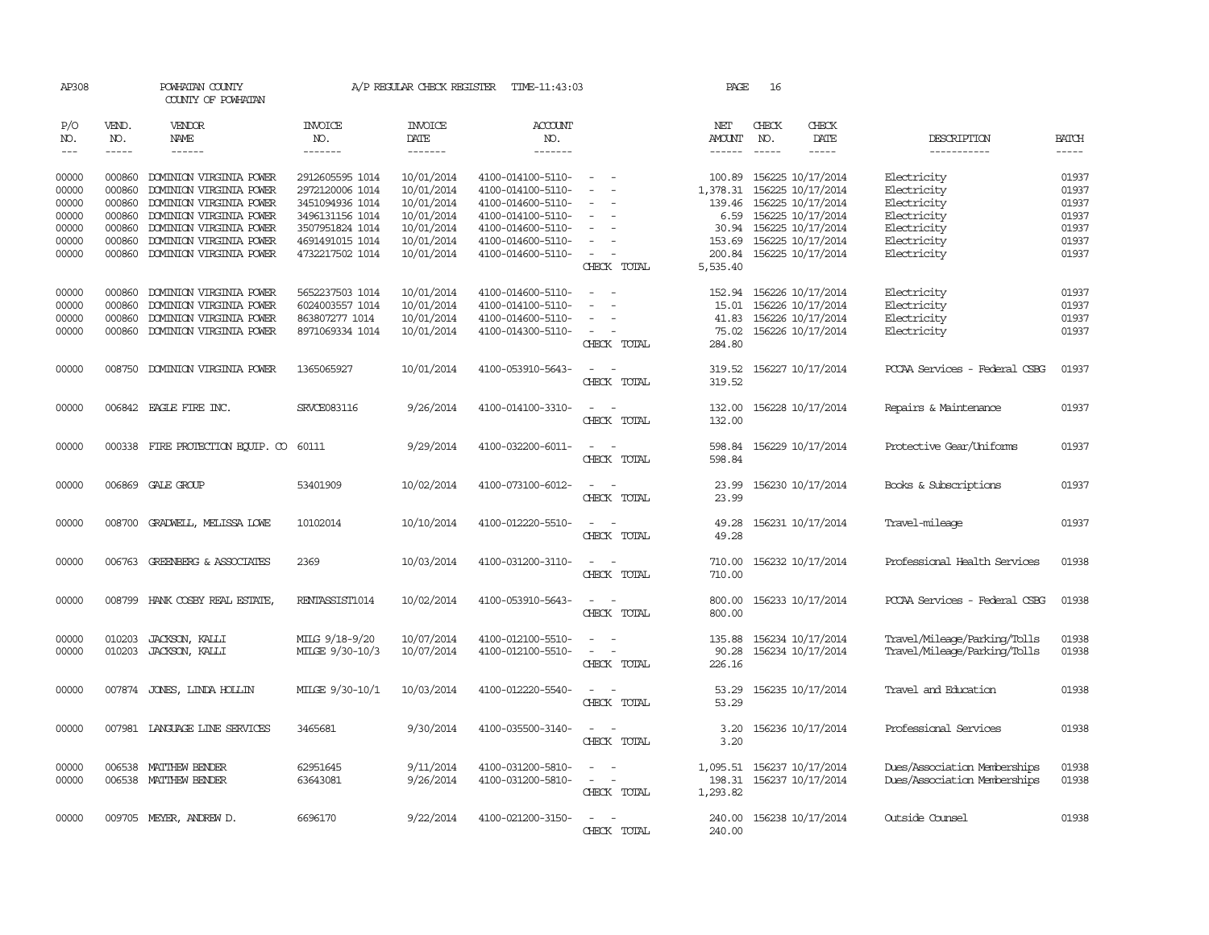| AP308               |                                                                                                                                                                                                                                                                                                                                                                                                                                                                         | POWHATAN COUNTY<br>COUNTY OF POWHATAN |                                  | A/P REGULAR CHECK REGISTER        | TIME-11:43:03                    |                                      | PAGE                           | 16                            |                              |                               |              |
|---------------------|-------------------------------------------------------------------------------------------------------------------------------------------------------------------------------------------------------------------------------------------------------------------------------------------------------------------------------------------------------------------------------------------------------------------------------------------------------------------------|---------------------------------------|----------------------------------|-----------------------------------|----------------------------------|--------------------------------------|--------------------------------|-------------------------------|------------------------------|-------------------------------|--------------|
| P/O<br>NO.<br>$---$ | VEND.<br>NO.<br>$\begin{tabular}{ccccc} \multicolumn{2}{c }{\multicolumn{2}{c }{\multicolumn{2}{c }{\multicolumn{2}{c}}{\hspace{-2.2cm}}}} \multicolumn{2}{c }{\multicolumn{2}{c }{\hspace{-2.2cm}}\hline} \multicolumn{2}{c }{\hspace{-2.2cm}}\hline \multicolumn{2}{c }{\hspace{-2.2cm}}\hline \multicolumn{2}{c }{\hspace{-2.2cm}}\hline \multicolumn{2}{c }{\hspace{-2.2cm}}\hline \multicolumn{2}{c }{\hspace{-2.2cm}}\hline \multicolumn{2}{c }{\hspace{-2.2cm}}$ | <b>VENDOR</b><br>NAME<br>------       | <b>INVOICE</b><br>NO.<br>------- | <b>INVOICE</b><br>DATE<br>------- | <b>ACCOUNT</b><br>NO.<br>------- |                                      | NET<br>AMOUNT<br>$- - - - - -$ | CHECK<br>NO.<br>$\frac{1}{2}$ | CHECK<br>DATE<br>$- - - - -$ | DESCRIPTION                   | <b>BATCH</b> |
|                     |                                                                                                                                                                                                                                                                                                                                                                                                                                                                         |                                       |                                  |                                   |                                  |                                      |                                |                               |                              | -----------                   |              |
| 00000               | 000860                                                                                                                                                                                                                                                                                                                                                                                                                                                                  | DOMINION VIRGINIA POWER               | 2912605595 1014                  | 10/01/2014                        | 4100-014100-5110-                | $\overline{\phantom{a}}$             | 100.89                         |                               | 156225 10/17/2014            | Electricity                   | 01937        |
| 00000               | 000860                                                                                                                                                                                                                                                                                                                                                                                                                                                                  | DOMINION VIRGINIA POWER               | 2972120006 1014                  | 10/01/2014                        | 4100-014100-5110-                | $\sim$<br>$\sim$                     | 1,378.31                       |                               | 156225 10/17/2014            | Electricity                   | 01937        |
| 00000               | 000860                                                                                                                                                                                                                                                                                                                                                                                                                                                                  | DOMINION VIRGINIA POWER               | 3451094936 1014                  | 10/01/2014                        | 4100-014600-5110-                | $\sim$                               | 139.46                         |                               | 156225 10/17/2014            | Electricity                   | 01937        |
| 00000               | 000860                                                                                                                                                                                                                                                                                                                                                                                                                                                                  | DOMINION VIRGINIA POWER               | 3496131156 1014                  | 10/01/2014                        | 4100-014100-5110-                | $\equiv$                             | 6.59                           |                               | 156225 10/17/2014            | Electricity                   | 01937        |
| 00000               | 000860                                                                                                                                                                                                                                                                                                                                                                                                                                                                  | DOMINION VIRGINIA POWER               | 3507951824 1014                  | 10/01/2014                        | 4100-014600-5110-                | $\sim$<br>$\overline{\phantom{a}}$   |                                |                               | 30.94 156225 10/17/2014      | Electricity                   | 01937        |
| 00000               | 000860                                                                                                                                                                                                                                                                                                                                                                                                                                                                  | DOMINION VIRGINIA POWER               | 4691491015 1014                  | 10/01/2014                        | 4100-014600-5110-                | $\sim$                               | 153.69                         |                               | 156225 10/17/2014            | Electricity                   | 01937        |
| 00000               |                                                                                                                                                                                                                                                                                                                                                                                                                                                                         | 000860 DOMINION VIRGINIA POWER        | 4732217502 1014                  | 10/01/2014                        | 4100-014600-5110-                | $\sim$<br>$\overline{\phantom{a}}$   | 200.84                         |                               | 156225 10/17/2014            | Electricity                   | 01937        |
|                     |                                                                                                                                                                                                                                                                                                                                                                                                                                                                         |                                       |                                  |                                   |                                  | CHECK TOTAL                          | 5,535.40                       |                               |                              |                               |              |
| 00000               | 000860                                                                                                                                                                                                                                                                                                                                                                                                                                                                  | DOMINION VIRGINIA POWER               | 5652237503 1014                  | 10/01/2014                        | 4100-014600-5110-                | $\sim$<br>$\overline{\phantom{a}}$   | 152.94                         |                               | 156226 10/17/2014            | Electricity                   | 01937        |
| 00000               | 000860                                                                                                                                                                                                                                                                                                                                                                                                                                                                  | DOMINION VIRGINIA POWER               | 6024003557 1014                  | 10/01/2014                        | 4100-014100-5110-                |                                      | 15.01                          |                               | 156226 10/17/2014            | Electricity                   | 01937        |
| 00000               | 000860                                                                                                                                                                                                                                                                                                                                                                                                                                                                  | DOMINION VIRGINIA POWER               | 863807277 1014                   | 10/01/2014                        | 4100-014600-5110-                | $\equiv$<br>$\sim$                   | 41.83                          |                               | 156226 10/17/2014            | Electricity                   | 01937        |
| 00000               | 000860                                                                                                                                                                                                                                                                                                                                                                                                                                                                  | DOMINION VIRGINIA POWER               | 8971069334 1014                  | 10/01/2014                        | 4100-014300-5110-                | $\sim$                               | 75.02                          |                               | 156226 10/17/2014            | Electricity                   | 01937        |
|                     |                                                                                                                                                                                                                                                                                                                                                                                                                                                                         |                                       |                                  |                                   |                                  | CHECK TOTAL                          | 284.80                         |                               |                              |                               |              |
| 00000               |                                                                                                                                                                                                                                                                                                                                                                                                                                                                         | 008750 DOMINION VIRGINIA POWER        | 1365065927                       | 10/01/2014                        | 4100-053910-5643-                | $\sim$<br>$\sim$                     | 319.52                         |                               | 156227 10/17/2014            | POCAA Services - Federal CSBG | 01937        |
|                     |                                                                                                                                                                                                                                                                                                                                                                                                                                                                         |                                       |                                  |                                   |                                  | CHECK TOTAL                          | 319.52                         |                               |                              |                               |              |
| 00000               |                                                                                                                                                                                                                                                                                                                                                                                                                                                                         | 006842 EAGLE FIRE INC.                | SRVCE083116                      | 9/26/2014                         | 4100-014100-3310-                | $\sim$ $\sim$                        | 132.00                         |                               | 156228 10/17/2014            | Repairs & Maintenance         | 01937        |
|                     |                                                                                                                                                                                                                                                                                                                                                                                                                                                                         |                                       |                                  |                                   |                                  | CHECK TOTAL                          | 132.00                         |                               |                              |                               |              |
| 00000               |                                                                                                                                                                                                                                                                                                                                                                                                                                                                         | 000338 FIRE PROTECTION EQUIP. CO      | 60111                            | 9/29/2014                         | 4100-032200-6011-                | $\overline{\phantom{a}}$<br>$\sim$   | 598.84                         |                               | 156229 10/17/2014            | Protective Gear/Uniforms      | 01937        |
|                     |                                                                                                                                                                                                                                                                                                                                                                                                                                                                         |                                       |                                  |                                   |                                  | CHECK TOTAL                          | 598.84                         |                               |                              |                               |              |
| 00000               |                                                                                                                                                                                                                                                                                                                                                                                                                                                                         | 006869 GALE GROUP                     | 53401909                         | 10/02/2014                        | 4100-073100-6012-                |                                      | 23.99                          |                               | 156230 10/17/2014            | Books & Subscriptions         | 01937        |
|                     |                                                                                                                                                                                                                                                                                                                                                                                                                                                                         |                                       |                                  |                                   |                                  | CHECK TOTAL                          | 23.99                          |                               |                              |                               |              |
| 00000               | 008700                                                                                                                                                                                                                                                                                                                                                                                                                                                                  | GRADWELL, MELISSA LOWE                | 10102014                         | 10/10/2014                        | 4100-012220-5510-                | $\overline{\phantom{a}}$             | 49.28                          |                               | 156231 10/17/2014            | Travel-mileage                | 01937        |
|                     |                                                                                                                                                                                                                                                                                                                                                                                                                                                                         |                                       |                                  |                                   |                                  | CHECK TOTAL                          | 49.28                          |                               |                              |                               |              |
| 00000               |                                                                                                                                                                                                                                                                                                                                                                                                                                                                         | 006763 GREENBERG & ASSOCIATES         | 2369                             | 10/03/2014                        | 4100-031200-3110-                | $\overline{\phantom{a}}$<br>$\sim$   | 710.00                         |                               | 156232 10/17/2014            | Professional Health Services  | 01938        |
|                     |                                                                                                                                                                                                                                                                                                                                                                                                                                                                         |                                       |                                  |                                   |                                  | CHECK TOTAL                          | 710.00                         |                               |                              |                               |              |
|                     |                                                                                                                                                                                                                                                                                                                                                                                                                                                                         |                                       |                                  |                                   |                                  |                                      |                                |                               |                              |                               |              |
| 00000               |                                                                                                                                                                                                                                                                                                                                                                                                                                                                         | 008799 HANK COSBY REAL ESTATE         | RENTASSIST1014                   | 10/02/2014                        | 4100-053910-5643-                | CHECK TOTAL                          | 800.00<br>800.00               |                               | 156233 10/17/2014            | PCCAA Services - Federal CSBG | 01938        |
|                     |                                                                                                                                                                                                                                                                                                                                                                                                                                                                         |                                       |                                  |                                   |                                  |                                      |                                |                               |                              |                               |              |
| 00000               | 010203                                                                                                                                                                                                                                                                                                                                                                                                                                                                  | JACKSON, KALLI                        | MILG 9/18-9/20                   | 10/07/2014                        | 4100-012100-5510-                | $\equiv$<br>$\overline{\phantom{a}}$ | 135.88                         |                               | 156234 10/17/2014            | Travel/Mileage/Parking/Tolls  | 01938        |
| 00000               |                                                                                                                                                                                                                                                                                                                                                                                                                                                                         | 010203 JACKSON, KALLI                 | MILGE 9/30-10/3                  | 10/07/2014                        | 4100-012100-5510-                | $\sim$<br>$\overline{\phantom{a}}$   | 90.28                          |                               | 156234 10/17/2014            | Travel/Mileage/Parking/Tolls  | 01938        |
|                     |                                                                                                                                                                                                                                                                                                                                                                                                                                                                         |                                       |                                  |                                   |                                  | CHECK TOTAL                          | 226.16                         |                               |                              |                               |              |
| 00000               |                                                                                                                                                                                                                                                                                                                                                                                                                                                                         | 007874 JONES, LINDA HOLLIN            | MILGE 9/30-10/1                  | 10/03/2014                        | 4100-012220-5540-                | $\sim$<br>$\sim$                     | 53.29                          |                               | 156235 10/17/2014            | Travel and Education          | 01938        |
|                     |                                                                                                                                                                                                                                                                                                                                                                                                                                                                         |                                       |                                  |                                   |                                  | CHECK TOTAL                          | 53.29                          |                               |                              |                               |              |
| 00000               |                                                                                                                                                                                                                                                                                                                                                                                                                                                                         | 007981 LANGUAGE LINE SERVICES         | 3465681                          | 9/30/2014                         | 4100-035500-3140-                | $\overline{\phantom{a}}$             | 3.20                           |                               | 156236 10/17/2014            | Professional Services         | 01938        |
|                     |                                                                                                                                                                                                                                                                                                                                                                                                                                                                         |                                       |                                  |                                   |                                  | CHECK TOTAL                          | 3.20                           |                               |                              |                               |              |
| 00000               | 006538                                                                                                                                                                                                                                                                                                                                                                                                                                                                  | MATTHEW BENDER                        | 62951645                         | 9/11/2014                         | 4100-031200-5810-                | $\sim$<br>$\sim$                     | 1,095.51                       |                               | 156237 10/17/2014            | Dues/Association Memberships  | 01938        |
| 00000               |                                                                                                                                                                                                                                                                                                                                                                                                                                                                         | 006538 MATTHEW BENDER                 | 63643081                         | 9/26/2014                         | 4100-031200-5810-                | $\sim$ 10 $\sim$ 10 $\sim$           | 198.31                         |                               | 156237 10/17/2014            | Dues/Association Memberships  | 01938        |
|                     |                                                                                                                                                                                                                                                                                                                                                                                                                                                                         |                                       |                                  |                                   |                                  | CHECK TOTAL                          | 1,293.82                       |                               |                              |                               |              |
|                     |                                                                                                                                                                                                                                                                                                                                                                                                                                                                         |                                       |                                  |                                   |                                  |                                      |                                |                               |                              |                               |              |
| 00000               |                                                                                                                                                                                                                                                                                                                                                                                                                                                                         | 009705 MEYER, ANDREW D.               | 6696170                          | 9/22/2014                         | 4100-021200-3150-                | $\sim$<br>$\overline{\phantom{a}}$   |                                |                               | 240.00 156238 10/17/2014     | Outside Counsel               | 01938        |
|                     |                                                                                                                                                                                                                                                                                                                                                                                                                                                                         |                                       |                                  |                                   |                                  | CHECK TOTAL                          | 240.00                         |                               |                              |                               |              |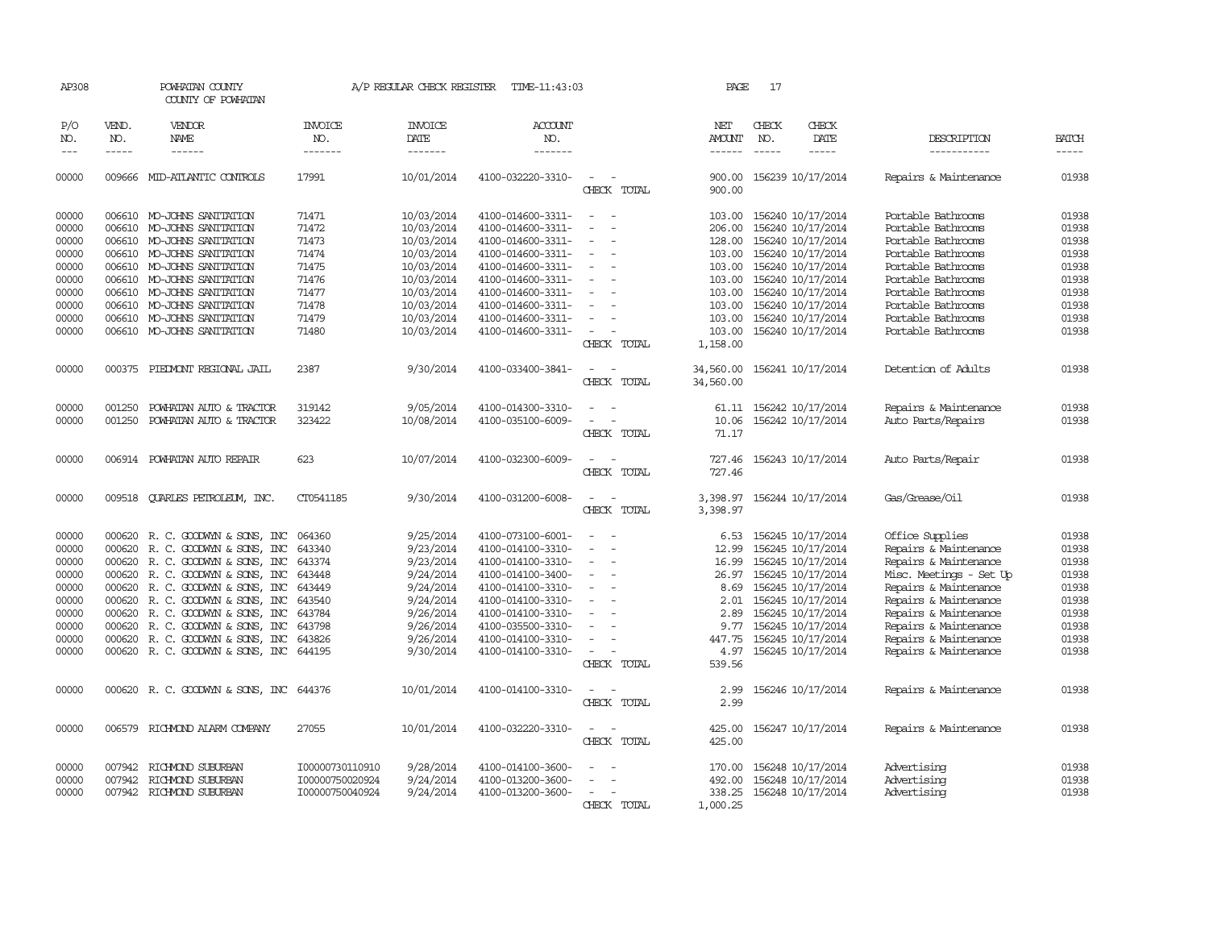| AP308      |              | POWHATAN COUNTY<br>COUNTY OF POWHATAN  |                 | A/P REGULAR CHECK REGISTER | TIME-11:43:03         |                                                                     | PAGE                   | 17                       |                   |                         |              |
|------------|--------------|----------------------------------------|-----------------|----------------------------|-----------------------|---------------------------------------------------------------------|------------------------|--------------------------|-------------------|-------------------------|--------------|
| P/O<br>NO. | VEND.<br>NO. | VENDOR<br>NAME                         | INVOICE<br>NO.  | <b>INVOICE</b><br>DATE     | <b>ACCOUNT</b><br>NO. |                                                                     | NET<br><b>AMOUNT</b>   | CHECK<br>NO.             | CHECK<br>DATE     | DESCRIPTION             | <b>BATCH</b> |
| $---$      | $- - - - -$  | ------                                 | -------         | -------                    | -------               |                                                                     | $- - - - - -$          |                          | -----             | -----------             | -----        |
| 00000      | 009666       | MID-ATLANTIC CONTROLS                  | 17991           | 10/01/2014                 | 4100-032220-3310-     | CHECK TOTAL                                                         | 900.00<br>900.00       | 156239 10/17/2014        |                   | Repairs & Maintenance   | 01938        |
| 00000      |              | 006610 MO-JOHNS SANITATION             | 71471           | 10/03/2014                 | 4100-014600-3311-     | $\sim$<br>$\sim$                                                    | 103.00                 | 156240 10/17/2014        |                   | Portable Bathrooms      | 01938        |
| 00000      |              | 006610 MO-JOHNS SANITATION             | 71472           | 10/03/2014                 | 4100-014600-3311-     |                                                                     | 206.00                 | 156240 10/17/2014        |                   | Portable Bathrooms      | 01938        |
| 00000      |              | 006610 MO-JOHNS SANITATION             | 71473           | 10/03/2014                 | 4100-014600-3311-     | $\overline{\phantom{a}}$                                            | 128.00                 | 156240 10/17/2014        |                   | Portable Bathrooms      | 01938        |
| 00000      |              | 006610 MO-JOHNS SANITATION             | 71474           | 10/03/2014                 | 4100-014600-3311-     | $\overline{\phantom{a}}$                                            | 103.00                 | 156240 10/17/2014        |                   | Portable Bathrooms      | 01938        |
| 00000      |              | 006610 MO-JOHNS SANITATION             | 71475           | 10/03/2014                 | 4100-014600-3311-     |                                                                     | 103.00                 | 156240 10/17/2014        |                   | Portable Bathrooms      | 01938        |
| 00000      |              | 006610 MO-JOHNS SANITATION             | 71476           | 10/03/2014                 | 4100-014600-3311-     | $\overline{\phantom{a}}$                                            | 103.00                 | 156240 10/17/2014        |                   | Portable Bathrooms      | 01938        |
| 00000      |              | 006610 MO-JOHNS SANITATION             | 71477           | 10/03/2014                 | 4100-014600-3311-     | $\overline{\phantom{a}}$                                            | 103.00                 | 156240 10/17/2014        |                   | Portable Bathrooms      | 01938        |
| 00000      |              | 006610 MO-JOHNS SANITATION             | 71478           | 10/03/2014                 | 4100-014600-3311-     |                                                                     | 103.00                 | 156240 10/17/2014        |                   | Portable Bathrooms      | 01938        |
| 00000      |              | 006610 MO-JOHNS SANITATION             | 71479           | 10/03/2014                 | 4100-014600-3311-     | $\equiv$                                                            | 103.00                 | 156240 10/17/2014        |                   | Portable Bathrooms      | 01938        |
| 00000      |              | 006610 MO-JOHNS SANITATION             | 71480           | 10/03/2014                 | 4100-014600-3311-     | $\overline{\phantom{a}}$                                            | 103.00                 | 156240 10/17/2014        |                   | Portable Bathrooms      | 01938        |
|            |              |                                        |                 |                            |                       | CHECK TOTAL                                                         | 1,158.00               |                          |                   |                         |              |
| 00000      | 000375       | PIEDMONT REGIONAL JAIL                 | 2387            | 9/30/2014                  | 4100-033400-3841-     | $\overline{\phantom{a}}$<br>$\overline{\phantom{a}}$<br>CHECK TOTAL | 34,560.00<br>34,560.00 | 156241 10/17/2014        |                   | Detention of Adults     | 01938        |
| 00000      | 001250       | POWHATAN AUTO & TRACTOR                | 319142          | 9/05/2014                  | 4100-014300-3310-     | $\sim$<br>$\sim$                                                    |                        | 61.11 156242 10/17/2014  |                   | Repairs & Maintenance   | 01938        |
| 00000      | 001250       | POWHATAN AUTO & TRACTOR                | 323422          | 10/08/2014                 | 4100-035100-6009-     | $\overline{a}$                                                      | 10.06                  | 156242 10/17/2014        |                   | Auto Parts/Repairs      | 01938        |
|            |              |                                        |                 |                            |                       | CHECK TOTAL                                                         | 71.17                  |                          |                   |                         |              |
| 00000      | 006914       | POWHATAN AUTO REPAIR                   | 623             | 10/07/2014                 | 4100-032300-6009-     |                                                                     | 727.46                 |                          | 156243 10/17/2014 | Auto Parts/Repair       | 01938        |
|            |              |                                        |                 |                            |                       | CHECK TOTAL                                                         | 727.46                 |                          |                   |                         |              |
| 00000      |              | 009518 CUARLES PETROLEUM, INC.         | CT0541185       | 9/30/2014                  | 4100-031200-6008-     | CHECK TOTAL                                                         | 3,398.97<br>3,398.97   | 156244 10/17/2014        |                   | Gas/Grease/Oil          | 01938        |
| 00000      |              | 000620 R. C. GOODWYN & SONS, INC       | 064360          | 9/25/2014                  | 4100-073100-6001-     |                                                                     | 6.53                   | 156245 10/17/2014        |                   | Office Supplies         | 01938        |
| 00000      | 000620       | R. C. GOODWYN & SONS, INC              | 643340          | 9/23/2014                  | 4100-014100-3310-     | $\overline{\phantom{a}}$                                            | 12.99                  | 156245 10/17/2014        |                   | Repairs & Maintenance   | 01938        |
| 00000      | 000620       | R. C. GOODWYN & SONS, INC              | 643374          | 9/23/2014                  | 4100-014100-3310-     | $\overline{\phantom{a}}$                                            | 16.99                  | 156245 10/17/2014        |                   | Repairs & Maintenance   | 01938        |
| 00000      | 000620       | R. C. GOODWYN & SONS, INC              | 643448          | 9/24/2014                  | 4100-014100-3400-     | $\overline{\phantom{a}}$                                            |                        | 26.97 156245 10/17/2014  |                   | Misc. Meetings - Set Up | 01938        |
| 00000      |              | 000620 R. C. GOODWYN & SONS, INC       | 643449          | 9/24/2014                  | 4100-014100-3310-     |                                                                     | 8.69                   | 156245 10/17/2014        |                   | Repairs & Maintenance   | 01938        |
| 00000      | 000620       | R. C. GOODWYN & SONS, INC              | 643540          | 9/24/2014                  | 4100-014100-3310-     |                                                                     | 2.01                   | 156245 10/17/2014        |                   | Repairs & Maintenance   | 01938        |
| 00000      |              | 000620 R. C. GOODWYN & SONS, INC       | 643784          | 9/26/2014                  | 4100-014100-3310-     | $\overline{\phantom{a}}$                                            | 2.89                   | 156245 10/17/2014        |                   | Repairs & Maintenance   | 01938        |
| 00000      |              | 000620 R. C. GOODWYN & SONS, INC       | 643798          | 9/26/2014                  | 4100-035500-3310-     |                                                                     | 9.77                   |                          | 156245 10/17/2014 | Repairs & Maintenance   | 01938        |
| 00000      |              | 000620 R. C. GOODWYN & SONS, INC       | 643826          | 9/26/2014                  | 4100-014100-3310-     |                                                                     | 447.75                 | 156245 10/17/2014        |                   | Repairs & Maintenance   | 01938        |
| 00000      |              | 000620 R.C. GOODWYN & SONS, INC 644195 |                 | 9/30/2014                  | 4100-014100-3310-     | $\sim$                                                              | 4.97                   | 156245 10/17/2014        |                   | Repairs & Maintenance   | 01938        |
|            |              |                                        |                 |                            |                       | CHECK TOTAL                                                         | 539.56                 |                          |                   |                         |              |
| 00000      |              | 000620 R.C. GOODWYN & SONS, INC 644376 |                 | 10/01/2014                 | 4100-014100-3310-     | $\sim$<br>$\overline{\phantom{a}}$                                  | 2.99                   | 156246 10/17/2014        |                   | Repairs & Maintenance   | 01938        |
|            |              |                                        |                 |                            |                       | CHECK TOTAL                                                         | 2.99                   |                          |                   |                         |              |
| 00000      |              | 006579 RICHMOND ALARM COMPANY          | 27055           | 10/01/2014                 | 4100-032220-3310-     |                                                                     | 425.00                 | 156247 10/17/2014        |                   | Repairs & Maintenance   | 01938        |
|            |              |                                        |                 |                            |                       | CHECK TOTAL                                                         | 425.00                 |                          |                   |                         |              |
| 00000      | 007942       | RICHMOND SUBURBAN                      | I00000730110910 | 9/28/2014                  | 4100-014100-3600-     |                                                                     | 170.00                 | 156248 10/17/2014        |                   | Advertising             | 01938        |
| 00000      | 007942       | RICHMOND SUBURBAN                      | I00000750020924 | 9/24/2014                  | 4100-013200-3600-     |                                                                     | 492.00                 | 156248 10/17/2014        |                   | Advertising             | 01938        |
| 00000      |              | 007942 RICHMOND SUBURBAN               | I00000750040924 | 9/24/2014                  | 4100-013200-3600-     |                                                                     |                        | 338.25 156248 10/17/2014 |                   | Advertising             | 01938        |
|            |              |                                        |                 |                            |                       | CHECK TOTAL                                                         | 1,000.25               |                          |                   |                         |              |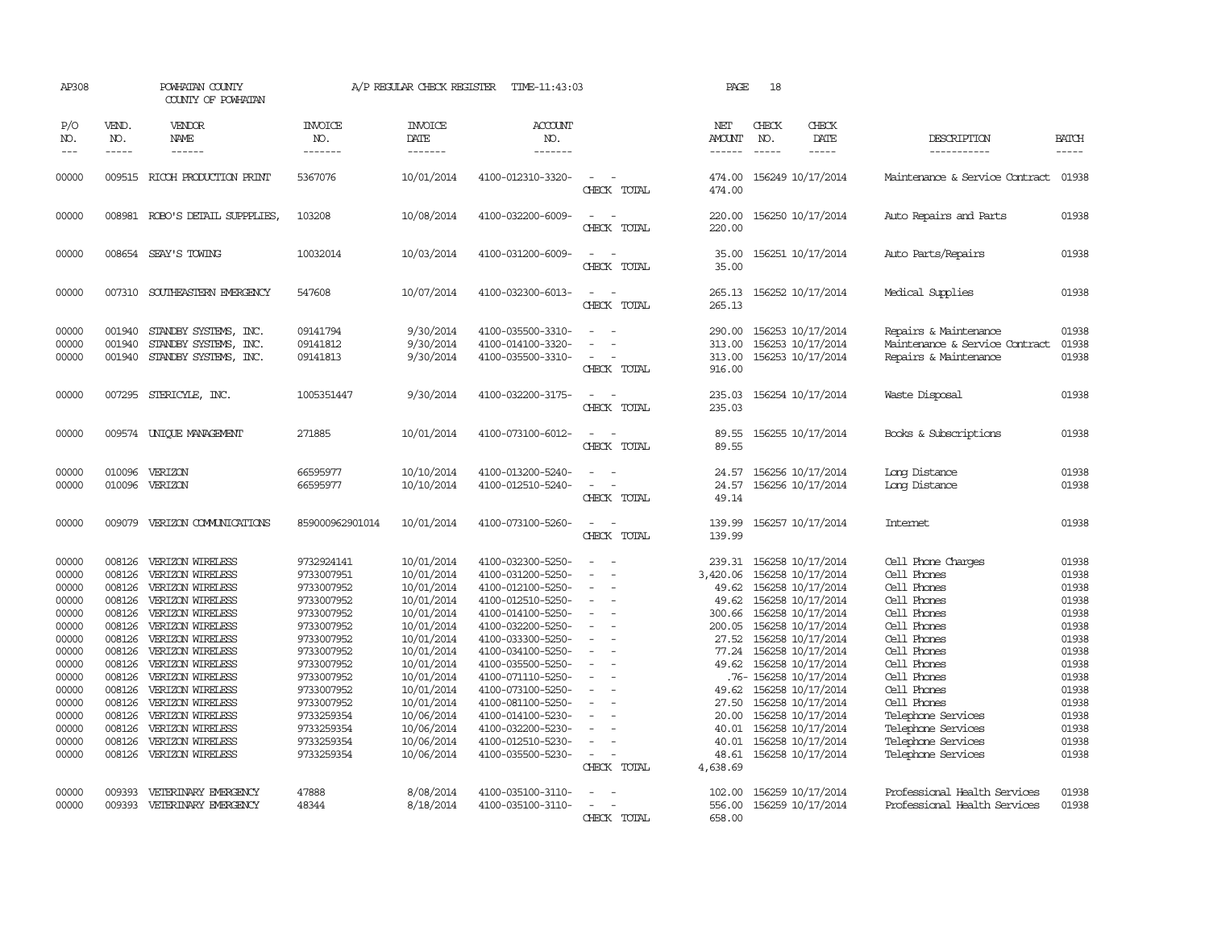| AP308                                                                                                                                        |                                                                                                                                                    | POWHATAN COUNTY<br>COUNTY OF POWHATAN                                                                                                                                                                                                                                                                                               |                                                                                                                                                                                                                              | A/P REGULAR CHECK REGISTER                                                                                                                                                                                                   | TIME-11:43:03                                                                                                                                                                                                                                                                                                                                |                                                                                                             | PAGE                                                                                                                                                  | 18                            |                                                                                                                                                                                                                                                                                                                                                   |                                                                                                                                                                                                                                                                                 |                                                                                                                                              |
|----------------------------------------------------------------------------------------------------------------------------------------------|----------------------------------------------------------------------------------------------------------------------------------------------------|-------------------------------------------------------------------------------------------------------------------------------------------------------------------------------------------------------------------------------------------------------------------------------------------------------------------------------------|------------------------------------------------------------------------------------------------------------------------------------------------------------------------------------------------------------------------------|------------------------------------------------------------------------------------------------------------------------------------------------------------------------------------------------------------------------------|----------------------------------------------------------------------------------------------------------------------------------------------------------------------------------------------------------------------------------------------------------------------------------------------------------------------------------------------|-------------------------------------------------------------------------------------------------------------|-------------------------------------------------------------------------------------------------------------------------------------------------------|-------------------------------|---------------------------------------------------------------------------------------------------------------------------------------------------------------------------------------------------------------------------------------------------------------------------------------------------------------------------------------------------|---------------------------------------------------------------------------------------------------------------------------------------------------------------------------------------------------------------------------------------------------------------------------------|----------------------------------------------------------------------------------------------------------------------------------------------|
| P/O<br>NO.<br>$---$                                                                                                                          | VEND.<br>NO.<br>$\frac{1}{2}$                                                                                                                      | VENDOR<br>NAME<br>------                                                                                                                                                                                                                                                                                                            | <b>INVOICE</b><br>NO.<br>-------                                                                                                                                                                                             | <b>INVOICE</b><br>DATE<br>-------                                                                                                                                                                                            | <b>ACCOUNT</b><br>NO.<br>-------                                                                                                                                                                                                                                                                                                             |                                                                                                             | NET<br><b>AMOUNT</b><br>-------                                                                                                                       | CHECK<br>NO.<br>$\frac{1}{2}$ | CHECK<br>DATE<br>$\frac{1}{2}$                                                                                                                                                                                                                                                                                                                    | DESCRIPTION<br>-----------                                                                                                                                                                                                                                                      | <b>BATCH</b><br>$\frac{1}{2}$                                                                                                                |
| 00000                                                                                                                                        |                                                                                                                                                    | 009515 RICCH PRODUCTION PRINT                                                                                                                                                                                                                                                                                                       | 5367076                                                                                                                                                                                                                      | 10/01/2014                                                                                                                                                                                                                   | 4100-012310-3320-                                                                                                                                                                                                                                                                                                                            | $\equiv$<br>CHECK TOTAL                                                                                     | 474.00<br>474.00                                                                                                                                      |                               | 156249 10/17/2014                                                                                                                                                                                                                                                                                                                                 | Maintenance & Service Contract                                                                                                                                                                                                                                                  | 01938                                                                                                                                        |
| 00000                                                                                                                                        |                                                                                                                                                    | 008981 ROBO'S DETAIL SUPPPLIES,                                                                                                                                                                                                                                                                                                     | 103208                                                                                                                                                                                                                       | 10/08/2014                                                                                                                                                                                                                   | 4100-032200-6009-                                                                                                                                                                                                                                                                                                                            | CHECK TOTAL                                                                                                 | 220.00<br>220.00                                                                                                                                      |                               | 156250 10/17/2014                                                                                                                                                                                                                                                                                                                                 | Auto Repairs and Parts                                                                                                                                                                                                                                                          | 01938                                                                                                                                        |
| 00000                                                                                                                                        |                                                                                                                                                    | 008654 SEAY'S TOWING                                                                                                                                                                                                                                                                                                                | 10032014                                                                                                                                                                                                                     | 10/03/2014                                                                                                                                                                                                                   | 4100-031200-6009-                                                                                                                                                                                                                                                                                                                            | $\sim$<br>CHECK TOTAL                                                                                       | 35.00<br>35.00                                                                                                                                        |                               | 156251 10/17/2014                                                                                                                                                                                                                                                                                                                                 | Auto Parts/Repairs                                                                                                                                                                                                                                                              | 01938                                                                                                                                        |
| 00000                                                                                                                                        |                                                                                                                                                    | 007310 SOUTHEASTERN EMERGENCY                                                                                                                                                                                                                                                                                                       | 547608                                                                                                                                                                                                                       | 10/07/2014                                                                                                                                                                                                                   | 4100-032300-6013-                                                                                                                                                                                                                                                                                                                            | $\sim$<br>CHECK TOTAL                                                                                       | 265.13<br>265.13                                                                                                                                      |                               | 156252 10/17/2014                                                                                                                                                                                                                                                                                                                                 | Medical Supplies                                                                                                                                                                                                                                                                | 01938                                                                                                                                        |
| 00000<br>00000<br>00000                                                                                                                      | 001940<br>001940<br>001940                                                                                                                         | STANDBY SYSTEMS, INC.<br>STANDBY SYSTEMS, INC.<br>STANDBY SYSTEMS, INC.                                                                                                                                                                                                                                                             | 09141794<br>09141812<br>09141813                                                                                                                                                                                             | 9/30/2014<br>9/30/2014<br>9/30/2014                                                                                                                                                                                          | 4100-035500-3310-<br>4100-014100-3320-<br>4100-035500-3310-                                                                                                                                                                                                                                                                                  | $\equiv$<br>CHECK TOTAL                                                                                     | 290.00<br>313.00<br>313.00<br>916.00                                                                                                                  |                               | 156253 10/17/2014<br>156253 10/17/2014<br>156253 10/17/2014                                                                                                                                                                                                                                                                                       | Repairs & Maintenance<br>Maintenance & Service Contract<br>Repairs & Maintenance                                                                                                                                                                                                | 01938<br>01938<br>01938                                                                                                                      |
| 00000                                                                                                                                        |                                                                                                                                                    | 007295 STERICYLE, INC.                                                                                                                                                                                                                                                                                                              | 1005351447                                                                                                                                                                                                                   | 9/30/2014                                                                                                                                                                                                                    | 4100-032200-3175-                                                                                                                                                                                                                                                                                                                            | CHECK TOTAL                                                                                                 | 235.03<br>235.03                                                                                                                                      |                               | 156254 10/17/2014                                                                                                                                                                                                                                                                                                                                 | Waste Disposal                                                                                                                                                                                                                                                                  | 01938                                                                                                                                        |
| 00000                                                                                                                                        |                                                                                                                                                    | 009574 UNIOUE MANAGEMENT                                                                                                                                                                                                                                                                                                            | 271885                                                                                                                                                                                                                       | 10/01/2014                                                                                                                                                                                                                   | 4100-073100-6012-                                                                                                                                                                                                                                                                                                                            | $\equiv$<br>CHECK TOTAL                                                                                     | 89.55<br>89.55                                                                                                                                        |                               | 156255 10/17/2014                                                                                                                                                                                                                                                                                                                                 | Books & Subscriptions                                                                                                                                                                                                                                                           | 01938                                                                                                                                        |
| 00000<br>00000                                                                                                                               | 010096<br>010096                                                                                                                                   | VERIZON<br>VERIZON                                                                                                                                                                                                                                                                                                                  | 66595977<br>66595977                                                                                                                                                                                                         | 10/10/2014<br>10/10/2014                                                                                                                                                                                                     | 4100-013200-5240-<br>4100-012510-5240-                                                                                                                                                                                                                                                                                                       | CHECK TOTAL                                                                                                 | 24.57<br>24.57<br>49.14                                                                                                                               |                               | 156256 10/17/2014<br>156256 10/17/2014                                                                                                                                                                                                                                                                                                            | Long Distance<br>Long Distance                                                                                                                                                                                                                                                  | 01938<br>01938                                                                                                                               |
| 00000                                                                                                                                        | 009079                                                                                                                                             | VERIZON COMUNICATIONS                                                                                                                                                                                                                                                                                                               | 859000962901014                                                                                                                                                                                                              | 10/01/2014                                                                                                                                                                                                                   | 4100-073100-5260-                                                                                                                                                                                                                                                                                                                            | $\sim$ 100 $\mu$<br>CHECK TOTAL                                                                             | 139.99<br>139.99                                                                                                                                      |                               | 156257 10/17/2014                                                                                                                                                                                                                                                                                                                                 | Internet                                                                                                                                                                                                                                                                        | 01938                                                                                                                                        |
| 00000<br>00000<br>00000<br>00000<br>00000<br>00000<br>00000<br>00000<br>00000<br>00000<br>00000<br>00000<br>00000<br>00000<br>00000<br>00000 | 008126<br>008126<br>008126<br>008126<br>008126<br>008126<br>008126<br>008126<br>008126<br>008126<br>008126<br>008126<br>008126<br>008126<br>008126 | VERIZON WIRELESS<br>VERIZON WIRELESS<br>VERIZON WIRELESS<br>VERIZON WIRELESS<br>VERIZON WIRELESS<br>VERIZON WIRELESS<br>VERIZON WIRELESS<br>VERIZON WIRELESS<br>VERIZON WIRELESS<br>VERIZON WIRELESS<br>VERIZON WIRELESS<br>VERIZON WIRELESS<br>VERIZON WIRELESS<br>VERIZON WIRELESS<br>VERIZON WIRELESS<br>008126 VERIZON WIRELESS | 9732924141<br>9733007951<br>9733007952<br>9733007952<br>9733007952<br>9733007952<br>9733007952<br>9733007952<br>9733007952<br>9733007952<br>9733007952<br>9733007952<br>9733259354<br>9733259354<br>9733259354<br>9733259354 | 10/01/2014<br>10/01/2014<br>10/01/2014<br>10/01/2014<br>10/01/2014<br>10/01/2014<br>10/01/2014<br>10/01/2014<br>10/01/2014<br>10/01/2014<br>10/01/2014<br>10/01/2014<br>10/06/2014<br>10/06/2014<br>10/06/2014<br>10/06/2014 | 4100-032300-5250-<br>4100-031200-5250-<br>4100-012100-5250-<br>4100-012510-5250-<br>4100-014100-5250-<br>4100-032200-5250-<br>4100-033300-5250-<br>4100-034100-5250-<br>4100-035500-5250-<br>4100-071110-5250-<br>4100-073100-5250-<br>4100-081100-5250-<br>4100-014100-5230-<br>4100-032200-5230-<br>4100-012510-5230-<br>4100-035500-5230- | $\equiv$<br>$\sim$<br>$\equiv$<br>$\equiv$<br>$\sim$<br>$\equiv$<br>$\overline{\phantom{a}}$<br>CHECK TOTAL | 239.31<br>3,420.06<br>49.62<br>49.62<br>300.66<br>200.05<br>27.52<br>77.24<br>49.62<br>49.62<br>27.50<br>20.00<br>40.01<br>40.01<br>48.61<br>4,638.69 |                               | 156258 10/17/2014<br>156258 10/17/2014<br>156258 10/17/2014<br>156258 10/17/2014<br>156258 10/17/2014<br>156258 10/17/2014<br>156258 10/17/2014<br>156258 10/17/2014<br>156258 10/17/2014<br>.76- 156258 10/17/2014<br>156258 10/17/2014<br>156258 10/17/2014<br>156258 10/17/2014<br>156258 10/17/2014<br>156258 10/17/2014<br>156258 10/17/2014 | Cell Phone Charges<br>Cell Phones<br>Cell Phones<br>Cell Phones<br>Cell Phones<br>Cell Phones<br>Cell Phones<br>Cell Phones<br>Cell Phones<br>Cell Phones<br>Cell Phones<br>Cell Phones<br>Telephone Services<br>Telephone Services<br>Telephone Services<br>Telephone Services | 01938<br>01938<br>01938<br>01938<br>01938<br>01938<br>01938<br>01938<br>01938<br>01938<br>01938<br>01938<br>01938<br>01938<br>01938<br>01938 |
| 00000<br>00000                                                                                                                               | 009393                                                                                                                                             | VETERINARY EMERGENCY<br>009393 VETERINARY EMERGENCY                                                                                                                                                                                                                                                                                 | 47888<br>48344                                                                                                                                                                                                               | 8/08/2014<br>8/18/2014                                                                                                                                                                                                       | 4100-035100-3110-<br>4100-035100-3110-                                                                                                                                                                                                                                                                                                       | CHECK TOTAL                                                                                                 | 102.00<br>556.00<br>658.00                                                                                                                            |                               | 156259 10/17/2014<br>156259 10/17/2014                                                                                                                                                                                                                                                                                                            | Professional Health Services<br>Professional Health Services                                                                                                                                                                                                                    | 01938<br>01938                                                                                                                               |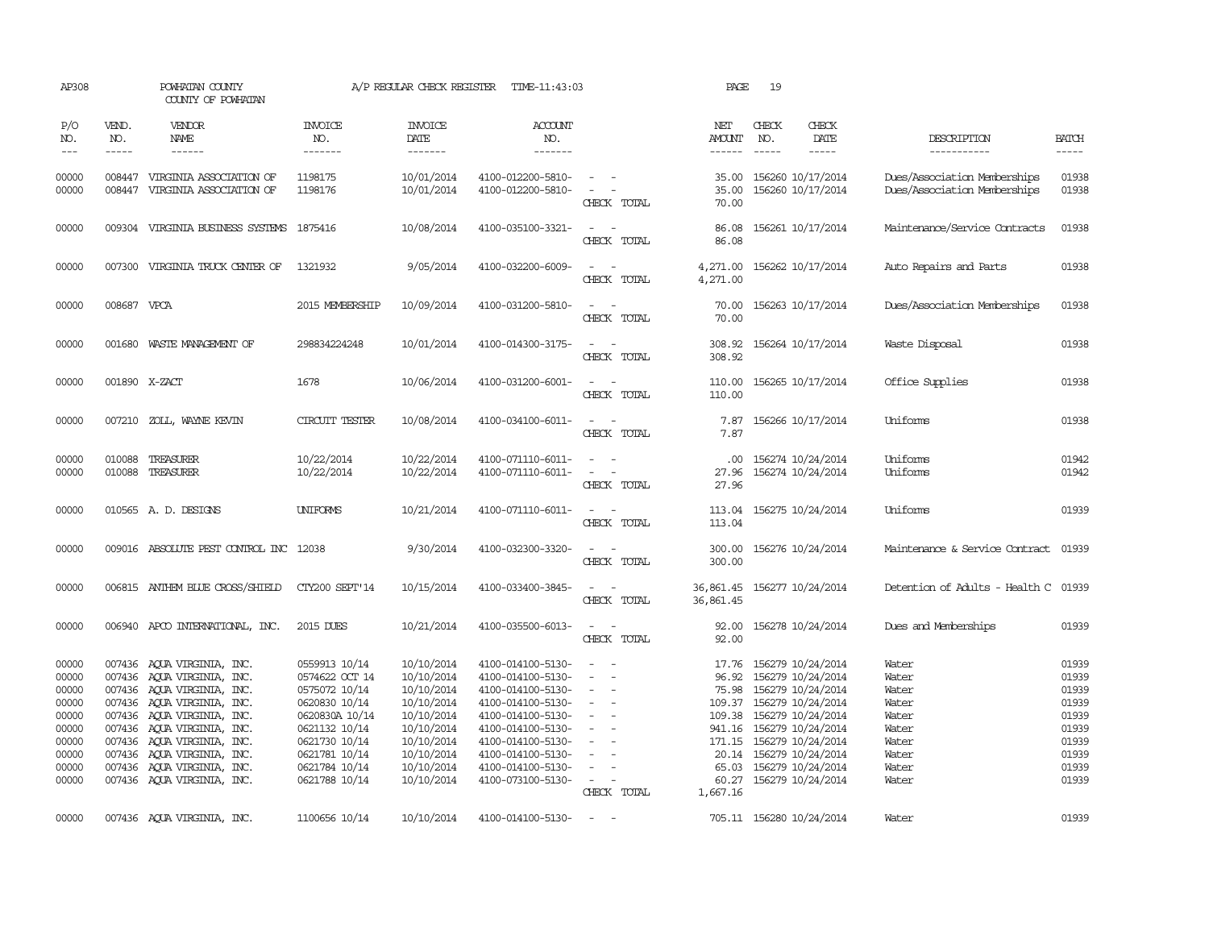| AP308                                                                                  |                             | POWHATAN COUNTY<br>COUNTY OF POWHATAN                                                                                                                                                                                                                                                                    |                                                                                                                                                                          | A/P REGULAR CHECK REGISTER                                                                                                               | TIME-11:43:03                                                                                                                                                                                                  |                                                                                                                                                                                       | PAGE                                     | 19           |                                                                                                                                                                                                                                                             |                                                                                        |                                                                                        |
|----------------------------------------------------------------------------------------|-----------------------------|----------------------------------------------------------------------------------------------------------------------------------------------------------------------------------------------------------------------------------------------------------------------------------------------------------|--------------------------------------------------------------------------------------------------------------------------------------------------------------------------|------------------------------------------------------------------------------------------------------------------------------------------|----------------------------------------------------------------------------------------------------------------------------------------------------------------------------------------------------------------|---------------------------------------------------------------------------------------------------------------------------------------------------------------------------------------|------------------------------------------|--------------|-------------------------------------------------------------------------------------------------------------------------------------------------------------------------------------------------------------------------------------------------------------|----------------------------------------------------------------------------------------|----------------------------------------------------------------------------------------|
| P/O<br>NO.<br>$\frac{1}{2}$                                                            | VEND.<br>NO.<br>$- - - - -$ | VENDOR<br>NAME                                                                                                                                                                                                                                                                                           | INVOICE<br>NO.<br>-------                                                                                                                                                | <b>INVOICE</b><br>DATE<br>-------                                                                                                        | <b>ACCOUNT</b><br>NO.<br>-------                                                                                                                                                                               |                                                                                                                                                                                       | NET<br>AMOUNT<br>------                  | CHECK<br>NO. | CHECK<br>DATE                                                                                                                                                                                                                                               | DESCRIPTION<br>-----------                                                             | <b>BATCH</b><br>-----                                                                  |
| 00000<br>00000                                                                         |                             | 008447 VIRGINIA ASSOCIATION OF<br>008447 VIRGINIA ASSOCIATION OF                                                                                                                                                                                                                                         | 1198175<br>1198176                                                                                                                                                       | 10/01/2014<br>10/01/2014                                                                                                                 | 4100-012200-5810-<br>4100-012200-5810-                                                                                                                                                                         | $\sim$<br>$\sim$ $-$<br>CHECK TOTAL                                                                                                                                                   | 35.00<br>35.00<br>70.00                  |              | 156260 10/17/2014<br>156260 10/17/2014                                                                                                                                                                                                                      | Dues/Association Memberships<br>Dues/Association Memberships                           | 01938<br>01938                                                                         |
| 00000                                                                                  |                             | 009304 VIRGINIA BUSINESS SYSTEMS 1875416                                                                                                                                                                                                                                                                 |                                                                                                                                                                          | 10/08/2014                                                                                                                               | 4100-035100-3321-                                                                                                                                                                                              | $\overline{\phantom{a}}$<br>CHECK TOTAL                                                                                                                                               | 86.08<br>86.08                           |              | 156261 10/17/2014                                                                                                                                                                                                                                           | Maintenance/Service Contracts                                                          | 01938                                                                                  |
| 00000                                                                                  | 007300                      | VIRGINIA TRUCK CENTER OF                                                                                                                                                                                                                                                                                 | 1321932                                                                                                                                                                  | 9/05/2014                                                                                                                                | 4100-032200-6009-                                                                                                                                                                                              | $\overline{\phantom{a}}$<br>CHECK TOTAL                                                                                                                                               | 4,271.00<br>4,271.00                     |              | 156262 10/17/2014                                                                                                                                                                                                                                           | Auto Repairs and Parts                                                                 | 01938                                                                                  |
| 00000                                                                                  | 008687 VPCA                 |                                                                                                                                                                                                                                                                                                          | 2015 MEMBERSHIP                                                                                                                                                          | 10/09/2014                                                                                                                               | 4100-031200-5810-                                                                                                                                                                                              | $\overline{\phantom{a}}$<br>CHECK TOTAL                                                                                                                                               | 70.00<br>70.00                           |              | 156263 10/17/2014                                                                                                                                                                                                                                           | Dues/Association Memberships                                                           | 01938                                                                                  |
| 00000                                                                                  |                             | 001680 WASTE MANAGEMENT OF                                                                                                                                                                                                                                                                               | 298834224248                                                                                                                                                             | 10/01/2014                                                                                                                               | 4100-014300-3175-                                                                                                                                                                                              | $ -$<br>CHECK TOTAL                                                                                                                                                                   | 308.92<br>308.92                         |              | 156264 10/17/2014                                                                                                                                                                                                                                           | Waste Disposal                                                                         | 01938                                                                                  |
| 00000                                                                                  |                             | 001890 X-ZACT                                                                                                                                                                                                                                                                                            | 1678                                                                                                                                                                     | 10/06/2014                                                                                                                               | 4100-031200-6001-                                                                                                                                                                                              | $\frac{1}{2} \left( \frac{1}{2} \right) \left( \frac{1}{2} \right) = \frac{1}{2} \left( \frac{1}{2} \right)$<br>CHECK TOTAL                                                           | 110.00<br>110.00                         |              | 156265 10/17/2014                                                                                                                                                                                                                                           | Office Supplies                                                                        | 01938                                                                                  |
| 00000                                                                                  |                             | 007210 ZOLL, WAYNE KEVIN                                                                                                                                                                                                                                                                                 | CIRCUIT TESTER                                                                                                                                                           | 10/08/2014                                                                                                                               | 4100-034100-6011-                                                                                                                                                                                              | $\sim$ $ \sim$<br>CHECK TOTAL                                                                                                                                                         | 7.87<br>7.87                             |              | 156266 10/17/2014                                                                                                                                                                                                                                           | Uniforms                                                                               | 01938                                                                                  |
| 00000<br>00000                                                                         | 010088                      | TREASURER<br>010088 TREASURER                                                                                                                                                                                                                                                                            | 10/22/2014<br>10/22/2014                                                                                                                                                 | 10/22/2014<br>10/22/2014                                                                                                                 | 4100-071110-6011-<br>4100-071110-6011-                                                                                                                                                                         | $\sim$<br>$\overline{\phantom{a}}$<br>CHECK TOTAL                                                                                                                                     | .00.<br>27.96<br>27.96                   |              | 156274 10/24/2014<br>156274 10/24/2014                                                                                                                                                                                                                      | Uniforms<br>Uniforms                                                                   | 01942<br>01942                                                                         |
| 00000                                                                                  |                             | 010565 A.D. DESIGNS                                                                                                                                                                                                                                                                                      | <b>UNIFORMS</b>                                                                                                                                                          | 10/21/2014                                                                                                                               | 4100-071110-6011-                                                                                                                                                                                              | $\frac{1}{2} \left( \frac{1}{2} \right) \left( \frac{1}{2} \right) \left( \frac{1}{2} \right) \left( \frac{1}{2} \right)$<br>CHECK TOTAL                                              | 113.04<br>113.04                         |              | 156275 10/24/2014                                                                                                                                                                                                                                           | Uniforms                                                                               | 01939                                                                                  |
| 00000                                                                                  |                             | 009016 ABSOLUTE PEST CONTROL INC 12038                                                                                                                                                                                                                                                                   |                                                                                                                                                                          | 9/30/2014                                                                                                                                | 4100-032300-3320-                                                                                                                                                                                              | $ -$<br>CHECK TOTAL                                                                                                                                                                   | 300.00<br>300.00                         |              | 156276 10/24/2014                                                                                                                                                                                                                                           | Maintenance & Service Contract                                                         | 01939                                                                                  |
| 00000                                                                                  |                             | 006815 ANTHEM BLUE CROSS/SHIELD                                                                                                                                                                                                                                                                          | CTY200 SEPT'14                                                                                                                                                           | 10/15/2014                                                                                                                               | 4100-033400-3845-                                                                                                                                                                                              | $\sim$<br>$\sim$<br>CHECK TOTAL                                                                                                                                                       | 36,861.45 156277 10/24/2014<br>36,861.45 |              |                                                                                                                                                                                                                                                             | Detention of Adults - Health C 01939                                                   |                                                                                        |
| 00000                                                                                  |                             | 006940 APCO INTERNATIONAL, INC.                                                                                                                                                                                                                                                                          | 2015 DUES                                                                                                                                                                | 10/21/2014                                                                                                                               | 4100-035500-6013-                                                                                                                                                                                              | $ -$<br>CHECK TOTAL                                                                                                                                                                   | 92.00<br>92.00                           |              | 156278 10/24/2014                                                                                                                                                                                                                                           | Dues and Memberships                                                                   | 01939                                                                                  |
| 00000<br>00000<br>00000<br>00000<br>00000<br>00000<br>00000<br>00000<br>00000<br>00000 |                             | 007436 AQUA VIRGINIA, INC.<br>007436 AQUA VIRGINIA, INC.<br>007436 AQUA VIRGINIA, INC.<br>007436 AQUA VIRGINIA, INC.<br>007436 AQUA VIRGINIA, INC.<br>007436 AQUA VIRGINIA, INC.<br>007436 AQUA VIRGINIA, INC.<br>007436 AQUA VIRGINIA, INC.<br>007436 AQUA VIRGINIA, INC.<br>007436 AOUA VIRGINIA, INC. | 0559913 10/14<br>0574622 OCT 14<br>0575072 10/14<br>0620830 10/14<br>0620830A 10/14<br>0621132 10/14<br>0621730 10/14<br>0621781 10/14<br>0621784 10/14<br>0621788 10/14 | 10/10/2014<br>10/10/2014<br>10/10/2014<br>10/10/2014<br>10/10/2014<br>10/10/2014<br>10/10/2014<br>10/10/2014<br>10/10/2014<br>10/10/2014 | 4100-014100-5130-<br>4100-014100-5130-<br>4100-014100-5130-<br>4100-014100-5130-<br>4100-014100-5130-<br>4100-014100-5130-<br>4100-014100-5130-<br>4100-014100-5130-<br>4100-014100-5130-<br>4100-073100-5130- | $\overline{\phantom{a}}$<br>$\equiv$<br>$\sim$<br>$\overline{\phantom{a}}$<br>$\sim$<br>$\equiv$<br>$\overline{\phantom{a}}$<br>$\overline{\phantom{a}}$<br>$\sim$ $-$<br>CHECK TOTAL | 17.76<br>941.16<br>65.03<br>1,667.16     |              | 156279 10/24/2014<br>96.92 156279 10/24/2014<br>75.98 156279 10/24/2014<br>109.37 156279 10/24/2014<br>109.38 156279 10/24/2014<br>156279 10/24/2014<br>171.15 156279 10/24/2014<br>20.14 156279 10/24/2014<br>156279 10/24/2014<br>60.27 156279 10/24/2014 | Water<br>Water<br>Water<br>Water<br>Water<br>Water<br>Water<br>Water<br>Water<br>Water | 01939<br>01939<br>01939<br>01939<br>01939<br>01939<br>01939<br>01939<br>01939<br>01939 |
| 00000                                                                                  |                             | 007436 AQUA VIRGINIA, INC.                                                                                                                                                                                                                                                                               | 1100656 10/14                                                                                                                                                            | 10/10/2014                                                                                                                               | 4100-014100-5130-                                                                                                                                                                                              | $\sim$                                                                                                                                                                                |                                          |              | 705.11 156280 10/24/2014                                                                                                                                                                                                                                    | Water                                                                                  | 01939                                                                                  |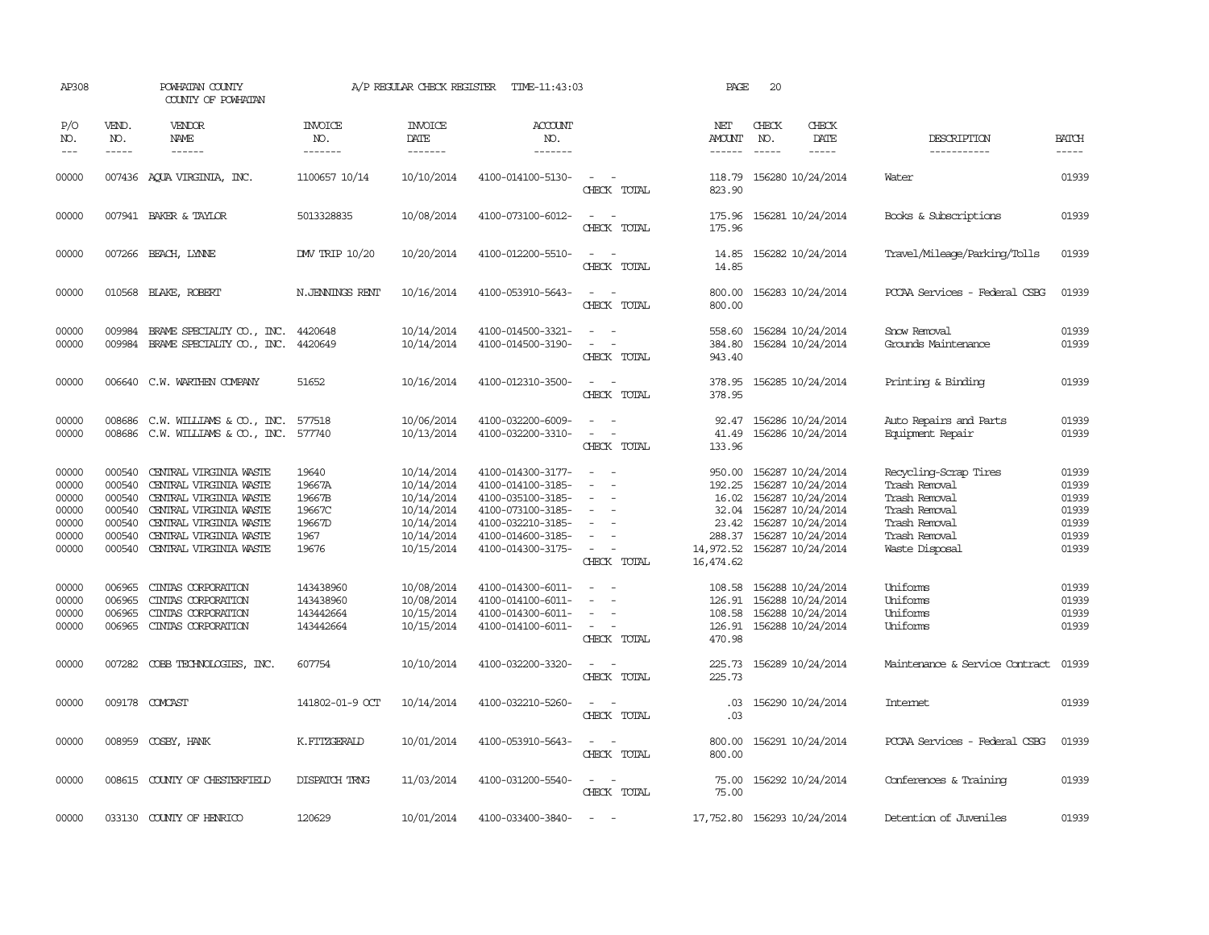| AP308                                                       |                                                                    | POWHATAN COUNTY<br>COUNTY OF POWHATAN                                                                                                                                              |                                                                | A/P REGULAR CHECK REGISTER                                                                     | TIME-11:43:03                                                                                                                                   |                                                                                         | PAGE                                                                            | 20                                                                                                                                              |               |                                                                                                                              |                                                             |
|-------------------------------------------------------------|--------------------------------------------------------------------|------------------------------------------------------------------------------------------------------------------------------------------------------------------------------------|----------------------------------------------------------------|------------------------------------------------------------------------------------------------|-------------------------------------------------------------------------------------------------------------------------------------------------|-----------------------------------------------------------------------------------------|---------------------------------------------------------------------------------|-------------------------------------------------------------------------------------------------------------------------------------------------|---------------|------------------------------------------------------------------------------------------------------------------------------|-------------------------------------------------------------|
| P/O<br>NO.<br>$---$                                         | VEND.<br>NO.<br>$- - - - -$                                        | VENDOR<br>NAME                                                                                                                                                                     | <b>INVOICE</b><br>NO.<br>-------                               | <b>INVOICE</b><br>DATE<br>-------                                                              | <b>ACCOUNT</b><br>NO.<br>-------                                                                                                                |                                                                                         | NET<br>AMOUNT<br>------                                                         | CHECK<br>NO.                                                                                                                                    | CHECK<br>DATE | DESCRIPTION<br>-----------                                                                                                   | <b>BATCH</b><br>-----                                       |
| 00000                                                       |                                                                    | 007436 AQUA VIRGINIA, INC.                                                                                                                                                         | 1100657 10/14                                                  | 10/10/2014                                                                                     | 4100-014100-5130-                                                                                                                               | $\sim$<br>CHECK TOTAL                                                                   | 118.79<br>823.90                                                                | 156280 10/24/2014                                                                                                                               |               | Water                                                                                                                        | 01939                                                       |
| 00000                                                       |                                                                    | 007941 BAKER & TAYLOR                                                                                                                                                              | 5013328835                                                     | 10/08/2014                                                                                     | 4100-073100-6012-                                                                                                                               | $\overline{\phantom{a}}$<br>$\overline{\phantom{a}}$<br>CHECK TOTAL                     | 175.96<br>175.96                                                                | 156281 10/24/2014                                                                                                                               |               | Books & Subscriptions                                                                                                        | 01939                                                       |
| 00000                                                       |                                                                    | 007266 BEACH, LYNNE                                                                                                                                                                | DW TRIP 10/20                                                  | 10/20/2014                                                                                     | 4100-012200-5510-                                                                                                                               | $\sim$<br>CHECK TOTAL                                                                   | 14.85<br>14.85                                                                  | 156282 10/24/2014                                                                                                                               |               | Travel/Mileage/Parking/Tolls                                                                                                 | 01939                                                       |
| 00000                                                       |                                                                    | 010568 BLAKE, ROBERT                                                                                                                                                               | N. JENNINGS RENT                                               | 10/16/2014                                                                                     | 4100-053910-5643-                                                                                                                               | $ -$<br>CHECK TOTAL                                                                     | 800.00<br>800.00                                                                | 156283 10/24/2014                                                                                                                               |               | PCCAA Services - Federal CSBG                                                                                                | 01939                                                       |
| 00000<br>00000                                              | 009984                                                             | BRAME SPECIALITY CO., INC.<br>009984 BRAME SPECIALTY CO., INC.                                                                                                                     | 4420648<br>4420649                                             | 10/14/2014<br>10/14/2014                                                                       | 4100-014500-3321-<br>4100-014500-3190-                                                                                                          | $\equiv$<br>$\omega$<br>CHECK TOTAL                                                     | 558.60<br>384.80<br>943.40                                                      | 156284 10/24/2014<br>156284 10/24/2014                                                                                                          |               | Snow Removal<br>Grounds Maintenance                                                                                          | 01939<br>01939                                              |
| 00000                                                       |                                                                    | 006640 C.W. WARTHEN COMPANY                                                                                                                                                        | 51652                                                          | 10/16/2014                                                                                     | 4100-012310-3500-                                                                                                                               | $\sim$<br>CHECK TOTAL                                                                   | 378.95<br>378.95                                                                | 156285 10/24/2014                                                                                                                               |               | Printing & Binding                                                                                                           | 01939                                                       |
| 00000<br>00000                                              | 008686                                                             | C.W. WILLIAMS & CO., INC.<br>008686 C.W. WILLIAMS & CO., INC.                                                                                                                      | 577518<br>577740                                               | 10/06/2014<br>10/13/2014                                                                       | 4100-032200-6009-<br>4100-032200-3310-                                                                                                          | $\equiv$<br>$\sim$<br>CHECK TOTAL                                                       | 92.47<br>41.49<br>133.96                                                        | 156286 10/24/2014<br>156286 10/24/2014                                                                                                          |               | Auto Repairs and Parts<br>Equipment Repair                                                                                   | 01939<br>01939                                              |
| 00000<br>00000<br>00000<br>00000<br>00000<br>00000<br>00000 | 000540<br>000540<br>000540<br>000540<br>000540<br>000540<br>000540 | CENTRAL VIRGINIA WASTE<br>CENTRAL VIRGINIA WASTE<br>CENTRAL VIRGINIA WASTE<br>CENTRAL VIRGINIA WASTE<br>CENTRAL VIRGINIA WASTE<br>CENTRAL VIRGINIA WASTE<br>CENTRAL VIRGINIA WASTE | 19640<br>19667A<br>19667B<br>19667C<br>19667D<br>1967<br>19676 | 10/14/2014<br>10/14/2014<br>10/14/2014<br>10/14/2014<br>10/14/2014<br>10/14/2014<br>10/15/2014 | 4100-014300-3177-<br>4100-014100-3185-<br>4100-035100-3185-<br>4100-073100-3185-<br>4100-032210-3185-<br>4100-014600-3185-<br>4100-014300-3175- | $\equiv$<br>$\equiv$<br>$\equiv$<br>$\equiv$<br>$\overline{\phantom{a}}$<br>CHECK TOTAL | 950.00<br>192.25<br>16.02<br>32.04<br>23.42<br>288.37<br>14,972.52<br>16,474.62 | 156287 10/24/2014<br>156287 10/24/2014<br>156287 10/24/2014<br>156287 10/24/2014<br>156287 10/24/2014<br>156287 10/24/2014<br>156287 10/24/2014 |               | Recycling-Scrap Tires<br>Trash Removal<br>Trash Removal<br>Trash Removal<br>Trash Removal<br>Trash Removal<br>Waste Disposal | 01939<br>01939<br>01939<br>01939<br>01939<br>01939<br>01939 |
| 00000<br>00000<br>00000<br>00000                            | 006965<br>006965<br>006965<br>006965                               | CINIAS CORPORATION<br>CINIAS CORPORATION<br>CINIAS CORPORATION<br>CINIAS CORPORATION                                                                                               | 143438960<br>143438960<br>143442664<br>143442664               | 10/08/2014<br>10/08/2014<br>10/15/2014<br>10/15/2014                                           | 4100-014300-6011-<br>4100-014100-6011-<br>4100-014300-6011-<br>4100-014100-6011-                                                                | $\sim$<br>$\sim$<br>CHECK TOTAL                                                         | 108.58<br>126.91<br>108.58<br>126.91<br>470.98                                  | 156288 10/24/2014<br>156288 10/24/2014<br>156288 10/24/2014<br>156288 10/24/2014                                                                |               | Uniforms<br>Uniforms<br>Uniforms<br>Uniforms                                                                                 | 01939<br>01939<br>01939<br>01939                            |
| 00000                                                       | 007282                                                             | COBB TECHNOLOGIES, INC.                                                                                                                                                            | 607754                                                         | 10/10/2014                                                                                     | 4100-032200-3320-                                                                                                                               | $\sim$<br>CHECK TOTAL                                                                   | 225.73<br>225.73                                                                | 156289 10/24/2014                                                                                                                               |               | Maintenance & Service Contract                                                                                               | 01939                                                       |
| 00000                                                       |                                                                    | 009178 COMCAST                                                                                                                                                                     | 141802-01-9 OCT                                                | 10/14/2014                                                                                     | 4100-032210-5260-                                                                                                                               | $\sim$<br>CHECK TOTAL                                                                   | .03<br>.03                                                                      | 156290 10/24/2014                                                                                                                               |               | Internet                                                                                                                     | 01939                                                       |
| 00000                                                       |                                                                    | 008959 COSBY, HANK                                                                                                                                                                 | K.FITZGERALD                                                   | 10/01/2014                                                                                     | 4100-053910-5643-                                                                                                                               | $\sim$<br>CHECK TOTAL                                                                   | 800.00<br>800.00                                                                | 156291 10/24/2014                                                                                                                               |               | PCCAA Services - Federal CSBG                                                                                                | 01939                                                       |
| 00000                                                       |                                                                    | 008615 COUNTY OF CHESTERFIELD                                                                                                                                                      | DISPATCH TRNG                                                  | 11/03/2014                                                                                     | 4100-031200-5540-                                                                                                                               | $\sim$<br>CHECK TOTAL                                                                   | 75.00<br>75.00                                                                  | 156292 10/24/2014                                                                                                                               |               | Conferences & Training                                                                                                       | 01939                                                       |
| 00000                                                       |                                                                    | 033130 COUNTY OF HENRICO                                                                                                                                                           | 120629                                                         | 10/01/2014                                                                                     | 4100-033400-3840-                                                                                                                               | $\sim$                                                                                  | 17,752.80 156293 10/24/2014                                                     |                                                                                                                                                 |               | Detention of Juveniles                                                                                                       | 01939                                                       |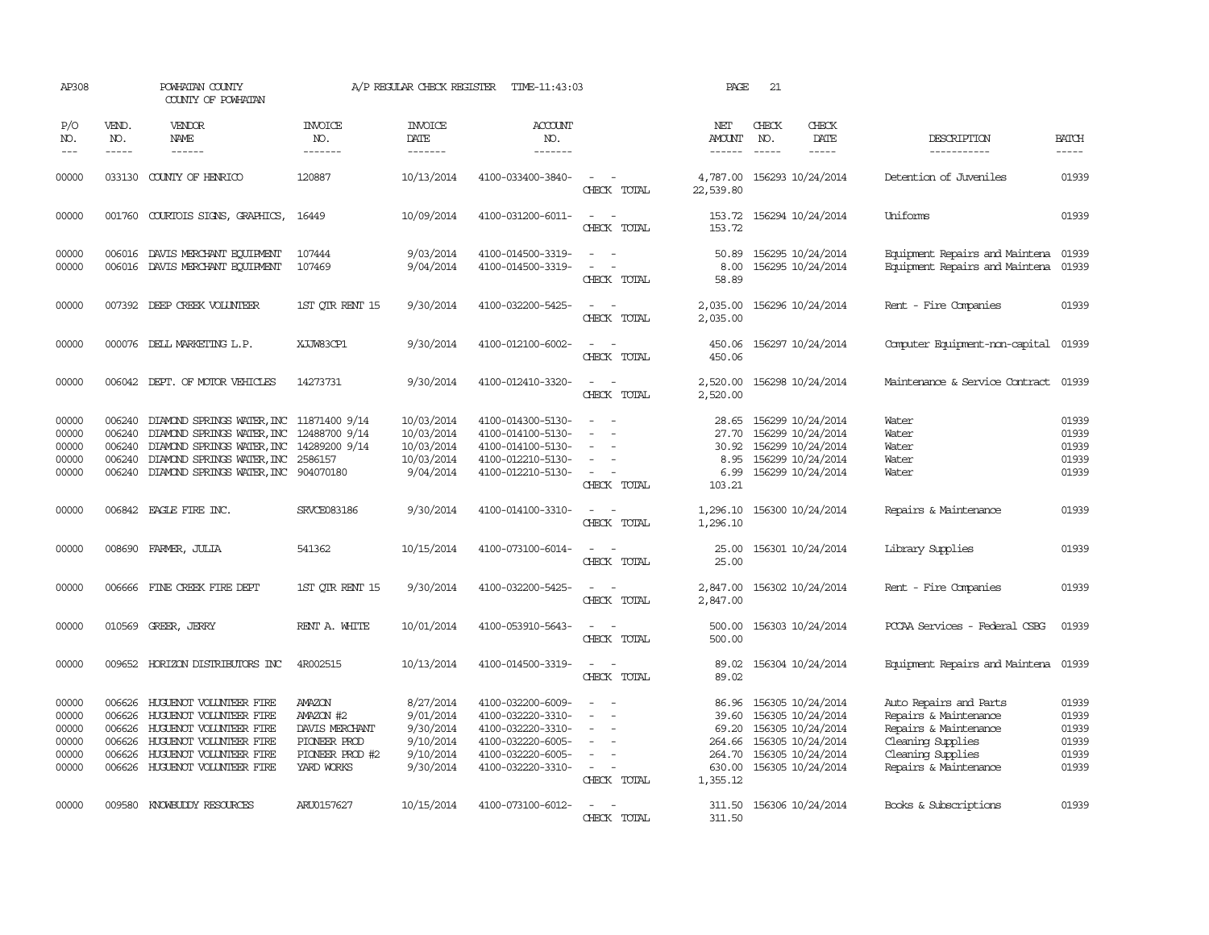| AP308                                              |                                                | POWHATAN COUNTY<br>COUNTY OF POWHATAN                                                                                                                                                           |                                                                                        | A/P REGULAR CHECK REGISTER                                                 | TIME-11:43:03                                                                                                              |                                                   | PAGE                                                              | 21                          |                                                                                                                            |                                                                                                                                             |                                                    |
|----------------------------------------------------|------------------------------------------------|-------------------------------------------------------------------------------------------------------------------------------------------------------------------------------------------------|----------------------------------------------------------------------------------------|----------------------------------------------------------------------------|----------------------------------------------------------------------------------------------------------------------------|---------------------------------------------------|-------------------------------------------------------------------|-----------------------------|----------------------------------------------------------------------------------------------------------------------------|---------------------------------------------------------------------------------------------------------------------------------------------|----------------------------------------------------|
| P/O<br>NO.<br>$\frac{1}{2}$                        | VEND.<br>NO.<br>$- - - - -$                    | VENDOR<br>NAME<br>$- - - - - -$                                                                                                                                                                 | <b>INVOICE</b><br>NO.<br>-------                                                       | <b>INVOICE</b><br>DATE<br>-------                                          | <b>ACCOUNT</b><br>NO.<br>-------                                                                                           |                                                   | NET<br><b>AMOUNT</b><br>$- - - - - -$                             | CHECK<br>NO.<br>$- - - - -$ | CHECK<br>DATE<br>-----                                                                                                     | DESCRIPTION<br>------------                                                                                                                 | <b>BATCH</b><br>-----                              |
| 00000                                              |                                                | 033130 COUNTY OF HENRICO                                                                                                                                                                        | 120887                                                                                 | 10/13/2014                                                                 | 4100-033400-3840-                                                                                                          | $\overline{\phantom{a}}$<br>CHECK TOTAL           | 4,787.00<br>22,539.80                                             |                             | 156293 10/24/2014                                                                                                          | Detention of Juveniles                                                                                                                      | 01939                                              |
| 00000                                              |                                                | 001760 COURTOIS SIGNS, GRAPHICS,                                                                                                                                                                | 16449                                                                                  | 10/09/2014                                                                 | 4100-031200-6011-                                                                                                          | $\sim$<br>$\overline{\phantom{a}}$<br>CHECK TOTAL | 153.72                                                            |                             | 153.72 156294 10/24/2014                                                                                                   | <b>Uniforms</b>                                                                                                                             | 01939                                              |
| 00000<br>00000                                     | 006016<br>006016                               | DAVIS MERCHANT EQUIPMENT<br>DAVIS MERCHANT EQUIPMENT                                                                                                                                            | 107444<br>107469                                                                       | 9/03/2014<br>9/04/2014                                                     | 4100-014500-3319-<br>4100-014500-3319-                                                                                     | $\sim$<br>CHECK TOTAL                             | 50.89<br>8.00<br>58.89                                            |                             | 156295 10/24/2014<br>156295 10/24/2014                                                                                     | Equipment Repairs and Maintena<br>Equipment Repairs and Maintena                                                                            | 01939<br>01939                                     |
| 00000                                              |                                                | 007392 DEEP CREEK VOLUNTEER                                                                                                                                                                     | 1ST OIR RENT 15                                                                        | 9/30/2014                                                                  | 4100-032200-5425-                                                                                                          | CHECK TOTAL                                       | 2,035.00<br>2,035.00                                              |                             | 156296 10/24/2014                                                                                                          | Rent - Fire Companies                                                                                                                       | 01939                                              |
| 00000                                              |                                                | 000076 DELL MARKETING L.P.                                                                                                                                                                      | XJJW83CP1                                                                              | 9/30/2014                                                                  | 4100-012100-6002-                                                                                                          | $ -$<br>CHECK TOTAL                               | 450.06<br>450.06                                                  |                             | 156297 10/24/2014                                                                                                          | Computer Equipment-non-capital                                                                                                              | 01939                                              |
| 00000                                              |                                                | 006042 DEPT. OF MOTOR VEHICLES                                                                                                                                                                  | 14273731                                                                               | 9/30/2014                                                                  | 4100-012410-3320-                                                                                                          | $\sim$<br>$\sim$<br>CHECK TOTAL                   | 2,520.00<br>2,520.00                                              |                             | 156298 10/24/2014                                                                                                          | Maintenance & Service Contract                                                                                                              | 01939                                              |
| 00000<br>00000<br>00000<br>00000<br>00000          | 006240<br>006240<br>006240<br>006240           | DIAMOND SPRINGS WATER, INC 11871400 9/14<br>DIAMOND SPRINGS WATER, INC<br>DIAMOND SPRINGS WATER, INC 14289200 9/14<br>DIAMOND SPRINGS WATER, INC<br>006240 DIAMOND SPRINGS WATER, INC 904070180 | 12488700 9/14<br>2586157                                                               | 10/03/2014<br>10/03/2014<br>10/03/2014<br>10/03/2014<br>9/04/2014          | 4100-014300-5130-<br>4100-014100-5130-<br>4100-014100-5130-<br>4100-012210-5130-<br>4100-012210-5130-                      | $\equiv$<br>$\equiv$<br>CHECK TOTAL               | 28.65<br>27.70<br>30.92<br>8.95<br>6.99<br>103.21                 |                             | 156299 10/24/2014<br>156299 10/24/2014<br>156299 10/24/2014<br>156299 10/24/2014<br>156299 10/24/2014                      | Water<br>Water<br>Water<br>Water<br>Water                                                                                                   | 01939<br>01939<br>01939<br>01939<br>01939          |
| 00000                                              |                                                | 006842 EAGLE FIRE INC.                                                                                                                                                                          | <b>SRVCE083186</b>                                                                     | 9/30/2014                                                                  | 4100-014100-3310-                                                                                                          | CHECK TOTAL                                       | 1,296.10<br>1,296.10                                              |                             | 156300 10/24/2014                                                                                                          | Repairs & Maintenance                                                                                                                       | 01939                                              |
| 00000                                              |                                                | 008690 FARMER, JULIA                                                                                                                                                                            | 541362                                                                                 | 10/15/2014                                                                 | 4100-073100-6014-                                                                                                          | $\sim$<br>CHECK TOTAL                             | 25.00<br>25.00                                                    |                             | 156301 10/24/2014                                                                                                          | Library Supplies                                                                                                                            | 01939                                              |
| 00000                                              | 006666                                         | FINE CREEK FIRE DEPT                                                                                                                                                                            | 1ST QTR RENT 15                                                                        | 9/30/2014                                                                  | 4100-032200-5425-                                                                                                          | $\equiv$<br>CHECK TOTAL                           | 2,847.00<br>2,847.00                                              |                             | 156302 10/24/2014                                                                                                          | Rent - Fire Companies                                                                                                                       | 01939                                              |
| 00000                                              |                                                | 010569 GREER, JERRY                                                                                                                                                                             | RENT A. WHITE                                                                          | 10/01/2014                                                                 | 4100-053910-5643-                                                                                                          | CHECK TOTAL                                       | 500.00<br>500.00                                                  |                             | 156303 10/24/2014                                                                                                          | PCCAA Services - Federal CSBG                                                                                                               | 01939                                              |
| 00000                                              |                                                | 009652 HORIZON DISTRIBUTORS INC                                                                                                                                                                 | 4R002515                                                                               | 10/13/2014                                                                 | 4100-014500-3319-                                                                                                          | $\sim$ $  -$<br>CHECK TOTAL                       | 89.02<br>89.02                                                    |                             | 156304 10/24/2014                                                                                                          | Equipment Repairs and Maintena                                                                                                              | 01939                                              |
| 00000<br>00000<br>00000<br>00000<br>00000<br>00000 | 006626<br>006626<br>006626<br>006626<br>006626 | HUGUENOT VOLUNTEER FIRE<br>HUGUENOT VOLUNTEER FIRE<br>HUGUENOT VOLUNIEER FIRE<br>HUGUENOT VOLUNTEER FIRE<br>HUGUENOT VOLUNTEER FIRE<br>006626 HUGUENOT VOLUNTEER FIRE                           | AMAZON<br>AMAZON #2<br>DAVIS MERCHANT<br>PIONEER PROD<br>PIONEER PROD #2<br>YARD WORKS | 8/27/2014<br>9/01/2014<br>9/30/2014<br>9/10/2014<br>9/10/2014<br>9/30/2014 | 4100-032200-6009-<br>4100-032220-3310-<br>4100-032220-3310-<br>4100-032220-6005-<br>4100-032220-6005-<br>4100-032220-3310- | $\equiv$<br>CHECK TOTAL                           | 86.96<br>39.60<br>69.20<br>264.66<br>264.70<br>630.00<br>1,355.12 |                             | 156305 10/24/2014<br>156305 10/24/2014<br>156305 10/24/2014<br>156305 10/24/2014<br>156305 10/24/2014<br>156305 10/24/2014 | Auto Repairs and Parts<br>Repairs & Maintenance<br>Repairs & Maintenance<br>Cleaning Supplies<br>Cleaning Supplies<br>Repairs & Maintenance | 01939<br>01939<br>01939<br>01939<br>01939<br>01939 |
| 00000                                              |                                                | 009580 KNOWBUDDY RESOURCES                                                                                                                                                                      | ARU0157627                                                                             | 10/15/2014                                                                 | 4100-073100-6012-                                                                                                          | CHECK TOTAL                                       | 311.50<br>311.50                                                  |                             | 156306 10/24/2014                                                                                                          | Books & Subscriptions                                                                                                                       | 01939                                              |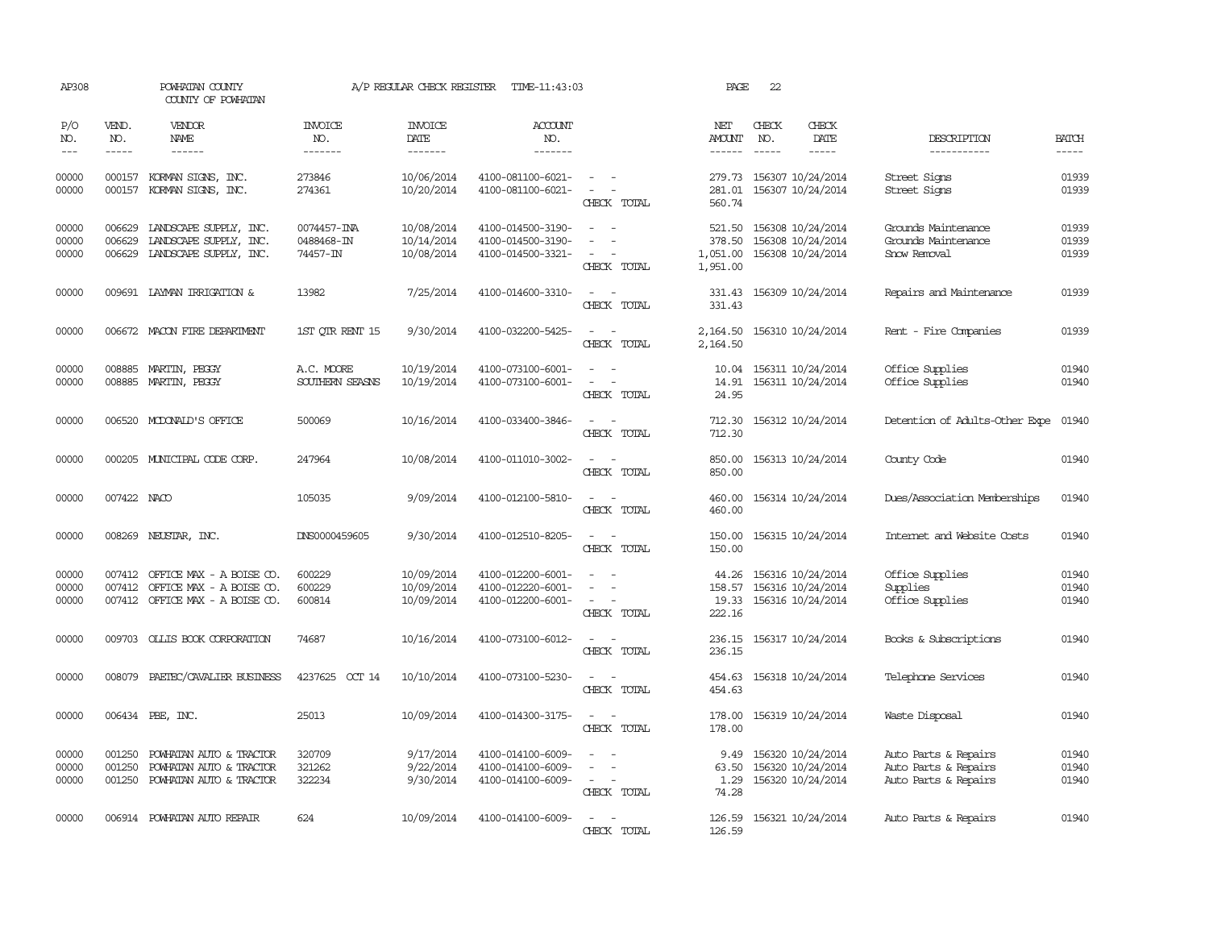| AP308                   |                             | POWHATAN COUNTY<br>COUNTY OF POWHATAN                                                   |                                       | A/P REGULAR CHECK REGISTER               | TIME-11:43:03                                               |                                         | PAGE                                     | 22                          |                                                                   |                                                                      |                         |
|-------------------------|-----------------------------|-----------------------------------------------------------------------------------------|---------------------------------------|------------------------------------------|-------------------------------------------------------------|-----------------------------------------|------------------------------------------|-----------------------------|-------------------------------------------------------------------|----------------------------------------------------------------------|-------------------------|
| P/O<br>NO.<br>$---$     | VEND.<br>NO.<br>$- - - - -$ | VENDOR<br><b>NAME</b><br>$- - - - - -$                                                  | <b>INVOICE</b><br>NO.<br>-------      | <b>INVOICE</b><br><b>DATE</b><br>------- | ACCOUNT<br>NO.<br>-------                                   |                                         | NET<br>AMOUNT<br>$- - - - - -$           | CHECK<br>NO.<br>$- - - - -$ | CHECK<br><b>DATE</b><br>$- - - - -$                               | <b>DESCRIPTION</b><br>-----------                                    | <b>BATCH</b><br>-----   |
| 00000<br>00000          | 000157<br>000157            | KORMAN SIGNS, INC.<br>KORMAN SIGNS, INC.                                                | 273846<br>274361                      | 10/06/2014<br>10/20/2014                 | 4100-081100-6021-<br>4100-081100-6021-                      | $\sim$<br>$\sim$<br>CHECK TOTAL         | 281.01<br>560.74                         |                             | 279.73 156307 10/24/2014<br>156307 10/24/2014                     | Street Signs<br>Street Signs                                         | 01939<br>01939          |
| 00000<br>00000<br>00000 | 006629<br>006629<br>006629  | LANDSCAPE SUPPLY, INC.<br>LANDSCAPE SUPPLY, INC.<br>LANDSCAPE SUPPLY, INC.              | 0074457-INA<br>0488468-IN<br>74457-IN | 10/08/2014<br>10/14/2014<br>10/08/2014   | 4100-014500-3190-<br>4100-014500-3190-<br>4100-014500-3321- | $ -$<br>$\sim$<br>$\sim$<br>CHECK TOTAL | 521.50<br>378.50<br>1,051.00<br>1,951.00 |                             | 156308 10/24/2014<br>156308 10/24/2014<br>156308 10/24/2014       | Grounds Maintenance<br>Grounds Maintenance<br>Snow Removal           | 01939<br>01939<br>01939 |
| 00000                   |                             | 009691 LAYMAN IRRIGATION &                                                              | 13982                                 | 7/25/2014                                | 4100-014600-3310-                                           | CHECK TOTAL                             | 331.43<br>331.43                         |                             | 156309 10/24/2014                                                 | Repairs and Maintenance                                              | 01939                   |
| 00000                   |                             | 006672 MACON FIRE DEPARIMENT                                                            | 1ST QTR RENT 15                       | 9/30/2014                                | 4100-032200-5425-                                           | CHECK TOTAL                             | 2,164.50<br>2,164.50                     |                             | 156310 10/24/2014                                                 | Rent - Fire Companies                                                | 01939                   |
| 00000<br>00000          | 008885<br>008885            | MARTIN, PEGGY<br>MARTIN, PEGGY                                                          | A.C. MOORE<br>SOUTHERN SEASNS         | 10/19/2014<br>10/19/2014                 | 4100-073100-6001-<br>4100-073100-6001-                      | CHECK TOTAL                             | 10.04<br>14.91<br>24.95                  |                             | 156311 10/24/2014<br>156311 10/24/2014                            | Office Supplies<br>Office Supplies                                   | 01940<br>01940          |
| 00000                   |                             | 006520 MCDONALD'S OFFICE                                                                | 500069                                | 10/16/2014                               | 4100-033400-3846-                                           | $\sim$ $-$<br>CHECK TOTAL               | 712.30<br>712.30                         |                             | 156312 10/24/2014                                                 | Detention of Adults-Other Expe                                       | 01940                   |
| 00000                   |                             | 000205 MUNICIPAL CODE CORP.                                                             | 247964                                | 10/08/2014                               | 4100-011010-3002-                                           | CHECK TOTAL                             | 850.00<br>850.00                         |                             | 156313 10/24/2014                                                 | County Code                                                          | 01940                   |
| 00000                   | 007422 NACO                 |                                                                                         | 105035                                | 9/09/2014                                | 4100-012100-5810-                                           | $\sim$ $\sim$<br>CHECK TOTAL            | 460.00<br>460.00                         |                             | 156314 10/24/2014                                                 | Dues/Association Memberships                                         | 01940                   |
| 00000                   |                             | 008269 NEUSTAR, INC.                                                                    | DNS0000459605                         | 9/30/2014                                | 4100-012510-8205-                                           | $\sim$<br>CHECK TOTAL                   | 150.00<br>150.00                         |                             | 156315 10/24/2014                                                 | Internet and Website Costs                                           | 01940                   |
| 00000<br>00000<br>00000 | 007412<br>007412            | OFFICE MAX - A BOISE CO.<br>OFFICE MAX - A BOISE CO.<br>007412 OFFICE MAX - A BOISE CO. | 600229<br>600229<br>600814            | 10/09/2014<br>10/09/2014<br>10/09/2014   | 4100-012200-6001-<br>4100-012220-6001-<br>4100-012200-6001- | $\overline{\phantom{a}}$<br>CHECK TOTAL | 44.26<br>158.57<br>222.16                |                             | 156316 10/24/2014<br>156316 10/24/2014<br>19.33 156316 10/24/2014 | Office Supplies<br>Supplies<br>Office Supplies                       | 01940<br>01940<br>01940 |
| 00000                   |                             | 009703 OLLIS BOOK CORPORATION                                                           | 74687                                 | 10/16/2014                               | 4100-073100-6012-                                           | $\sim$ $\sim$<br>CHECK TOTAL            | 236.15<br>236.15                         |                             | 156317 10/24/2014                                                 | Books & Subscriptions                                                | 01940                   |
| 00000                   | 008079                      | PAETEC/CAVALIER BUSINESS                                                                | 4237625 OCT 14                        | 10/10/2014                               | 4100-073100-5230-                                           | $\sim$<br>$\sim$<br>CHECK TOTAL         | 454.63                                   |                             | 454.63 156318 10/24/2014                                          | Telephone Services                                                   | 01940                   |
| 00000                   |                             | 006434 PBE, INC.                                                                        | 25013                                 | 10/09/2014                               | 4100-014300-3175-                                           | $\sim$<br>CHECK TOTAL                   | 178.00<br>178.00                         |                             | 156319 10/24/2014                                                 | Waste Disposal                                                       | 01940                   |
| 00000<br>00000<br>00000 | 001250<br>001250<br>001250  | POWHATAN AUTO & TRACTOR<br>POWHATAN AUTO & TRACTOR<br>POWHATAN AUTO & TRACTOR           | 320709<br>321262<br>322234            | 9/17/2014<br>9/22/2014<br>9/30/2014      | 4100-014100-6009-<br>4100-014100-6009-<br>4100-014100-6009- | $\sim$ 100 $\mu$<br>CHECK TOTAL         | 9.49<br>63.50<br>1.29<br>74.28           |                             | 156320 10/24/2014<br>156320 10/24/2014<br>156320 10/24/2014       | Auto Parts & Repairs<br>Auto Parts & Repairs<br>Auto Parts & Repairs | 01940<br>01940<br>01940 |
| 00000                   |                             | 006914 POWHATAN AUTO REPAIR                                                             | 624                                   | 10/09/2014                               | 4100-014100-6009-                                           | CHECK TOTAL                             | 126.59                                   |                             | 126.59 156321 10/24/2014                                          | Auto Parts & Repairs                                                 | 01940                   |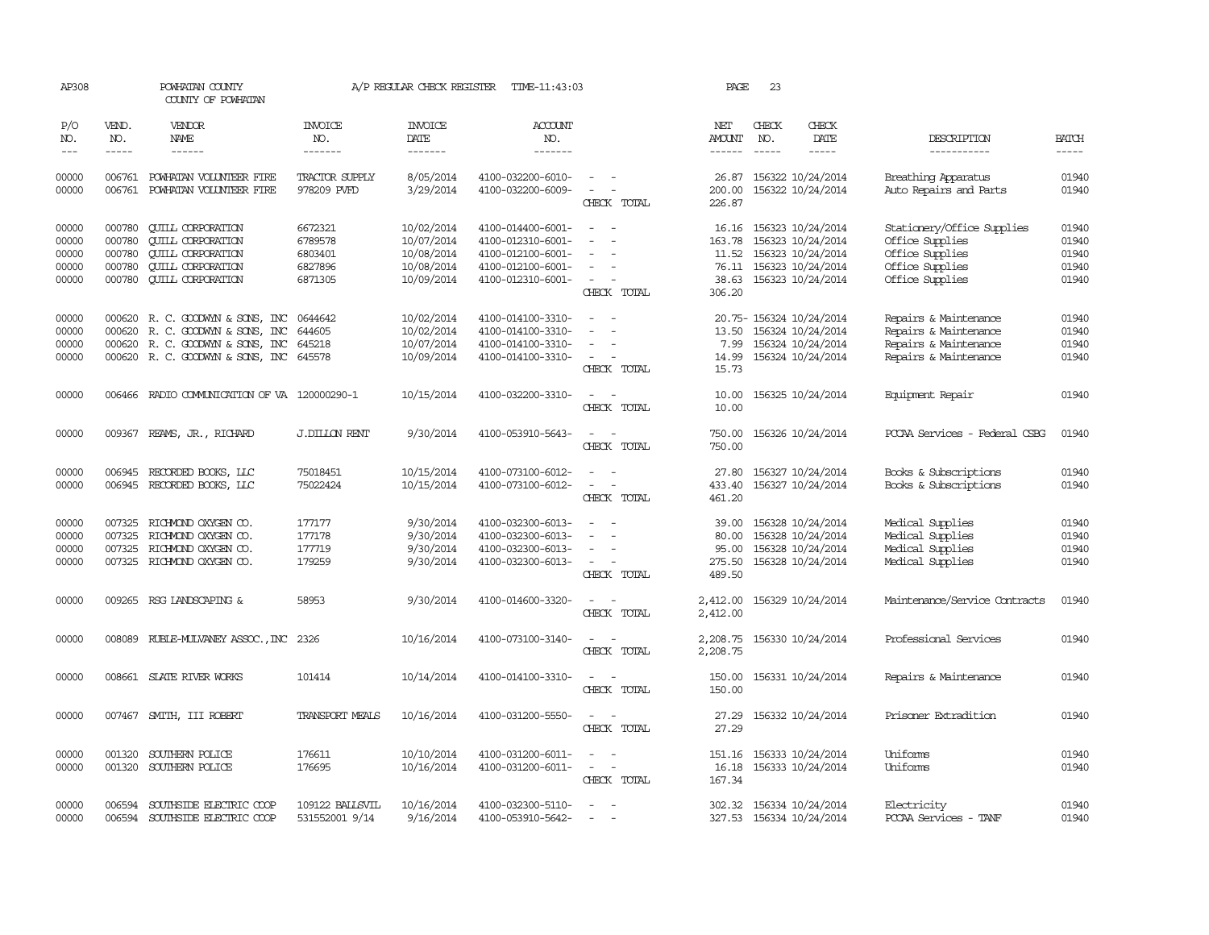| AP308                                     |                                                | POWHATAN COUNTY<br>COUNTY OF POWHATAN                                                                                                    |                                                     | A/P REGULAR CHECK REGISTER                                         | TIME-11:43:03                                                                                         |                                                                                                                             | PAGE                                        | 23                            |                                                                                                                         |                                                                                                        |                                           |
|-------------------------------------------|------------------------------------------------|------------------------------------------------------------------------------------------------------------------------------------------|-----------------------------------------------------|--------------------------------------------------------------------|-------------------------------------------------------------------------------------------------------|-----------------------------------------------------------------------------------------------------------------------------|---------------------------------------------|-------------------------------|-------------------------------------------------------------------------------------------------------------------------|--------------------------------------------------------------------------------------------------------|-------------------------------------------|
| P/O<br>NO.<br>$---$                       | VEND.<br>NO.<br>$- - - - -$                    | <b>VENDOR</b><br>NAME<br>$- - - - - -$                                                                                                   | <b>INVOICE</b><br>NO.<br>-------                    | <b>INVOICE</b><br>DATE<br>-------                                  | <b>ACCOUNT</b><br>NO.<br>-------                                                                      |                                                                                                                             | NET<br>AMOUNT<br>------                     | CHECK<br>NO.<br>$\frac{1}{2}$ | CHECK<br>DATE<br>$- - - - -$                                                                                            | DESCRIPTION<br>-----------                                                                             | <b>BATCH</b><br>$\qquad \qquad - - - -$   |
| 00000<br>00000                            |                                                | 006761 POWHATAN VOLUNTEER FIRE<br>006761 POWHATAN VOLUNTEER FIRE                                                                         | TRACTOR SUPPLY<br>978209 PVFD                       | 8/05/2014<br>3/29/2014                                             | 4100-032200-6010-<br>4100-032200-6009-                                                                | $\omega_{\rm{max}}$ and $\omega_{\rm{max}}$<br>$\sim$ $-$<br>$\sim$<br>CHECK TOTAL                                          | 26.87<br>200.00<br>226.87                   |                               | 156322 10/24/2014<br>156322 10/24/2014                                                                                  | Breathing Apparatus<br>Auto Repairs and Parts                                                          | 01940<br>01940                            |
| 00000<br>00000<br>00000<br>00000<br>00000 | 000780<br>000780<br>000780<br>000780<br>000780 | <b>QUILL CORPORATION</b><br><b>QUILL CORPORATION</b><br><b>QUILL CORPORATION</b><br><b>QUILL CORPORATION</b><br><b>QUILL CORPORATION</b> | 6672321<br>6789578<br>6803401<br>6827896<br>6871305 | 10/02/2014<br>10/07/2014<br>10/08/2014<br>10/08/2014<br>10/09/2014 | 4100-014400-6001-<br>4100-012310-6001-<br>4100-012100-6001-<br>4100-012100-6001-<br>4100-012310-6001- | $\overline{\phantom{a}}$<br>$\equiv$<br>$\overline{\phantom{a}}$<br>$\equiv$<br>$\sim$ 10 $\pm$<br>CHECK TOTAL              | 16.16<br>163.78<br>306.20                   |                               | 156323 10/24/2014<br>156323 10/24/2014<br>11.52 156323 10/24/2014<br>76.11 156323 10/24/2014<br>38.63 156323 10/24/2014 | Stationery/Office Supplies<br>Office Supplies<br>Office Supplies<br>Office Supplies<br>Office Supplies | 01940<br>01940<br>01940<br>01940<br>01940 |
| 00000<br>00000<br>00000<br>00000          | 000620                                         | 000620 R. C. GOODWYN & SONS, INC<br>R. C. GOODWYN & SONS, INC<br>000620 R. C. GOODWYN & SONS, INC<br>000620 R. C. GOODWYN & SONS, INC    | 0644642<br>644605<br>645218<br>645578               | 10/02/2014<br>10/02/2014<br>10/07/2014<br>10/09/2014               | 4100-014100-3310-<br>4100-014100-3310-<br>4100-014100-3310-<br>4100-014100-3310-                      | $\sim$<br>$\sim$<br>CHECK TOTAL                                                                                             | 13.50<br>14.99<br>15.73                     |                               | 20.75-156324 10/24/2014<br>156324 10/24/2014<br>7.99 156324 10/24/2014<br>156324 10/24/2014                             | Repairs & Maintenance<br>Repairs & Maintenance<br>Repairs & Maintenance<br>Repairs & Maintenance       | 01940<br>01940<br>01940<br>01940          |
| 00000                                     |                                                | 006466 RADIO COMMUNICATION OF VA 120000290-1                                                                                             |                                                     | 10/15/2014                                                         | 4100-032200-3310-                                                                                     | $\sim$<br>$\sim$<br>CHECK TOTAL                                                                                             | 10.00<br>10.00                              |                               | 156325 10/24/2014                                                                                                       | Equipment Repair                                                                                       | 01940                                     |
| 00000                                     |                                                | 009367 REAMS, JR., RICHARD                                                                                                               | <b>J.DILLON RENT</b>                                | 9/30/2014                                                          | 4100-053910-5643-                                                                                     | $\frac{1}{2} \left( \frac{1}{2} \right) \left( \frac{1}{2} \right) = \frac{1}{2} \left( \frac{1}{2} \right)$<br>CHECK TOTAL | 750.00<br>750.00                            |                               | 156326 10/24/2014                                                                                                       | PCCAA Services - Federal CSBG                                                                          | 01940                                     |
| 00000<br>00000                            |                                                | 006945 RECORDED BOOKS, LLC<br>006945 RECORDED BOOKS, LLC                                                                                 | 75018451<br>75022424                                | 10/15/2014<br>10/15/2014                                           | 4100-073100-6012-<br>4100-073100-6012-                                                                | $\sim$<br>$\equiv$<br>$\overline{\phantom{a}}$<br>CHECK TOTAL                                                               | 27.80<br>433.40<br>461.20                   |                               | 156327 10/24/2014<br>156327 10/24/2014                                                                                  | Books & Subscriptions<br>Books & Subscriptions                                                         | 01940<br>01940                            |
| 00000<br>00000<br>00000<br>00000          | 007325<br>007325                               | RICHMOND OXYGEN CO.<br>RICHMOND OXYGEN CO.<br>007325 RICHMOND OXYGEN CO.<br>007325 RICHMOND OXYGEN CO.                                   | 177177<br>177178<br>177719<br>179259                | 9/30/2014<br>9/30/2014<br>9/30/2014<br>9/30/2014                   | 4100-032300-6013-<br>4100-032300-6013-<br>4100-032300-6013-<br>4100-032300-6013-                      | $\equiv$<br>$\sim$<br>CHECK TOTAL                                                                                           | 39.00<br>80.00<br>95.00<br>275.50<br>489.50 |                               | 156328 10/24/2014<br>156328 10/24/2014<br>156328 10/24/2014<br>156328 10/24/2014                                        | Medical Supplies<br>Medical Supplies<br>Medical Supplies<br>Medical Supplies                           | 01940<br>01940<br>01940<br>01940          |
| 00000                                     |                                                | 009265 RSG LANDSCAPING &                                                                                                                 | 58953                                               | 9/30/2014                                                          | 4100-014600-3320-                                                                                     | $\sim$<br>CHECK TOTAL                                                                                                       | 2,412.00<br>2,412.00                        |                               | 156329 10/24/2014                                                                                                       | Maintenance/Service Contracts                                                                          | 01940                                     |
| 00000                                     |                                                | 008089 RUBLE-MULVANEY ASSOC., INC                                                                                                        | 2326                                                | 10/16/2014                                                         | 4100-073100-3140-                                                                                     | $\sim$ $\sim$<br>CHECK TOTAL                                                                                                | 2,208.75<br>2,208.75                        |                               | 156330 10/24/2014                                                                                                       | Professional Services                                                                                  | 01940                                     |
| 00000                                     |                                                | 008661 SLATE RIVER WORKS                                                                                                                 | 101414                                              | 10/14/2014                                                         | 4100-014100-3310-                                                                                     | $\sim$ $-$<br>CHECK TOTAL                                                                                                   | 150.00<br>150.00                            |                               | 156331 10/24/2014                                                                                                       | Repairs & Maintenance                                                                                  | 01940                                     |
| 00000                                     |                                                | 007467 SMITH, III ROBERT                                                                                                                 | TRANSPORT MEALS                                     | 10/16/2014                                                         | 4100-031200-5550-                                                                                     | CHECK TOTAL                                                                                                                 | 27.29                                       |                               | 27.29 156332 10/24/2014                                                                                                 | Prisoner Extradition                                                                                   | 01940                                     |
| 00000<br>00000                            | 001320                                         | SOUTHERN POLICE<br>001320 SOUTHERN POLICE                                                                                                | 176611<br>176695                                    | 10/10/2014<br>10/16/2014                                           | 4100-031200-6011-<br>4100-031200-6011-                                                                | $\omega_{\rm{max}}$ and $\omega_{\rm{max}}$<br>CHECK TOTAL                                                                  | 16.18<br>167.34                             |                               | 151.16 156333 10/24/2014<br>156333 10/24/2014                                                                           | Uniforms<br>Uniforms                                                                                   | 01940<br>01940                            |
| 00000<br>00000                            | 006594                                         | 006594 SOUTHSIDE ELECTRIC COOP<br>SOUTHSIDE ELECTRIC COOP                                                                                | 109122 BALLSVIL<br>531552001 9/14                   | 10/16/2014<br>9/16/2014                                            | 4100-032300-5110-<br>4100-053910-5642-                                                                | $\sim$<br>$\overline{\phantom{a}}$                                                                                          |                                             |                               | 302.32 156334 10/24/2014<br>327.53 156334 10/24/2014                                                                    | Electricity<br>PCCAA Services - TANF                                                                   | 01940<br>01940                            |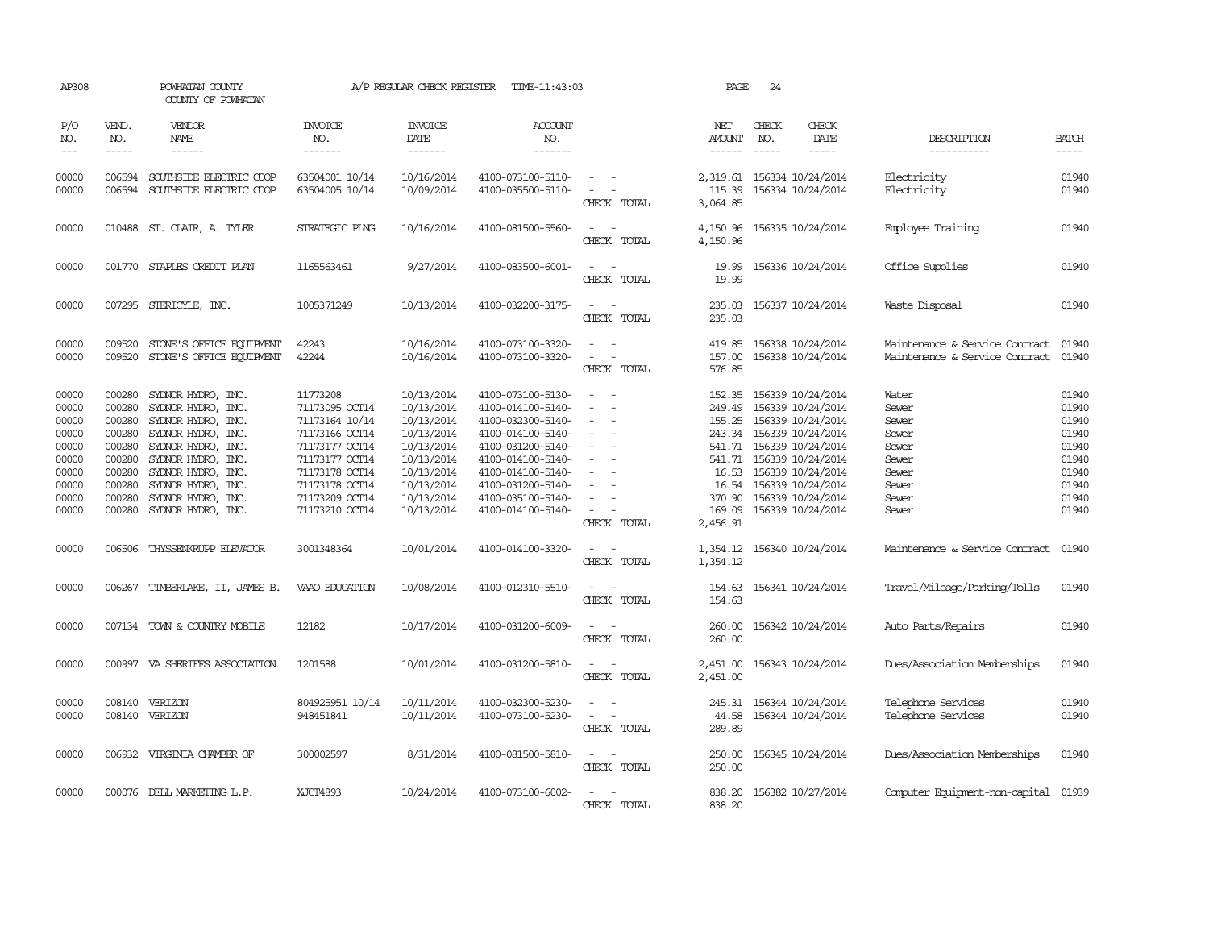| AP308                                                                                                                                                                                                                                                                                                                                                                                                      |                                                                                                  | POWHATAN COUNTY<br>COUNTY OF POWHATAN                                                                                                                                                                                    |                                                                                                                                                                            | A/P REGULAR CHECK REGISTER                                                                                                               | TIME-11:43:03                                                                                                                                                                                                  |                                                                                                                                         | PAGE                                                                                   | 24           |                                                                                                                                                                                                                              |                                                                                        |                                                                                        |
|------------------------------------------------------------------------------------------------------------------------------------------------------------------------------------------------------------------------------------------------------------------------------------------------------------------------------------------------------------------------------------------------------------|--------------------------------------------------------------------------------------------------|--------------------------------------------------------------------------------------------------------------------------------------------------------------------------------------------------------------------------|----------------------------------------------------------------------------------------------------------------------------------------------------------------------------|------------------------------------------------------------------------------------------------------------------------------------------|----------------------------------------------------------------------------------------------------------------------------------------------------------------------------------------------------------------|-----------------------------------------------------------------------------------------------------------------------------------------|----------------------------------------------------------------------------------------|--------------|------------------------------------------------------------------------------------------------------------------------------------------------------------------------------------------------------------------------------|----------------------------------------------------------------------------------------|----------------------------------------------------------------------------------------|
| P/O<br>NO.<br>$\frac{1}{2} \frac{1}{2} \frac{1}{2} \frac{1}{2} \frac{1}{2} \frac{1}{2} \frac{1}{2} \frac{1}{2} \frac{1}{2} \frac{1}{2} \frac{1}{2} \frac{1}{2} \frac{1}{2} \frac{1}{2} \frac{1}{2} \frac{1}{2} \frac{1}{2} \frac{1}{2} \frac{1}{2} \frac{1}{2} \frac{1}{2} \frac{1}{2} \frac{1}{2} \frac{1}{2} \frac{1}{2} \frac{1}{2} \frac{1}{2} \frac{1}{2} \frac{1}{2} \frac{1}{2} \frac{1}{2} \frac{$ | VEND.<br>NO.<br>$- - - - -$                                                                      | VENDOR<br>NAME<br>$- - - - - -$                                                                                                                                                                                          | INVOICE<br>NO.<br>-------                                                                                                                                                  | <b>INVOICE</b><br>DATE<br>-------                                                                                                        | <b>ACCOUNT</b><br>NO.<br>-------                                                                                                                                                                               |                                                                                                                                         | NET<br>AMOUNT<br>------                                                                | CHECK<br>NO. | CHECK<br>DATE<br>$- - - - -$                                                                                                                                                                                                 | DESCRIPTION<br>-----------                                                             | <b>BATCH</b><br>-----                                                                  |
| 00000<br>00000                                                                                                                                                                                                                                                                                                                                                                                             | 006594<br>006594                                                                                 | SOUTHSIDE ELECTRIC COOP<br>SOUTHSIDE ELECTRIC COOP                                                                                                                                                                       | 63504001 10/14<br>63504005 10/14                                                                                                                                           | 10/16/2014<br>10/09/2014                                                                                                                 | 4100-073100-5110-<br>4100-035500-5110-                                                                                                                                                                         | $\sim$<br>$\equiv$<br>CHECK TOTAL                                                                                                       | 115.39<br>3,064.85                                                                     |              | 2,319.61 156334 10/24/2014<br>156334 10/24/2014                                                                                                                                                                              | Electricity<br>Electricity                                                             | 01940<br>01940                                                                         |
| 00000                                                                                                                                                                                                                                                                                                                                                                                                      |                                                                                                  | 010488 ST. CLAIR, A. TYLER                                                                                                                                                                                               | STRATEGIC PLNG                                                                                                                                                             | 10/16/2014                                                                                                                               | 4100-081500-5560-                                                                                                                                                                                              | $\sim$<br>$\overline{\phantom{a}}$<br>CHECK TOTAL                                                                                       | 4,150.96<br>4,150.96                                                                   |              | 156335 10/24/2014                                                                                                                                                                                                            | Employee Training                                                                      | 01940                                                                                  |
| 00000                                                                                                                                                                                                                                                                                                                                                                                                      |                                                                                                  | 001770 STAPLES CREDIT PLAN                                                                                                                                                                                               | 1165563461                                                                                                                                                                 | 9/27/2014                                                                                                                                | 4100-083500-6001-                                                                                                                                                                                              | $\sim$<br>$\overline{\phantom{a}}$<br>CHECK TOTAL                                                                                       | 19.99<br>19.99                                                                         |              | 156336 10/24/2014                                                                                                                                                                                                            | Office Supplies                                                                        | 01940                                                                                  |
| 00000                                                                                                                                                                                                                                                                                                                                                                                                      |                                                                                                  | 007295 STERICYLE, INC.                                                                                                                                                                                                   | 1005371249                                                                                                                                                                 | 10/13/2014                                                                                                                               | 4100-032200-3175-                                                                                                                                                                                              | $\overline{\phantom{a}}$<br>CHECK TOTAL                                                                                                 | 235.03<br>235.03                                                                       |              | 156337 10/24/2014                                                                                                                                                                                                            | Waste Disposal                                                                         | 01940                                                                                  |
| 00000<br>00000                                                                                                                                                                                                                                                                                                                                                                                             | 009520<br>009520                                                                                 | STONE'S OFFICE EQUIPMENT<br>STONE'S OFFICE EQUIPMENT                                                                                                                                                                     | 42243<br>42244                                                                                                                                                             | 10/16/2014<br>10/16/2014                                                                                                                 | 4100-073100-3320-<br>4100-073100-3320-                                                                                                                                                                         | $\equiv$<br>CHECK TOTAL                                                                                                                 | 419.85<br>157.00<br>576.85                                                             |              | 156338 10/24/2014<br>156338 10/24/2014                                                                                                                                                                                       | Maintenance & Service Contract<br>Maintenance & Service Contract                       | 01940<br>01940                                                                         |
| 00000<br>00000<br>00000<br>00000<br>00000<br>00000<br>00000<br>00000<br>00000<br>00000                                                                                                                                                                                                                                                                                                                     | 000280<br>000280<br>000280<br>000280<br>000280<br>000280<br>000280<br>000280<br>000280<br>000280 | SYLNOR HYDRO, INC.<br>SYDNOR HYDRO, INC.<br>SYDNOR HYDRO, INC.<br>SYDNOR HYDRO, INC.<br>SYDNOR HYDRO, INC.<br>SYDNOR HYDRO, INC.<br>SYDNOR HYDRO, INC.<br>SYLNOR HYDRO, INC.<br>SYDNOR HYDRO, INC.<br>SYDNOR HYDRO, INC. | 11773208<br>71173095 OCT14<br>71173164 10/14<br>71173166 OCT14<br>71173177 OCT14<br>71173177 OCT14<br>71173178 OCT14<br>71173178 OCT14<br>71173209 OCT14<br>71173210 OCT14 | 10/13/2014<br>10/13/2014<br>10/13/2014<br>10/13/2014<br>10/13/2014<br>10/13/2014<br>10/13/2014<br>10/13/2014<br>10/13/2014<br>10/13/2014 | 4100-073100-5130-<br>4100-014100-5140-<br>4100-032300-5140-<br>4100-014100-5140-<br>4100-031200-5140-<br>4100-014100-5140-<br>4100-014100-5140-<br>4100-031200-5140-<br>4100-035100-5140-<br>4100-014100-5140- | $\equiv$<br>$\equiv$<br>$\overline{\phantom{a}}$<br>$\equiv$<br>$\equiv$<br>$\sim$<br>$\sim$<br>$\overline{\phantom{a}}$<br>CHECK TOTAL | 152.35<br>249.49<br>541.71<br>541.71<br>16.53<br>16.54<br>370.90<br>169.09<br>2,456.91 |              | 156339 10/24/2014<br>156339 10/24/2014<br>155.25 156339 10/24/2014<br>243.34 156339 10/24/2014<br>156339 10/24/2014<br>156339 10/24/2014<br>156339 10/24/2014<br>156339 10/24/2014<br>156339 10/24/2014<br>156339 10/24/2014 | Water<br>Sewer<br>Sewer<br>Sewer<br>Sewer<br>Sewer<br>Sewer<br>Sewer<br>Sewer<br>Sewer | 01940<br>01940<br>01940<br>01940<br>01940<br>01940<br>01940<br>01940<br>01940<br>01940 |
| 00000                                                                                                                                                                                                                                                                                                                                                                                                      | 006506                                                                                           | THYSSENKRUPP ELEVATOR                                                                                                                                                                                                    | 3001348364                                                                                                                                                                 | 10/01/2014                                                                                                                               | 4100-014100-3320-                                                                                                                                                                                              | $\overline{\phantom{a}}$<br>CHECK TOTAL                                                                                                 | 1,354.12<br>1,354.12                                                                   |              | 156340 10/24/2014                                                                                                                                                                                                            | Maintenance & Service Contract                                                         | 01940                                                                                  |
| 00000                                                                                                                                                                                                                                                                                                                                                                                                      | 006267                                                                                           | TIMBERLAKE, II, JAMES B.                                                                                                                                                                                                 | VAAO EDUCATION                                                                                                                                                             | 10/08/2014                                                                                                                               | 4100-012310-5510-                                                                                                                                                                                              | $\equiv$<br>CHECK TOTAL                                                                                                                 | 154.63<br>154.63                                                                       |              | 156341 10/24/2014                                                                                                                                                                                                            | Travel/Mileage/Parking/Tolls                                                           | 01940                                                                                  |
| 00000                                                                                                                                                                                                                                                                                                                                                                                                      |                                                                                                  | 007134 TOWN & COUNTRY MOBILE                                                                                                                                                                                             | 12182                                                                                                                                                                      | 10/17/2014                                                                                                                               | 4100-031200-6009-                                                                                                                                                                                              | $\overline{\phantom{a}}$<br>CHECK TOTAL                                                                                                 | 260.00<br>260.00                                                                       |              | 156342 10/24/2014                                                                                                                                                                                                            | Auto Parts/Repairs                                                                     | 01940                                                                                  |
| 00000                                                                                                                                                                                                                                                                                                                                                                                                      |                                                                                                  | 000997 VA SHERIFFS ASSOCIATION                                                                                                                                                                                           | 1201588                                                                                                                                                                    | 10/01/2014                                                                                                                               | 4100-031200-5810-                                                                                                                                                                                              | $\omega_{\rm{max}}$ and $\omega_{\rm{max}}$<br>CHECK TOTAL                                                                              | 2,451.00<br>2,451.00                                                                   |              | 156343 10/24/2014                                                                                                                                                                                                            | Dues/Association Memberships                                                           | 01940                                                                                  |
| 00000<br>00000                                                                                                                                                                                                                                                                                                                                                                                             |                                                                                                  | 008140 VERIZON<br>008140 VERIZON                                                                                                                                                                                         | 804925951 10/14<br>948451841                                                                                                                                               | 10/11/2014<br>10/11/2014                                                                                                                 | 4100-032300-5230-<br>4100-073100-5230-                                                                                                                                                                         | $\equiv$<br>CHECK TOTAL                                                                                                                 | 245.31<br>44.58<br>289.89                                                              |              | 156344 10/24/2014<br>156344 10/24/2014                                                                                                                                                                                       | Telephone Services<br>Telephone Services                                               | 01940<br>01940                                                                         |
| 00000                                                                                                                                                                                                                                                                                                                                                                                                      |                                                                                                  | 006932 VIRGINIA CHAMBER OF                                                                                                                                                                                               | 300002597                                                                                                                                                                  | 8/31/2014                                                                                                                                | 4100-081500-5810-                                                                                                                                                                                              | $\sim$<br>$\sim$<br>CHECK TOTAL                                                                                                         | 250.00<br>250.00                                                                       |              | 156345 10/24/2014                                                                                                                                                                                                            | Dues/Association Memberships                                                           | 01940                                                                                  |
| 00000                                                                                                                                                                                                                                                                                                                                                                                                      |                                                                                                  | 000076 DELL MARKETING L.P.                                                                                                                                                                                               | XJCT4893                                                                                                                                                                   | 10/24/2014                                                                                                                               | 4100-073100-6002-                                                                                                                                                                                              | $ -$<br>CHECK TOTAL                                                                                                                     | 838.20<br>838.20                                                                       |              | 156382 10/27/2014                                                                                                                                                                                                            | Computer Equipment-non-capital 01939                                                   |                                                                                        |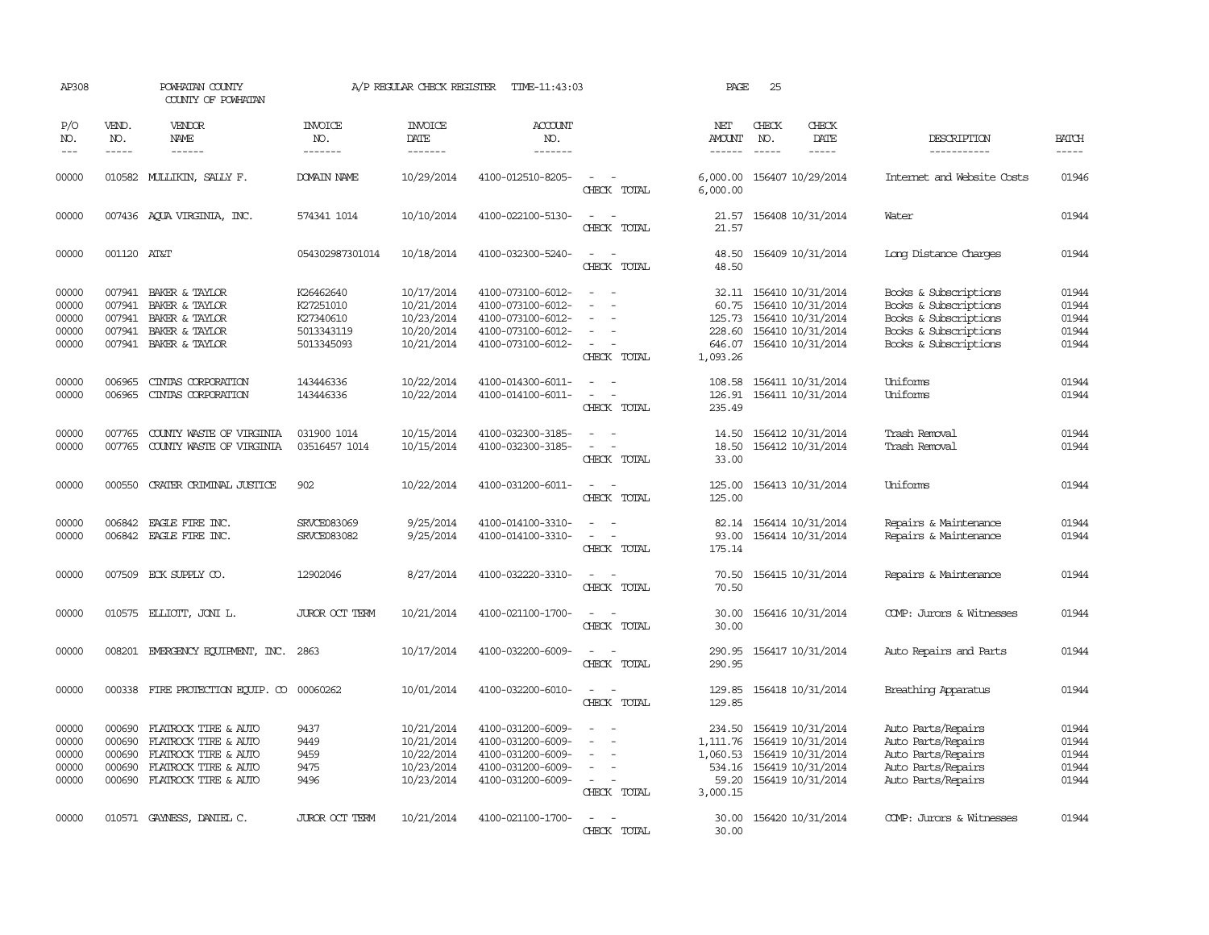| AP308                                     |                                      | POWHATAN COUNTY<br>COUNTY OF POWHATAN                                                                                       |                                                                 | A/P REGULAR CHECK REGISTER                                         | TIME-11:43:03                                                                                         |                                                                                                                                       | PAGE                                              | 25                            |                                                                                                                    |                                                                                                                           |                                           |
|-------------------------------------------|--------------------------------------|-----------------------------------------------------------------------------------------------------------------------------|-----------------------------------------------------------------|--------------------------------------------------------------------|-------------------------------------------------------------------------------------------------------|---------------------------------------------------------------------------------------------------------------------------------------|---------------------------------------------------|-------------------------------|--------------------------------------------------------------------------------------------------------------------|---------------------------------------------------------------------------------------------------------------------------|-------------------------------------------|
| P/O<br>NO.<br>$---$                       | VEND.<br>NO.<br>$\frac{1}{2}$        | VENDOR<br>NAME<br>$- - - - - -$                                                                                             | <b>INVOICE</b><br>NO.<br>--------                               | <b>INVOICE</b><br>DATE<br>-------                                  | <b>ACCOUNT</b><br>NO.<br>-------                                                                      |                                                                                                                                       | NET<br>AMOUNT<br>------                           | CHECK<br>NO.<br>$\frac{1}{2}$ | CHECK<br>DATE<br>$- - - - -$                                                                                       | DESCRIPTION<br>-----------                                                                                                | <b>BATCH</b><br>$- - - - -$               |
| 00000                                     |                                      | 010582 MULLIKIN, SALLY F.                                                                                                   | DOMAIN NAME                                                     | 10/29/2014                                                         | 4100-012510-8205-                                                                                     | $\omega_{\rm{max}}$ and $\omega_{\rm{max}}$<br>CHECK TOTAL                                                                            | 6,000.00                                          |                               | 6,000.00 156407 10/29/2014                                                                                         | Internet and Website Costs                                                                                                | 01946                                     |
| 00000                                     |                                      | 007436 AQUA VIRGINIA, INC.                                                                                                  | 574341 1014                                                     | 10/10/2014                                                         | 4100-022100-5130-                                                                                     | $\sim$ $ \sim$<br>CHECK TOTAL                                                                                                         | 21.57<br>21.57                                    |                               | 156408 10/31/2014                                                                                                  | Water                                                                                                                     | 01944                                     |
| 00000                                     | 001120 AT&T                          |                                                                                                                             | 054302987301014                                                 | 10/18/2014                                                         | 4100-032300-5240-                                                                                     | $\sim$ 10 $\sim$ 10 $\sim$<br>CHECK TOTAL                                                                                             | 48.50<br>48.50                                    |                               | 156409 10/31/2014                                                                                                  | Long Distance Charges                                                                                                     | 01944                                     |
| 00000<br>00000<br>00000<br>00000<br>00000 | 007941                               | 007941 BAKER & TAYLOR<br>BAKER & TAYLOR<br>007941 BAKER & TAYLOR<br>007941 BAKER & TAYLOR<br>007941 BAKER & TAYLOR          | K26462640<br>K27251010<br>K27340610<br>5013343119<br>5013345093 | 10/17/2014<br>10/21/2014<br>10/23/2014<br>10/20/2014<br>10/21/2014 | 4100-073100-6012-<br>4100-073100-6012-<br>4100-073100-6012-<br>4100-073100-6012-<br>4100-073100-6012- | $\sim$<br>$\equiv$<br>$\equiv$<br>$\sim$ 100 $\sim$<br>CHECK TOTAL                                                                    | 60.75<br>125.73<br>228.60<br>1,093.26             |                               | 32.11 156410 10/31/2014<br>156410 10/31/2014<br>156410 10/31/2014<br>156410 10/31/2014<br>646.07 156410 10/31/2014 | Books & Subscriptions<br>Books & Subscriptions<br>Books & Subscriptions<br>Books & Subscriptions<br>Books & Subscriptions | 01944<br>01944<br>01944<br>01944<br>01944 |
| 00000<br>00000                            | 006965<br>006965                     | CINIAS CORPORATION<br>CINIAS CORPORATION                                                                                    | 143446336<br>143446336                                          | 10/22/2014<br>10/22/2014                                           | 4100-014300-6011-<br>4100-014100-6011-                                                                | $\sim$<br>$\frac{1}{2} \left( \frac{1}{2} \right) \left( \frac{1}{2} \right) = \frac{1}{2} \left( \frac{1}{2} \right)$<br>CHECK TOTAL | 108.58<br>126.91<br>235.49                        |                               | 156411 10/31/2014<br>156411 10/31/2014                                                                             | Uniforms<br>Uniforms                                                                                                      | 01944<br>01944                            |
| 00000<br>00000                            | 007765<br>007765                     | COUNTY WASTE OF VIRGINIA<br>COUNTY WASTE OF VIRGINIA                                                                        | 031900 1014<br>03516457 1014                                    | 10/15/2014<br>10/15/2014                                           | 4100-032300-3185-<br>4100-032300-3185-                                                                | $\sim$<br>$ \,$<br>CHECK TOTAL                                                                                                        | 14.50<br>18.50<br>33.00                           |                               | 156412 10/31/2014<br>156412 10/31/2014                                                                             | Trash Removal<br>Trash Removal                                                                                            | 01944<br>01944                            |
| 00000                                     | 000550                               | CRATER CRIMINAL JUSTICE                                                                                                     | 902                                                             | 10/22/2014                                                         | 4100-031200-6011-                                                                                     | $\frac{1}{2} \left( \frac{1}{2} \right) \left( \frac{1}{2} \right) = \frac{1}{2} \left( \frac{1}{2} \right)$<br>CHECK TOTAL           | 125.00<br>125.00                                  |                               | 156413 10/31/2014                                                                                                  | Uniforms                                                                                                                  | 01944                                     |
| 00000<br>00000                            |                                      | 006842 EAGLE FIRE INC.<br>006842 EAGLE FIRE INC.                                                                            | SRVCE083069<br>SRVCE083082                                      | 9/25/2014<br>9/25/2014                                             | 4100-014100-3310-<br>4100-014100-3310-                                                                | $\sim$<br>$\sim$ $ \sim$<br>CHECK TOTAL                                                                                               | 93.00<br>175.14                                   |                               | 82.14 156414 10/31/2014<br>156414 10/31/2014                                                                       | Repairs & Maintenance<br>Repairs & Maintenance                                                                            | 01944<br>01944                            |
| 00000                                     |                                      | 007509 ECK SUPPLY CO.                                                                                                       | 12902046                                                        | 8/27/2014                                                          | 4100-032220-3310-                                                                                     | $\sim$ $ -$<br>CHECK TOTAL                                                                                                            | 70.50<br>70.50                                    |                               | 156415 10/31/2014                                                                                                  | Repairs & Maintenance                                                                                                     | 01944                                     |
| 00000                                     |                                      | 010575 ELLIOTT, JONI L.                                                                                                     | <b>JUROR OCT TERM</b>                                           | 10/21/2014                                                         | 4100-021100-1700-                                                                                     | $\overline{\phantom{a}}$<br>CHECK TOTAL                                                                                               | 30.00<br>30.00                                    |                               | 156416 10/31/2014                                                                                                  | COMP: Jurors & Witnesses                                                                                                  | 01944                                     |
| 00000                                     |                                      | 008201 EMERGENCY EQUIPMENT, INC.                                                                                            | 2863                                                            | 10/17/2014                                                         | 4100-032200-6009-                                                                                     | $\sim$<br>CHECK TOTAL                                                                                                                 | 290.95<br>290.95                                  |                               | 156417 10/31/2014                                                                                                  | Auto Repairs and Parts                                                                                                    | 01944                                     |
| 00000                                     |                                      | 000338 FIRE PROTECTION EQUIP. CO 00060262                                                                                   |                                                                 | 10/01/2014                                                         | 4100-032200-6010-                                                                                     | $\omega_{\rm{max}}$ and $\omega_{\rm{max}}$<br>CHECK TOTAL                                                                            | 129.85<br>129.85                                  |                               | 156418 10/31/2014                                                                                                  | Breathing Apparatus                                                                                                       | 01944                                     |
| 00000<br>00000<br>00000<br>00000<br>00000 | 000690<br>000690<br>000690<br>000690 | FLATROCK TIRE & AUTO<br>FLATROCK TIRE & AUTO<br>FLATROCK TIRE & AUTO<br>FLATROCK TIRE & AUTO<br>000690 FLATROCK TIRE & AUTO | 9437<br>9449<br>9459<br>9475<br>9496                            | 10/21/2014<br>10/21/2014<br>10/22/2014<br>10/23/2014<br>10/23/2014 | 4100-031200-6009-<br>4100-031200-6009-<br>4100-031200-6009-<br>4100-031200-6009-<br>4100-031200-6009- | $\equiv$<br>$\sim$<br>$\equiv$<br>$\equiv$<br>$\sim$ $-$<br>CHECK TOTAL                                                               | 234.50<br>1,060.53<br>534.16<br>59.20<br>3,000.15 |                               | 156419 10/31/2014<br>1, 111.76 156419 10/31/2014<br>156419 10/31/2014<br>156419 10/31/2014<br>156419 10/31/2014    | Auto Parts/Repairs<br>Auto Parts/Repairs<br>Auto Parts/Repairs<br>Auto Parts/Repairs<br>Auto Parts/Repairs                | 01944<br>01944<br>01944<br>01944<br>01944 |
| 00000                                     |                                      | 010571 GAYNESS, DANIEL C.                                                                                                   | JUROR OCT TERM                                                  | 10/21/2014                                                         | 4100-021100-1700-                                                                                     | $\sim$ $\sim$<br>CHRCK TOTAL                                                                                                          | 30.00                                             |                               | 30.00 156420 10/31/2014                                                                                            | COMP: Jurors & Witnesses                                                                                                  | 01944                                     |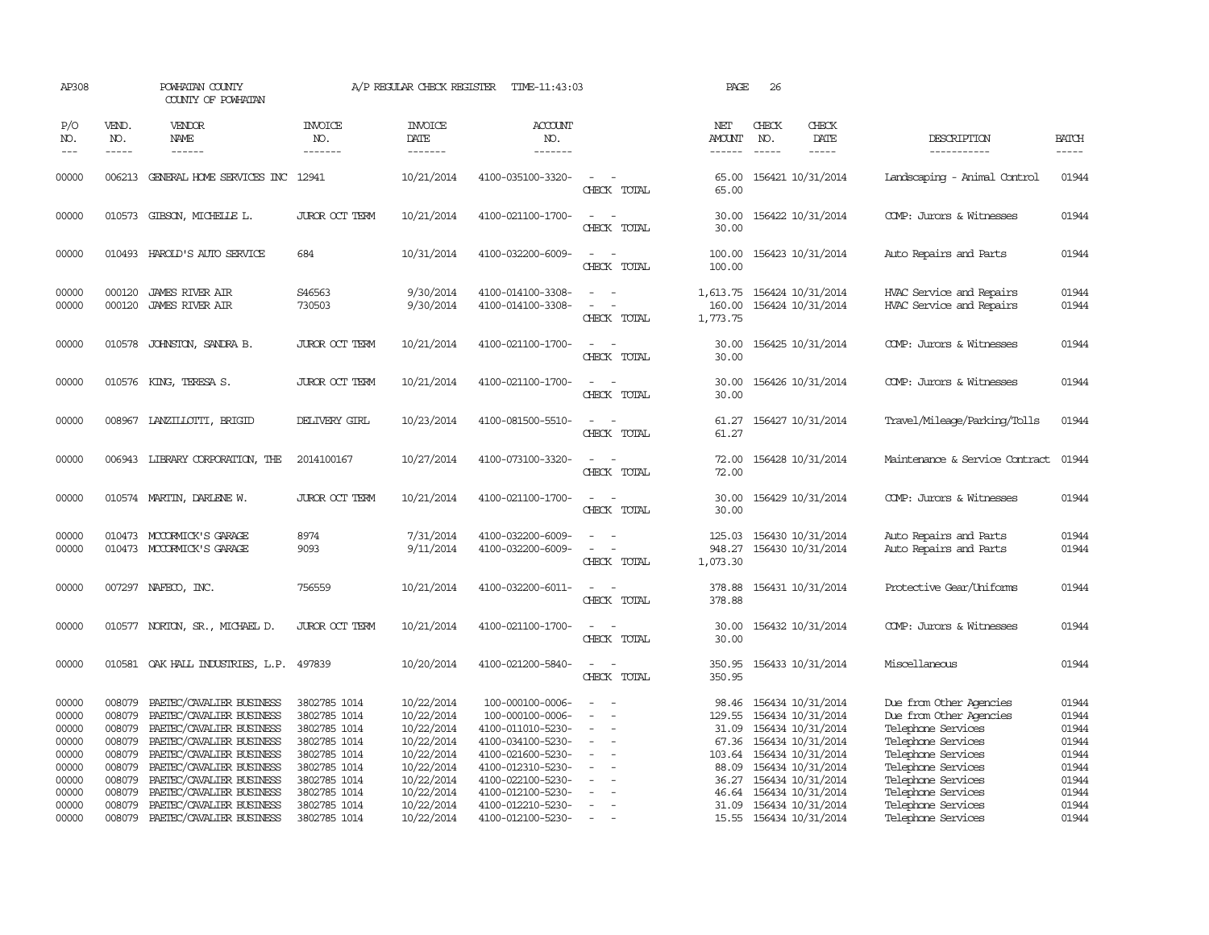| AP308                            |                                      | POWHATAN COUNTY<br>COUNTY OF POWHATAN                                                                        |                                                              | A/P REGULAR CHECK REGISTER                           | TIME-11:43:03                                                                  |                                                                                                                             | PAGE                                             | 26                                                                            |                                |                                                                                                |                                  |
|----------------------------------|--------------------------------------|--------------------------------------------------------------------------------------------------------------|--------------------------------------------------------------|------------------------------------------------------|--------------------------------------------------------------------------------|-----------------------------------------------------------------------------------------------------------------------------|--------------------------------------------------|-------------------------------------------------------------------------------|--------------------------------|------------------------------------------------------------------------------------------------|----------------------------------|
| P/O<br>NO.<br>$---$              | VEND.<br>NO.<br>$\frac{1}{2}$        | <b>VENDOR</b><br>NAME<br>$- - - - - -$                                                                       | <b>INVOICE</b><br>NO.<br>-------                             | <b>INVOICE</b><br>DATE<br>--------                   | ACCOUNT<br>NO.<br>-------                                                      |                                                                                                                             | NET<br>AMOUNT<br>$- - - - - -$                   | CHECK<br>NO.<br>$\frac{1}{2}$                                                 | CHECK<br>DATE<br>$\frac{1}{2}$ | DESCRIPTION<br>-----------                                                                     | <b>BATCH</b><br>-----            |
| 00000                            |                                      | 006213 GENERAL HOME SERVICES INC 12941                                                                       |                                                              | 10/21/2014                                           | 4100-035100-3320-                                                              | $\overline{\phantom{a}}$<br>CHECK TOTAL                                                                                     | 65.00<br>65.00                                   |                                                                               | 156421 10/31/2014              | Landscaping - Animal Control                                                                   | 01944                            |
| 00000                            |                                      | 010573 GIBSON, MICHELLE L.                                                                                   | JUROR OCT TERM                                               | 10/21/2014                                           | 4100-021100-1700-                                                              | $\sim$ $-$<br>CHECK TOTAL                                                                                                   | 30.00                                            | 30.00 156422 10/31/2014                                                       |                                | COMP: Jurors & Witnesses                                                                       | 01944                            |
| 00000                            |                                      | 010493 HAROLD'S AUTO SERVICE                                                                                 | 684                                                          | 10/31/2014                                           | 4100-032200-6009-                                                              | $\sim$<br>- 11<br>CHECK TOTAL                                                                                               | 100.00                                           | 100.00 156423 10/31/2014                                                      |                                | Auto Repairs and Parts                                                                         | 01944                            |
| 00000<br>00000                   | 000120                               | <b>JAMES RIVER AIR</b><br>000120 JAMES RIVER AIR                                                             | S46563<br>730503                                             | 9/30/2014<br>9/30/2014                               | 4100-014100-3308-<br>4100-014100-3308-                                         | $\sim$ $\sim$<br>$\overline{\phantom{a}}$<br>CHECK TOTAL                                                                    | 1,613.75 156424 10/31/2014<br>160.00<br>1,773.75 |                                                                               | 156424 10/31/2014              | HVAC Service and Repairs<br>HVAC Service and Repairs                                           | 01944<br>01944                   |
| 00000                            |                                      | 010578 JOHNSTON, SANDRA B.                                                                                   | <b>JUROR OCT TERM</b>                                        | 10/21/2014                                           | 4100-021100-1700-                                                              | $\sim$<br>CHECK TOTAL                                                                                                       | 30.00<br>30.00                                   |                                                                               | 156425 10/31/2014              | COMP: Jurors & Witnesses                                                                       | 01944                            |
| 00000                            |                                      | 010576 KING, TERESA S.                                                                                       | JUROR OCT TERM                                               | 10/21/2014                                           | 4100-021100-1700-                                                              | $ -$<br>CHECK TOTAL                                                                                                         | 30.00<br>30.00                                   |                                                                               | 156426 10/31/2014              | COMP: Jurors & Witnesses                                                                       | 01944                            |
| 00000                            |                                      | 008967 LANZILLOTTI, BRIGID                                                                                   | DELIVERY GIRL                                                | 10/23/2014                                           | 4100-081500-5510-                                                              | CHECK TOTAL                                                                                                                 | 61.27<br>61.27                                   |                                                                               | 156427 10/31/2014              | Travel/Mileage/Parking/Tolls                                                                   | 01944                            |
| 00000                            |                                      | 006943 LIBRARY CORPORATION, THE                                                                              | 2014100167                                                   | 10/27/2014                                           | 4100-073100-3320-                                                              | CHECK TOTAL                                                                                                                 | 72.00<br>72.00                                   |                                                                               | 156428 10/31/2014              | Maintenance & Service Contract                                                                 | 01944                            |
| 00000                            |                                      | 010574 MARTIN, DARLENE W.                                                                                    | JUROR OCT TERM                                               | 10/21/2014                                           | 4100-021100-1700-                                                              | CHECK TOTAL                                                                                                                 | 30.00<br>30.00                                   |                                                                               | 156429 10/31/2014              | COMP: Jurors & Witnesses                                                                       | 01944                            |
| 00000<br>00000                   |                                      | 010473 MCCORMICK'S GARAGE<br>010473 MCCORMICK'S GARAGE                                                       | 8974<br>9093                                                 | 7/31/2014<br>9/11/2014                               | 4100-032200-6009-<br>4100-032200-6009-                                         | $\sim$<br>$\sim$<br>CHECK TOTAL                                                                                             | 125.03<br>1,073.30                               | 948.27 156430 10/31/2014                                                      | 156430 10/31/2014              | Auto Repairs and Parts<br>Auto Repairs and Parts                                               | 01944<br>01944                   |
| 00000                            |                                      | 007297 NAFECO, INC.                                                                                          | 756559                                                       | 10/21/2014                                           | 4100-032200-6011-                                                              | $\frac{1}{2} \left( \frac{1}{2} \right) \left( \frac{1}{2} \right) = \frac{1}{2} \left( \frac{1}{2} \right)$<br>CHECK TOTAL | 378.88                                           | 378.88 156431 10/31/2014                                                      |                                | Protective Gear/Uniforms                                                                       | 01944                            |
| 00000                            |                                      | 010577 NORTON, SR., MICHAEL D.                                                                               | JUROR OCT TERM                                               | 10/21/2014                                           | 4100-021100-1700-                                                              | $\overline{\phantom{a}}$<br>CHECK TOTAL                                                                                     | 30.00<br>30.00                                   |                                                                               | 156432 10/31/2014              | COMP: Jurors & Witnesses                                                                       | 01944                            |
| 00000                            |                                      | 010581 OAK HALL INDUSTRIES, L.P. 497839                                                                      |                                                              | 10/20/2014                                           | 4100-021200-5840-                                                              | $\sim$<br>$\sim$<br>CHECK TOTAL                                                                                             | 350.95<br>350.95                                 |                                                                               | 156433 10/31/2014              | Miscellaneous                                                                                  | 01944                            |
| 00000<br>00000<br>00000<br>00000 | 008079<br>008079<br>008079<br>008079 | PAETEC/CAVALIER BUSINESS<br>PAETEC/CAVALIER BUSINESS<br>PAETEC/CAVALIER BUSINESS<br>PAETEC/CAVALIER BUSINESS | 3802785 1014<br>3802785 1014<br>3802785 1014<br>3802785 1014 | 10/22/2014<br>10/22/2014<br>10/22/2014<br>10/22/2014 | 100-000100-0006-<br>100-000100-0006-<br>4100-011010-5230-<br>4100-034100-5230- | $\overline{\phantom{a}}$<br>$\sim$                                                                                          | 98.46<br>129.55                                  | 156434 10/31/2014<br>31.09 156434 10/31/2014<br>67.36 156434 10/31/2014       | 156434 10/31/2014              | Due from Other Agencies<br>Due from Other Agencies<br>Telephone Services<br>Telephone Services | 01944<br>01944<br>01944<br>01944 |
| 00000<br>00000                   | 008079<br>008079                     | PAETEC/CAVALIER BUSINESS<br>PAETEC/CAVALIER BUSINESS                                                         | 3802785 1014<br>3802785 1014                                 | 10/22/2014<br>10/22/2014                             | 4100-021600-5230-<br>4100-012310-5230-                                         | $\overline{a}$                                                                                                              |                                                  | 103.64 156434 10/31/2014<br>88.09 156434 10/31/2014                           |                                | Telephone Services<br>Telephone Services                                                       | 01944<br>01944                   |
| 00000<br>00000<br>00000          | 008079<br>008079<br>008079           | PAETEC/CAVALIER BUSINESS<br>PAETEC/CAVALIER BUSINESS<br>PAETEC/CAVALIER BUSINESS                             | 3802785 1014<br>3802785 1014<br>3802785 1014                 | 10/22/2014<br>10/22/2014<br>10/22/2014               | 4100-022100-5230-<br>4100-012100-5230-<br>4100-012210-5230-                    | $\sim$<br>$\sim$                                                                                                            |                                                  | 36.27 156434 10/31/2014<br>46.64 156434 10/31/2014<br>31.09 156434 10/31/2014 |                                | Telephone Services<br>Telephone Services<br>Telephone Services                                 | 01944<br>01944<br>01944          |
| 00000                            | 008079                               | PAETEC/CAVALIER BUSINESS                                                                                     | 3802785 1014                                                 | 10/22/2014                                           | 4100-012100-5230-                                                              |                                                                                                                             |                                                  | 15.55 156434 10/31/2014                                                       |                                | Telephone Services                                                                             | 01944                            |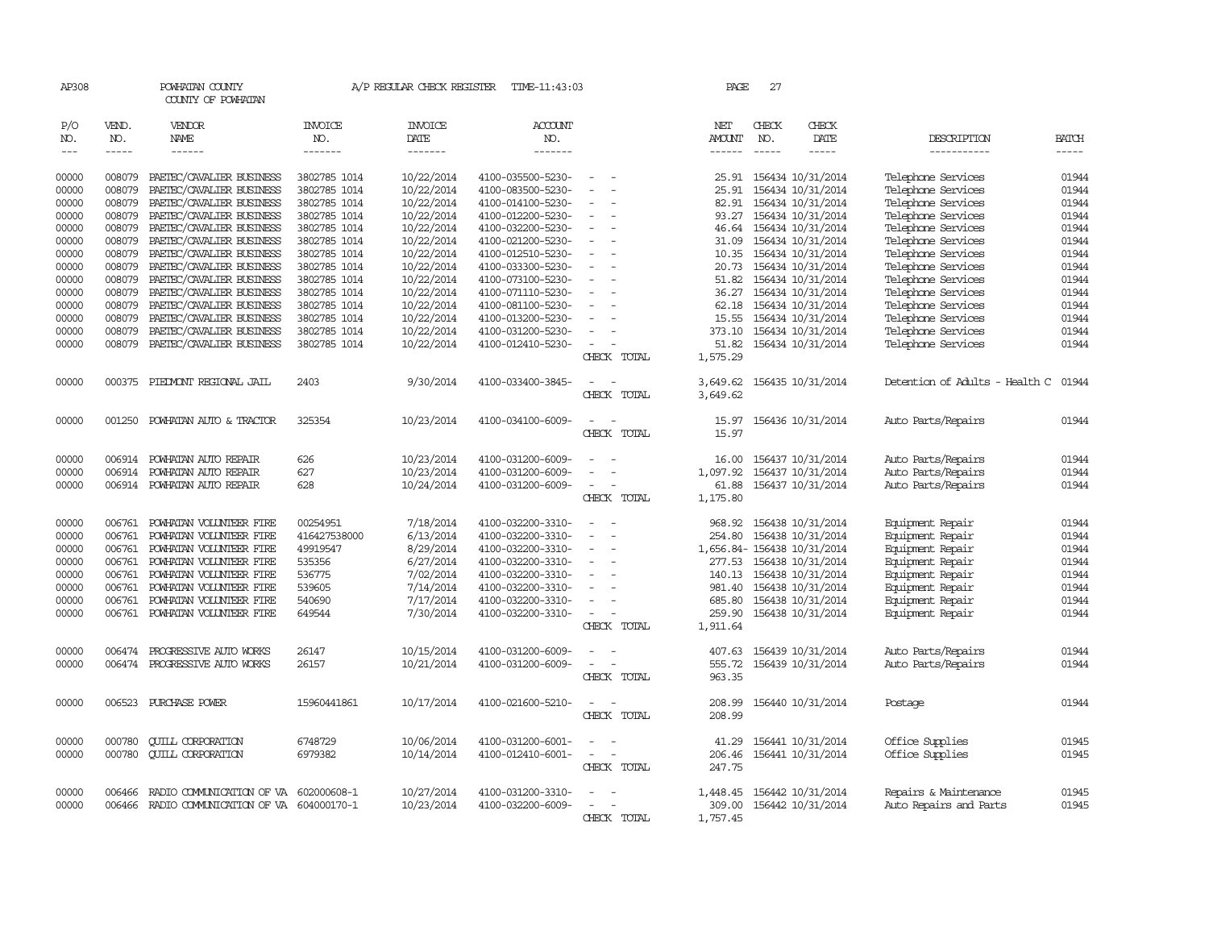| AP308               |              | POWHATAN COUNTY<br>COUNTY OF POWHATAN |                | A/P REGULAR CHECK REGISTER | TIME-11:43:03         |                                            | PAGE             | 27           |                            |                                |                |
|---------------------|--------------|---------------------------------------|----------------|----------------------------|-----------------------|--------------------------------------------|------------------|--------------|----------------------------|--------------------------------|----------------|
| P/O<br>NO.          | VEND.<br>NO. | VENDOR<br><b>NAME</b>                 | INVOICE<br>NO. | <b>INVOICE</b><br>DATE     | <b>ACCOUNT</b><br>NO. |                                            | NET<br>AMOUNT    | CHECK<br>NO. | CHECK<br><b>DATE</b>       | DESCRIPTION                    | <b>BATCH</b>   |
| $\qquad \qquad - -$ | $- - - - -$  | ------                                | -------        | -------                    | -------               |                                            | $- - - - - -$    | $- - - - -$  | -----                      | -----------                    | $- - - - -$    |
| 00000               | 008079       | PAETEC/CAVALIER BUSINESS              | 3802785 1014   | 10/22/2014                 | 4100-035500-5230-     | $\sim$                                     | 25.91            |              | 156434 10/31/2014          | Telephone Services             | 01944          |
| 00000               | 008079       | PAETEC/CAVALIER BUSINESS              | 3802785 1014   | 10/22/2014                 | 4100-083500-5230-     | $\sim$<br>$\overline{\phantom{a}}$         | 25.91            |              | 156434 10/31/2014          | Telephone Services             | 01944          |
| 00000               | 008079       | PAETEC/CAVALIER BUSINESS              | 3802785 1014   | 10/22/2014                 | 4100-014100-5230-     | $\sim$                                     | 82.91            |              | 156434 10/31/2014          | Telephone Services             | 01944          |
| 00000               | 008079       | PAETEC/CAVALIER BUSINESS              | 3802785 1014   | 10/22/2014                 | 4100-012200-5230-     | $\overline{\phantom{a}}$                   | 93.27            |              | 156434 10/31/2014          | Telephone Services             | 01944          |
| 00000               | 008079       | PAETEC/CAVALIER BUSINESS              | 3802785 1014   | 10/22/2014                 | 4100-032200-5230-     | $\overline{\phantom{a}}$<br>$\overline{a}$ |                  |              | 46.64 156434 10/31/2014    | Telephone Services             | 01944          |
| 00000               | 008079       | PAETEC/CAVALIER BUSINESS              | 3802785 1014   | 10/22/2014                 | 4100-021200-5230-     | $\overline{\phantom{a}}$                   | 31.09            |              | 156434 10/31/2014          | Telephone Services             | 01944          |
| 00000               | 008079       | PAETEC/CAVALIER BUSINESS              | 3802785 1014   | 10/22/2014                 | 4100-012510-5230-     |                                            |                  |              | 10.35 156434 10/31/2014    | Telephone Services             | 01944          |
| 00000               | 008079       | PAETEC/CAVALIER BUSINESS              | 3802785 1014   | 10/22/2014                 | 4100-033300-5230-     | $\sim$<br>$\overline{a}$                   | 20.73            |              | 156434 10/31/2014          | Telephone Services             | 01944          |
| 00000               | 008079       | PAETEC/CAVALIER BUSINESS              | 3802785 1014   | 10/22/2014                 | 4100-073100-5230-     |                                            | 51.82            |              | 156434 10/31/2014          | Telephone Services             | 01944          |
| 00000               | 008079       | PAETEC/CAVALIER BUSINESS              | 3802785 1014   | 10/22/2014                 | 4100-071110-5230-     | $\sim$                                     | 36.27            |              | 156434 10/31/2014          | Telephone Services             | 01944          |
| 00000               | 008079       | PAETEC/CAVALIER BUSINESS              | 3802785 1014   | 10/22/2014                 | 4100-081100-5230-     |                                            | 62.18            |              | 156434 10/31/2014          | Telephone Services             | 01944          |
| 00000               | 008079       | PAETEC/CAVALIER BUSINESS              | 3802785 1014   | 10/22/2014                 | 4100-013200-5230-     | $\sim$                                     |                  |              | 15.55 156434 10/31/2014    | Telephone Services             | 01944          |
| 00000               | 008079       | PAETEC/CAVALIER BUSINESS              | 3802785 1014   | 10/22/2014                 | 4100-031200-5230-     | $\overline{\phantom{a}}$                   | 373.10           |              | 156434 10/31/2014          | Telephone Services             | 01944          |
| 00000               | 008079       | PAETEC/CAVALIER BUSINESS              | 3802785 1014   | 10/22/2014                 | 4100-012410-5230-     |                                            | 51.82            |              | 156434 10/31/2014          | Telephone Services             | 01944          |
|                     |              |                                       |                |                            |                       | CHECK TOTAL                                | 1,575.29         |              |                            |                                |                |
| 00000               | 000375       | PIEDMONT REGIONAL JAIL                | 2403           | 9/30/2014                  | 4100-033400-3845-     |                                            | 3,649.62         |              | 156435 10/31/2014          | Detention of Adults - Health C | 01944          |
|                     |              |                                       |                |                            |                       | CHECK TOTAL                                | 3,649.62         |              |                            |                                |                |
| 00000               | 001250       | POWHATAN AUTO & TRACTOR               | 325354         | 10/23/2014                 | 4100-034100-6009-     |                                            | 15.97            |              | 156436 10/31/2014          | Auto Parts/Repairs             | 01944          |
|                     |              |                                       |                |                            |                       | CHECK TOTAL                                | 15.97            |              |                            |                                |                |
| 00000               |              | 006914 POWHATAN AUTO REPAIR           | 626            | 10/23/2014                 | 4100-031200-6009-     |                                            | 16.00            |              | 156437 10/31/2014          | Auto Parts/Repairs             | 01944          |
| 00000               | 006914       | POWHATAN AUTO REPAIR                  | 627            | 10/23/2014                 | 4100-031200-6009-     |                                            | 1,097.92         |              | 156437 10/31/2014          | Auto Parts/Repairs             | 01944          |
| 00000               |              | 006914 POWHATAN AUTO REPAIR           | 628            | 10/24/2014                 | 4100-031200-6009-     |                                            | 61.88            |              | 156437 10/31/2014          | Auto Parts/Repairs             | 01944          |
|                     |              |                                       |                |                            |                       | CHECK TOTAL                                | 1,175.80         |              |                            |                                |                |
| 00000               | 006761       | POWHATAN VOLUNTEER FIRE               | 00254951       | 7/18/2014                  | 4100-032200-3310-     |                                            | 968.92           |              | 156438 10/31/2014          | Equipment Repair               | 01944          |
| 00000               | 006761       | POWHATAN VOLUNTEER FIRE               | 416427538000   | 6/13/2014                  | 4100-032200-3310-     | $\sim$<br>$\overline{\phantom{a}}$         | 254.80           |              | 156438 10/31/2014          | Equipment Repair               | 01944          |
| 00000               | 006761       | POWHATAN VOLUNTEER FIRE               | 49919547       | 8/29/2014                  | 4100-032200-3310-     | $\overline{\phantom{a}}$<br>$\sim$         |                  |              | 1,656.84-156438 10/31/2014 | Equipment Repair               | 01944          |
| 00000               | 006761       | POWHATAN VOLUNTEER FIRE               | 535356         | 6/27/2014                  | 4100-032200-3310-     | $\overline{\phantom{a}}$                   | 277.53           |              | 156438 10/31/2014          | Equipment Repair               | 01944          |
| 00000               | 006761       | POWHATAN VOLUNTEER FIRE               | 536775         | 7/02/2014                  | 4100-032200-3310-     |                                            | 140.13           |              | 156438 10/31/2014          | Equipment Repair               | 01944          |
| 00000               | 006761       | POWHATAN VOLUNTEER FIRE               | 539605         | 7/14/2014                  | 4100-032200-3310-     | $\equiv$<br>$\overline{\phantom{a}}$       | 981.40           |              | 156438 10/31/2014          | Equipment Repair               | 01944          |
| 00000               | 006761       | POWHATAN VOLUNTEER FIRE               | 540690         | 7/17/2014                  | 4100-032200-3310-     | $\overline{\phantom{a}}$                   | 685.80           |              | 156438 10/31/2014          | Equipment Repair               | 01944          |
| 00000               |              | 006761 POWHATAN VOLUNTEER FIRE        | 649544         | 7/30/2014                  | 4100-032200-3310-     | $\sim$<br>$\overline{\phantom{a}}$         | 259.90           |              | 156438 10/31/2014          | Equipment Repair               | 01944          |
|                     |              |                                       |                |                            |                       | CHECK TOTAL                                | 1,911.64         |              |                            |                                |                |
|                     |              |                                       |                |                            |                       |                                            |                  |              |                            |                                |                |
| 00000               | 006474       | PROGRESSIVE AUTO WORKS                | 26147<br>26157 | 10/15/2014                 | 4100-031200-6009-     |                                            | 407.63           |              | 156439 10/31/2014          | Auto Parts/Repairs             | 01944<br>01944 |
| 00000               | 006474       | PROGRESSIVE AUTO WORKS                |                | 10/21/2014                 | 4100-031200-6009-     | CHECK TOTAL                                | 555.72<br>963.35 |              | 156439 10/31/2014          | Auto Parts/Repairs             |                |
|                     |              |                                       |                |                            |                       |                                            |                  |              |                            |                                |                |
| 00000               | 006523       | PURCHASE POWER                        | 15960441861    | 10/17/2014                 | 4100-021600-5210-     | CHECK TOTAL                                | 208.99<br>208.99 |              | 156440 10/31/2014          | Postage                        | 01944          |
|                     |              |                                       |                |                            |                       |                                            |                  |              |                            |                                |                |
| 00000               | 000780       | <b>QUILL CORPORATION</b>              | 6748729        | 10/06/2014                 | 4100-031200-6001-     | $\equiv$<br>$\overline{a}$                 | 41.29            |              | 156441 10/31/2014          | Office Supplies                | 01945          |
| 00000               | 000780       | <b>QUILL CORPORATION</b>              | 6979382        | 10/14/2014                 | 4100-012410-6001-     | CHECK TOTAL                                | 206.46<br>247.75 |              | 156441 10/31/2014          | Office Supplies                | 01945          |
|                     |              |                                       |                |                            |                       |                                            |                  |              |                            |                                |                |
| 00000               | 006466       | RADIO COMMUNICATION OF VA             | 602000608-1    | 10/27/2014                 | 4100-031200-3310-     |                                            | 1,448.45         |              | 156442 10/31/2014          | Repairs & Maintenance          | 01945          |
| 00000               | 006466       | RADIO COMMUNICATION OF VA 604000170-1 |                | 10/23/2014                 | 4100-032200-6009-     |                                            | 309.00           |              | 156442 10/31/2014          | Auto Repairs and Parts         | 01945          |
|                     |              |                                       |                |                            |                       | CHECK TOTAL                                | 1,757.45         |              |                            |                                |                |
|                     |              |                                       |                |                            |                       |                                            |                  |              |                            |                                |                |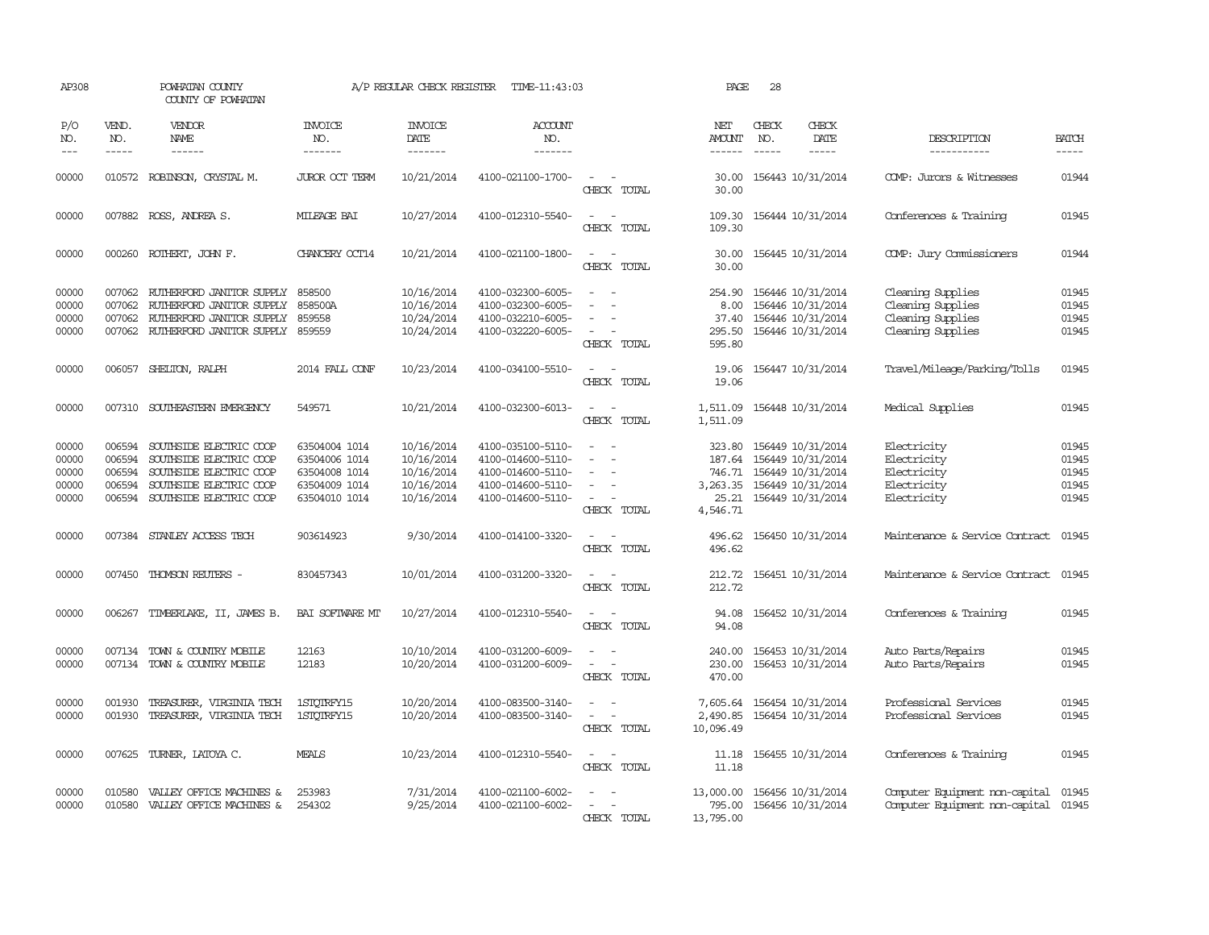| AP308                                     |                                                | POWHATAN COUNTY<br>COUNTY OF POWHATAN                                                                                               |                                                                                   | A/P REGULAR CHECK REGISTER                                         | TIME-11:43:03                                                                                         |                                                                                 | PAGE                                                        | 28                            |                                                                                                       |                                                                                  |                                           |
|-------------------------------------------|------------------------------------------------|-------------------------------------------------------------------------------------------------------------------------------------|-----------------------------------------------------------------------------------|--------------------------------------------------------------------|-------------------------------------------------------------------------------------------------------|---------------------------------------------------------------------------------|-------------------------------------------------------------|-------------------------------|-------------------------------------------------------------------------------------------------------|----------------------------------------------------------------------------------|-------------------------------------------|
| P/O<br>NO.<br>$---$                       | VEND.<br>NO.<br>$- - - - -$                    | VENDOR<br>NAME                                                                                                                      | <b>INVOICE</b><br>NO.<br>-------                                                  | <b>INVOICE</b><br>DATE<br>-------                                  | ACCOUNT<br>NO.<br>-------                                                                             |                                                                                 | NET<br>AMOUNT<br>------                                     | CHECK<br>NO.<br>$\frac{1}{2}$ | CHECK<br>DATE<br>$- - - - -$                                                                          | DESCRIPTION<br>-----------                                                       | <b>BATCH</b><br>-----                     |
| 00000                                     |                                                | 010572 ROBINSON, CRYSTAL M.                                                                                                         | <b>JUROR OCT TERM</b>                                                             | 10/21/2014                                                         | 4100-021100-1700-                                                                                     | $\sim$<br>CHECK TOTAL                                                           | 30.00<br>30.00                                              |                               | 156443 10/31/2014                                                                                     | COMP: Jurors & Witnesses                                                         | 01944                                     |
| 00000                                     |                                                | 007882 ROSS, ANDREA S.                                                                                                              | MILEAGE BAI                                                                       | 10/27/2014                                                         | 4100-012310-5540-                                                                                     | $\equiv$<br>$\overline{\phantom{a}}$<br>CHECK TOTAL                             | 109.30<br>109.30                                            |                               | 156444 10/31/2014                                                                                     | Conferences & Training                                                           | 01945                                     |
| 00000                                     |                                                | 000260 ROTHERT, JOHN F.                                                                                                             | CHANCERY OCT14                                                                    | 10/21/2014                                                         | 4100-021100-1800-                                                                                     | $\equiv$<br>$\sim$<br>CHECK TOTAL                                               | 30.00<br>30.00                                              |                               | 156445 10/31/2014                                                                                     | COMP: Jury Commissioners                                                         | 01944                                     |
| 00000<br>00000<br>00000<br>00000          | 007062<br>007062<br>007062                     | RUTHERFORD JANITOR SUPPLY<br>RUTHERFORD JANITOR SUPPLY<br>RUTHERFORD JANITOR SUPPLY<br>007062 RUIHERFORD JANITOR SUPPLY             | 858500<br>858500A<br>859558<br>859559                                             | 10/16/2014<br>10/16/2014<br>10/24/2014<br>10/24/2014               | 4100-032300-6005-<br>4100-032300-6005-<br>4100-032210-6005-<br>4100-032220-6005-                      | $\equiv$<br>$\sim$ 10 $\sim$<br>CHECK TOTAL                                     | 254.90<br>8.00<br>37.40<br>295.50<br>595.80                 |                               | 156446 10/31/2014<br>156446 10/31/2014<br>156446 10/31/2014<br>156446 10/31/2014                      | Cleaning Supplies<br>Cleaning Supplies<br>Cleaning Supplies<br>Cleaning Supplies | 01945<br>01945<br>01945<br>01945          |
| 00000                                     |                                                | 006057 SHELTON, RALPH                                                                                                               | 2014 FALL CONF                                                                    | 10/23/2014                                                         | 4100-034100-5510-                                                                                     | $\sim$<br>CHECK TOTAL                                                           | 19.06<br>19.06                                              |                               | 156447 10/31/2014                                                                                     | Travel/Mileage/Parking/Tolls                                                     | 01945                                     |
| 00000                                     | 007310                                         | SOUTHEASTERN EMERGENCY                                                                                                              | 549571                                                                            | 10/21/2014                                                         | 4100-032300-6013-                                                                                     | $\sim$<br>CHECK TOTAL                                                           | 1,511.09<br>1,511.09                                        |                               | 156448 10/31/2014                                                                                     | Medical Supplies                                                                 | 01945                                     |
| 00000<br>00000<br>00000<br>00000<br>00000 | 006594<br>006594<br>006594<br>006594<br>006594 | SOUTHSIDE ELECTRIC COOP<br>SOUTHSIDE ELECTRIC COOP<br>SOUTHSIDE ELECTRIC COOP<br>SOUTHSIDE ELECTRIC COOP<br>SOUTHSIDE ELECTRIC COOP | 63504004 1014<br>63504006 1014<br>63504008 1014<br>63504009 1014<br>63504010 1014 | 10/16/2014<br>10/16/2014<br>10/16/2014<br>10/16/2014<br>10/16/2014 | 4100-035100-5110-<br>4100-014600-5110-<br>4100-014600-5110-<br>4100-014600-5110-<br>4100-014600-5110- | $\overline{\phantom{a}}$<br>$\overline{\phantom{a}}$<br>$\equiv$<br>CHECK TOTAL | 323.80<br>187.64<br>746.71<br>3,263.35<br>25.21<br>4,546.71 |                               | 156449 10/31/2014<br>156449 10/31/2014<br>156449 10/31/2014<br>156449 10/31/2014<br>156449 10/31/2014 | Electricity<br>Electricity<br>Electricity<br>Electricity<br>Electricity          | 01945<br>01945<br>01945<br>01945<br>01945 |
| 00000                                     |                                                | 007384 STANLEY ACCESS TECH                                                                                                          | 903614923                                                                         | 9/30/2014                                                          | 4100-014100-3320-                                                                                     | $\sim$<br>CHECK TOTAL                                                           | 496.62<br>496.62                                            |                               | 156450 10/31/2014                                                                                     | Maintenance & Service Contract                                                   | 01945                                     |
| 00000                                     |                                                | 007450 THOMSON REUTERS -                                                                                                            | 830457343                                                                         | 10/01/2014                                                         | 4100-031200-3320-                                                                                     | CHECK TOTAL                                                                     | 212.72                                                      |                               | 212.72 156451 10/31/2014                                                                              | Maintenance & Service Contract 01945                                             |                                           |
| 00000                                     |                                                | 006267 TIMBERLAKE, II, JAMES B.                                                                                                     | BAI SOFTWARE MT                                                                   | 10/27/2014                                                         | 4100-012310-5540-                                                                                     | $\sim$ $\sim$<br>CHECK TOTAL                                                    | 94.08<br>94.08                                              |                               | 156452 10/31/2014                                                                                     | Conferences & Training                                                           | 01945                                     |
| 00000<br>00000                            | 007134                                         | TOWN & COUNTRY MOBILE<br>007134 TOWN & COUNTRY MOBILE                                                                               | 12163<br>12183                                                                    | 10/10/2014<br>10/20/2014                                           | 4100-031200-6009-<br>4100-031200-6009-                                                                | $\overline{\phantom{a}}$<br>CHECK TOTAL                                         | 240.00<br>230.00<br>470.00                                  |                               | 156453 10/31/2014<br>156453 10/31/2014                                                                | Auto Parts/Repairs<br>Auto Parts/Repairs                                         | 01945<br>01945                            |
| 00000<br>00000                            | 001930<br>001930                               | TREASURER, VIRGINIA TECH<br>TREASURER, VIRGINIA TECH                                                                                | 1STOTRFY15<br>1STOTRFY15                                                          | 10/20/2014<br>10/20/2014                                           | 4100-083500-3140-<br>4100-083500-3140-                                                                | $\sim$<br>$\sim$<br>CHECK TOTAL                                                 | 7,605.64<br>2,490.85 156454 10/31/2014<br>10,096.49         |                               | 156454 10/31/2014                                                                                     | Professional Services<br>Professional Services                                   | 01945<br>01945                            |
| 00000                                     |                                                | 007625 TURNER, LATOYA C.                                                                                                            | MEALS                                                                             | 10/23/2014                                                         | 4100-012310-5540-                                                                                     | $\sim$<br>$\sim$<br>CHECK TOTAL                                                 | 11.18<br>11.18                                              |                               | 156455 10/31/2014                                                                                     | Conferences & Training                                                           | 01945                                     |
| 00000<br>00000                            | 010580                                         | VALLEY OFFICE MACHINES &<br>010580 VALLEY OFFICE MACHINES &                                                                         | 253983<br>254302                                                                  | 7/31/2014<br>9/25/2014                                             | 4100-021100-6002-<br>4100-021100-6002-                                                                | CHECK TOTAL                                                                     | 13,000.00<br>795.00<br>13,795.00                            |                               | 156456 10/31/2014<br>156456 10/31/2014                                                                | Computer Equipment non-capital<br>Computer Equipment non-capital                 | 01945<br>01945                            |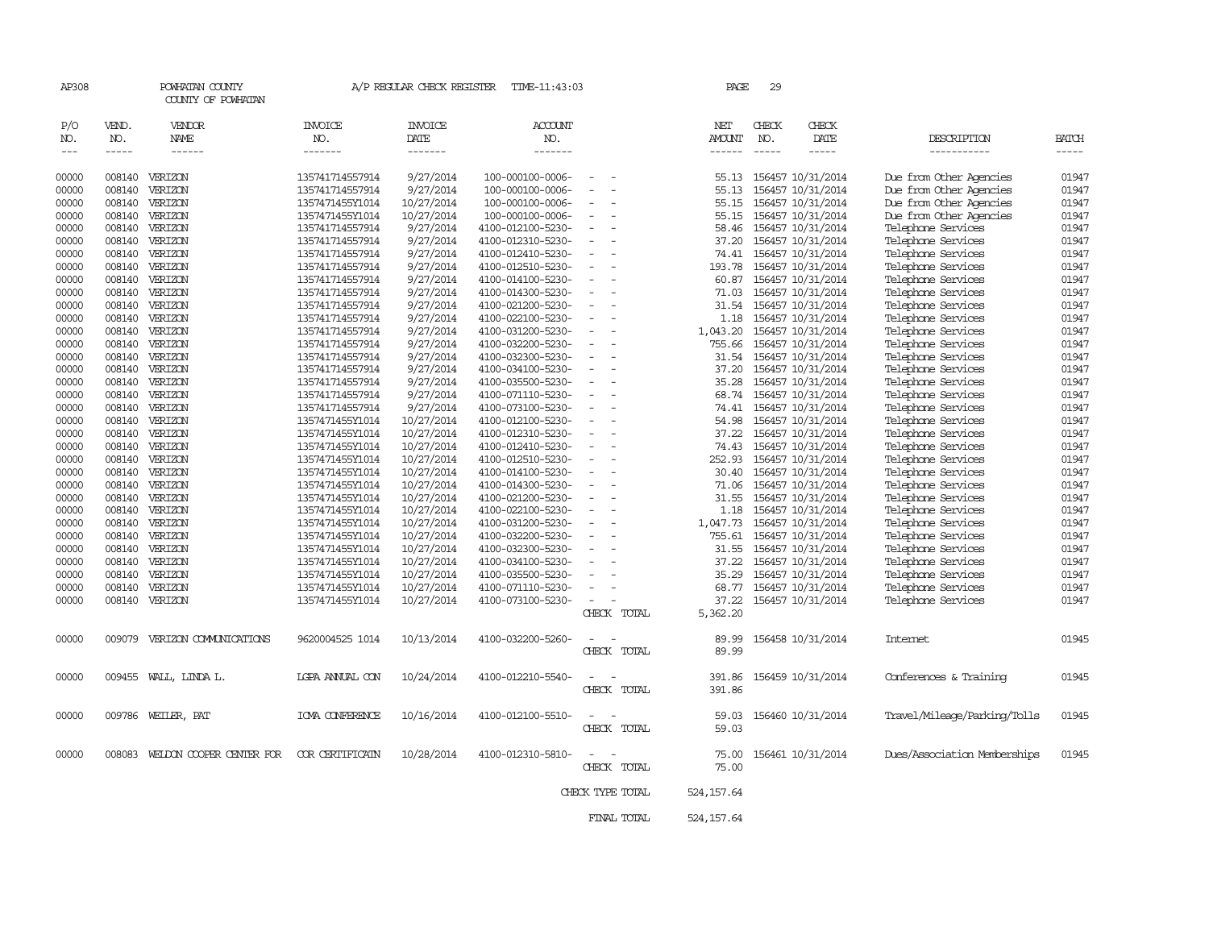| AP308               |                             | POWHATAN COUNTY<br>COUNTY OF POWHATAN |                                    | A/P REGULAR CHECK REGISTER        | TIME-11:43:03                          |                          | PAGE                    | 29                          |                                        |                                          |                      |
|---------------------|-----------------------------|---------------------------------------|------------------------------------|-----------------------------------|----------------------------------------|--------------------------|-------------------------|-----------------------------|----------------------------------------|------------------------------------------|----------------------|
| P/O<br>NO.<br>$---$ | VEND.<br>NO.<br>$- - - - -$ | VENDOR<br>NAME<br>------              | <b>INVOICE</b><br>NO.<br>-------   | <b>INVOICE</b><br>DATE<br>------- | <b>ACCOUNT</b><br>NO.<br>-------       |                          | NET<br>AMOUNT<br>------ | CHECK<br>NO.<br>$- - - - -$ | CHECK<br>DATE<br>-----                 | DESCRIPTION<br>-----------               | BATCH<br>$- - - - -$ |
| 00000               | 008140                      | VERIZON                               | 135741714557914                    | 9/27/2014                         | 100-000100-0006-                       |                          | 55.13                   |                             | 156457 10/31/2014                      | Due from Other Agencies                  | 01947                |
| 00000               | 008140                      | VERIZON                               | 135741714557914                    | 9/27/2014                         | 100-000100-0006-                       |                          | 55.13                   |                             | 156457 10/31/2014                      | Due from Other Agencies                  | 01947                |
| 00000               | 008140                      | VERIZON                               | 1357471455Y1014                    | 10/27/2014                        | 100-000100-0006-                       |                          | 55.15                   |                             | 156457 10/31/2014                      | Due from Other Agencies                  | 01947                |
| 00000               | 008140                      | VERIZON                               | 1357471455Y1014                    | 10/27/2014                        | 100-000100-0006-                       |                          | 55.15                   |                             | 156457 10/31/2014                      | Due from Other Agencies                  | 01947                |
| 00000               |                             | 008140 VERIZON                        | 135741714557914                    | 9/27/2014                         | 4100-012100-5230-                      | $\overline{\phantom{a}}$ | 58.46                   |                             | 156457 10/31/2014                      | Telephone Services                       | 01947                |
| 00000               | 008140                      | VERIZON                               | 135741714557914                    | 9/27/2014                         | 4100-012310-5230-                      |                          | 37.20                   |                             | 156457 10/31/2014                      | Telephone Services                       | 01947                |
| 00000               |                             | 008140 VERIZON                        | 135741714557914                    | 9/27/2014                         | 4100-012410-5230-                      |                          | 74.41                   |                             | 156457 10/31/2014                      | Telephone Services                       | 01947                |
| 00000               | 008140                      | VERIZON                               | 135741714557914                    | 9/27/2014                         | 4100-012510-5230-                      |                          | 193.78                  |                             | 156457 10/31/2014                      | Telephone Services                       | 01947                |
| 00000               |                             | 008140 VERIZON                        | 135741714557914                    | 9/27/2014                         | 4100-014100-5230-                      | $\sim$                   | 60.87                   |                             | 156457 10/31/2014                      | Telephone Services                       | 01947                |
| 00000               | 008140                      | VERIZON                               | 135741714557914                    | 9/27/2014                         | 4100-014300-5230-                      |                          | 71.03                   |                             | 156457 10/31/2014                      | Telephone Services                       | 01947                |
| 00000               | 008140                      | VERIZON                               | 135741714557914                    | 9/27/2014                         | 4100-021200-5230-                      |                          | 31.54                   |                             | 156457 10/31/2014                      | Telephone Services                       | 01947                |
| 00000               | 008140                      | VERIZON                               | 135741714557914                    | 9/27/2014                         | 4100-022100-5230-                      |                          | 1.18                    |                             | 156457 10/31/2014                      | Telephone Services                       | 01947                |
| 00000               | 008140                      | VERIZON                               | 135741714557914                    | 9/27/2014                         | 4100-031200-5230-                      |                          | 1,043.20                |                             | 156457 10/31/2014                      | Telephone Services                       | 01947                |
| 00000               | 008140                      | VERIZON                               | 135741714557914                    | 9/27/2014                         | 4100-032200-5230-                      |                          | 755.66                  |                             | 156457 10/31/2014                      | Telephone Services                       | 01947                |
| 00000               | 008140                      | VERIZON                               | 135741714557914                    | 9/27/2014                         | 4100-032300-5230-                      |                          | 31.54                   |                             | 156457 10/31/2014                      | Telephone Services                       | 01947                |
| 00000               |                             | 008140 VERIZON                        | 135741714557914                    | 9/27/2014                         | 4100-034100-5230-                      | $\overline{\phantom{a}}$ | 37.20                   |                             | 156457 10/31/2014                      | Telephone Services                       | 01947                |
| 00000               | 008140                      | VERIZON                               | 135741714557914                    | 9/27/2014                         | 4100-035500-5230-                      |                          | 35.28                   |                             | 156457 10/31/2014                      | Telephone Services                       | 01947                |
| 00000               | 008140                      | VERIZON                               | 135741714557914                    | 9/27/2014                         | 4100-071110-5230-                      |                          | 68.74                   |                             | 156457 10/31/2014                      | Telephone Services                       | 01947                |
| 00000               | 008140                      | VERIZON                               | 135741714557914                    | 9/27/2014                         | 4100-073100-5230-                      |                          | 74.41                   |                             | 156457 10/31/2014                      | Telephone Services                       | 01947                |
| 00000               |                             | 008140 VERIZON                        | 1357471455Y1014                    | 10/27/2014                        | 4100-012100-5230-                      | $\sim$                   | 54.98                   |                             | 156457 10/31/2014                      | Telephone Services                       | 01947                |
| 00000               | 008140                      | VERIZON                               | 1357471455Y1014                    | 10/27/2014                        | 4100-012310-5230-                      |                          | 37.22                   |                             | 156457 10/31/2014                      | Telephone Services                       | 01947                |
| 00000               | 008140                      | VERIZON                               | 1357471455Y1014                    | 10/27/2014                        | 4100-012410-5230-                      |                          | 74.43                   |                             | 156457 10/31/2014                      | Telephone Services                       | 01947                |
| 00000               | 008140                      | VERIZON                               | 1357471455Y1014                    | 10/27/2014                        | 4100-012510-5230-                      |                          | 252.93                  |                             | 156457 10/31/2014                      | Telephone Services                       | 01947                |
| 00000               | 008140                      | VERIZON                               | 1357471455Y1014                    | 10/27/2014                        | 4100-014100-5230-                      |                          | 30.40                   |                             | 156457 10/31/2014                      | Telephone Services                       | 01947                |
| 00000               | 008140                      | VERIZON                               | 1357471455Y1014                    | 10/27/2014                        | 4100-014300-5230-                      |                          | 71.06                   |                             | 156457 10/31/2014                      | Telephone Services                       | 01947                |
| 00000               | 008140                      | VERIZON                               | 1357471455Y1014                    | 10/27/2014                        | 4100-021200-5230-                      |                          | 31.55                   |                             | 156457 10/31/2014                      | Telephone Services                       | 01947                |
| 00000               |                             | 008140 VERIZON                        | 1357471455Y1014                    | 10/27/2014                        | 4100-022100-5230-                      |                          | 1.18                    |                             | 156457 10/31/2014                      | Telephone Services                       | 01947                |
| 00000               |                             | 008140 VERIZON                        | 1357471455Y1014                    | 10/27/2014                        | 4100-031200-5230-                      |                          | 1,047.73                |                             | 156457 10/31/2014                      | Telephone Services                       | 01947                |
| 00000               | 008140                      | VERIZON                               | 1357471455Y1014                    | 10/27/2014                        | 4100-032200-5230-                      |                          | 755.61                  |                             | 156457 10/31/2014                      | Telephone Services                       | 01947                |
| 00000               | 008140                      | VERIZON                               | 1357471455Y1014                    | 10/27/2014                        | 4100-032300-5230-                      |                          | 31.55                   |                             | 156457 10/31/2014                      | Telephone Services                       | 01947                |
| 00000<br>00000      | 008140                      | 008140 VERIZON<br>VERIZON             | 1357471455Y1014<br>1357471455Y1014 | 10/27/2014<br>10/27/2014          | 4100-034100-5230-<br>4100-035500-5230- |                          | 37.22                   |                             | 156457 10/31/2014<br>156457 10/31/2014 | Telephone Services<br>Telephone Services | 01947<br>01947       |
|                     |                             | VERIZON                               |                                    | 10/27/2014                        |                                        |                          | 35.29<br>68.77          |                             | 156457 10/31/2014                      | Telephone Services                       | 01947                |
| 00000<br>00000      | 008140                      | 008140 VERIZON                        | 1357471455Y1014<br>1357471455Y1014 | 10/27/2014                        | 4100-071110-5230-<br>4100-073100-5230- |                          | 37.22                   |                             | 156457 10/31/2014                      | Telephone Services                       | 01947                |
|                     |                             |                                       |                                    |                                   |                                        | CHECK TOTAL              | 5,362.20                |                             |                                        |                                          |                      |
| 00000               | 009079                      | VERIZON COMMUNICATIONS                | 9620004525 1014                    | 10/13/2014                        | 4100-032200-5260-                      |                          | 89.99                   |                             | 156458 10/31/2014                      | Internet                                 | 01945                |
|                     |                             |                                       |                                    |                                   |                                        | CHECK TOTAL              | 89.99                   |                             |                                        |                                          |                      |
| 00000               |                             | 009455 WALL, LINDA L.                 | LGPA ANNUAL CON                    | 10/24/2014                        | 4100-012210-5540-                      | CHECK TOTAL              | 391.86<br>391.86        |                             | 156459 10/31/2014                      | Conferences & Training                   | 01945                |
| 00000               | 009786                      | WEILER, PAT                           | IOVA CONFERENCE                    | 10/16/2014                        | 4100-012100-5510-                      | CHECK TOTAL              | 59.03<br>59.03          |                             | 156460 10/31/2014                      | Travel/Mileage/Parking/Tolls             | 01945                |
| 00000               |                             | 008083 WELDON COOPER CENTER FOR       | <b>COR CERTIFICAIN</b>             | 10/28/2014                        | 4100-012310-5810-                      | CHECK TOTAL              | 75.00<br>75.00          |                             | 156461 10/31/2014                      | Dues/Association Memberships             | 01945                |
|                     |                             |                                       |                                    |                                   |                                        | CHECK TYPE TOTAL         | 524, 157.64             |                             |                                        |                                          |                      |
|                     |                             |                                       |                                    |                                   |                                        | FINAL TOTAL              | 524, 157.64             |                             |                                        |                                          |                      |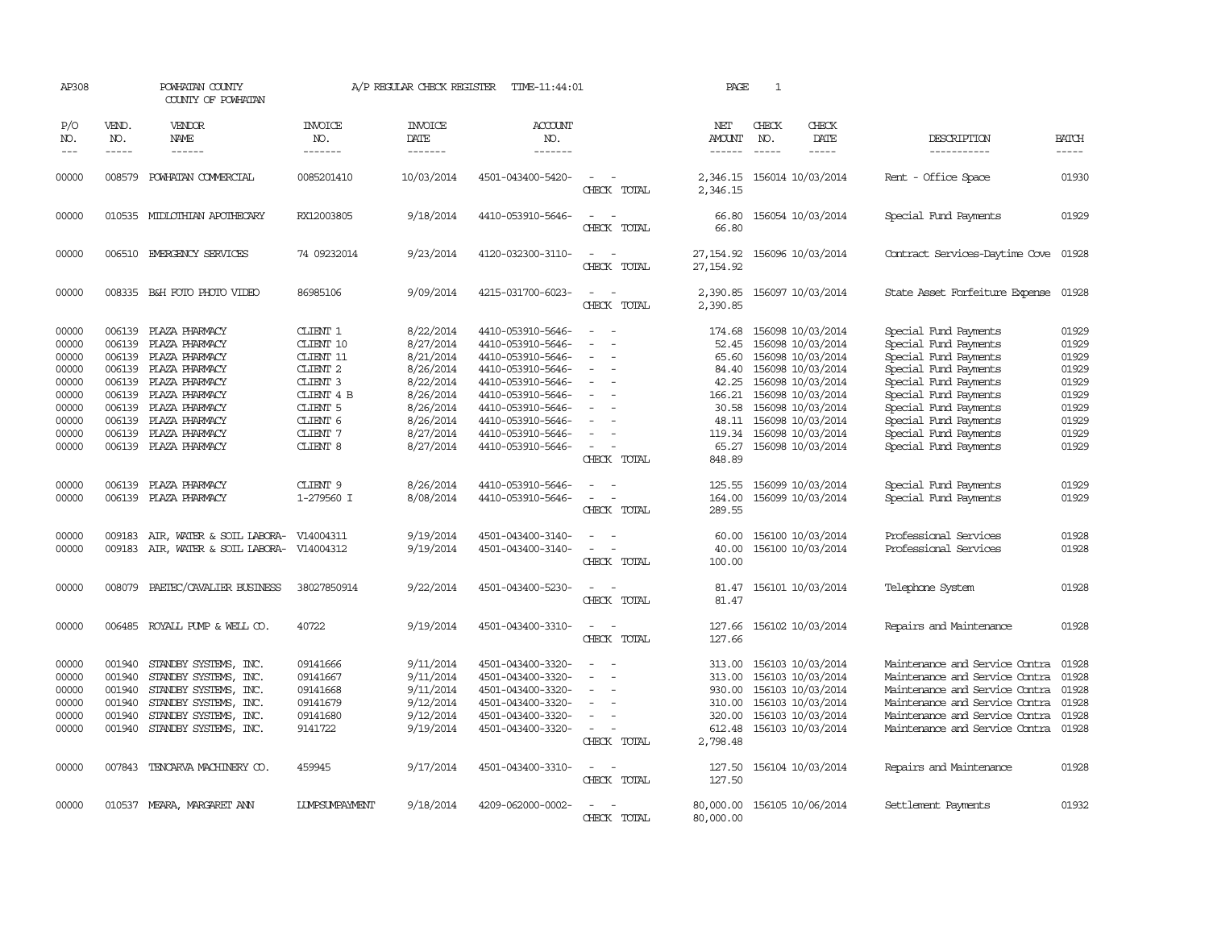| AP308                                                                                  |                                                                                        | POWHATAN COUNTY<br>COUNTY OF POWHATAN                                                                                                                                                   |                                                                                                                                                           | A/P REGULAR CHECK REGISTER                                                                                                     | TIME-11:44:01                                                                                                                                                                                                  |                                                                                                               | PAGE                                                                                                | $\mathbf{1}$ |                                                                                                                                                                                                                |                                                                                                                                                                                                                                                        |                                                                                        |
|----------------------------------------------------------------------------------------|----------------------------------------------------------------------------------------|-----------------------------------------------------------------------------------------------------------------------------------------------------------------------------------------|-----------------------------------------------------------------------------------------------------------------------------------------------------------|--------------------------------------------------------------------------------------------------------------------------------|----------------------------------------------------------------------------------------------------------------------------------------------------------------------------------------------------------------|---------------------------------------------------------------------------------------------------------------|-----------------------------------------------------------------------------------------------------|--------------|----------------------------------------------------------------------------------------------------------------------------------------------------------------------------------------------------------------|--------------------------------------------------------------------------------------------------------------------------------------------------------------------------------------------------------------------------------------------------------|----------------------------------------------------------------------------------------|
| P/O<br>NO.<br>$---$                                                                    | VEND.<br>NO.<br>-----                                                                  | VENDOR<br>NAME<br>------                                                                                                                                                                | <b>INVOICE</b><br>NO.<br>-------                                                                                                                          | <b>INVOICE</b><br>DATE<br>-------                                                                                              | <b>ACCOUNT</b><br>NO.<br>-------                                                                                                                                                                               |                                                                                                               | NET<br>AMOUNT<br>$- - - - - -$                                                                      | CHECK<br>NO. | CHECK<br>DATE<br>$- - - - -$                                                                                                                                                                                   | DESCRIPTION<br>-----------                                                                                                                                                                                                                             | <b>BATCH</b><br>-----                                                                  |
| 00000                                                                                  | 008579                                                                                 | POWHATAN COMMERCIAL                                                                                                                                                                     | 0085201410                                                                                                                                                | 10/03/2014                                                                                                                     | 4501-043400-5420-                                                                                                                                                                                              | $\equiv$<br>CHECK TOTAL                                                                                       | 2,346.15<br>2,346.15                                                                                |              | 156014 10/03/2014                                                                                                                                                                                              | - Office Space<br>Rent                                                                                                                                                                                                                                 | 01930                                                                                  |
| 00000                                                                                  |                                                                                        | 010535 MIDLOTHIAN APOTHECARY                                                                                                                                                            | RX12003805                                                                                                                                                | 9/18/2014                                                                                                                      | 4410-053910-5646-                                                                                                                                                                                              | CHECK TOTAL                                                                                                   | 66.80<br>66.80                                                                                      |              | 156054 10/03/2014                                                                                                                                                                                              | Special Fund Payments                                                                                                                                                                                                                                  | 01929                                                                                  |
| 00000                                                                                  |                                                                                        | 006510 EMERGENCY SERVICES                                                                                                                                                               | 74 09232014                                                                                                                                               | 9/23/2014                                                                                                                      | 4120-032300-3110-                                                                                                                                                                                              | $\equiv$<br>CHECK TOTAL                                                                                       | 27,154,92<br>27, 154, 92                                                                            |              | 156096 10/03/2014                                                                                                                                                                                              | Contract Services-Daytime Cove                                                                                                                                                                                                                         | 01928                                                                                  |
| 00000                                                                                  |                                                                                        | 008335 B&H FOTO PHOTO VIDEO                                                                                                                                                             | 86985106                                                                                                                                                  | 9/09/2014                                                                                                                      | 4215-031700-6023-                                                                                                                                                                                              | $\sim$<br>CHECK TOTAL                                                                                         | 2,390.85<br>2,390.85                                                                                |              | 156097 10/03/2014                                                                                                                                                                                              | State Asset Forfeiture Expense                                                                                                                                                                                                                         | 01928                                                                                  |
| 00000<br>00000<br>00000<br>00000<br>00000<br>00000<br>00000<br>00000<br>00000<br>00000 | 006139<br>006139<br>006139<br>006139<br>006139<br>006139<br>006139<br>006139<br>006139 | PLAZA PHARMACY<br>PLAZA PHARMACY<br>PLAZA PHARMACY<br>PLAZA PHARMACY<br>PLAZA PHARMACY<br>PLAZA PHARMACY<br>PLAZA PHARMACY<br>PLAZA PHARMACY<br>PLAZA PHARMACY<br>006139 PLAZA PHARMACY | CLIENT 1<br>CLIENT 10<br>CLIENT 11<br>CLIENT <sub>2</sub><br>CLIENT <sub>3</sub><br>CLIENT 4 B<br>CLIENT 5<br>CLIENT 6<br>CLIENT 7<br>CLIENT <sub>8</sub> | 8/22/2014<br>8/27/2014<br>8/21/2014<br>8/26/2014<br>8/22/2014<br>8/26/2014<br>8/26/2014<br>8/26/2014<br>8/27/2014<br>8/27/2014 | 4410-053910-5646-<br>4410-053910-5646-<br>4410-053910-5646-<br>4410-053910-5646-<br>4410-053910-5646-<br>4410-053910-5646-<br>4410-053910-5646-<br>4410-053910-5646-<br>4410-053910-5646-<br>4410-053910-5646- | $\equiv$<br>$\equiv$<br>$\equiv$<br>$\equiv$<br>$\equiv$<br>$\overline{\phantom{a}}$<br>$\sim$<br>CHECK TOTAL | 174.68<br>52.45<br>65.60<br>84.40<br>42.25<br>166.21<br>30.58<br>48.11<br>119.34<br>65.27<br>848.89 |              | 156098 10/03/2014<br>156098 10/03/2014<br>156098 10/03/2014<br>156098 10/03/2014<br>156098 10/03/2014<br>156098 10/03/2014<br>156098 10/03/2014<br>156098 10/03/2014<br>156098 10/03/2014<br>156098 10/03/2014 | Special Fund Payments<br>Special Fund Payments<br>Special Fund Payments<br>Special Fund Payments<br>Special Fund Payments<br>Special Fund Payments<br>Special Fund Payments<br>Special Fund Payments<br>Special Fund Payments<br>Special Fund Payments | 01929<br>01929<br>01929<br>01929<br>01929<br>01929<br>01929<br>01929<br>01929<br>01929 |
| 00000<br>00000                                                                         | 006139<br>006139                                                                       | PLAZA PHARMACY<br>PLAZA PHARMACY                                                                                                                                                        | CLIENT 9<br>1-279560 I                                                                                                                                    | 8/26/2014<br>8/08/2014                                                                                                         | 4410-053910-5646-<br>4410-053910-5646-                                                                                                                                                                         | $\equiv$<br>$\equiv$<br>CHECK TOTAL                                                                           | 125.55<br>164.00<br>289.55                                                                          |              | 156099 10/03/2014<br>156099 10/03/2014                                                                                                                                                                         | Special Fund Payments<br>Special Fund Payments                                                                                                                                                                                                         | 01929<br>01929                                                                         |
| 00000<br>00000                                                                         | 009183<br>009183                                                                       | AIR, WATER & SOIL LABORA-<br>AIR, WATER & SOIL LABORA-                                                                                                                                  | V14004311<br>V14004312                                                                                                                                    | 9/19/2014<br>9/19/2014                                                                                                         | 4501-043400-3140-<br>4501-043400-3140-                                                                                                                                                                         | $\overline{\phantom{a}}$<br>$\overline{\phantom{a}}$<br>$\equiv$<br>CHECK TOTAL                               | 60.00<br>40.00<br>100.00                                                                            |              | 156100 10/03/2014<br>156100 10/03/2014                                                                                                                                                                         | Professional Services<br>Professional Services                                                                                                                                                                                                         | 01928<br>01928                                                                         |
| 00000                                                                                  | 008079                                                                                 | PAETEC/CAVALIER BUSINESS                                                                                                                                                                | 38027850914                                                                                                                                               | 9/22/2014                                                                                                                      | 4501-043400-5230-                                                                                                                                                                                              | $\sim$<br>CHECK TOTAL                                                                                         | 81.47<br>81.47                                                                                      |              | 156101 10/03/2014                                                                                                                                                                                              | Telephone System                                                                                                                                                                                                                                       | 01928                                                                                  |
| 00000                                                                                  | 006485                                                                                 | ROYALL PUMP & WELL CO.                                                                                                                                                                  | 40722                                                                                                                                                     | 9/19/2014                                                                                                                      | 4501-043400-3310-                                                                                                                                                                                              | $\sim$<br>$\overline{\phantom{a}}$<br>CHECK TOTAL                                                             | 127.66<br>127.66                                                                                    |              | 156102 10/03/2014                                                                                                                                                                                              | Repairs and Maintenance                                                                                                                                                                                                                                | 01928                                                                                  |
| 00000<br>00000<br>00000<br>00000<br>00000<br>00000                                     | 001940<br>001940<br>001940<br>001940<br>001940<br>001940                               | STANDBY SYSTEMS, INC.<br>STANDBY SYSTEMS, INC.<br>STANDBY SYSTEMS, INC.<br>STANDBY SYSTEMS, INC.<br>STANDBY SYSTEMS, INC.<br>STANDBY SYSTEMS, INC.                                      | 09141666<br>09141667<br>09141668<br>09141679<br>09141680<br>9141722                                                                                       | 9/11/2014<br>9/11/2014<br>9/11/2014<br>9/12/2014<br>9/12/2014<br>9/19/2014                                                     | 4501-043400-3320-<br>4501-043400-3320-<br>4501-043400-3320-<br>4501-043400-3320-<br>4501-043400-3320-<br>4501-043400-3320-                                                                                     | $\sim$<br>$\equiv$<br>$\sim$<br>$\overline{\phantom{a}}$<br>CHECK TOTAL                                       | 313.00<br>313.00<br>930.00<br>310.00<br>320.00<br>612.48<br>2,798.48                                |              | 156103 10/03/2014<br>156103 10/03/2014<br>156103 10/03/2014<br>156103 10/03/2014<br>156103 10/03/2014<br>156103 10/03/2014                                                                                     | Maintenance and Service Contra<br>Maintenance and Service Contra<br>Maintenance and Service Contra<br>Maintenance and Service Contra<br>Maintenance and Service Contra<br>Maintenance and Service Contra                                               | 01928<br>01928<br>01928<br>01928<br>01928<br>01928                                     |
| 00000                                                                                  | 007843                                                                                 | TENCARVA MACHINERY CO.                                                                                                                                                                  | 459945                                                                                                                                                    | 9/17/2014                                                                                                                      | 4501-043400-3310-                                                                                                                                                                                              | $\sim$<br>CHECK TOTAL                                                                                         | 127.50<br>127.50                                                                                    |              | 156104 10/03/2014                                                                                                                                                                                              | Repairs and Maintenance                                                                                                                                                                                                                                | 01928                                                                                  |
| 00000                                                                                  |                                                                                        | 010537 MEARA, MARGARET ANN                                                                                                                                                              | <b>LUMPSUMPAYMENT</b>                                                                                                                                     | 9/18/2014                                                                                                                      | 4209-062000-0002-                                                                                                                                                                                              | $\overline{\phantom{0}}$<br>CHECK TOTAL                                                                       | 80,000.00<br>80,000.00                                                                              |              | 156105 10/06/2014                                                                                                                                                                                              | Settlement Payments                                                                                                                                                                                                                                    | 01932                                                                                  |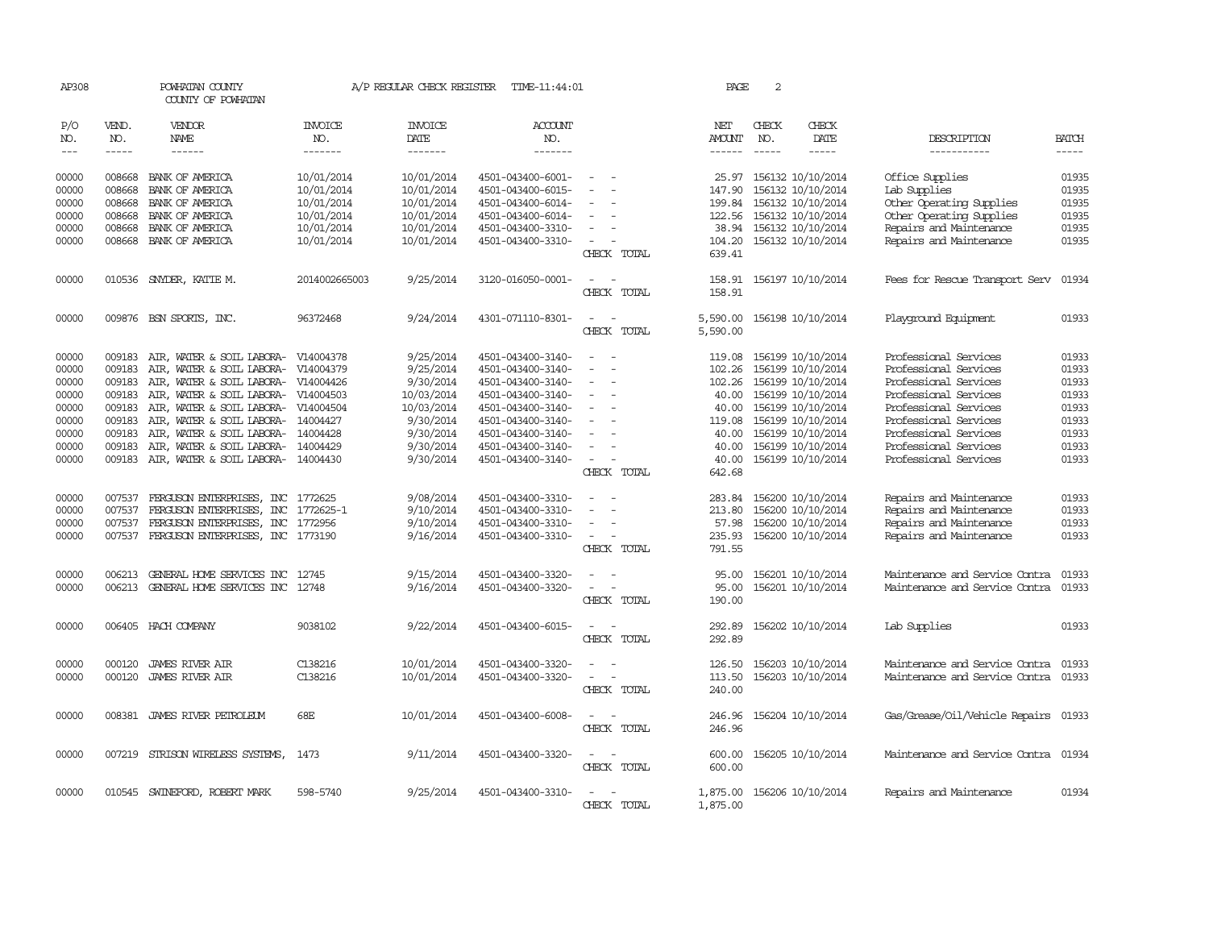| AP308                       |                             | POWHATAN COUNTY<br>COUNTY OF POWHATAN     |                                  | A/P REGULAR CHECK REGISTER        | TIME-11:44:01                    |                                                      | PAGE          | $\overline{2}$                |                        |                                      |                             |
|-----------------------------|-----------------------------|-------------------------------------------|----------------------------------|-----------------------------------|----------------------------------|------------------------------------------------------|---------------|-------------------------------|------------------------|--------------------------------------|-----------------------------|
| P/O<br>NO.<br>$\frac{1}{2}$ | VEND.<br>NO.<br>$- - - - -$ | VENDOR<br>NAME<br>$- - - - - -$           | <b>INVOICE</b><br>NO.<br>------- | <b>INVOICE</b><br>DATE<br>------- | <b>ACCOUNT</b><br>NO.<br>------- |                                                      | NET<br>AMOUNT | CHECK<br>NO.<br>$\frac{1}{2}$ | CHECK<br>DATE<br>----- | DESCRIPTION<br>-----------           | <b>BATCH</b><br>$- - - - -$ |
| 00000                       | 008668                      | BANK OF AMERICA                           | 10/01/2014                       | 10/01/2014                        | 4501-043400-6001-                | $\overline{\phantom{a}}$                             | 25.97         |                               | 156132 10/10/2014      | Office Supplies                      | 01935                       |
| 00000                       | 008668                      | BANK OF AMERICA                           | 10/01/2014                       | 10/01/2014                        | 4501-043400-6015-                |                                                      | 147.90        |                               | 156132 10/10/2014      | Lab Supplies                         | 01935                       |
| 00000                       | 008668                      | BANK OF AMERICA                           | 10/01/2014                       | 10/01/2014                        | 4501-043400-6014-                |                                                      | 199.84        |                               | 156132 10/10/2014      | Other Operating Supplies             | 01935                       |
| 00000                       | 008668                      | BANK OF AMERICA                           | 10/01/2014                       | 10/01/2014                        | 4501-043400-6014-                |                                                      | 122.56        |                               | 156132 10/10/2014      | Other Operating Supplies             | 01935                       |
| 00000                       | 008668                      | BANK OF AMERICA                           | 10/01/2014                       | 10/01/2014                        | 4501-043400-3310-                |                                                      | 38.94         |                               | 156132 10/10/2014      | Repairs and Maintenance              | 01935                       |
| 00000                       |                             | 008668 BANK OF AMERICA                    | 10/01/2014                       | 10/01/2014                        | 4501-043400-3310-                | $\equiv$                                             | 104.20        |                               | 156132 10/10/2014      | Repairs and Maintenance              | 01935                       |
|                             |                             |                                           |                                  |                                   |                                  | CHECK TOTAL                                          | 639.41        |                               |                        |                                      |                             |
| 00000                       |                             | 010536 SNYDER, KATTE M.                   | 2014002665003                    | 9/25/2014                         | 3120-016050-0001-                |                                                      | 158.91        |                               | 156197 10/10/2014      | Fees for Rescue Transport Serv       | 01934                       |
|                             |                             |                                           |                                  |                                   |                                  | CHECK TOTAL                                          | 158.91        |                               |                        |                                      |                             |
| 00000                       |                             | 009876 BSN SPORTS, INC.                   | 96372468                         | 9/24/2014                         | 4301-071110-8301-                | $\equiv$<br>$\sim$                                   | 5,590.00      |                               | 156198 10/10/2014      | Playground Equipment                 | 01933                       |
|                             |                             |                                           |                                  |                                   |                                  | CHECK TOTAL                                          | 5,590.00      |                               |                        |                                      |                             |
| 00000                       | 009183                      | AIR, WATER & SOIL LABORA- V14004378       |                                  | 9/25/2014                         | 4501-043400-3140-                |                                                      | 119.08        |                               | 156199 10/10/2014      | Professional Services                | 01933                       |
| 00000                       | 009183                      | AIR, WATER & SOIL LABORA-                 | V14004379                        | 9/25/2014                         | 4501-043400-3140-                |                                                      | 102.26        |                               | 156199 10/10/2014      | Professional Services                | 01933                       |
| 00000                       | 009183                      | AIR, WATER & SOIL LABORA- V14004426       |                                  | 9/30/2014                         | 4501-043400-3140-                | $\equiv$                                             | 102.26        |                               | 156199 10/10/2014      | Professional Services                | 01933                       |
| 00000                       | 009183                      | AIR, WATER & SOIL LABORA-                 | V14004503                        | 10/03/2014                        | 4501-043400-3140-                |                                                      | 40.00         |                               | 156199 10/10/2014      | Professional Services                | 01933                       |
| 00000                       | 009183                      | AIR, WATER & SOIL LABORA- V14004504       |                                  | 10/03/2014                        | 4501-043400-3140-                |                                                      | 40.00         |                               | 156199 10/10/2014      | Professional Services                | 01933                       |
| 00000                       |                             | 009183 AIR, WATER & SOIL LABORA- 14004427 |                                  | 9/30/2014                         | 4501-043400-3140-                | $\equiv$                                             | 119.08        |                               | 156199 10/10/2014      | Professional Services                | 01933                       |
| 00000                       | 009183                      | AIR, WATER & SOIL LABORA-                 | 14004428                         | 9/30/2014                         | 4501-043400-3140-                |                                                      | 40.00         |                               | 156199 10/10/2014      | Professional Services                | 01933                       |
| 00000                       | 009183                      | AIR, WATER & SOIL LABORA-                 | 14004429                         | 9/30/2014                         | 4501-043400-3140-                |                                                      | 40.00         |                               | 156199 10/10/2014      | Professional Services                | 01933                       |
| 00000                       |                             | 009183 AIR, WATER & SOIL LABORA- 14004430 |                                  | 9/30/2014                         | 4501-043400-3140-                | $\overline{\phantom{a}}$                             | 40.00         |                               | 156199 10/10/2014      | Professional Services                | 01933                       |
|                             |                             |                                           |                                  |                                   |                                  | CHECK TOTAL                                          | 642.68        |                               |                        |                                      |                             |
| 00000                       | 007537                      | FERGUSON ENTERPRISES, INC 1772625         |                                  | 9/08/2014                         | 4501-043400-3310-                |                                                      | 283.84        |                               | 156200 10/10/2014      | Repairs and Maintenance              | 01933                       |
| 00000                       | 007537                      | FERGUSON ENTERPRISES, INC                 | 1772625-1                        | 9/10/2014                         | 4501-043400-3310-                | $\equiv$                                             | 213.80        |                               | 156200 10/10/2014      | Repairs and Maintenance              | 01933                       |
| 00000                       | 007537                      | FERGUSON ENTERPRISES, INC 1772956         |                                  | 9/10/2014                         | 4501-043400-3310-                |                                                      | 57.98         |                               | 156200 10/10/2014      | Repairs and Maintenance              | 01933                       |
| 00000                       |                             | 007537 FERGUSON ENTERPRISES, INC 1773190  |                                  | 9/16/2014                         | 4501-043400-3310-                |                                                      | 235.93        |                               | 156200 10/10/2014      | Repairs and Maintenance              | 01933                       |
|                             |                             |                                           |                                  |                                   |                                  | CHECK TOTAL                                          | 791.55        |                               |                        |                                      |                             |
| 00000                       | 006213                      | GENERAL HOME SERVICES INC                 | 12745                            | 9/15/2014                         | 4501-043400-3320-                |                                                      | 95.00         |                               | 156201 10/10/2014      | Maintenance and Service Contra       | 01933                       |
| 00000                       |                             | 006213 GENERAL HOME SERVICES INC 12748    |                                  | 9/16/2014                         | 4501-043400-3320-                | $\overline{\phantom{a}}$<br>$\overline{\phantom{a}}$ | 95.00         |                               | 156201 10/10/2014      | Maintenance and Service Contra       | 01933                       |
|                             |                             |                                           |                                  |                                   |                                  | CHECK TOTAL                                          | 190.00        |                               |                        |                                      |                             |
| 00000                       |                             | 006405 HACH COMPANY                       | 9038102                          | 9/22/2014                         | 4501-043400-6015-                |                                                      | 292.89        |                               | 156202 10/10/2014      | Lab Supplies                         | 01933                       |
|                             |                             |                                           |                                  |                                   |                                  | CHECK TOTAL                                          | 292.89        |                               |                        |                                      |                             |
| 00000                       | 000120                      | <b>JAMES RIVER AIR</b>                    | C138216                          | 10/01/2014                        | 4501-043400-3320-                |                                                      | 126.50        |                               | 156203 10/10/2014      | Maintenance and Service Contra       | 01933                       |
| 00000                       | 000120                      | <b>JAMES RIVER AIR</b>                    | C138216                          | 10/01/2014                        | 4501-043400-3320-                | $\sim$                                               | 113.50        |                               | 156203 10/10/2014      | Maintenance and Service Contra       | 01933                       |
|                             |                             |                                           |                                  |                                   |                                  | CHECK TOTAL                                          | 240.00        |                               |                        |                                      |                             |
| 00000                       |                             | 008381 JAMES RIVER PETROLEUM              | 68E                              | 10/01/2014                        | 4501-043400-6008-                | $\overline{\phantom{a}}$<br>$\overline{\phantom{a}}$ | 246.96        |                               | 156204 10/10/2014      | Gas/Grease/Oil/Vehicle Repairs 01933 |                             |
|                             |                             |                                           |                                  |                                   |                                  | CHECK TOTAL                                          | 246.96        |                               |                        |                                      |                             |
| 00000                       |                             | 007219 STRISON WIRELESS SYSTEMS,          | 1473                             | 9/11/2014                         | 4501-043400-3320-                | $\sim$                                               | 600.00        |                               | 156205 10/10/2014      | Maintenance and Service Contra 01934 |                             |
|                             |                             |                                           |                                  |                                   |                                  | CHECK TOTAL                                          | 600.00        |                               |                        |                                      |                             |
| 00000                       |                             | 010545 SWINEFORD, ROBERT MARK             | 598-5740                         | 9/25/2014                         | 4501-043400-3310-                |                                                      | 1,875.00      |                               | 156206 10/10/2014      | Repairs and Maintenance              | 01934                       |
|                             |                             |                                           |                                  |                                   |                                  | CHECK TOTAL                                          | 1,875.00      |                               |                        |                                      |                             |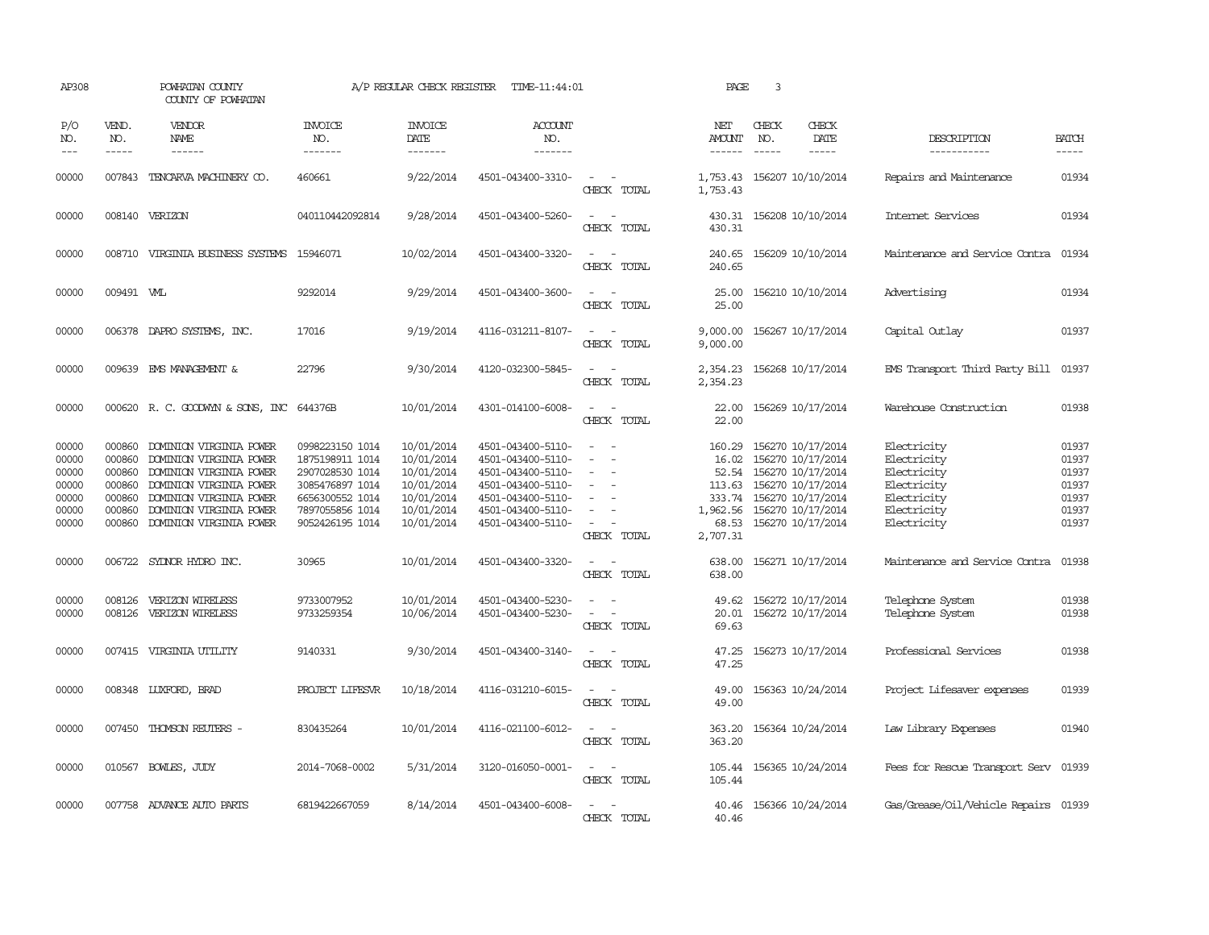| AP308                                                       |                                                                    | POWHATAN COUNTY<br>COUNTY OF POWHATAN                                                                                                                                                     |                                                                                                                                   | A/P REGULAR CHECK REGISTER                                                                     | TIME-11:44:01                                                                                                                                   |                                                                                                                             | PAGE                                                                          | 3                           |                                                                                                                                                 |                                                                                                       |                                                             |
|-------------------------------------------------------------|--------------------------------------------------------------------|-------------------------------------------------------------------------------------------------------------------------------------------------------------------------------------------|-----------------------------------------------------------------------------------------------------------------------------------|------------------------------------------------------------------------------------------------|-------------------------------------------------------------------------------------------------------------------------------------------------|-----------------------------------------------------------------------------------------------------------------------------|-------------------------------------------------------------------------------|-----------------------------|-------------------------------------------------------------------------------------------------------------------------------------------------|-------------------------------------------------------------------------------------------------------|-------------------------------------------------------------|
| P/O<br>NO.<br>$\frac{1}{2}$                                 | VEND.<br>NO.<br>$- - - - -$                                        | <b>VENDOR</b><br>NAME<br>$- - - - - -$                                                                                                                                                    | <b>INVOICE</b><br>NO.<br>-------                                                                                                  | <b>INVOICE</b><br>DATE<br>-------                                                              | <b>ACCOUNT</b><br>NO.<br>-------                                                                                                                |                                                                                                                             | NET<br>AMOUNT<br>-------                                                      | CHECK<br>NO.<br>$- - - - -$ | CHECK<br>DATE<br>$- - - - -$                                                                                                                    | DESCRIPTION<br>-----------                                                                            | <b>BATCH</b><br>-----                                       |
| 00000                                                       | 007843                                                             | TENCARVA MACHINERY CO.                                                                                                                                                                    | 460661                                                                                                                            | 9/22/2014                                                                                      | 4501-043400-3310-                                                                                                                               | $\sim$<br>CHECK TOTAL                                                                                                       | 1,753.43<br>1,753.43                                                          |                             | 156207 10/10/2014                                                                                                                               | Repairs and Maintenance                                                                               | 01934                                                       |
| 00000                                                       |                                                                    | 008140 VERIZON                                                                                                                                                                            | 040110442092814                                                                                                                   | 9/28/2014                                                                                      | 4501-043400-5260-                                                                                                                               | $\overline{\phantom{a}}$<br>CHECK TOTAL                                                                                     | 430.31<br>430.31                                                              |                             | 156208 10/10/2014                                                                                                                               | Internet Services                                                                                     | 01934                                                       |
| 00000                                                       |                                                                    | 008710 VIRGINIA BUSINESS SYSTEMS                                                                                                                                                          | 15946071                                                                                                                          | 10/02/2014                                                                                     | 4501-043400-3320-                                                                                                                               | $\sim$ $\sim$<br>CHECK TOTAL                                                                                                | 240.65<br>240.65                                                              |                             | 156209 10/10/2014                                                                                                                               | Maintenance and Service Contra                                                                        | 01934                                                       |
| 00000                                                       | 009491 WIL                                                         |                                                                                                                                                                                           | 9292014                                                                                                                           | 9/29/2014                                                                                      | 4501-043400-3600-                                                                                                                               | $\frac{1}{2} \left( \frac{1}{2} \right) \left( \frac{1}{2} \right) = \frac{1}{2} \left( \frac{1}{2} \right)$<br>CHECK TOTAL | 25.00<br>25.00                                                                |                             | 156210 10/10/2014                                                                                                                               | Advertising                                                                                           | 01934                                                       |
| 00000                                                       | 006378                                                             | DAPRO SYSTEMS, INC.                                                                                                                                                                       | 17016                                                                                                                             | 9/19/2014                                                                                      | 4116-031211-8107-                                                                                                                               | $ -$<br>CHECK TOTAL                                                                                                         | 9,000.00<br>9,000.00                                                          |                             | 156267 10/17/2014                                                                                                                               | Capital Outlay                                                                                        | 01937                                                       |
| 00000                                                       | 009639                                                             | EMS MANAGEMENT &                                                                                                                                                                          | 22796                                                                                                                             | 9/30/2014                                                                                      | 4120-032300-5845-                                                                                                                               | $\equiv$<br>$\sim$<br>CHECK TOTAL                                                                                           | 2,354.23<br>2,354.23                                                          |                             | 156268 10/17/2014                                                                                                                               | EMS Transport Third Party Bill                                                                        | 01937                                                       |
| 00000                                                       |                                                                    | 000620 R. C. GOODWYN & SONS, INC 644376B                                                                                                                                                  |                                                                                                                                   | 10/01/2014                                                                                     | 4301-014100-6008-                                                                                                                               | $\overline{\phantom{a}}$<br>CHECK TOTAL                                                                                     | 22.00<br>22.00                                                                |                             | 156269 10/17/2014                                                                                                                               | Warehouse Construction                                                                                | 01938                                                       |
| 00000<br>00000<br>00000<br>00000<br>00000<br>00000<br>00000 | 000860<br>000860<br>000860<br>000860<br>000860<br>000860<br>000860 | DOMINION VIRGINIA POWER<br>DOMINION VIRGINIA POWER<br>DOMINION VIRGINIA POWER<br>DOMINION VIRGINIA POWER<br>DOMINION VIRGINIA POWER<br>DOMINION VIRGINIA POWER<br>DOMINION VIRGINIA POWER | 0998223150 1014<br>1875198911 1014<br>2907028530 1014<br>3085476897 1014<br>6656300552 1014<br>7897055856 1014<br>9052426195 1014 | 10/01/2014<br>10/01/2014<br>10/01/2014<br>10/01/2014<br>10/01/2014<br>10/01/2014<br>10/01/2014 | 4501-043400-5110-<br>4501-043400-5110-<br>4501-043400-5110-<br>4501-043400-5110-<br>4501-043400-5110-<br>4501-043400-5110-<br>4501-043400-5110- | $\equiv$<br>$\equiv$<br>$\sim$<br>CHECK TOTAL                                                                               | 160.29<br>16.02<br>52.54<br>113.63<br>333.74<br>1,962.56<br>68.53<br>2,707.31 |                             | 156270 10/17/2014<br>156270 10/17/2014<br>156270 10/17/2014<br>156270 10/17/2014<br>156270 10/17/2014<br>156270 10/17/2014<br>156270 10/17/2014 | Electricity<br>Electricity<br>Electricity<br>Electricity<br>Electricity<br>Electricity<br>Electricity | 01937<br>01937<br>01937<br>01937<br>01937<br>01937<br>01937 |
| 00000                                                       | 006722                                                             | SYDNOR HYDRO INC.                                                                                                                                                                         | 30965                                                                                                                             | 10/01/2014                                                                                     | 4501-043400-3320-                                                                                                                               | $\sim$<br>CHECK TOTAL                                                                                                       | 638.00<br>638.00                                                              |                             | 156271 10/17/2014                                                                                                                               | Maintenance and Service Contra                                                                        | 01938                                                       |
| 00000<br>00000                                              | 008126<br>008126                                                   | VERIZON WIRELESS<br>VERIZON WIRELESS                                                                                                                                                      | 9733007952<br>9733259354                                                                                                          | 10/01/2014<br>10/06/2014                                                                       | 4501-043400-5230-<br>4501-043400-5230-                                                                                                          | $\sim$<br>$\sim$ 100 $\mu$<br>$\overline{a}$<br>CHECK TOTAL                                                                 | 49.62<br>69.63                                                                |                             | 156272 10/17/2014<br>20.01 156272 10/17/2014                                                                                                    | Telephone System<br>Telephone System                                                                  | 01938<br>01938                                              |
| 00000                                                       |                                                                    | 007415 VIRGINIA UTILITY                                                                                                                                                                   | 9140331                                                                                                                           | 9/30/2014                                                                                      | 4501-043400-3140-                                                                                                                               | $\overline{\phantom{a}}$<br>CHECK TOTAL                                                                                     | 47.25<br>47.25                                                                |                             | 156273 10/17/2014                                                                                                                               | Professional Services                                                                                 | 01938                                                       |
| 00000                                                       |                                                                    | 008348 LUXFORD, BRAD                                                                                                                                                                      | PROJECT LIFESVR                                                                                                                   | 10/18/2014                                                                                     | 4116-031210-6015-                                                                                                                               | $\equiv$<br>CHECK TOTAL                                                                                                     | 49.00<br>49.00                                                                |                             | 156363 10/24/2014                                                                                                                               | Project Lifesaver expenses                                                                            | 01939                                                       |
| 00000                                                       | 007450                                                             | THOMSON REUTERS -                                                                                                                                                                         | 830435264                                                                                                                         | 10/01/2014                                                                                     | 4116-021100-6012-                                                                                                                               | $\sim$<br>$\sim$<br>CHECK TOTAL                                                                                             | 363.20<br>363.20                                                              |                             | 156364 10/24/2014                                                                                                                               | Law Library Expenses                                                                                  | 01940                                                       |
| 00000                                                       |                                                                    | 010567 BOWLES, JUDY                                                                                                                                                                       | 2014-7068-0002                                                                                                                    | 5/31/2014                                                                                      | 3120-016050-0001-                                                                                                                               | CHECK TOTAL                                                                                                                 | 105.44<br>105.44                                                              |                             | 156365 10/24/2014                                                                                                                               | Fees for Rescue Transport Serv 01939                                                                  |                                                             |
| 00000                                                       |                                                                    | 007758 ADVANCE AUTO PARTS                                                                                                                                                                 | 6819422667059                                                                                                                     | 8/14/2014                                                                                      | 4501-043400-6008-                                                                                                                               | CHECK TOTAL                                                                                                                 | 40.46<br>40.46                                                                |                             | 156366 10/24/2014                                                                                                                               | Gas/Grease/Oil/Vehicle Repairs 01939                                                                  |                                                             |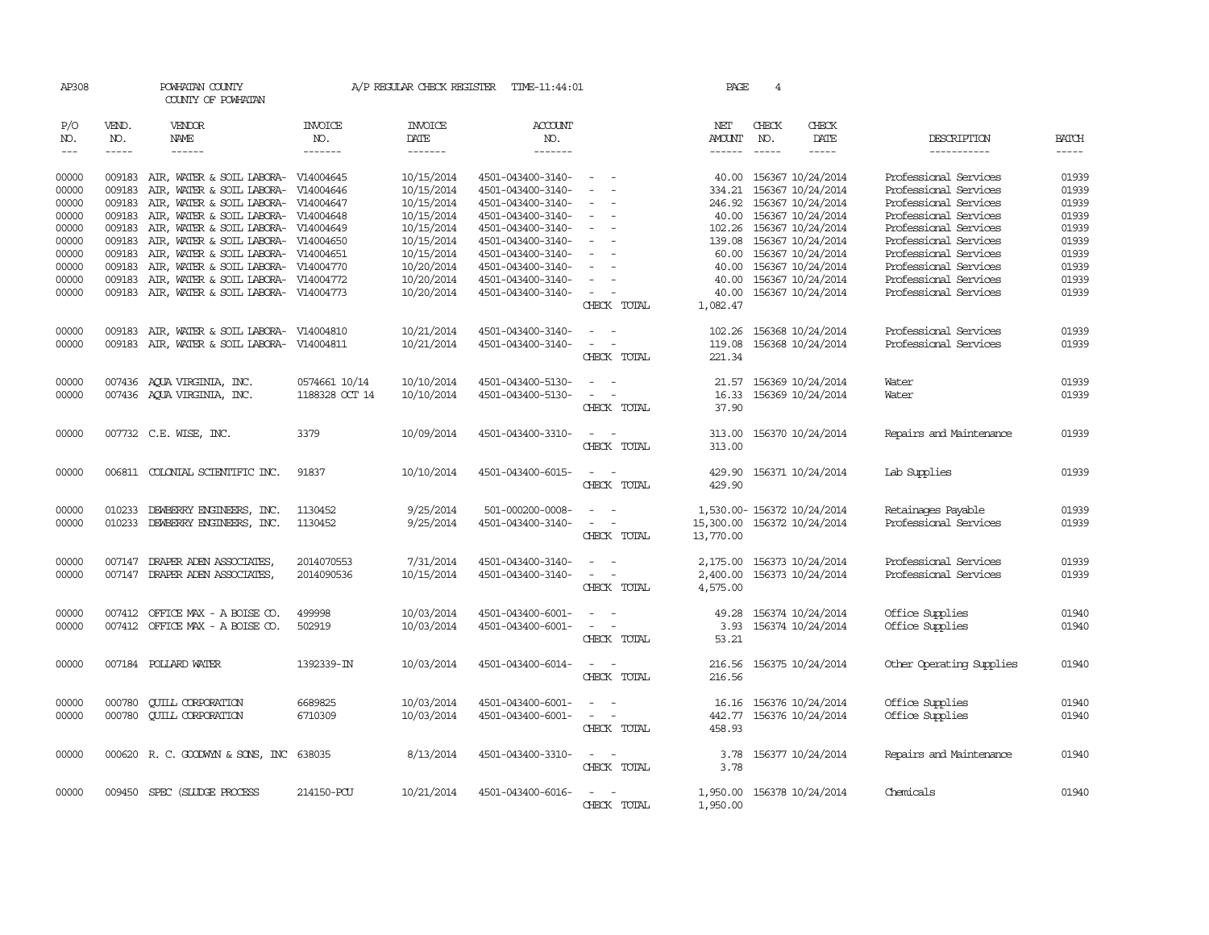| AP308      |              | POWHATAN COUNTY<br>COUNTY OF POWHATAN      |                       | A/P REGULAR CHECK REGISTER | TIME-11:44:01                          |                                                                                                | PAGE          | 4            |                            |                                    |              |
|------------|--------------|--------------------------------------------|-----------------------|----------------------------|----------------------------------------|------------------------------------------------------------------------------------------------|---------------|--------------|----------------------------|------------------------------------|--------------|
| P/O<br>NO. | VEND.<br>NO. | <b>VENDOR</b><br>NAME                      | <b>INVOICE</b><br>NO. | <b>INVOICE</b><br>DATE     | <b>ACCOUNT</b><br>NO.                  |                                                                                                | NET<br>AMOUNT | CHECK<br>NO. | CHECK<br>DATE              | DESCRIPTION                        | <b>BATCH</b> |
| $---$      | $- - - - -$  | $- - - - - -$                              | -------               | -------                    | -------                                |                                                                                                | $- - - - - -$ | $- - - - -$  | $- - - - -$                | -----------                        | $- - - - -$  |
| 00000      |              | 009183 AIR, WATER & SOIL LABORA- V14004645 |                       | 10/15/2014                 | 4501-043400-3140-                      | $\sim$                                                                                         |               |              | 40.00 156367 10/24/2014    | Professional Services              | 01939        |
| 00000      | 009183       | AIR, WATER & SOIL LABORA-                  | V14004646             | 10/15/2014                 | 4501-043400-3140-                      | $\overline{\phantom{a}}$                                                                       | 334.21        |              | 156367 10/24/2014          | Professional Services              | 01939        |
| 00000      | 009183       | AIR, WATER & SOIL LABORA- V14004647        |                       | 10/15/2014                 | 4501-043400-3140-                      |                                                                                                | 246.92        |              | 156367 10/24/2014          | Professional Services              | 01939        |
| 00000      |              | 009183 AIR, WATER & SOIL LABORA- V14004648 |                       | 10/15/2014                 | 4501-043400-3140-                      | $\sim$<br>$\overline{\phantom{a}}$                                                             |               |              | 40.00 156367 10/24/2014    | Professional Services              | 01939        |
| 00000      | 009183       | AIR, WATER & SOIL LABORA- V14004649        |                       | 10/15/2014                 | 4501-043400-3140-                      | $\sim$                                                                                         |               |              | 102.26 156367 10/24/2014   | Professional Services              | 01939        |
| 00000      |              | 009183 AIR, WATER & SOIL LABORA- V14004650 |                       | 10/15/2014                 | 4501-043400-3140-                      | $\overline{\phantom{a}}$                                                                       |               |              | 139.08 156367 10/24/2014   | Professional Services              | 01939        |
| 00000      |              | 009183 AIR, WATER & SOIL LABORA- V14004651 |                       | 10/15/2014                 | 4501-043400-3140-                      | $\overline{\phantom{a}}$                                                                       | 60.00         |              | 156367 10/24/2014          | Professional Services              | 01939        |
| 00000      | 009183       | AIR, WATER & SOIL LABORA- V14004770        |                       | 10/20/2014                 | 4501-043400-3140-                      | $\equiv$                                                                                       | 40.00         |              | 156367 10/24/2014          | Professional Services              | 01939        |
| 00000      | 009183       | AIR, WATER & SOIL LABORA- V14004772        |                       | 10/20/2014                 | 4501-043400-3140-                      | $\sim$                                                                                         | 40.00         |              | 156367 10/24/2014          | Professional Services              | 01939        |
| 00000      |              | 009183 AIR, WATER & SOIL LABORA- V14004773 |                       | 10/20/2014                 | 4501-043400-3140-                      | $\sim$ $ -$                                                                                    | 40.00         |              | 156367 10/24/2014          | Professional Services              | 01939        |
|            |              |                                            |                       |                            |                                        | CHECK TOTAL                                                                                    | 1,082.47      |              |                            |                                    |              |
| 00000      |              | 009183 AIR, WATER & SOIL LABORA- V14004810 |                       | 10/21/2014                 | 4501-043400-3140-                      | $\sim$<br>$\sim$                                                                               | 102.26        |              | 156368 10/24/2014          | Professional Services              | 01939        |
| 00000      |              | 009183 AIR, WATER & SOIL LABORA- V14004811 |                       | 10/21/2014                 | 4501-043400-3140-                      | $\sim$<br>$\sim$                                                                               | 119.08        |              | 156368 10/24/2014          | Professional Services              | 01939        |
|            |              |                                            |                       |                            |                                        | CHECK TOTAL                                                                                    | 221.34        |              |                            |                                    |              |
| 00000      |              | 007436 AQUA VIRGINIA, INC.                 | 0574661 10/14         | 10/10/2014                 | 4501-043400-5130-                      | $\overline{\phantom{a}}$                                                                       | 21.57         |              | 156369 10/24/2014          | Water                              | 01939        |
| 00000      |              | 007436 AQUA VIRGINIA, INC.                 | 1188328 OCT 14        | 10/10/2014                 | 4501-043400-5130-                      | $\sim$<br>$\sim$                                                                               | 16.33         |              | 156369 10/24/2014          | Water                              | 01939        |
|            |              |                                            |                       |                            |                                        | CHECK TOTAL                                                                                    | 37.90         |              |                            |                                    |              |
| 00000      |              | 007732 C.E. WISE, INC.                     | 3379                  | 10/09/2014                 | 4501-043400-3310-                      | $\sim$<br>$\sim$                                                                               | 313.00        |              | 156370 10/24/2014          | Repairs and Maintenance            | 01939        |
|            |              |                                            |                       |                            |                                        | CHECK TOTAL                                                                                    | 313.00        |              |                            |                                    |              |
|            |              |                                            |                       |                            |                                        |                                                                                                |               |              |                            |                                    |              |
| 00000      |              | 006811 COLONIAL SCIENTIFIC INC.            | 91837                 | 10/10/2014                 | 4501-043400-6015-                      | $\sim$ $\sim$                                                                                  |               |              | 429.90 156371 10/24/2014   | Lab Supplies                       | 01939        |
|            |              |                                            |                       |                            |                                        | CHECK TOTAL                                                                                    | 429.90        |              |                            |                                    |              |
| 00000      | 010233       | DEWBERRY ENGINEERS, INC.                   | 1130452               | 9/25/2014                  | 501-000200-0008-                       | $\overline{\phantom{a}}$<br>$\sim$                                                             |               |              | 1,530.00-156372 10/24/2014 | Retainages Payable                 | 01939        |
| 00000      | 010233       | DEWBERRY ENGINEERS, INC.                   | 1130452               | 9/25/2014                  | 4501-043400-3140-                      | $\sim$<br>$\sim$                                                                               | 15,300.00     |              | 156372 10/24/2014          | Professional Services              | 01939        |
|            |              |                                            |                       |                            |                                        | CHECK TOTAL                                                                                    | 13,770.00     |              |                            |                                    |              |
| 00000      |              | 007147 DRAPER ADEN ASSOCIATES,             | 2014070553            | 7/31/2014                  | 4501-043400-3140-                      | $\sim$                                                                                         | 2,175.00      |              | 156373 10/24/2014          | Professional Services              | 01939        |
| 00000      |              | 007147 DRAPER ADEN ASSOCIATES,             | 2014090536            | 10/15/2014                 | 4501-043400-3140-                      | $\sim$<br>$\sim$                                                                               |               |              | 2,400.00 156373 10/24/2014 | Professional Services              | 01939        |
|            |              |                                            |                       |                            |                                        | CHECK TOTAL                                                                                    | 4,575.00      |              |                            |                                    |              |
|            |              |                                            |                       |                            |                                        |                                                                                                |               |              |                            |                                    |              |
| 00000      | 007412       | OFFICE MAX - A BOISE CO.                   | 499998                | 10/03/2014                 | 4501-043400-6001-                      | $\overline{\phantom{a}}$                                                                       | 49.28         |              | 156374 10/24/2014          | Office Supplies                    | 01940        |
| 00000      |              | 007412 OFFICE MAX - A BOISE CO.            | 502919                | 10/03/2014                 | 4501-043400-6001-                      | $\omega_{\rm{max}}$ and $\omega_{\rm{max}}$                                                    | 3.93          |              | 156374 10/24/2014          | Office Supplies                    | 01940        |
|            |              |                                            |                       |                            |                                        | CHECK TOTAL                                                                                    | 53.21         |              |                            |                                    |              |
| 00000      |              | 007184 POLLARD WATER                       | 1392339-IN            | 10/03/2014                 | 4501-043400-6014-                      | $\frac{1}{2} \left( \frac{1}{2} \right) \left( \frac{1}{2} \right) \left( \frac{1}{2} \right)$ |               |              | 216.56 156375 10/24/2014   | Other Operating Supplies           | 01940        |
|            |              |                                            |                       |                            |                                        | CHECK TOTAL                                                                                    | 216.56        |              |                            |                                    |              |
|            |              |                                            |                       |                            |                                        |                                                                                                |               |              |                            |                                    | 01940        |
| 00000      | 000780       | <b>CUILL CORPORATION</b>                   | 6689825<br>6710309    | 10/03/2014                 | 4501-043400-6001-<br>4501-043400-6001- | $\sim$                                                                                         |               |              | 16.16 156376 10/24/2014    | Office Supplies<br>Office Supplies | 01940        |
| 00000      | 000780       | <b>QUILL CORPORATION</b>                   |                       | 10/03/2014                 |                                        | $\sim$<br>CHECK TOTAL                                                                          | 458.93        |              | 442.77 156376 10/24/2014   |                                    |              |
|            |              |                                            |                       |                            |                                        |                                                                                                |               |              |                            |                                    |              |
| 00000      |              | 000620 R. C. GOODWYN & SONS, INC 638035    |                       | 8/13/2014                  | 4501-043400-3310-                      | $\sim$ $ \sim$                                                                                 |               |              | 3.78 156377 10/24/2014     | Repairs and Maintenance            | 01940        |
|            |              |                                            |                       |                            |                                        | CHECK TOTAL                                                                                    | 3.78          |              |                            |                                    |              |
|            |              |                                            |                       |                            |                                        |                                                                                                |               |              |                            |                                    |              |
| 00000      |              | 009450 SPEC (SLUDGE PROCESS                | 214150-PCU            | 10/21/2014                 | 4501-043400-6016-                      | $\sim$ $ \sim$<br>CHECK TOTAL                                                                  | 1,950.00      |              | 1,950.00 156378 10/24/2014 | Chemicals                          | 01940        |
|            |              |                                            |                       |                            |                                        |                                                                                                |               |              |                            |                                    |              |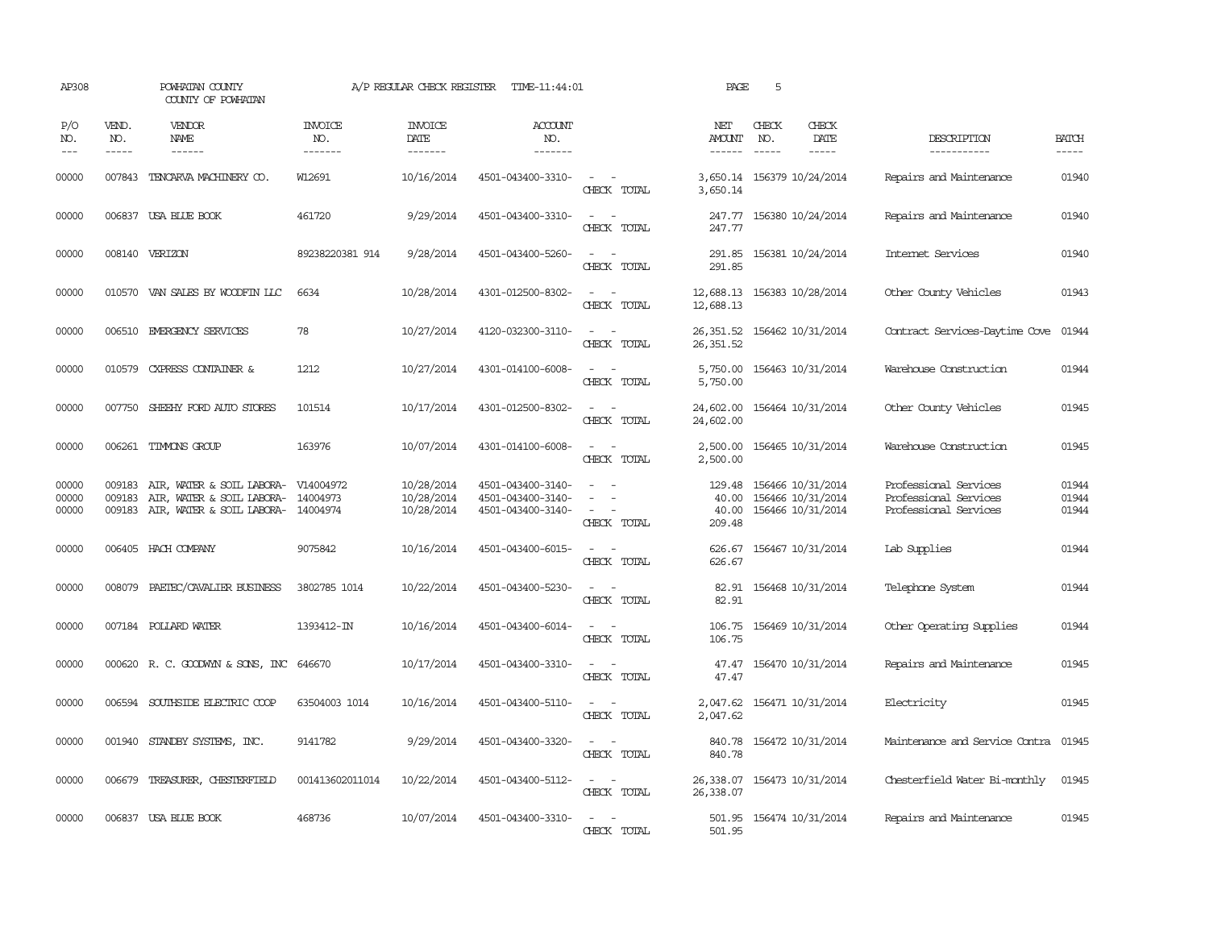| AP308                   |                               | POWHATAN COUNTY<br>COUNTY OF POWHATAN                                                                                                                                                                                                                                                                                                                                                                                                                                                        |                                  | A/P REGULAR CHECK REGISTER             | TIME-11:44:01                                               |                                                                                                                                          | PAGE                                      | 5                             |                                                             |                                                                         |                             |
|-------------------------|-------------------------------|----------------------------------------------------------------------------------------------------------------------------------------------------------------------------------------------------------------------------------------------------------------------------------------------------------------------------------------------------------------------------------------------------------------------------------------------------------------------------------------------|----------------------------------|----------------------------------------|-------------------------------------------------------------|------------------------------------------------------------------------------------------------------------------------------------------|-------------------------------------------|-------------------------------|-------------------------------------------------------------|-------------------------------------------------------------------------|-----------------------------|
| P/O<br>NO.<br>$- - -$   | VEND.<br>NO.<br>$\frac{1}{2}$ | VENDOR<br>NAME<br>$\frac{1}{2} \left( \frac{1}{2} \right) \left( \frac{1}{2} \right) \left( \frac{1}{2} \right) \left( \frac{1}{2} \right) \left( \frac{1}{2} \right) \left( \frac{1}{2} \right) \left( \frac{1}{2} \right) \left( \frac{1}{2} \right) \left( \frac{1}{2} \right) \left( \frac{1}{2} \right) \left( \frac{1}{2} \right) \left( \frac{1}{2} \right) \left( \frac{1}{2} \right) \left( \frac{1}{2} \right) \left( \frac{1}{2} \right) \left( \frac{1}{2} \right) \left( \frac$ | <b>INVOICE</b><br>NO.<br>------- | <b>INVOICE</b><br>DATE<br>-------      | <b>ACCOUNT</b><br>NO.<br>-------                            |                                                                                                                                          | NET<br>AMOUNT<br>$- - - - - -$            | CHECK<br>NO.<br>$\frac{1}{2}$ | CHECK<br>DATE<br>$- - - - -$                                | DESCRIPTION<br>-----------                                              | <b>BATCH</b><br>$- - - - -$ |
| 00000                   |                               | 007843 TENCARVA MACHINERY CO.                                                                                                                                                                                                                                                                                                                                                                                                                                                                | W12691                           | 10/16/2014                             | 4501-043400-3310-                                           | $\sim$ $ -$<br>CHECK TOTAL                                                                                                               | 3,650.14                                  |                               | 3,650.14 156379 10/24/2014                                  | Repairs and Maintenance                                                 | 01940                       |
| 00000                   |                               | 006837 USA BLUE BOOK                                                                                                                                                                                                                                                                                                                                                                                                                                                                         | 461720                           | 9/29/2014                              | 4501-043400-3310-                                           | $\sim$<br>$\sim$<br>CHECK TOTAL                                                                                                          | 247.77                                    |                               | 247.77 156380 10/24/2014                                    | Repairs and Maintenance                                                 | 01940                       |
| 00000                   |                               | 008140 VERIZON                                                                                                                                                                                                                                                                                                                                                                                                                                                                               | 89238220381 914                  | 9/28/2014                              | 4501-043400-5260-                                           | $\sim$ 10 $\sim$ 10 $\sim$<br>CHECK TOTAL                                                                                                | 291.85<br>291.85                          |                               | 156381 10/24/2014                                           | Internet Services                                                       | 01940                       |
| 00000                   |                               | 010570 VAN SALES BY WOODFIN LLC                                                                                                                                                                                                                                                                                                                                                                                                                                                              | 6634                             | 10/28/2014                             | 4301-012500-8302-                                           | $\sim$ 100 $\sim$<br>CHECK TOTAL                                                                                                         | 12,688.13 156383 10/28/2014<br>12,688.13  |                               |                                                             | Other County Vehicles                                                   | 01943                       |
| 00000                   |                               | 006510 EMERGENCY SERVICES                                                                                                                                                                                                                                                                                                                                                                                                                                                                    | 78                               | 10/27/2014                             | 4120-032300-3110-                                           | $\overline{\phantom{a}}$<br>$\sim$<br>CHECK TOTAL                                                                                        | 26,351.52<br>26,351.52                    |                               | 156462 10/31/2014                                           | Contract Services-Daytime Cove                                          | 01944                       |
| 00000                   | 010579                        | CXPRESS CONTAINER &                                                                                                                                                                                                                                                                                                                                                                                                                                                                          | 1212                             | 10/27/2014                             | 4301-014100-6008-                                           | $\sim$<br>$\sim$<br>CHECK TOTAL                                                                                                          | 5,750.00<br>5,750.00                      |                               | 156463 10/31/2014                                           | Warehouse Construction                                                  | 01944                       |
| 00000                   |                               | 007750 SHEEHY FORD AUTO STORES                                                                                                                                                                                                                                                                                                                                                                                                                                                               | 101514                           | 10/17/2014                             | 4301-012500-8302-                                           | $\sim$ $ -$<br>CHECK TOTAL                                                                                                               | 24,602.00<br>24,602.00                    |                               | 156464 10/31/2014                                           | Other County Vehicles                                                   | 01945                       |
| 00000                   |                               | 006261 TIMMONS GROUP                                                                                                                                                                                                                                                                                                                                                                                                                                                                         | 163976                           | 10/07/2014                             | 4301-014100-6008-                                           | $\sim$ 100 $\sim$ 100 $\sim$<br>CHECK TOTAL                                                                                              | 2,500.00<br>2,500.00                      |                               | 156465 10/31/2014                                           | Warehouse Construction                                                  | 01945                       |
| 00000<br>00000<br>00000 | 009183<br>009183              | AIR, WATER & SOIL LABORA-<br>AIR, WATER & SOIL LABORA- 14004973<br>009183 AIR, WATER & SOIL LABORA- 14004974                                                                                                                                                                                                                                                                                                                                                                                 | V14004972                        | 10/28/2014<br>10/28/2014<br>10/28/2014 | 4501-043400-3140-<br>4501-043400-3140-<br>4501-043400-3140- | $\equiv$<br>$\sim$<br>CHECK TOTAL                                                                                                        | 129.48<br>40.00<br>40.00<br>209.48        |                               | 156466 10/31/2014<br>156466 10/31/2014<br>156466 10/31/2014 | Professional Services<br>Professional Services<br>Professional Services | 01944<br>01944<br>01944     |
| 00000                   |                               | 006405 HACH COMPANY                                                                                                                                                                                                                                                                                                                                                                                                                                                                          | 9075842                          | 10/16/2014                             | 4501-043400-6015-                                           | $\frac{1}{2} \left( \frac{1}{2} \right) \left( \frac{1}{2} \right) = \frac{1}{2} \left( \frac{1}{2} \right)$<br>CHECK TOTAL              | 626.67                                    |                               | 626.67 156467 10/31/2014                                    | Lab Supplies                                                            | 01944                       |
| 00000                   | 008079                        | PAETEC/CAVALIER BUSINESS                                                                                                                                                                                                                                                                                                                                                                                                                                                                     | 3802785 1014                     | 10/22/2014                             | 4501-043400-5230-                                           | $\sim$ 100 $\sim$<br>CHECK TOTAL                                                                                                         | 82.91<br>82.91                            |                               | 156468 10/31/2014                                           | Telephone System                                                        | 01944                       |
| 00000                   |                               | 007184 POLLARD WATER                                                                                                                                                                                                                                                                                                                                                                                                                                                                         | 1393412-IN                       | 10/16/2014                             | 4501-043400-6014-                                           | $ -$<br>CHECK TOTAL                                                                                                                      | 106.75<br>106.75                          |                               | 156469 10/31/2014                                           | Other Operating Supplies                                                | 01944                       |
| 00000                   |                               | 000620 R. C. GOODWYN & SONS, INC                                                                                                                                                                                                                                                                                                                                                                                                                                                             | 646670                           | 10/17/2014                             | 4501-043400-3310-                                           | $\sim$<br>CHECK TOTAL                                                                                                                    | 47.47<br>47.47                            |                               | 156470 10/31/2014                                           | Repairs and Maintenance                                                 | 01945                       |
| 00000                   | 006594                        | SOUTHSIDE ELECTRIC COOP                                                                                                                                                                                                                                                                                                                                                                                                                                                                      | 63504003 1014                    | 10/16/2014                             | 4501-043400-5110-                                           | $\sim$ 100 $\sim$ 100 $\sim$<br>CHECK TOTAL                                                                                              | 2,047.62<br>2,047.62                      |                               | 156471 10/31/2014                                           | Electricity                                                             | 01945                       |
| 00000                   |                               | 001940 STANDBY SYSTEMS, INC.                                                                                                                                                                                                                                                                                                                                                                                                                                                                 | 9141782                          | 9/29/2014                              | 4501-043400-3320-                                           | $\frac{1}{2} \left( \frac{1}{2} \right) \left( \frac{1}{2} \right) \left( \frac{1}{2} \right) \left( \frac{1}{2} \right)$<br>CHECK TOTAL | 840.78<br>840.78                          |                               | 156472 10/31/2014                                           | Maintenance and Service Contra                                          | 01945                       |
| 00000                   |                               | 006679 TREASURER, CHESTERFIELD                                                                                                                                                                                                                                                                                                                                                                                                                                                               | 001413602011014                  | 10/22/2014                             | 4501-043400-5112-                                           | $\sim$ $ \sim$<br>CHECK TOTAL                                                                                                            | 26, 338.07 156473 10/31/2014<br>26,338.07 |                               |                                                             | Chesterfield Water Bi-monthly                                           | 01945                       |
| 00000                   |                               | 006837 USA BLUE BOOK                                                                                                                                                                                                                                                                                                                                                                                                                                                                         | 468736                           | 10/07/2014                             | 4501-043400-3310-                                           | $\sim$ $-$<br>CHECK TOTAL                                                                                                                | 501.95                                    |                               | 501.95 156474 10/31/2014                                    | Repairs and Maintenance                                                 | 01945                       |